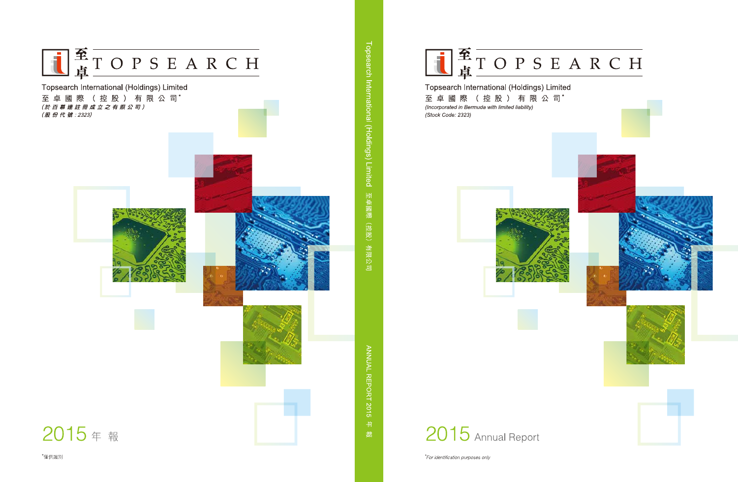

### Topsearch International (Holdings) Limited

至 卓 國 際 (控 股 ) 有 限 公 司\* (Incorporated in Bermuda with limited liability) (Stock Code: 2323)





\*For identification purposes only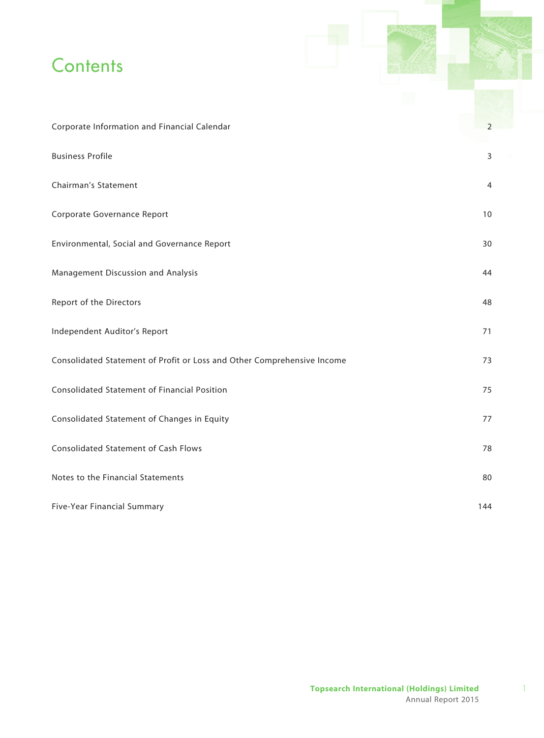# **Contents**

| Corporate Information and Financial Calendar                            | 2   |
|-------------------------------------------------------------------------|-----|
| <b>Business Profile</b>                                                 | 3   |
| Chairman's Statement                                                    | 4   |
| Corporate Governance Report                                             | 10  |
| Environmental, Social and Governance Report                             | 30  |
| Management Discussion and Analysis                                      | 44  |
| Report of the Directors                                                 | 48  |
| Independent Auditor's Report                                            | 71  |
| Consolidated Statement of Profit or Loss and Other Comprehensive Income | 73  |
| <b>Consolidated Statement of Financial Position</b>                     | 75  |
| Consolidated Statement of Changes in Equity                             | 77  |
| <b>Consolidated Statement of Cash Flows</b>                             | 78  |
| Notes to the Financial Statements                                       | 80  |
| Five-Year Financial Summary                                             | 144 |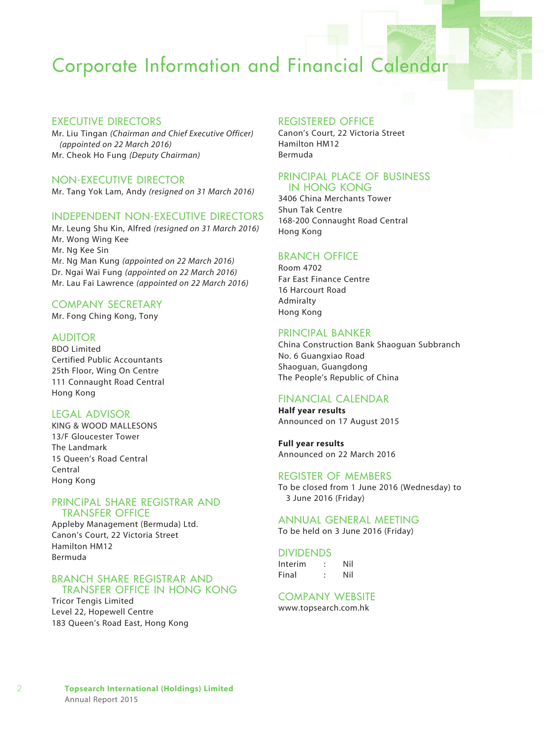# Corporate Information and Financial Calendar

#### EXECUTIVE DIRECTORS

Mr. Liu Tingan *(Chairman and Chief Executive Officer) (appointed on 22 March 2016)* Mr. Cheok Ho Fung *(Deputy Chairman)*

NON-EXECUTIVE DIRECTOR

Mr. Tang Yok Lam, Andy *(resigned on 31 March 2016)*

### INDEPENDENT NON-EXECUTIVE DIRECTORS

Mr. Leung Shu Kin, Alfred *(resigned on 31 March 2016)* Mr. Wong Wing Kee Mr. Ng Kee Sin Mr. Ng Man Kung *(appointed on 22 March 2016)* Dr. Ngai Wai Fung *(appointed on 22 March 2016)* Mr. Lau Fai Lawrence *(appointed on 22 March 2016)*

#### Company Secretary

Mr. Fong Ching Kong, Tony

### **AUDITOR**

BDO Limited Certified Public Accountants 25th Floor, Wing On Centre 111 Connaught Road Central Hong Kong

#### Legal Advisor

KING & WOOD MALLESONS 13/F Gloucester Tower The Landmark 15 Queen's Road Central Central Hong Kong

#### Principal Share Registrar and Transfer Office

Appleby Management (Bermuda) Ltd. Canon's Court, 22 Victoria Street Hamilton HM12 Bermuda

#### Branch Share Registrar and Transfer Office in Hong Kong

Tricor Tengis Limited Level 22, Hopewell Centre 183 Queen's Road East, Hong Kong

#### Registered Office

Canon's Court, 22 Victoria Street Hamilton HM12 Bermuda

### Principal Place of Business in Hong Kong

3406 China Merchants Tower Shun Tak Centre 168-200 Connaught Road Central Hong Kong

### Branch Office

Room 4702 Far East Finance Centre 16 Harcourt Road Admiralty Hong Kong

#### Principal Banker

China Construction Bank Shaoguan Subbranch No. 6 Guangxiao Road Shaoguan, Guangdong The People's Republic of China

### Financial Calendar

**Half year results** Announced on 17 August 2015

**Full year results** Announced on 22 March 2016

#### Register of Members

To be closed from 1 June 2016 (Wednesday) to 3 June 2016 (Friday)

### Annual General Meeting

To be held on 3 June 2016 (Friday)

#### **DIVIDENDS**

Interim : Nil Final : Nil

#### Company Website

www.topsearch.com.hk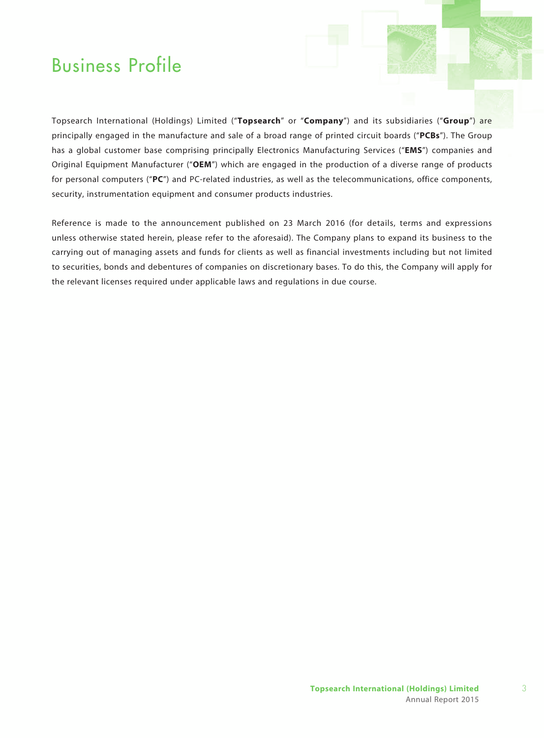# Business Profile

Topsearch International (Holdings) Limited ("**Topsearch**" or "**Company**") and its subsidiaries ("**Group**") are principally engaged in the manufacture and sale of a broad range of printed circuit boards ("**PCBs**"). The Group has a global customer base comprising principally Electronics Manufacturing Services ("**EMS**") companies and Original Equipment Manufacturer ("**OEM**") which are engaged in the production of a diverse range of products for personal computers ("**PC**") and PC-related industries, as well as the telecommunications, office components, security, instrumentation equipment and consumer products industries.

Reference is made to the announcement published on 23 March 2016 (for details, terms and expressions unless otherwise stated herein, please refer to the aforesaid). The Company plans to expand its business to the carrying out of managing assets and funds for clients as well as financial investments including but not limited to securities, bonds and debentures of companies on discretionary bases. To do this, the Company will apply for the relevant licenses required under applicable laws and regulations in due course.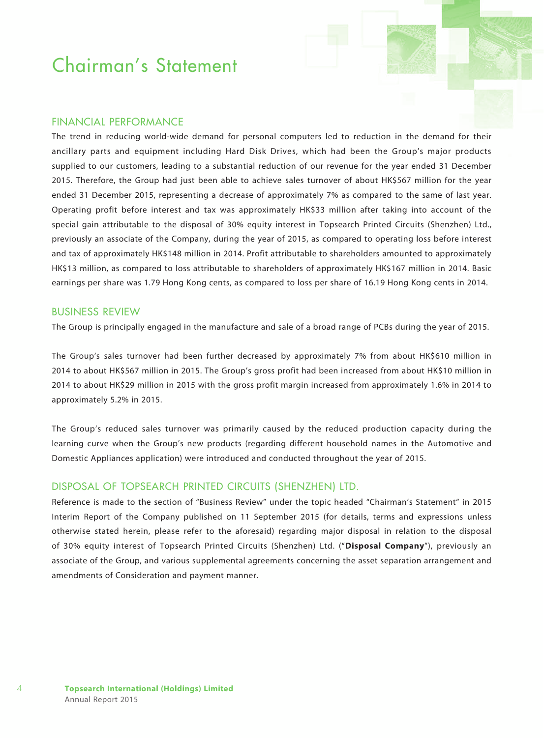### Financial Performance

The trend in reducing world-wide demand for personal computers led to reduction in the demand for their ancillary parts and equipment including Hard Disk Drives, which had been the Group's major products supplied to our customers, leading to a substantial reduction of our revenue for the year ended 31 December 2015. Therefore, the Group had just been able to achieve sales turnover of about HK\$567 million for the year ended 31 December 2015, representing a decrease of approximately 7% as compared to the same of last year. Operating profit before interest and tax was approximately HK\$33 million after taking into account of the special gain attributable to the disposal of 30% equity interest in Topsearch Printed Circuits (Shenzhen) Ltd., previously an associate of the Company, during the year of 2015, as compared to operating loss before interest and tax of approximately HK\$148 million in 2014. Profit attributable to shareholders amounted to approximately HK\$13 million, as compared to loss attributable to shareholders of approximately HK\$167 million in 2014. Basic earnings per share was 1.79 Hong Kong cents, as compared to loss per share of 16.19 Hong Kong cents in 2014.

#### Business Review

The Group is principally engaged in the manufacture and sale of a broad range of PCBs during the year of 2015.

The Group's sales turnover had been further decreased by approximately 7% from about HK\$610 million in 2014 to about HK\$567 million in 2015. The Group's gross profit had been increased from about HK\$10 million in 2014 to about HK\$29 million in 2015 with the gross profit margin increased from approximately 1.6% in 2014 to approximately 5.2% in 2015.

The Group's reduced sales turnover was primarily caused by the reduced production capacity during the learning curve when the Group's new products (regarding different household names in the Automotive and Domestic Appliances application) were introduced and conducted throughout the year of 2015.

### Disposal of Topsearch Printed Circuits (Shenzhen) Ltd.

Reference is made to the section of "Business Review" under the topic headed "Chairman's Statement" in 2015 Interim Report of the Company published on 11 September 2015 (for details, terms and expressions unless otherwise stated herein, please refer to the aforesaid) regarding major disposal in relation to the disposal of 30% equity interest of Topsearch Printed Circuits (Shenzhen) Ltd. ("**Disposal Company**"), previously an associate of the Group, and various supplemental agreements concerning the asset separation arrangement and amendments of Consideration and payment manner.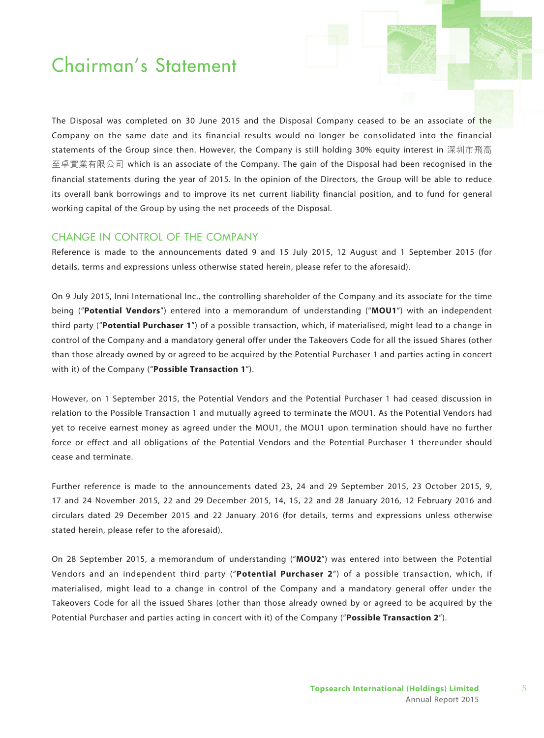The Disposal was completed on 30 June 2015 and the Disposal Company ceased to be an associate of the Company on the same date and its financial results would no longer be consolidated into the financial statements of the Group since then. However, the Company is still holding 30% equity interest in 深圳市飛高 至卓實業有限公司 which is an associate of the Company. The gain of the Disposal had been recognised in the financial statements during the year of 2015. In the opinion of the Directors, the Group will be able to reduce its overall bank borrowings and to improve its net current liability financial position, and to fund for general working capital of the Group by using the net proceeds of the Disposal.

### Change in control of the Company

Reference is made to the announcements dated 9 and 15 July 2015, 12 August and 1 September 2015 (for details, terms and expressions unless otherwise stated herein, please refer to the aforesaid).

On 9 July 2015, Inni International Inc., the controlling shareholder of the Company and its associate for the time being ("**Potential Vendors**") entered into a memorandum of understanding ("**MOU1**") with an independent third party ("**Potential Purchaser 1**") of a possible transaction, which, if materialised, might lead to a change in control of the Company and a mandatory general offer under the Takeovers Code for all the issued Shares (other than those already owned by or agreed to be acquired by the Potential Purchaser 1 and parties acting in concert with it) of the Company ("**Possible Transaction 1**").

However, on 1 September 2015, the Potential Vendors and the Potential Purchaser 1 had ceased discussion in relation to the Possible Transaction 1 and mutually agreed to terminate the MOU1. As the Potential Vendors had yet to receive earnest money as agreed under the MOU1, the MOU1 upon termination should have no further force or effect and all obligations of the Potential Vendors and the Potential Purchaser 1 thereunder should cease and terminate.

Further reference is made to the announcements dated 23, 24 and 29 September 2015, 23 October 2015, 9, 17 and 24 November 2015, 22 and 29 December 2015, 14, 15, 22 and 28 January 2016, 12 February 2016 and circulars dated 29 December 2015 and 22 January 2016 (for details, terms and expressions unless otherwise stated herein, please refer to the aforesaid).

On 28 September 2015, a memorandum of understanding ("**MOU2**") was entered into between the Potential Vendors and an independent third party ("**Potential Purchaser 2**") of a possible transaction, which, if materialised, might lead to a change in control of the Company and a mandatory general offer under the Takeovers Code for all the issued Shares (other than those already owned by or agreed to be acquired by the Potential Purchaser and parties acting in concert with it) of the Company ("**Possible Transaction 2**").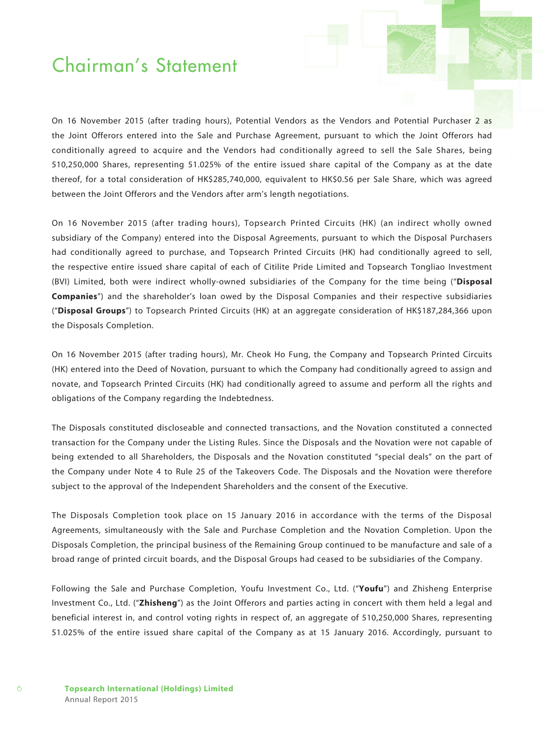On 16 November 2015 (after trading hours), Potential Vendors as the Vendors and Potential Purchaser 2 as the Joint Offerors entered into the Sale and Purchase Agreement, pursuant to which the Joint Offerors had conditionally agreed to acquire and the Vendors had conditionally agreed to sell the Sale Shares, being 510,250,000 Shares, representing 51.025% of the entire issued share capital of the Company as at the date thereof, for a total consideration of HK\$285,740,000, equivalent to HK\$0.56 per Sale Share, which was agreed between the Joint Offerors and the Vendors after arm's length negotiations.

On 16 November 2015 (after trading hours), Topsearch Printed Circuits (HK) (an indirect wholly owned subsidiary of the Company) entered into the Disposal Agreements, pursuant to which the Disposal Purchasers had conditionally agreed to purchase, and Topsearch Printed Circuits (HK) had conditionally agreed to sell, the respective entire issued share capital of each of Citilite Pride Limited and Topsearch Tongliao Investment (BVI) Limited, both were indirect wholly-owned subsidiaries of the Company for the time being ("**Disposal Companies**") and the shareholder's loan owed by the Disposal Companies and their respective subsidiaries ("**Disposal Groups**") to Topsearch Printed Circuits (HK) at an aggregate consideration of HK\$187,284,366 upon the Disposals Completion.

On 16 November 2015 (after trading hours), Mr. Cheok Ho Fung, the Company and Topsearch Printed Circuits (HK) entered into the Deed of Novation, pursuant to which the Company had conditionally agreed to assign and novate, and Topsearch Printed Circuits (HK) had conditionally agreed to assume and perform all the rights and obligations of the Company regarding the Indebtedness.

The Disposals constituted discloseable and connected transactions, and the Novation constituted a connected transaction for the Company under the Listing Rules. Since the Disposals and the Novation were not capable of being extended to all Shareholders, the Disposals and the Novation constituted "special deals" on the part of the Company under Note 4 to Rule 25 of the Takeovers Code. The Disposals and the Novation were therefore subject to the approval of the Independent Shareholders and the consent of the Executive.

The Disposals Completion took place on 15 January 2016 in accordance with the terms of the Disposal Agreements, simultaneously with the Sale and Purchase Completion and the Novation Completion. Upon the Disposals Completion, the principal business of the Remaining Group continued to be manufacture and sale of a broad range of printed circuit boards, and the Disposal Groups had ceased to be subsidiaries of the Company.

Following the Sale and Purchase Completion, Youfu Investment Co., Ltd. ("**Youfu**") and Zhisheng Enterprise Investment Co., Ltd. ("**Zhisheng**") as the Joint Offerors and parties acting in concert with them held a legal and beneficial interest in, and control voting rights in respect of, an aggregate of 510,250,000 Shares, representing 51.025% of the entire issued share capital of the Company as at 15 January 2016. Accordingly, pursuant to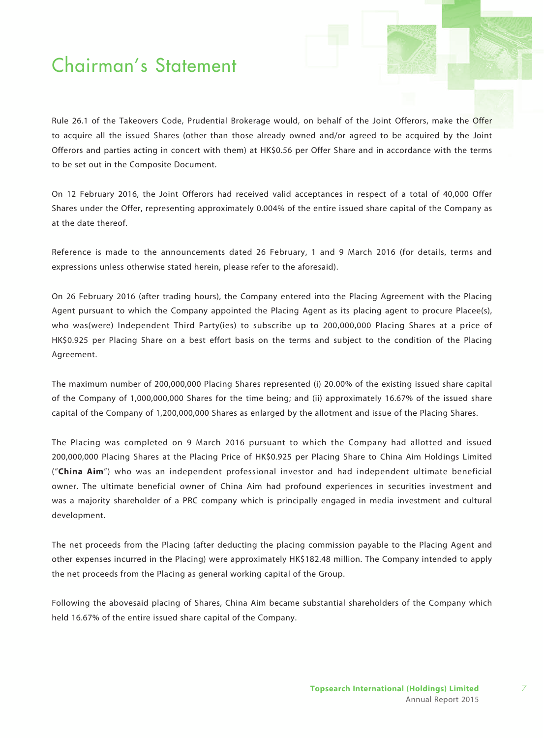Rule 26.1 of the Takeovers Code, Prudential Brokerage would, on behalf of the Joint Offerors, make the Offer to acquire all the issued Shares (other than those already owned and/or agreed to be acquired by the Joint Offerors and parties acting in concert with them) at HK\$0.56 per Offer Share and in accordance with the terms to be set out in the Composite Document.

On 12 February 2016, the Joint Offerors had received valid acceptances in respect of a total of 40,000 Offer Shares under the Offer, representing approximately 0.004% of the entire issued share capital of the Company as at the date thereof.

Reference is made to the announcements dated 26 February, 1 and 9 March 2016 (for details, terms and expressions unless otherwise stated herein, please refer to the aforesaid).

On 26 February 2016 (after trading hours), the Company entered into the Placing Agreement with the Placing Agent pursuant to which the Company appointed the Placing Agent as its placing agent to procure Placee(s), who was(were) Independent Third Party(ies) to subscribe up to 200,000,000 Placing Shares at a price of HK\$0.925 per Placing Share on a best effort basis on the terms and subject to the condition of the Placing Agreement.

The maximum number of 200,000,000 Placing Shares represented (i) 20.00% of the existing issued share capital of the Company of 1,000,000,000 Shares for the time being; and (ii) approximately 16.67% of the issued share capital of the Company of 1,200,000,000 Shares as enlarged by the allotment and issue of the Placing Shares.

The Placing was completed on 9 March 2016 pursuant to which the Company had allotted and issued 200,000,000 Placing Shares at the Placing Price of HK\$0.925 per Placing Share to China Aim Holdings Limited ("**China Aim**") who was an independent professional investor and had independent ultimate beneficial owner. The ultimate beneficial owner of China Aim had profound experiences in securities investment and was a majority shareholder of a PRC company which is principally engaged in media investment and cultural development.

The net proceeds from the Placing (after deducting the placing commission payable to the Placing Agent and other expenses incurred in the Placing) were approximately HK\$182.48 million. The Company intended to apply the net proceeds from the Placing as general working capital of the Group.

Following the abovesaid placing of Shares, China Aim became substantial shareholders of the Company which held 16.67% of the entire issued share capital of the Company.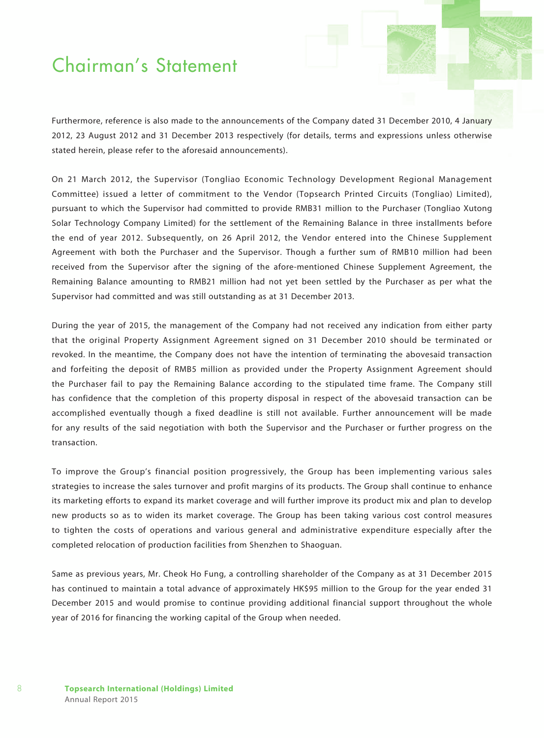Furthermore, reference is also made to the announcements of the Company dated 31 December 2010, 4 January 2012, 23 August 2012 and 31 December 2013 respectively (for details, terms and expressions unless otherwise stated herein, please refer to the aforesaid announcements).

On 21 March 2012, the Supervisor (Tongliao Economic Technology Development Regional Management Committee) issued a letter of commitment to the Vendor (Topsearch Printed Circuits (Tongliao) Limited), pursuant to which the Supervisor had committed to provide RMB31 million to the Purchaser (Tongliao Xutong Solar Technology Company Limited) for the settlement of the Remaining Balance in three installments before the end of year 2012. Subsequently, on 26 April 2012, the Vendor entered into the Chinese Supplement Agreement with both the Purchaser and the Supervisor. Though a further sum of RMB10 million had been received from the Supervisor after the signing of the afore-mentioned Chinese Supplement Agreement, the Remaining Balance amounting to RMB21 million had not yet been settled by the Purchaser as per what the Supervisor had committed and was still outstanding as at 31 December 2013.

During the year of 2015, the management of the Company had not received any indication from either party that the original Property Assignment Agreement signed on 31 December 2010 should be terminated or revoked. In the meantime, the Company does not have the intention of terminating the abovesaid transaction and forfeiting the deposit of RMB5 million as provided under the Property Assignment Agreement should the Purchaser fail to pay the Remaining Balance according to the stipulated time frame. The Company still has confidence that the completion of this property disposal in respect of the abovesaid transaction can be accomplished eventually though a fixed deadline is still not available. Further announcement will be made for any results of the said negotiation with both the Supervisor and the Purchaser or further progress on the transaction.

To improve the Group's financial position progressively, the Group has been implementing various sales strategies to increase the sales turnover and profit margins of its products. The Group shall continue to enhance its marketing efforts to expand its market coverage and will further improve its product mix and plan to develop new products so as to widen its market coverage. The Group has been taking various cost control measures to tighten the costs of operations and various general and administrative expenditure especially after the completed relocation of production facilities from Shenzhen to Shaoguan.

Same as previous years, Mr. Cheok Ho Fung, a controlling shareholder of the Company as at 31 December 2015 has continued to maintain a total advance of approximately HK\$95 million to the Group for the year ended 31 December 2015 and would promise to continue providing additional financial support throughout the whole year of 2016 for financing the working capital of the Group when needed.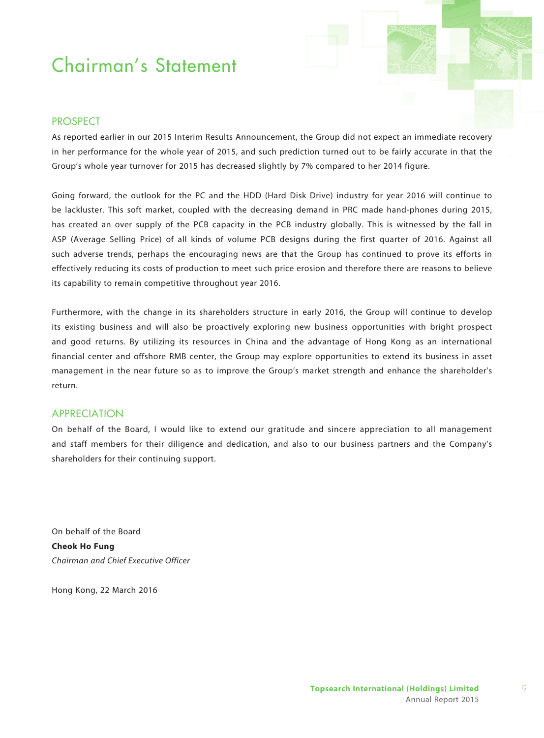### **PROSPECT**

As reported earlier in our 2015 Interim Results Announcement, the Group did not expect an immediate recovery in her performance for the whole year of 2015, and such prediction turned out to be fairly accurate in that the Group's whole year turnover for 2015 has decreased slightly by 7% compared to her 2014 figure.

Going forward, the outlook for the PC and the HDD (Hard Disk Drive) industry for year 2016 will continue to be lackluster. This soft market, coupled with the decreasing demand in PRC made hand-phones during 2015, has created an over supply of the PCB capacity in the PCB industry globally. This is witnessed by the fall in ASP (Average Selling Price) of all kinds of volume PCB designs during the first quarter of 2016. Against all such adverse trends, perhaps the encouraging news are that the Group has continued to prove its efforts in effectively reducing its costs of production to meet such price erosion and therefore there are reasons to believe its capability to remain competitive throughout year 2016.

Furthermore, with the change in its shareholders structure in early 2016, the Group will continue to develop its existing business and will also be proactively exploring new business opportunities with bright prospect and good returns. By utilizing its resources in China and the advantage of Hong Kong as an international financial center and offshore RMB center, the Group may explore opportunities to extend its business in asset management in the near future so as to improve the Group's market strength and enhance the shareholder's return.

#### Appreciation

On behalf of the Board, I would like to extend our gratitude and sincere appreciation to all management and staff members for their diligence and dedication, and also to our business partners and the Company's shareholders for their continuing support.

On behalf of the Board **Cheok Ho Fung** *Chairman and Chief Executive Officer*

Hong Kong, 22 March 2016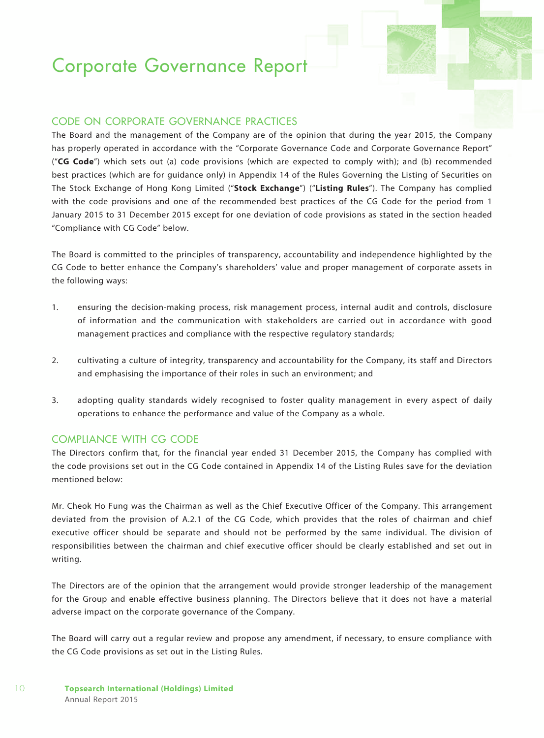### CODE ON CORPORATE GOVERNANCE PRACTICES

The Board and the management of the Company are of the opinion that during the year 2015, the Company has properly operated in accordance with the "Corporate Governance Code and Corporate Governance Report" ("**CG Code**") which sets out (a) code provisions (which are expected to comply with); and (b) recommended best practices (which are for guidance only) in Appendix 14 of the Rules Governing the Listing of Securities on The Stock Exchange of Hong Kong Limited ("**Stock Exchange**") ("**Listing Rules**"). The Company has complied with the code provisions and one of the recommended best practices of the CG Code for the period from 1 January 2015 to 31 December 2015 except for one deviation of code provisions as stated in the section headed "Compliance with CG Code" below.

The Board is committed to the principles of transparency, accountability and independence highlighted by the CG Code to better enhance the Company's shareholders' value and proper management of corporate assets in the following ways:

- 1. ensuring the decision-making process, risk management process, internal audit and controls, disclosure of information and the communication with stakeholders are carried out in accordance with good management practices and compliance with the respective regulatory standards;
- 2. cultivating a culture of integrity, transparency and accountability for the Company, its staff and Directors and emphasising the importance of their roles in such an environment; and
- 3. adopting quality standards widely recognised to foster quality management in every aspect of daily operations to enhance the performance and value of the Company as a whole.

#### compliance with CG CODE

The Directors confirm that, for the financial year ended 31 December 2015, the Company has complied with the code provisions set out in the CG Code contained in Appendix 14 of the Listing Rules save for the deviation mentioned below:

Mr. Cheok Ho Fung was the Chairman as well as the Chief Executive Officer of the Company. This arrangement deviated from the provision of A.2.1 of the CG Code, which provides that the roles of chairman and chief executive officer should be separate and should not be performed by the same individual. The division of responsibilities between the chairman and chief executive officer should be clearly established and set out in writing.

The Directors are of the opinion that the arrangement would provide stronger leadership of the management for the Group and enable effective business planning. The Directors believe that it does not have a material adverse impact on the corporate governance of the Company.

The Board will carry out a regular review and propose any amendment, if necessary, to ensure compliance with the CG Code provisions as set out in the Listing Rules.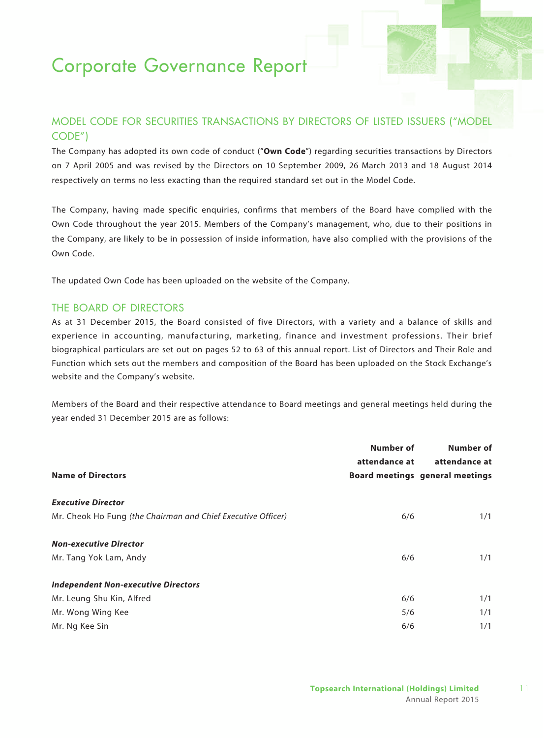### MODEL CODE FOR SECURITIES TRANSACTIONS BY DIRECTORS OF LISTED ISSUERS ("MODEL CODE")

The Company has adopted its own code of conduct ("**Own Code**") regarding securities transactions by Directors on 7 April 2005 and was revised by the Directors on 10 September 2009, 26 March 2013 and 18 August 2014 respectively on terms no less exacting than the required standard set out in the Model Code.

The Company, having made specific enquiries, confirms that members of the Board have complied with the Own Code throughout the year 2015. Members of the Company's management, who, due to their positions in the Company, are likely to be in possession of inside information, have also complied with the provisions of the Own Code.

The updated Own Code has been uploaded on the website of the Company.

### THE BOARD OF DIRECTORS

As at 31 December 2015, the Board consisted of five Directors, with a variety and a balance of skills and experience in accounting, manufacturing, marketing, finance and investment professions. Their brief biographical particulars are set out on pages 52 to 63 of this annual report. List of Directors and Their Role and Function which sets out the members and composition of the Board has been uploaded on the Stock Exchange's website and the Company's website.

Members of the Board and their respective attendance to Board meetings and general meetings held during the year ended 31 December 2015 are as follows:

|                                                              | Number of     | Number of                              |
|--------------------------------------------------------------|---------------|----------------------------------------|
|                                                              | attendance at | attendance at                          |
| <b>Name of Directors</b>                                     |               | <b>Board meetings general meetings</b> |
| <b>Executive Director</b>                                    |               |                                        |
| Mr. Cheok Ho Fung (the Chairman and Chief Executive Officer) | 6/6           | 1/1                                    |
| <b>Non-executive Director</b>                                |               |                                        |
| Mr. Tang Yok Lam, Andy                                       | 6/6           | 1/1                                    |
| <b>Independent Non-executive Directors</b>                   |               |                                        |
| Mr. Leung Shu Kin, Alfred                                    | 6/6           | 1/1                                    |
| Mr. Wong Wing Kee                                            | 5/6           | 1/1                                    |
| Mr. Ng Kee Sin                                               | 6/6           | 1/1                                    |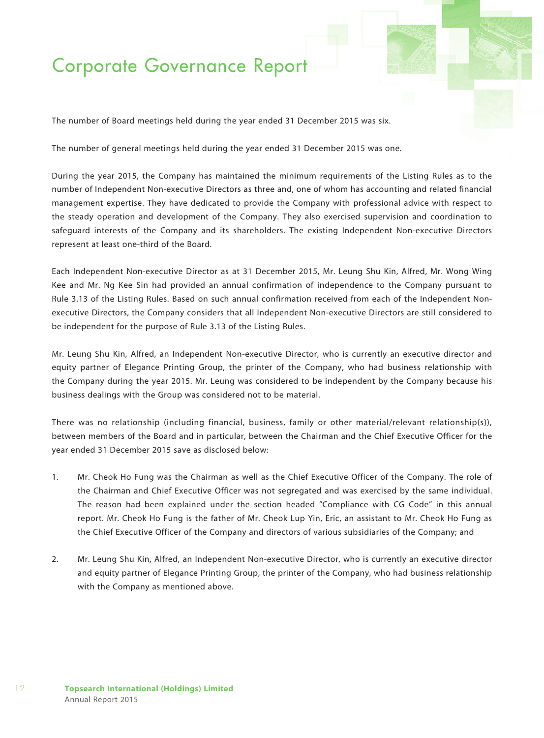The number of Board meetings held during the year ended 31 December 2015 was six.

The number of general meetings held during the year ended 31 December 2015 was one.

During the year 2015, the Company has maintained the minimum requirements of the Listing Rules as to the number of Independent Non-executive Directors as three and, one of whom has accounting and related financial management expertise. They have dedicated to provide the Company with professional advice with respect to the steady operation and development of the Company. They also exercised supervision and coordination to safeguard interests of the Company and its shareholders. The existing Independent Non-executive Directors represent at least one-third of the Board.

Each Independent Non-executive Director as at 31 December 2015, Mr. Leung Shu Kin, Alfred, Mr. Wong Wing Kee and Mr. Ng Kee Sin had provided an annual confirmation of independence to the Company pursuant to Rule 3.13 of the Listing Rules. Based on such annual confirmation received from each of the Independent Nonexecutive Directors, the Company considers that all Independent Non-executive Directors are still considered to be independent for the purpose of Rule 3.13 of the Listing Rules.

Mr. Leung Shu Kin, Alfred, an Independent Non-executive Director, who is currently an executive director and equity partner of Elegance Printing Group, the printer of the Company, who had business relationship with the Company during the year 2015. Mr. Leung was considered to be independent by the Company because his business dealings with the Group was considered not to be material.

There was no relationship (including financial, business, family or other material/relevant relationship(s)), between members of the Board and in particular, between the Chairman and the Chief Executive Officer for the year ended 31 December 2015 save as disclosed below:

- 1. Mr. Cheok Ho Fung was the Chairman as well as the Chief Executive Officer of the Company. The role of the Chairman and Chief Executive Officer was not segregated and was exercised by the same individual. The reason had been explained under the section headed "Compliance with CG Code" in this annual report. Mr. Cheok Ho Fung is the father of Mr. Cheok Lup Yin, Eric, an assistant to Mr. Cheok Ho Fung as the Chief Executive Officer of the Company and directors of various subsidiaries of the Company; and
- 2. Mr. Leung Shu Kin, Alfred, an Independent Non-executive Director, who is currently an executive director and equity partner of Elegance Printing Group, the printer of the Company, who had business relationship with the Company as mentioned above.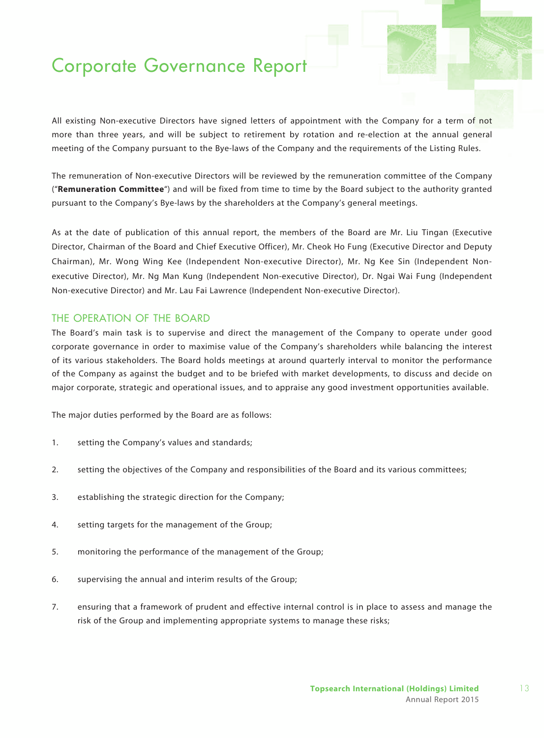All existing Non-executive Directors have signed letters of appointment with the Company for a term of not more than three years, and will be subject to retirement by rotation and re-election at the annual general meeting of the Company pursuant to the Bye-laws of the Company and the requirements of the Listing Rules.

The remuneration of Non-executive Directors will be reviewed by the remuneration committee of the Company ("**Remuneration Committee**") and will be fixed from time to time by the Board subject to the authority granted pursuant to the Company's Bye-laws by the shareholders at the Company's general meetings.

As at the date of publication of this annual report, the members of the Board are Mr. Liu Tingan (Executive Director, Chairman of the Board and Chief Executive Officer), Mr. Cheok Ho Fung (Executive Director and Deputy Chairman), Mr. Wong Wing Kee (Independent Non-executive Director), Mr. Ng Kee Sin (Independent Nonexecutive Director), Mr. Ng Man Kung (Independent Non-executive Director), Dr. Ngai Wai Fung (Independent Non-executive Director) and Mr. Lau Fai Lawrence (Independent Non-executive Director).

### THE OPERATION OF THE BOARD

The Board's main task is to supervise and direct the management of the Company to operate under good corporate governance in order to maximise value of the Company's shareholders while balancing the interest of its various stakeholders. The Board holds meetings at around quarterly interval to monitor the performance of the Company as against the budget and to be briefed with market developments, to discuss and decide on major corporate, strategic and operational issues, and to appraise any good investment opportunities available.

The major duties performed by the Board are as follows:

- 1. setting the Company's values and standards;
- 2. setting the objectives of the Company and responsibilities of the Board and its various committees;
- 3. establishing the strategic direction for the Company;
- 4. setting targets for the management of the Group;
- 5. monitoring the performance of the management of the Group;
- 6. supervising the annual and interim results of the Group;
- 7. ensuring that a framework of prudent and effective internal control is in place to assess and manage the risk of the Group and implementing appropriate systems to manage these risks;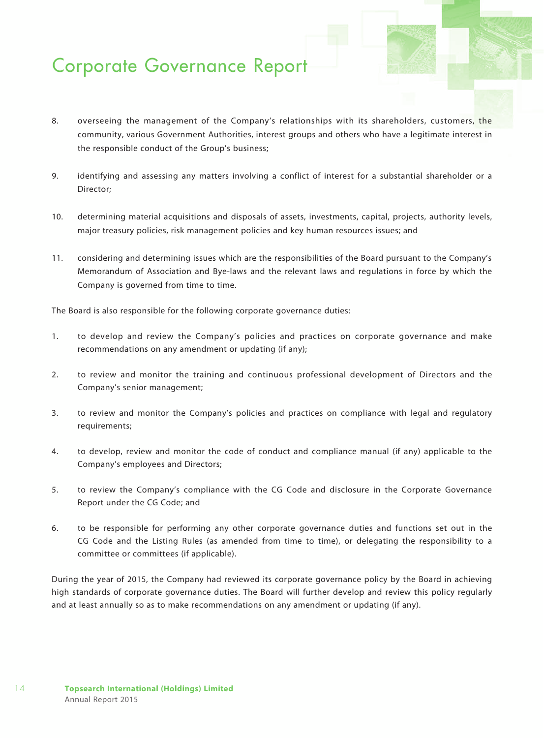- 8. overseeing the management of the Company's relationships with its shareholders, customers, the community, various Government Authorities, interest groups and others who have a legitimate interest in the responsible conduct of the Group's business;
- 9. identifying and assessing any matters involving a conflict of interest for a substantial shareholder or a Director;
- 10. determining material acquisitions and disposals of assets, investments, capital, projects, authority levels, major treasury policies, risk management policies and key human resources issues; and
- 11. considering and determining issues which are the responsibilities of the Board pursuant to the Company's Memorandum of Association and Bye-laws and the relevant laws and regulations in force by which the Company is governed from time to time.

The Board is also responsible for the following corporate governance duties:

- 1. to develop and review the Company's policies and practices on corporate governance and make recommendations on any amendment or updating (if any);
- 2. to review and monitor the training and continuous professional development of Directors and the Company's senior management;
- 3. to review and monitor the Company's policies and practices on compliance with legal and regulatory requirements;
- 4. to develop, review and monitor the code of conduct and compliance manual (if any) applicable to the Company's employees and Directors;
- 5. to review the Company's compliance with the CG Code and disclosure in the Corporate Governance Report under the CG Code; and
- 6. to be responsible for performing any other corporate governance duties and functions set out in the CG Code and the Listing Rules (as amended from time to time), or delegating the responsibility to a committee or committees (if applicable).

During the year of 2015, the Company had reviewed its corporate governance policy by the Board in achieving high standards of corporate governance duties. The Board will further develop and review this policy regularly and at least annually so as to make recommendations on any amendment or updating (if any).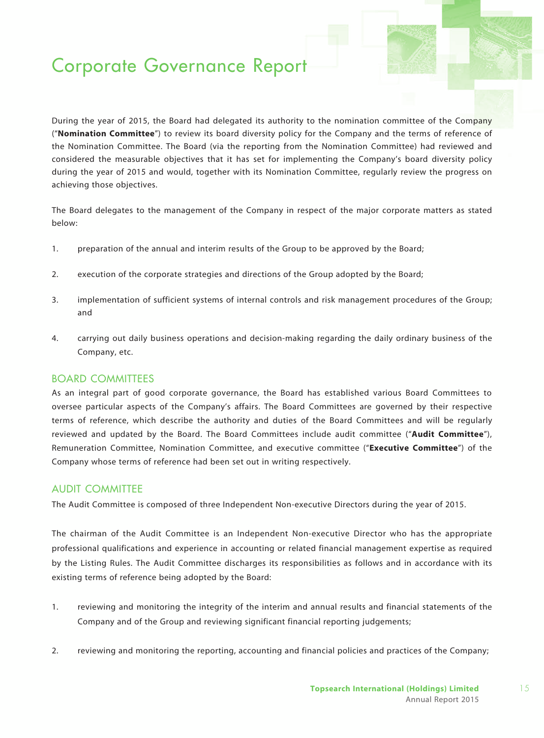During the year of 2015, the Board had delegated its authority to the nomination committee of the Company ("**Nomination Committee**") to review its board diversity policy for the Company and the terms of reference of the Nomination Committee. The Board (via the reporting from the Nomination Committee) had reviewed and considered the measurable objectives that it has set for implementing the Company's board diversity policy during the year of 2015 and would, together with its Nomination Committee, regularly review the progress on achieving those objectives.

The Board delegates to the management of the Company in respect of the major corporate matters as stated below:

- 1. preparation of the annual and interim results of the Group to be approved by the Board;
- 2. execution of the corporate strategies and directions of the Group adopted by the Board;
- 3. implementation of sufficient systems of internal controls and risk management procedures of the Group; and
- 4. carrying out daily business operations and decision-making regarding the daily ordinary business of the Company, etc.

### BOARD COMMITTEES

As an integral part of good corporate governance, the Board has established various Board Committees to oversee particular aspects of the Company's affairs. The Board Committees are governed by their respective terms of reference, which describe the authority and duties of the Board Committees and will be regularly reviewed and updated by the Board. The Board Committees include audit committee ("**Audit Committee**"), Remuneration Committee, Nomination Committee, and executive committee ("**Executive Committee**") of the Company whose terms of reference had been set out in writing respectively.

### AUDIT COMMITTEE

The Audit Committee is composed of three Independent Non-executive Directors during the year of 2015.

The chairman of the Audit Committee is an Independent Non-executive Director who has the appropriate professional qualifications and experience in accounting or related financial management expertise as required by the Listing Rules. The Audit Committee discharges its responsibilities as follows and in accordance with its existing terms of reference being adopted by the Board:

- 1. reviewing and monitoring the integrity of the interim and annual results and financial statements of the Company and of the Group and reviewing significant financial reporting judgements;
- 2. reviewing and monitoring the reporting, accounting and financial policies and practices of the Company;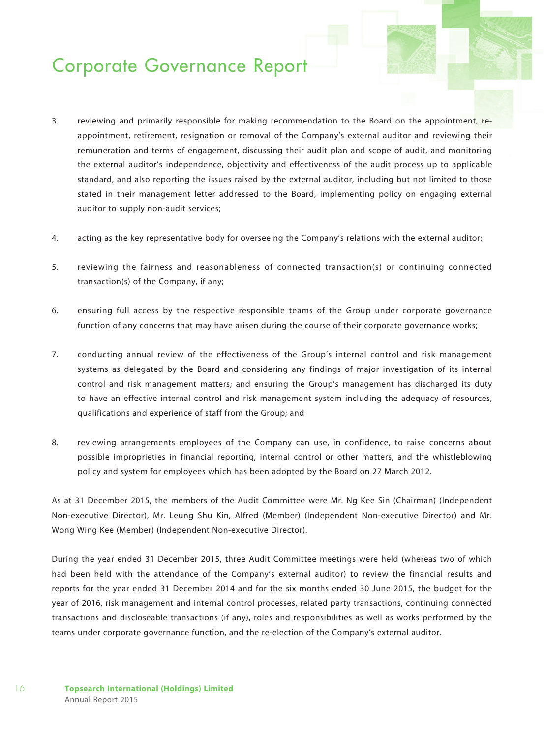- 3. reviewing and primarily responsible for making recommendation to the Board on the appointment, reappointment, retirement, resignation or removal of the Company's external auditor and reviewing their remuneration and terms of engagement, discussing their audit plan and scope of audit, and monitoring the external auditor's independence, objectivity and effectiveness of the audit process up to applicable standard, and also reporting the issues raised by the external auditor, including but not limited to those stated in their management letter addressed to the Board, implementing policy on engaging external auditor to supply non-audit services;
- 4. acting as the key representative body for overseeing the Company's relations with the external auditor;
- 5. reviewing the fairness and reasonableness of connected transaction(s) or continuing connected transaction(s) of the Company, if any;
- 6. ensuring full access by the respective responsible teams of the Group under corporate governance function of any concerns that may have arisen during the course of their corporate governance works;
- 7. conducting annual review of the effectiveness of the Group's internal control and risk management systems as delegated by the Board and considering any findings of major investigation of its internal control and risk management matters; and ensuring the Group's management has discharged its duty to have an effective internal control and risk management system including the adequacy of resources, qualifications and experience of staff from the Group; and
- 8. reviewing arrangements employees of the Company can use, in confidence, to raise concerns about possible improprieties in financial reporting, internal control or other matters, and the whistleblowing policy and system for employees which has been adopted by the Board on 27 March 2012.

As at 31 December 2015, the members of the Audit Committee were Mr. Ng Kee Sin (Chairman) (Independent Non-executive Director), Mr. Leung Shu Kin, Alfred (Member) (Independent Non-executive Director) and Mr. Wong Wing Kee (Member) (Independent Non-executive Director).

During the year ended 31 December 2015, three Audit Committee meetings were held (whereas two of which had been held with the attendance of the Company's external auditor) to review the financial results and reports for the year ended 31 December 2014 and for the six months ended 30 June 2015, the budget for the year of 2016, risk management and internal control processes, related party transactions, continuing connected transactions and discloseable transactions (if any), roles and responsibilities as well as works performed by the teams under corporate governance function, and the re-election of the Company's external auditor.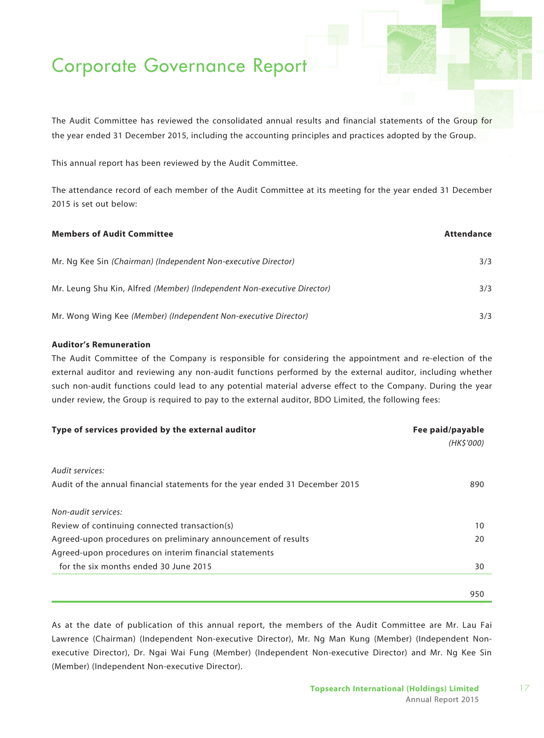The Audit Committee has reviewed the consolidated annual results and financial statements of the Group for the year ended 31 December 2015, including the accounting principles and practices adopted by the Group.

This annual report has been reviewed by the Audit Committee.

The attendance record of each member of the Audit Committee at its meeting for the year ended 31 December 2015 is set out below:

| <b>Members of Audit Committee</b>                                       | Attendance |
|-------------------------------------------------------------------------|------------|
| Mr. Ng Kee Sin (Chairman) (Independent Non-executive Director)          | 3/3        |
| Mr. Leung Shu Kin, Alfred (Member) (Independent Non-executive Director) | 3/3        |
| Mr. Wong Wing Kee (Member) (Independent Non-executive Director)         | 3/3        |

#### **Auditor's Remuneration**

The Audit Committee of the Company is responsible for considering the appointment and re-election of the external auditor and reviewing any non-audit functions performed by the external auditor, including whether such non-audit functions could lead to any potential material adverse effect to the Company. During the year under review, the Group is required to pay to the external auditor, BDO Limited, the following fees:

| Type of services provided by the external auditor                            | Fee paid/payable |
|------------------------------------------------------------------------------|------------------|
|                                                                              | (HK\$'000)       |
|                                                                              |                  |
| Audit services:                                                              |                  |
| Audit of the annual financial statements for the year ended 31 December 2015 | 890              |
| Non-audit services:                                                          |                  |
| Review of continuing connected transaction(s)                                | 10               |
| Agreed-upon procedures on preliminary announcement of results                | 20               |
| Agreed-upon procedures on interim financial statements                       |                  |
| for the six months ended 30 June 2015                                        | 30               |
|                                                                              |                  |
|                                                                              | 950              |

As at the date of publication of this annual report, the members of the Audit Committee are Mr. Lau Fai Lawrence (Chairman) (Independent Non-executive Director), Mr. Ng Man Kung (Member) (Independent Nonexecutive Director), Dr. Ngai Wai Fung (Member) (Independent Non-executive Director) and Mr. Ng Kee Sin (Member) (Independent Non-executive Director).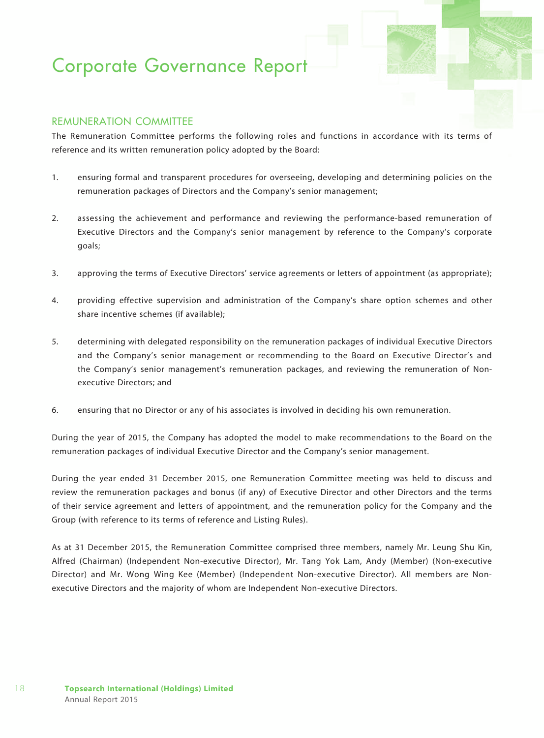### Remuneration Committee

The Remuneration Committee performs the following roles and functions in accordance with its terms of reference and its written remuneration policy adopted by the Board:

- 1. ensuring formal and transparent procedures for overseeing, developing and determining policies on the remuneration packages of Directors and the Company's senior management;
- 2. assessing the achievement and performance and reviewing the performance-based remuneration of Executive Directors and the Company's senior management by reference to the Company's corporate goals;
- 3. approving the terms of Executive Directors' service agreements or letters of appointment (as appropriate);
- 4. providing effective supervision and administration of the Company's share option schemes and other share incentive schemes (if available);
- 5. determining with delegated responsibility on the remuneration packages of individual Executive Directors and the Company's senior management or recommending to the Board on Executive Director's and the Company's senior management's remuneration packages, and reviewing the remuneration of Nonexecutive Directors; and
- 6. ensuring that no Director or any of his associates is involved in deciding his own remuneration.

During the year of 2015, the Company has adopted the model to make recommendations to the Board on the remuneration packages of individual Executive Director and the Company's senior management.

During the year ended 31 December 2015, one Remuneration Committee meeting was held to discuss and review the remuneration packages and bonus (if any) of Executive Director and other Directors and the terms of their service agreement and letters of appointment, and the remuneration policy for the Company and the Group (with reference to its terms of reference and Listing Rules).

As at 31 December 2015, the Remuneration Committee comprised three members, namely Mr. Leung Shu Kin, Alfred (Chairman) (Independent Non-executive Director), Mr. Tang Yok Lam, Andy (Member) (Non-executive Director) and Mr. Wong Wing Kee (Member) (Independent Non-executive Director). All members are Nonexecutive Directors and the majority of whom are Independent Non-executive Directors.

18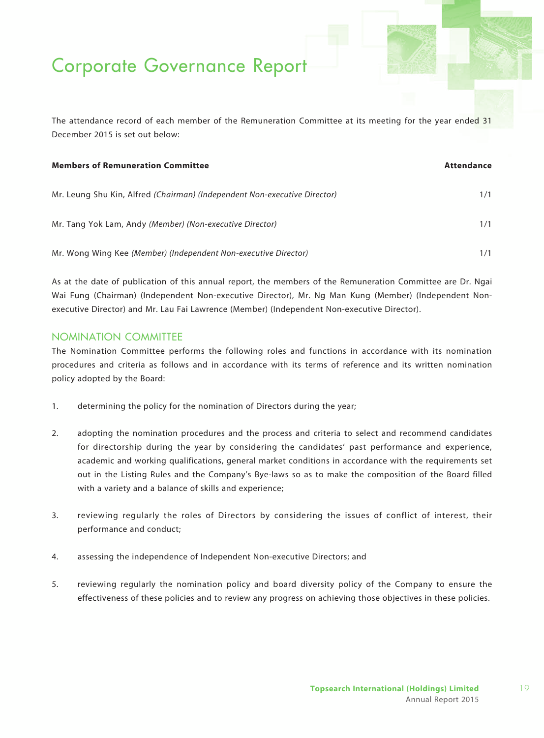The attendance record of each member of the Remuneration Committee at its meeting for the year ended 31 December 2015 is set out below:

| <b>Members of Remuneration Committee</b>                                  | Attendance |
|---------------------------------------------------------------------------|------------|
| Mr. Leung Shu Kin, Alfred (Chairman) (Independent Non-executive Director) | 1/1        |
| Mr. Tang Yok Lam, Andy (Member) (Non-executive Director)                  | 1/1        |
| Mr. Wong Wing Kee (Member) (Independent Non-executive Director)           | 1/1        |

As at the date of publication of this annual report, the members of the Remuneration Committee are Dr. Ngai Wai Fung (Chairman) (Independent Non-executive Director), Mr. Ng Man Kung (Member) (Independent Nonexecutive Director) and Mr. Lau Fai Lawrence (Member) (Independent Non-executive Director).

### Nomination Committee

The Nomination Committee performs the following roles and functions in accordance with its nomination procedures and criteria as follows and in accordance with its terms of reference and its written nomination policy adopted by the Board:

- 1. determining the policy for the nomination of Directors during the year;
- 2. adopting the nomination procedures and the process and criteria to select and recommend candidates for directorship during the year by considering the candidates' past performance and experience, academic and working qualifications, general market conditions in accordance with the requirements set out in the Listing Rules and the Company's Bye-laws so as to make the composition of the Board filled with a variety and a balance of skills and experience;
- 3. reviewing regularly the roles of Directors by considering the issues of conflict of interest, their performance and conduct;
- 4. assessing the independence of Independent Non-executive Directors; and
- 5. reviewing regularly the nomination policy and board diversity policy of the Company to ensure the effectiveness of these policies and to review any progress on achieving those objectives in these policies.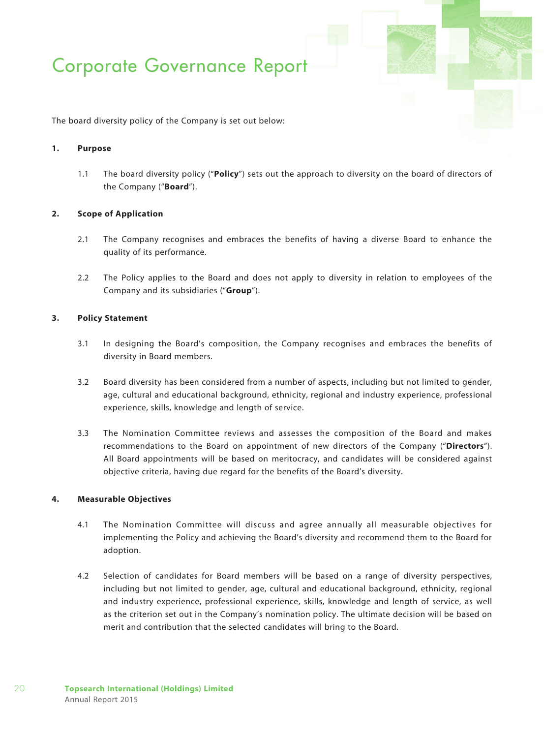The board diversity policy of the Company is set out below:

#### **1. Purpose**

1.1 The board diversity policy ("**Policy**") sets out the approach to diversity on the board of directors of the Company ("**Board**").

#### **2. Scope of Application**

- 2.1 The Company recognises and embraces the benefits of having a diverse Board to enhance the quality of its performance.
- 2.2 The Policy applies to the Board and does not apply to diversity in relation to employees of the Company and its subsidiaries ("**Group**").

#### **3. Policy Statement**

- 3.1 In designing the Board's composition, the Company recognises and embraces the benefits of diversity in Board members.
- 3.2 Board diversity has been considered from a number of aspects, including but not limited to gender, age, cultural and educational background, ethnicity, regional and industry experience, professional experience, skills, knowledge and length of service.
- 3.3 The Nomination Committee reviews and assesses the composition of the Board and makes recommendations to the Board on appointment of new directors of the Company ("**Directors**"). All Board appointments will be based on meritocracy, and candidates will be considered against objective criteria, having due regard for the benefits of the Board's diversity.

#### **4. Measurable Objectives**

- 4.1 The Nomination Committee will discuss and agree annually all measurable objectives for implementing the Policy and achieving the Board's diversity and recommend them to the Board for adoption.
- 4.2 Selection of candidates for Board members will be based on a range of diversity perspectives, including but not limited to gender, age, cultural and educational background, ethnicity, regional and industry experience, professional experience, skills, knowledge and length of service, as well as the criterion set out in the Company's nomination policy. The ultimate decision will be based on merit and contribution that the selected candidates will bring to the Board.

20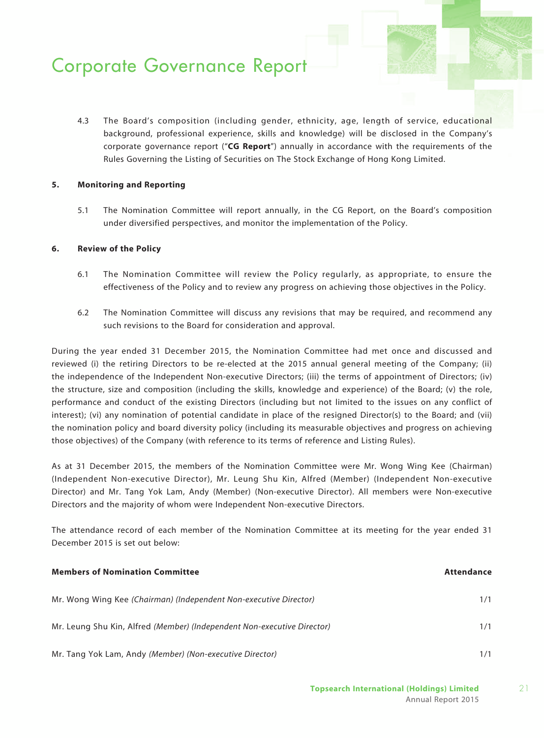4.3 The Board's composition (including gender, ethnicity, age, length of service, educational background, professional experience, skills and knowledge) will be disclosed in the Company's corporate governance report ("**CG Report**") annually in accordance with the requirements of the Rules Governing the Listing of Securities on The Stock Exchange of Hong Kong Limited.

#### **5. Monitoring and Reporting**

5.1 The Nomination Committee will report annually, in the CG Report, on the Board's composition under diversified perspectives, and monitor the implementation of the Policy.

#### **6. Review of the Policy**

- 6.1 The Nomination Committee will review the Policy regularly, as appropriate, to ensure the effectiveness of the Policy and to review any progress on achieving those objectives in the Policy.
- 6.2 The Nomination Committee will discuss any revisions that may be required, and recommend any such revisions to the Board for consideration and approval.

During the year ended 31 December 2015, the Nomination Committee had met once and discussed and reviewed (i) the retiring Directors to be re-elected at the 2015 annual general meeting of the Company; (ii) the independence of the Independent Non-executive Directors; (iii) the terms of appointment of Directors; (iv) the structure, size and composition (including the skills, knowledge and experience) of the Board; (v) the role, performance and conduct of the existing Directors (including but not limited to the issues on any conflict of interest); (vi) any nomination of potential candidate in place of the resigned Director(s) to the Board; and (vii) the nomination policy and board diversity policy (including its measurable objectives and progress on achieving those objectives) of the Company (with reference to its terms of reference and Listing Rules).

As at 31 December 2015, the members of the Nomination Committee were Mr. Wong Wing Kee (Chairman) (Independent Non-executive Director), Mr. Leung Shu Kin, Alfred (Member) (Independent Non-executive Director) and Mr. Tang Yok Lam, Andy (Member) (Non-executive Director). All members were Non-executive Directors and the majority of whom were Independent Non-executive Directors.

The attendance record of each member of the Nomination Committee at its meeting for the year ended 31 December 2015 is set out below:

| <b>Members of Nomination Committee</b>                                  | Attendance |
|-------------------------------------------------------------------------|------------|
| Mr. Wong Wing Kee (Chairman) (Independent Non-executive Director)       | 1/1        |
| Mr. Leung Shu Kin, Alfred (Member) (Independent Non-executive Director) | 1/1        |
| Mr. Tang Yok Lam, Andy (Member) (Non-executive Director)                |            |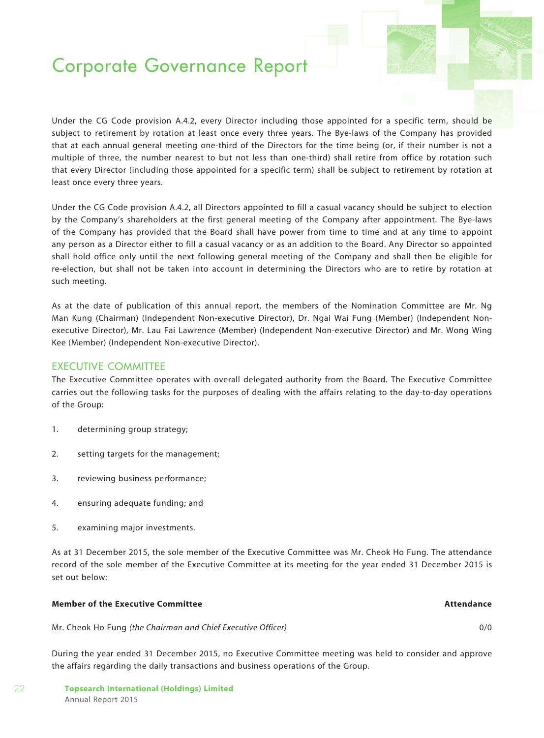Under the CG Code provision A.4.2, every Director including those appointed for a specific term, should be subject to retirement by rotation at least once every three years. The Bye-laws of the Company has provided that at each annual general meeting one-third of the Directors for the time being (or, if their number is not a multiple of three, the number nearest to but not less than one-third) shall retire from office by rotation such that every Director (including those appointed for a specific term) shall be subject to retirement by rotation at least once every three years.

Under the CG Code provision A.4.2, all Directors appointed to fill a casual vacancy should be subject to election by the Company's shareholders at the first general meeting of the Company after appointment. The Bye-laws of the Company has provided that the Board shall have power from time to time and at any time to appoint any person as a Director either to fill a casual vacancy or as an addition to the Board. Any Director so appointed shall hold office only until the next following general meeting of the Company and shall then be eligible for re-election, but shall not be taken into account in determining the Directors who are to retire by rotation at such meeting.

As at the date of publication of this annual report, the members of the Nomination Committee are Mr. Ng Man Kung (Chairman) (Independent Non-executive Director), Dr. Ngai Wai Fung (Member) (Independent Nonexecutive Director), Mr. Lau Fai Lawrence (Member) (Independent Non-executive Director) and Mr. Wong Wing Kee (Member) (Independent Non-executive Director).

### EXECUTIVE COMMITTEE

The Executive Committee operates with overall delegated authority from the Board. The Executive Committee carries out the following tasks for the purposes of dealing with the affairs relating to the day-to-day operations of the Group:

- 1. determining group strategy;
- 2. setting targets for the management;
- 3. reviewing business performance;
- 4. ensuring adequate funding; and
- 5. examining major investments.

As at 31 December 2015, the sole member of the Executive Committee was Mr. Cheok Ho Fung. The attendance record of the sole member of the Executive Committee at its meeting for the year ended 31 December 2015 is set out below:

### **Member of the Executive Committee Attendance**

Mr. Cheok Ho Fung *(the Chairman and Chief Executive Officer)* 0/0

During the year ended 31 December 2015, no Executive Committee meeting was held to consider and approve the affairs regarding the daily transactions and business operations of the Group.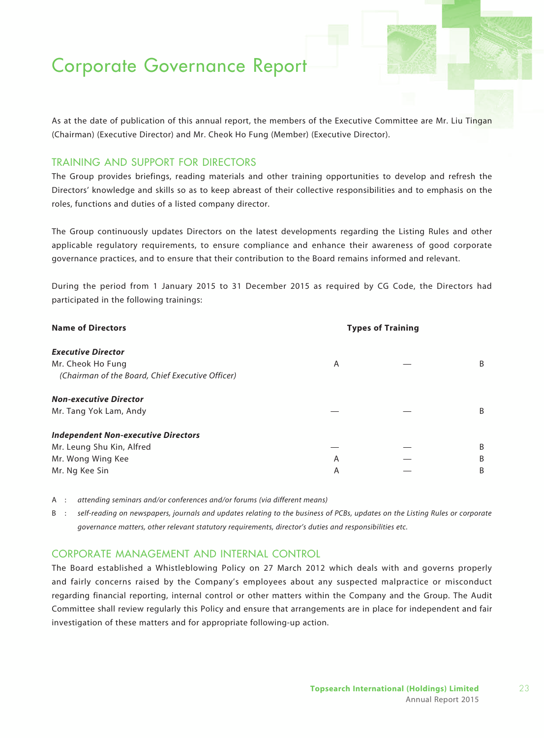As at the date of publication of this annual report, the members of the Executive Committee are Mr. Liu Tingan (Chairman) (Executive Director) and Mr. Cheok Ho Fung (Member) (Executive Director).

### Training and Support for Directors

The Group provides briefings, reading materials and other training opportunities to develop and refresh the Directors' knowledge and skills so as to keep abreast of their collective responsibilities and to emphasis on the roles, functions and duties of a listed company director.

The Group continuously updates Directors on the latest developments regarding the Listing Rules and other applicable regulatory requirements, to ensure compliance and enhance their awareness of good corporate governance practices, and to ensure that their contribution to the Board remains informed and relevant.

During the period from 1 January 2015 to 31 December 2015 as required by CG Code, the Directors had participated in the following trainings:

| <b>Name of Directors</b>                         | <b>Types of Training</b> |  |   |
|--------------------------------------------------|--------------------------|--|---|
| <b>Executive Director</b>                        |                          |  |   |
| Mr. Cheok Ho Fung                                | A                        |  | B |
| (Chairman of the Board, Chief Executive Officer) |                          |  |   |
| <b>Non-executive Director</b>                    |                          |  |   |
| Mr. Tang Yok Lam, Andy                           |                          |  | B |
| <b>Independent Non-executive Directors</b>       |                          |  |   |
| Mr. Leung Shu Kin, Alfred                        |                          |  | B |
| Mr. Wong Wing Kee                                | A                        |  | B |
| Mr. Ng Kee Sin                                   | A                        |  | B |

- A : *attending seminars and/or conferences and/or forums (via different means)*
- B : *self-reading on newspapers, journals and updates relating to the business of PCBs, updates on the Listing Rules or corporate governance matters, other relevant statutory requirements, director's duties and responsibilities etc.*

### CORPORATE MANAGEMENT AND INTERNAL CONTROL

The Board established a Whistleblowing Policy on 27 March 2012 which deals with and governs properly and fairly concerns raised by the Company's employees about any suspected malpractice or misconduct regarding financial reporting, internal control or other matters within the Company and the Group. The Audit Committee shall review regularly this Policy and ensure that arrangements are in place for independent and fair investigation of these matters and for appropriate following-up action.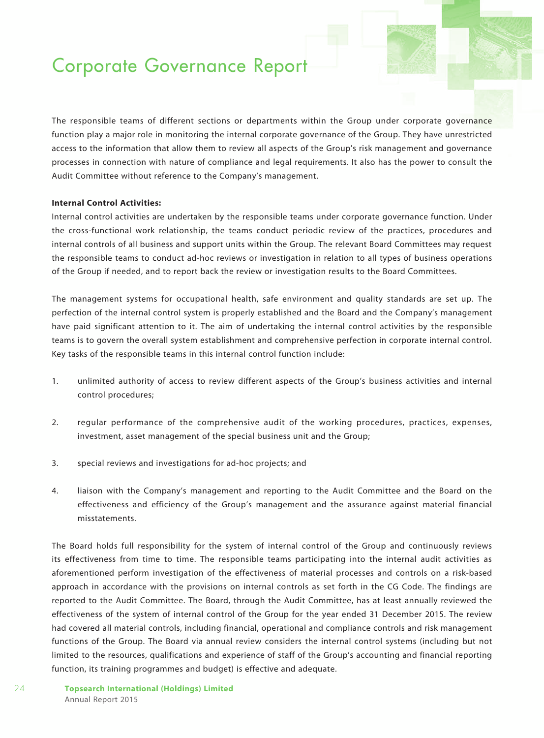The responsible teams of different sections or departments within the Group under corporate governance function play a major role in monitoring the internal corporate governance of the Group. They have unrestricted access to the information that allow them to review all aspects of the Group's risk management and governance processes in connection with nature of compliance and legal requirements. It also has the power to consult the Audit Committee without reference to the Company's management.

#### **Internal Control Activities:**

Internal control activities are undertaken by the responsible teams under corporate governance function. Under the cross-functional work relationship, the teams conduct periodic review of the practices, procedures and internal controls of all business and support units within the Group. The relevant Board Committees may request the responsible teams to conduct ad-hoc reviews or investigation in relation to all types of business operations of the Group if needed, and to report back the review or investigation results to the Board Committees.

The management systems for occupational health, safe environment and quality standards are set up. The perfection of the internal control system is properly established and the Board and the Company's management have paid significant attention to it. The aim of undertaking the internal control activities by the responsible teams is to govern the overall system establishment and comprehensive perfection in corporate internal control. Key tasks of the responsible teams in this internal control function include:

- 1. unlimited authority of access to review different aspects of the Group's business activities and internal control procedures;
- 2. regular performance of the comprehensive audit of the working procedures, practices, expenses, investment, asset management of the special business unit and the Group;
- 3. special reviews and investigations for ad-hoc projects; and
- 4. liaison with the Company's management and reporting to the Audit Committee and the Board on the effectiveness and efficiency of the Group's management and the assurance against material financial misstatements.

The Board holds full responsibility for the system of internal control of the Group and continuously reviews its effectiveness from time to time. The responsible teams participating into the internal audit activities as aforementioned perform investigation of the effectiveness of material processes and controls on a risk-based approach in accordance with the provisions on internal controls as set forth in the CG Code. The findings are reported to the Audit Committee. The Board, through the Audit Committee, has at least annually reviewed the effectiveness of the system of internal control of the Group for the year ended 31 December 2015. The review had covered all material controls, including financial, operational and compliance controls and risk management functions of the Group. The Board via annual review considers the internal control systems (including but not limited to the resources, qualifications and experience of staff of the Group's accounting and financial reporting function, its training programmes and budget) is effective and adequate.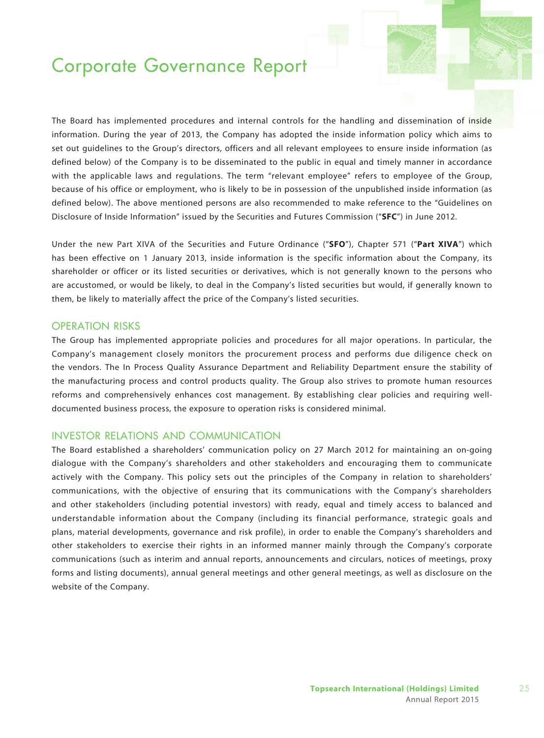The Board has implemented procedures and internal controls for the handling and dissemination of inside information. During the year of 2013, the Company has adopted the inside information policy which aims to set out guidelines to the Group's directors, officers and all relevant employees to ensure inside information (as defined below) of the Company is to be disseminated to the public in equal and timely manner in accordance with the applicable laws and regulations. The term "relevant employee" refers to employee of the Group, because of his office or employment, who is likely to be in possession of the unpublished inside information (as defined below). The above mentioned persons are also recommended to make reference to the "Guidelines on Disclosure of Inside Information" issued by the Securities and Futures Commission ("**SFC**") in June 2012.

Under the new Part XIVA of the Securities and Future Ordinance ("**SFO**"), Chapter 571 ("**Part XIVA**") which has been effective on 1 January 2013, inside information is the specific information about the Company, its shareholder or officer or its listed securities or derivatives, which is not generally known to the persons who are accustomed, or would be likely, to deal in the Company's listed securities but would, if generally known to them, be likely to materially affect the price of the Company's listed securities.

### OPERATION RISKS

The Group has implemented appropriate policies and procedures for all major operations. In particular, the Company's management closely monitors the procurement process and performs due diligence check on the vendors. The In Process Quality Assurance Department and Reliability Department ensure the stability of the manufacturing process and control products quality. The Group also strives to promote human resources reforms and comprehensively enhances cost management. By establishing clear policies and requiring welldocumented business process, the exposure to operation risks is considered minimal.

### INVESTOR RELATIONS AND COMMUNICATION

The Board established a shareholders' communication policy on 27 March 2012 for maintaining an on-going dialogue with the Company's shareholders and other stakeholders and encouraging them to communicate actively with the Company. This policy sets out the principles of the Company in relation to shareholders' communications, with the objective of ensuring that its communications with the Company's shareholders and other stakeholders (including potential investors) with ready, equal and timely access to balanced and understandable information about the Company (including its financial performance, strategic goals and plans, material developments, governance and risk profile), in order to enable the Company's shareholders and other stakeholders to exercise their rights in an informed manner mainly through the Company's corporate communications (such as interim and annual reports, announcements and circulars, notices of meetings, proxy forms and listing documents), annual general meetings and other general meetings, as well as disclosure on the website of the Company.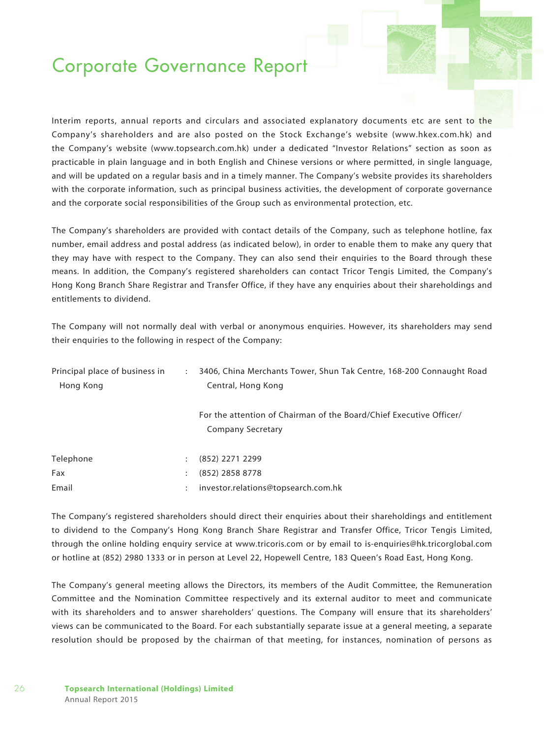Interim reports, annual reports and circulars and associated explanatory documents etc are sent to the Company's shareholders and are also posted on the Stock Exchange's website (www.hkex.com.hk) and the Company's website (www.topsearch.com.hk) under a dedicated "Investor Relations" section as soon as practicable in plain language and in both English and Chinese versions or where permitted, in single language, and will be updated on a regular basis and in a timely manner. The Company's website provides its shareholders with the corporate information, such as principal business activities, the development of corporate governance and the corporate social responsibilities of the Group such as environmental protection, etc.

The Company's shareholders are provided with contact details of the Company, such as telephone hotline, fax number, email address and postal address (as indicated below), in order to enable them to make any query that they may have with respect to the Company. They can also send their enquiries to the Board through these means. In addition, the Company's registered shareholders can contact Tricor Tengis Limited, the Company's Hong Kong Branch Share Registrar and Transfer Office, if they have any enquiries about their shareholdings and entitlements to dividend.

The Company will not normally deal with verbal or anonymous enquiries. However, its shareholders may send their enquiries to the following in respect of the Company:

| Principal place of business in<br>$\ddot{\phantom{a}}$<br>Hong Kong |   | 3406, China Merchants Tower, Shun Tak Centre, 168-200 Connaught Road<br>Central, Hong Kong      |
|---------------------------------------------------------------------|---|-------------------------------------------------------------------------------------------------|
|                                                                     |   | For the attention of Chairman of the Board/Chief Executive Officer/<br><b>Company Secretary</b> |
| Telephone                                                           |   | (852) 2271 2299                                                                                 |
| Fax                                                                 | ÷ | (852) 2858 8778                                                                                 |
| Email                                                               |   | investor.relations@topsearch.com.hk                                                             |

The Company's registered shareholders should direct their enquiries about their shareholdings and entitlement to dividend to the Company's Hong Kong Branch Share Registrar and Transfer Office, Tricor Tengis Limited, through the online holding enquiry service at www.tricoris.com or by email to is-enquiries@hk.tricorglobal.com or hotline at (852) 2980 1333 or in person at Level 22, Hopewell Centre, 183 Queen's Road East, Hong Kong.

The Company's general meeting allows the Directors, its members of the Audit Committee, the Remuneration Committee and the Nomination Committee respectively and its external auditor to meet and communicate with its shareholders and to answer shareholders' questions. The Company will ensure that its shareholders' views can be communicated to the Board. For each substantially separate issue at a general meeting, a separate resolution should be proposed by the chairman of that meeting, for instances, nomination of persons as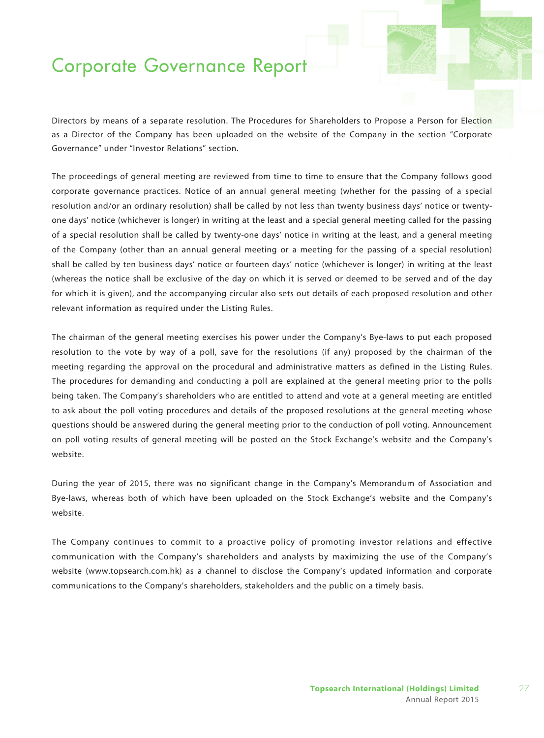Directors by means of a separate resolution. The Procedures for Shareholders to Propose a Person for Election as a Director of the Company has been uploaded on the website of the Company in the section "Corporate Governance" under "Investor Relations" section.

The proceedings of general meeting are reviewed from time to time to ensure that the Company follows good corporate governance practices. Notice of an annual general meeting (whether for the passing of a special resolution and/or an ordinary resolution) shall be called by not less than twenty business days' notice or twentyone days' notice (whichever is longer) in writing at the least and a special general meeting called for the passing of a special resolution shall be called by twenty-one days' notice in writing at the least, and a general meeting of the Company (other than an annual general meeting or a meeting for the passing of a special resolution) shall be called by ten business days' notice or fourteen days' notice (whichever is longer) in writing at the least (whereas the notice shall be exclusive of the day on which it is served or deemed to be served and of the day for which it is given), and the accompanying circular also sets out details of each proposed resolution and other relevant information as required under the Listing Rules.

The chairman of the general meeting exercises his power under the Company's Bye-laws to put each proposed resolution to the vote by way of a poll, save for the resolutions (if any) proposed by the chairman of the meeting regarding the approval on the procedural and administrative matters as defined in the Listing Rules. The procedures for demanding and conducting a poll are explained at the general meeting prior to the polls being taken. The Company's shareholders who are entitled to attend and vote at a general meeting are entitled to ask about the poll voting procedures and details of the proposed resolutions at the general meeting whose questions should be answered during the general meeting prior to the conduction of poll voting. Announcement on poll voting results of general meeting will be posted on the Stock Exchange's website and the Company's website.

During the year of 2015, there was no significant change in the Company's Memorandum of Association and Bye-laws, whereas both of which have been uploaded on the Stock Exchange's website and the Company's website.

The Company continues to commit to a proactive policy of promoting investor relations and effective communication with the Company's shareholders and analysts by maximizing the use of the Company's website (www.topsearch.com.hk) as a channel to disclose the Company's updated information and corporate communications to the Company's shareholders, stakeholders and the public on a timely basis.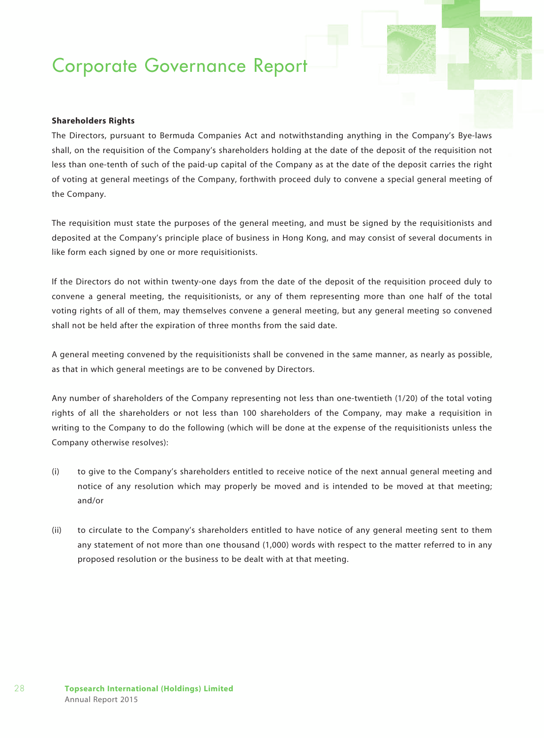#### **Shareholders Rights**

The Directors, pursuant to Bermuda Companies Act and notwithstanding anything in the Company's Bye-laws shall, on the requisition of the Company's shareholders holding at the date of the deposit of the requisition not less than one-tenth of such of the paid-up capital of the Company as at the date of the deposit carries the right of voting at general meetings of the Company, forthwith proceed duly to convene a special general meeting of the Company.

The requisition must state the purposes of the general meeting, and must be signed by the requisitionists and deposited at the Company's principle place of business in Hong Kong, and may consist of several documents in like form each signed by one or more requisitionists.

If the Directors do not within twenty-one days from the date of the deposit of the requisition proceed duly to convene a general meeting, the requisitionists, or any of them representing more than one half of the total voting rights of all of them, may themselves convene a general meeting, but any general meeting so convened shall not be held after the expiration of three months from the said date.

A general meeting convened by the requisitionists shall be convened in the same manner, as nearly as possible, as that in which general meetings are to be convened by Directors.

Any number of shareholders of the Company representing not less than one-twentieth (1/20) of the total voting rights of all the shareholders or not less than 100 shareholders of the Company, may make a requisition in writing to the Company to do the following (which will be done at the expense of the requisitionists unless the Company otherwise resolves):

- (i) to give to the Company's shareholders entitled to receive notice of the next annual general meeting and notice of any resolution which may properly be moved and is intended to be moved at that meeting; and/or
- (ii) to circulate to the Company's shareholders entitled to have notice of any general meeting sent to them any statement of not more than one thousand (1,000) words with respect to the matter referred to in any proposed resolution or the business to be dealt with at that meeting.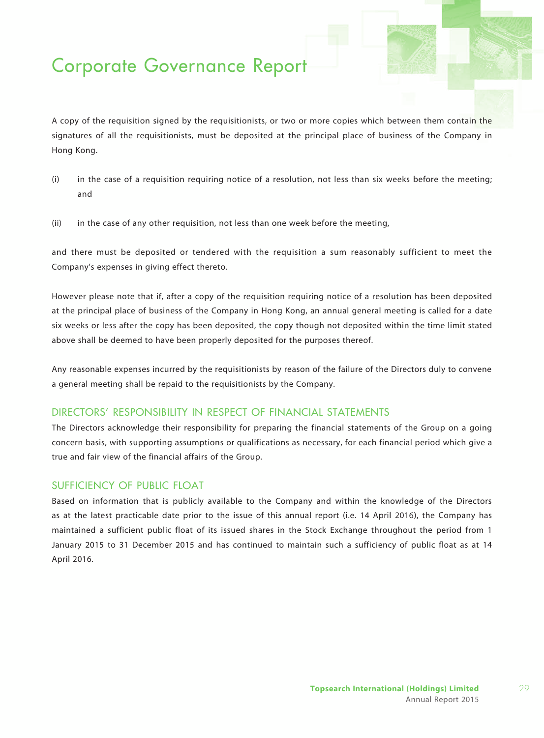A copy of the requisition signed by the requisitionists, or two or more copies which between them contain the signatures of all the requisitionists, must be deposited at the principal place of business of the Company in Hong Kong.

- (i) in the case of a requisition requiring notice of a resolution, not less than six weeks before the meeting; and
- (ii) in the case of any other requisition, not less than one week before the meeting,

and there must be deposited or tendered with the requisition a sum reasonably sufficient to meet the Company's expenses in giving effect thereto.

However please note that if, after a copy of the requisition requiring notice of a resolution has been deposited at the principal place of business of the Company in Hong Kong, an annual general meeting is called for a date six weeks or less after the copy has been deposited, the copy though not deposited within the time limit stated above shall be deemed to have been properly deposited for the purposes thereof.

Any reasonable expenses incurred by the requisitionists by reason of the failure of the Directors duly to convene a general meeting shall be repaid to the requisitionists by the Company.

### DIRECTORS' RESPONSIBILITY IN RESPECT OF FINANCIAL STATEMENTS

The Directors acknowledge their responsibility for preparing the financial statements of the Group on a going concern basis, with supporting assumptions or qualifications as necessary, for each financial period which give a true and fair view of the financial affairs of the Group.

### sufficiency of public float

Based on information that is publicly available to the Company and within the knowledge of the Directors as at the latest practicable date prior to the issue of this annual report (i.e. 14 April 2016), the Company has maintained a sufficient public float of its issued shares in the Stock Exchange throughout the period from 1 January 2015 to 31 December 2015 and has continued to maintain such a sufficiency of public float as at 14 April 2016.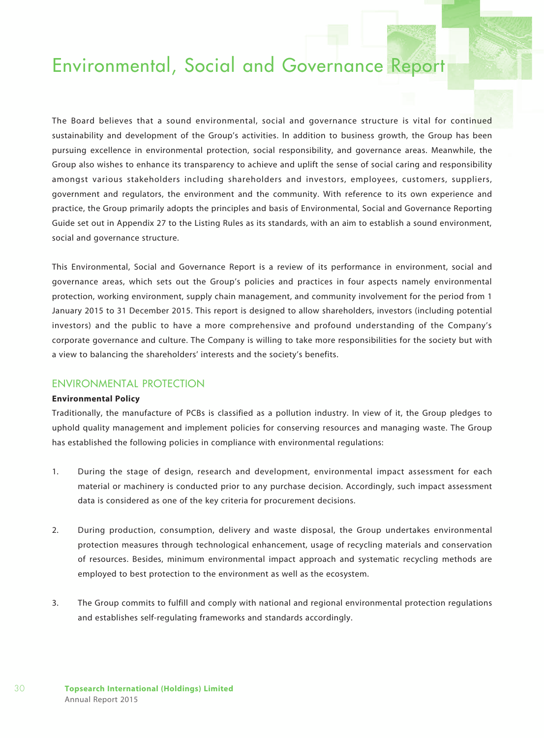The Board believes that a sound environmental, social and governance structure is vital for continued sustainability and development of the Group's activities. In addition to business growth, the Group has been pursuing excellence in environmental protection, social responsibility, and governance areas. Meanwhile, the Group also wishes to enhance its transparency to achieve and uplift the sense of social caring and responsibility amongst various stakeholders including shareholders and investors, employees, customers, suppliers, government and regulators, the environment and the community. With reference to its own experience and practice, the Group primarily adopts the principles and basis of Environmental, Social and Governance Reporting Guide set out in Appendix 27 to the Listing Rules as its standards, with an aim to establish a sound environment, social and governance structure.

This Environmental, Social and Governance Report is a review of its performance in environment, social and governance areas, which sets out the Group's policies and practices in four aspects namely environmental protection, working environment, supply chain management, and community involvement for the period from 1 January 2015 to 31 December 2015. This report is designed to allow shareholders, investors (including potential investors) and the public to have a more comprehensive and profound understanding of the Company's corporate governance and culture. The Company is willing to take more responsibilities for the society but with a view to balancing the shareholders' interests and the society's benefits.

### ENVIRONMENTAL PROTECTION

#### **Environmental Policy**

Traditionally, the manufacture of PCBs is classified as a pollution industry. In view of it, the Group pledges to uphold quality management and implement policies for conserving resources and managing waste. The Group has established the following policies in compliance with environmental regulations:

- 1. During the stage of design, research and development, environmental impact assessment for each material or machinery is conducted prior to any purchase decision. Accordingly, such impact assessment data is considered as one of the key criteria for procurement decisions.
- 2. During production, consumption, delivery and waste disposal, the Group undertakes environmental protection measures through technological enhancement, usage of recycling materials and conservation of resources. Besides, minimum environmental impact approach and systematic recycling methods are employed to best protection to the environment as well as the ecosystem.
- 3. The Group commits to fulfill and comply with national and regional environmental protection regulations and establishes self-regulating frameworks and standards accordingly.

30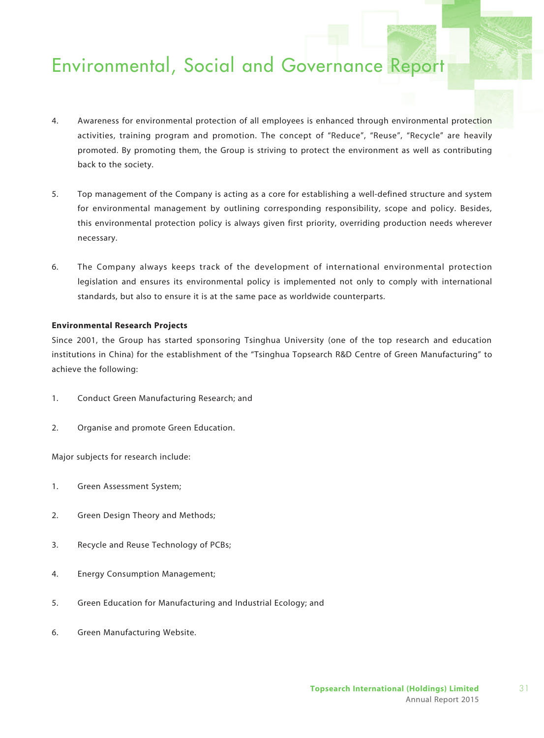- 4. Awareness for environmental protection of all employees is enhanced through environmental protection activities, training program and promotion. The concept of "Reduce", "Reuse", "Recycle" are heavily promoted. By promoting them, the Group is striving to protect the environment as well as contributing back to the society.
- 5. Top management of the Company is acting as a core for establishing a well-defined structure and system for environmental management by outlining corresponding responsibility, scope and policy. Besides, this environmental protection policy is always given first priority, overriding production needs wherever necessary.
- 6. The Company always keeps track of the development of international environmental protection legislation and ensures its environmental policy is implemented not only to comply with international standards, but also to ensure it is at the same pace as worldwide counterparts.

#### **Environmental Research Projects**

Since 2001, the Group has started sponsoring Tsinghua University (one of the top research and education institutions in China) for the establishment of the "Tsinghua Topsearch R&D Centre of Green Manufacturing" to achieve the following:

- 1. Conduct Green Manufacturing Research; and
- 2. Organise and promote Green Education.

Major subjects for research include:

- 1. Green Assessment System;
- 2. Green Design Theory and Methods;
- 3. Recycle and Reuse Technology of PCBs;
- 4. Energy Consumption Management;
- 5. Green Education for Manufacturing and Industrial Ecology; and
- 6. Green Manufacturing Website.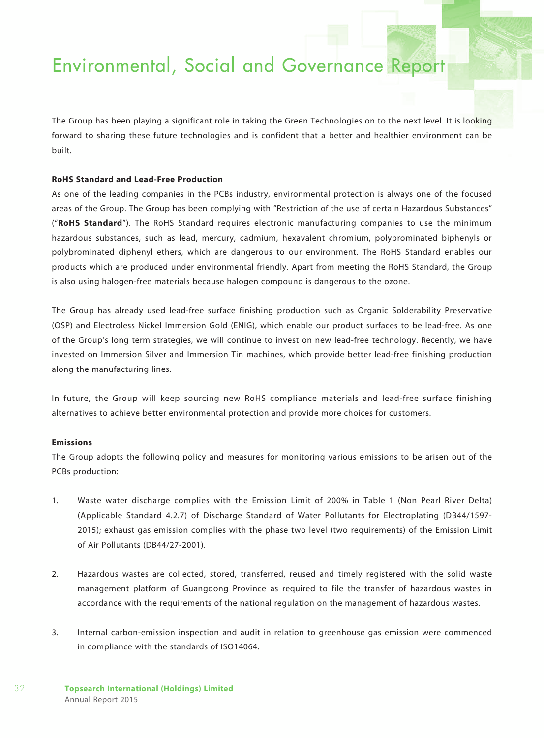The Group has been playing a significant role in taking the Green Technologies on to the next level. It is looking forward to sharing these future technologies and is confident that a better and healthier environment can be built.

#### **RoHS Standard and Lead-Free Production**

As one of the leading companies in the PCBs industry, environmental protection is always one of the focused areas of the Group. The Group has been complying with "Restriction of the use of certain Hazardous Substances" ("**RoHS Standard**"). The RoHS Standard requires electronic manufacturing companies to use the minimum hazardous substances, such as lead, mercury, cadmium, hexavalent chromium, polybrominated biphenyls or polybrominated diphenyl ethers, which are dangerous to our environment. The RoHS Standard enables our products which are produced under environmental friendly. Apart from meeting the RoHS Standard, the Group is also using halogen-free materials because halogen compound is dangerous to the ozone.

The Group has already used lead-free surface finishing production such as Organic Solderability Preservative (OSP) and Electroless Nickel Immersion Gold (ENIG), which enable our product surfaces to be lead-free. As one of the Group's long term strategies, we will continue to invest on new lead-free technology. Recently, we have invested on Immersion Silver and Immersion Tin machines, which provide better lead-free finishing production along the manufacturing lines.

In future, the Group will keep sourcing new RoHS compliance materials and lead-free surface finishing alternatives to achieve better environmental protection and provide more choices for customers.

#### **Emissions**

The Group adopts the following policy and measures for monitoring various emissions to be arisen out of the PCBs production:

- 1. Waste water discharge complies with the Emission Limit of 200% in Table 1 (Non Pearl River Delta) (Applicable Standard 4.2.7) of Discharge Standard of Water Pollutants for Electroplating (DB44/1597- 2015); exhaust gas emission complies with the phase two level (two requirements) of the Emission Limit of Air Pollutants (DB44/27-2001).
- 2. Hazardous wastes are collected, stored, transferred, reused and timely registered with the solid waste management platform of Guangdong Province as required to file the transfer of hazardous wastes in accordance with the requirements of the national regulation on the management of hazardous wastes.
- 3. Internal carbon-emission inspection and audit in relation to greenhouse gas emission were commenced in compliance with the standards of ISO14064.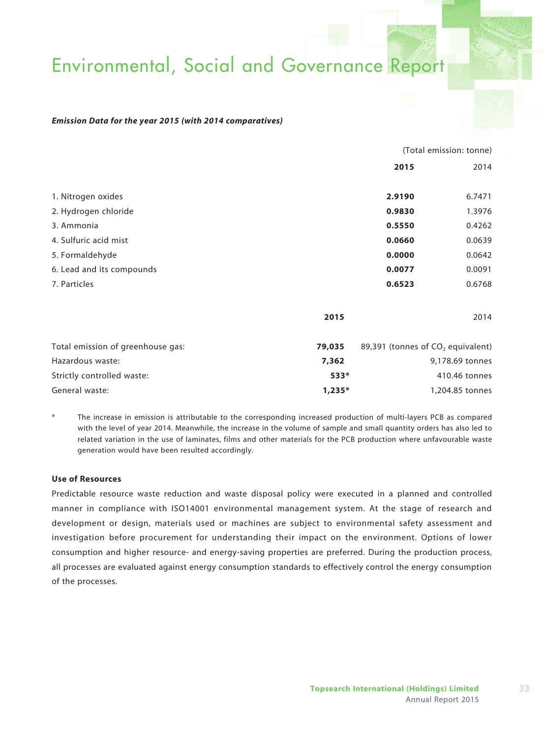#### *Emission Data for the year 2015 (with 2014 comparatives)*

|                                   |          | (Total emission: tonne)                       |        |  |
|-----------------------------------|----------|-----------------------------------------------|--------|--|
|                                   |          | 2015                                          | 2014   |  |
| 1. Nitrogen oxides                |          | 2.9190                                        | 6.7471 |  |
| 2. Hydrogen chloride              |          | 0.9830                                        | 1.3976 |  |
| 3. Ammonia                        |          | 0.5550                                        | 0.4262 |  |
| 4. Sulfuric acid mist             |          | 0.0660                                        | 0.0639 |  |
| 5. Formaldehyde                   |          | 0.0000                                        | 0.0642 |  |
| 6. Lead and its compounds         |          | 0.0077                                        | 0.0091 |  |
| 7. Particles                      |          | 0.6523                                        | 0.6768 |  |
|                                   | 2015     |                                               | 2014   |  |
| Total emission of greenhouse gas: | 79,035   | 89,391 (tonnes of CO <sub>2</sub> equivalent) |        |  |
| Hazardous waste:                  | 7,362    | 9,178.69 tonnes                               |        |  |
| Strictly controlled waste:        | 533*     | 410.46 tonnes                                 |        |  |
| General waste:                    | $1,235*$ | 1,204.85 tonnes                               |        |  |

The increase in emission is attributable to the corresponding increased production of multi-layers PCB as compared with the level of year 2014. Meanwhile, the increase in the volume of sample and small quantity orders has also led to related variation in the use of laminates, films and other materials for the PCB production where unfavourable waste generation would have been resulted accordingly.

#### **Use of Resources**

Predictable resource waste reduction and waste disposal policy were executed in a planned and controlled manner in compliance with ISO14001 environmental management system. At the stage of research and development or design, materials used or machines are subject to environmental safety assessment and investigation before procurement for understanding their impact on the environment. Options of lower consumption and higher resource- and energy-saving properties are preferred. During the production process, all processes are evaluated against energy consumption standards to effectively control the energy consumption of the processes.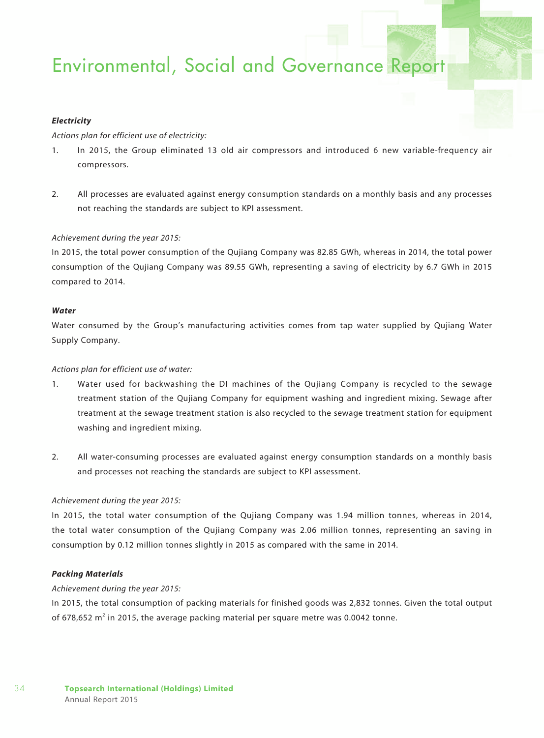#### *Electricity*

#### *Actions plan for efficient use of electricity:*

- 1. In 2015, the Group eliminated 13 old air compressors and introduced 6 new variable-frequency air compressors.
- 2. All processes are evaluated against energy consumption standards on a monthly basis and any processes not reaching the standards are subject to KPI assessment.

#### *Achievement during the year 2015:*

In 2015, the total power consumption of the Qujiang Company was 82.85 GWh, whereas in 2014, the total power consumption of the Qujiang Company was 89.55 GWh, representing a saving of electricity by 6.7 GWh in 2015 compared to 2014.

#### *Water*

Water consumed by the Group's manufacturing activities comes from tap water supplied by Qujiang Water Supply Company.

#### *Actions plan for efficient use of water:*

- 1. Water used for backwashing the DI machines of the Qujiang Company is recycled to the sewage treatment station of the Qujiang Company for equipment washing and ingredient mixing. Sewage after treatment at the sewage treatment station is also recycled to the sewage treatment station for equipment washing and ingredient mixing.
- 2. All water-consuming processes are evaluated against energy consumption standards on a monthly basis and processes not reaching the standards are subject to KPI assessment.

#### *Achievement during the year 2015:*

In 2015, the total water consumption of the Qujiang Company was 1.94 million tonnes, whereas in 2014, the total water consumption of the Qujiang Company was 2.06 million tonnes, representing an saving in consumption by 0.12 million tonnes slightly in 2015 as compared with the same in 2014.

#### *Packing Materials*

#### *Achievement during the year 2015:*

In 2015, the total consumption of packing materials for finished goods was 2,832 tonnes. Given the total output of 678,652 m $^2$  in 2015, the average packing material per square metre was 0.0042 tonne.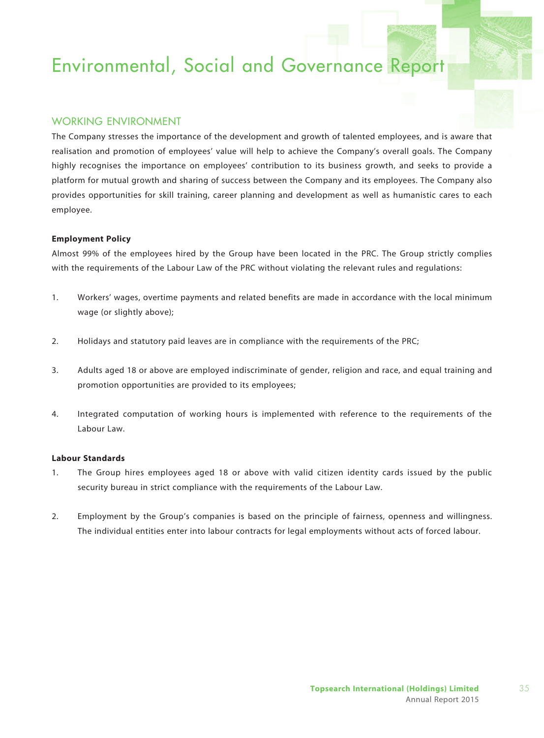### WORKING ENVIRONMENT

The Company stresses the importance of the development and growth of talented employees, and is aware that realisation and promotion of employees' value will help to achieve the Company's overall goals. The Company highly recognises the importance on employees' contribution to its business growth, and seeks to provide a platform for mutual growth and sharing of success between the Company and its employees. The Company also provides opportunities for skill training, career planning and development as well as humanistic cares to each employee.

#### **Employment Policy**

Almost 99% of the employees hired by the Group have been located in the PRC. The Group strictly complies with the requirements of the Labour Law of the PRC without violating the relevant rules and regulations:

- 1. Workers' wages, overtime payments and related benefits are made in accordance with the local minimum wage (or slightly above);
- 2. Holidays and statutory paid leaves are in compliance with the requirements of the PRC;
- 3. Adults aged 18 or above are employed indiscriminate of gender, religion and race, and equal training and promotion opportunities are provided to its employees;
- 4. Integrated computation of working hours is implemented with reference to the requirements of the Labour Law.

#### **Labour Standards**

- 1. The Group hires employees aged 18 or above with valid citizen identity cards issued by the public security bureau in strict compliance with the requirements of the Labour Law.
- 2. Employment by the Group's companies is based on the principle of fairness, openness and willingness. The individual entities enter into labour contracts for legal employments without acts of forced labour.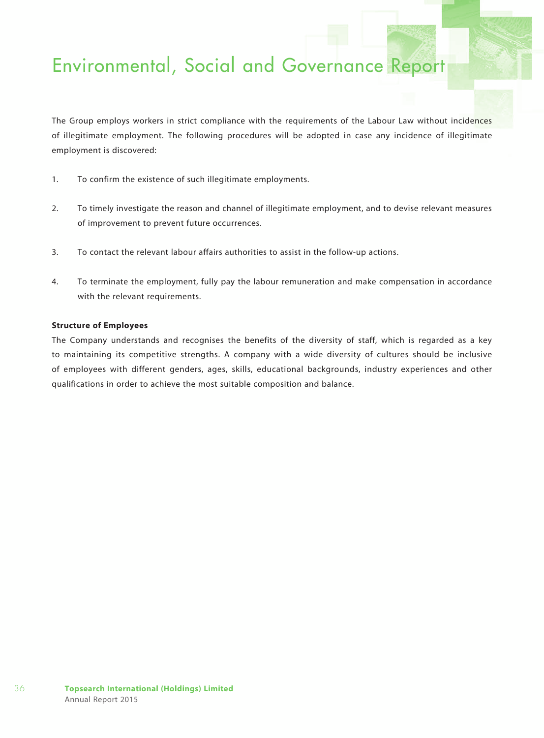The Group employs workers in strict compliance with the requirements of the Labour Law without incidences of illegitimate employment. The following procedures will be adopted in case any incidence of illegitimate employment is discovered:

- 1. To confirm the existence of such illegitimate employments.
- 2. To timely investigate the reason and channel of illegitimate employment, and to devise relevant measures of improvement to prevent future occurrences.
- 3. To contact the relevant labour affairs authorities to assist in the follow-up actions.
- 4. To terminate the employment, fully pay the labour remuneration and make compensation in accordance with the relevant requirements.

### **Structure of Employees**

The Company understands and recognises the benefits of the diversity of staff, which is regarded as a key to maintaining its competitive strengths. A company with a wide diversity of cultures should be inclusive of employees with different genders, ages, skills, educational backgrounds, industry experiences and other qualifications in order to achieve the most suitable composition and balance.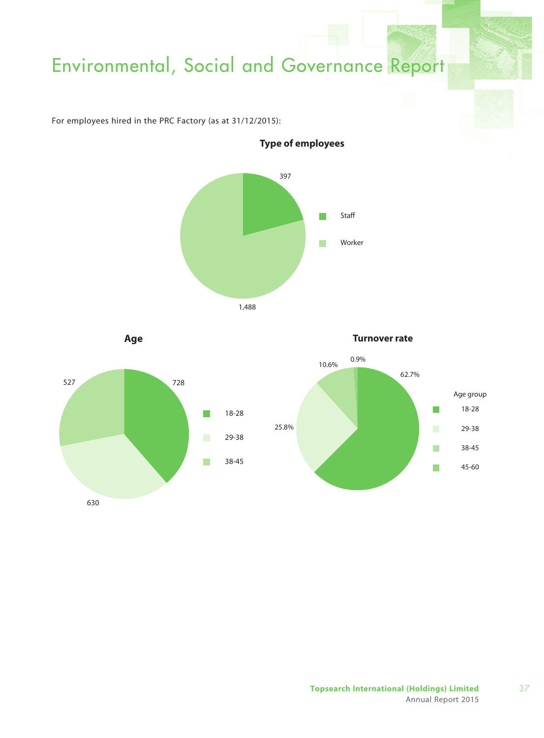For employees hired in the PRC Factory (as at 31/12/2015):



**Age Turnover rate**0.9% 10.6% 62.7% 527 728 Age group  $\overline{\phantom{a}}$ 18-28 18-28 П 25.8%  $\mathcal{L}_{\mathcal{A}}$ 29-38 29-38  $\mathcal{C}^{\mathcal{A}}$ 38-45 38-45  $\mathcal{C}^{\mathcal{A}}$  $\Box$ 45-60 630

**Type of employees**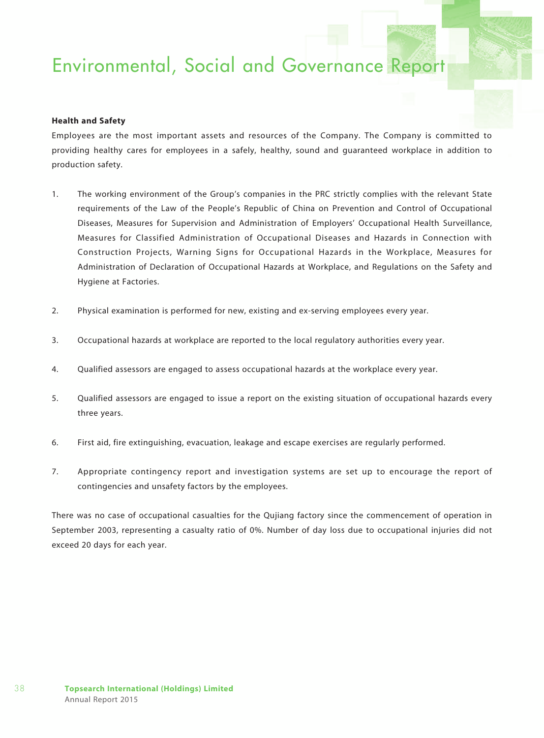### **Health and Safety**

Employees are the most important assets and resources of the Company. The Company is committed to providing healthy cares for employees in a safely, healthy, sound and guaranteed workplace in addition to production safety.

- 1. The working environment of the Group's companies in the PRC strictly complies with the relevant State requirements of the Law of the People's Republic of China on Prevention and Control of Occupational Diseases, Measures for Supervision and Administration of Employers' Occupational Health Surveillance, Measures for Classified Administration of Occupational Diseases and Hazards in Connection with Construction Projects, Warning Signs for Occupational Hazards in the Workplace, Measures for Administration of Declaration of Occupational Hazards at Workplace, and Regulations on the Safety and Hygiene at Factories.
- 2. Physical examination is performed for new, existing and ex-serving employees every year.
- 3. Occupational hazards at workplace are reported to the local regulatory authorities every year.
- 4. Qualified assessors are engaged to assess occupational hazards at the workplace every year.
- 5. Qualified assessors are engaged to issue a report on the existing situation of occupational hazards every three years.
- 6. First aid, fire extinguishing, evacuation, leakage and escape exercises are regularly performed.
- 7. Appropriate contingency report and investigation systems are set up to encourage the report of contingencies and unsafety factors by the employees.

There was no case of occupational casualties for the Qujiang factory since the commencement of operation in September 2003, representing a casualty ratio of 0%. Number of day loss due to occupational injuries did not exceed 20 days for each year.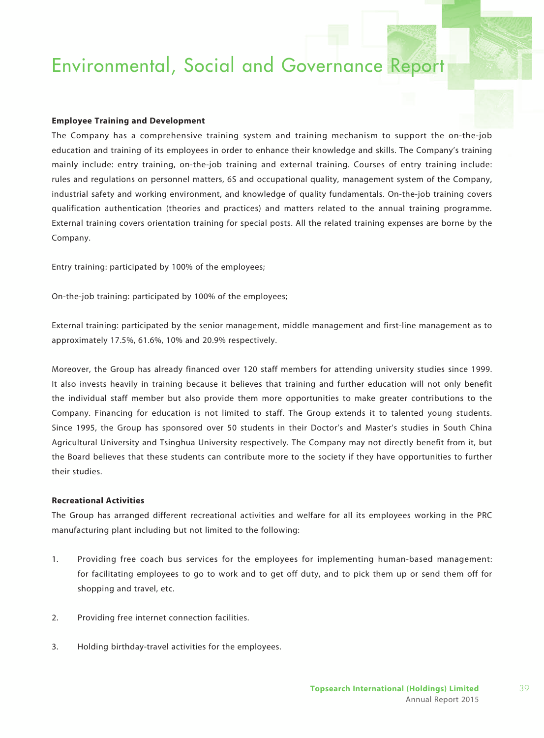#### **Employee Training and Development**

The Company has a comprehensive training system and training mechanism to support the on-the-job education and training of its employees in order to enhance their knowledge and skills. The Company's training mainly include: entry training, on-the-job training and external training. Courses of entry training include: rules and regulations on personnel matters, 6S and occupational quality, management system of the Company, industrial safety and working environment, and knowledge of quality fundamentals. On-the-job training covers qualification authentication (theories and practices) and matters related to the annual training programme. External training covers orientation training for special posts. All the related training expenses are borne by the Company.

Entry training: participated by 100% of the employees;

On-the-job training: participated by 100% of the employees;

External training: participated by the senior management, middle management and first-line management as to approximately 17.5%, 61.6%, 10% and 20.9% respectively.

Moreover, the Group has already financed over 120 staff members for attending university studies since 1999. It also invests heavily in training because it believes that training and further education will not only benefit the individual staff member but also provide them more opportunities to make greater contributions to the Company. Financing for education is not limited to staff. The Group extends it to talented young students. Since 1995, the Group has sponsored over 50 students in their Doctor's and Master's studies in South China Agricultural University and Tsinghua University respectively. The Company may not directly benefit from it, but the Board believes that these students can contribute more to the society if they have opportunities to further their studies.

#### **Recreational Activities**

The Group has arranged different recreational activities and welfare for all its employees working in the PRC manufacturing plant including but not limited to the following:

- 1. Providing free coach bus services for the employees for implementing human-based management: for facilitating employees to go to work and to get off duty, and to pick them up or send them off for shopping and travel, etc.
- 2. Providing free internet connection facilities.
- 3. Holding birthday-travel activities for the employees.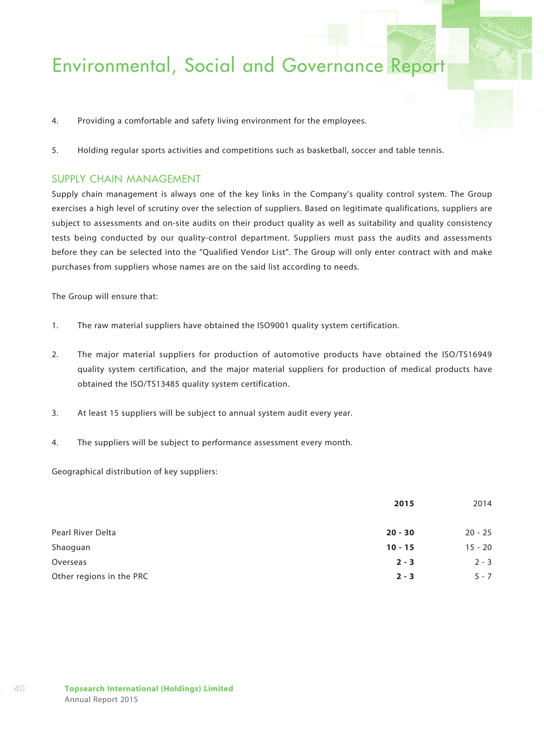- 4. Providing a comfortable and safety living environment for the employees.
- 5. Holding regular sports activities and competitions such as basketball, soccer and table tennis.

### SUPPLY CHAIN MANAGEMENT

Supply chain management is always one of the key links in the Company's quality control system. The Group exercises a high level of scrutiny over the selection of suppliers. Based on legitimate qualifications, suppliers are subject to assessments and on-site audits on their product quality as well as suitability and quality consistency tests being conducted by our quality-control department. Suppliers must pass the audits and assessments before they can be selected into the "Qualified Vendor List". The Group will only enter contract with and make purchases from suppliers whose names are on the said list according to needs.

The Group will ensure that:

- 1. The raw material suppliers have obtained the ISO9001 quality system certification.
- 2. The major material suppliers for production of automotive products have obtained the ISO/TS16949 quality system certification, and the major material suppliers for production of medical products have obtained the ISO/TS13485 quality system certification.
- 3. At least 15 suppliers will be subject to annual system audit every year.
- 4. The suppliers will be subject to performance assessment every month.

Geographical distribution of key suppliers:

|                          | 2015      | 2014      |  |
|--------------------------|-----------|-----------|--|
| Pearl River Delta        | $20 - 30$ | $20 - 25$ |  |
| Shaoguan                 | $10 - 15$ | $15 - 20$ |  |
| Overseas                 | $2 - 3$   | $2 - 3$   |  |
| Other regions in the PRC | $2 - 3$   | $5 - 7$   |  |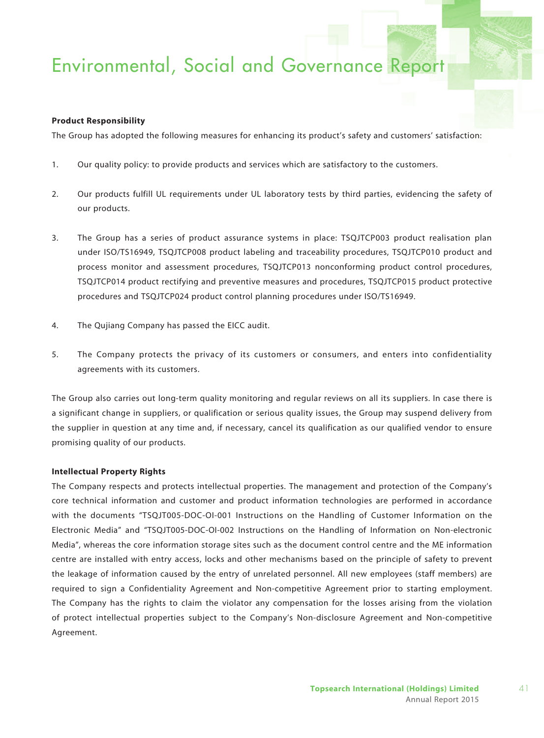#### **Product Responsibility**

The Group has adopted the following measures for enhancing its product's safety and customers' satisfaction:

- 1. Our quality policy: to provide products and services which are satisfactory to the customers.
- 2. Our products fulfill UL requirements under UL laboratory tests by third parties, evidencing the safety of our products.
- 3. The Group has a series of product assurance systems in place: TSQJTCP003 product realisation plan under ISO/TS16949, TSQJTCP008 product labeling and traceability procedures, TSQJTCP010 product and process monitor and assessment procedures, TSQJTCP013 nonconforming product control procedures, TSQJTCP014 product rectifying and preventive measures and procedures, TSQJTCP015 product protective procedures and TSQJTCP024 product control planning procedures under ISO/TS16949.
- 4. The Qujiang Company has passed the EICC audit.
- 5. The Company protects the privacy of its customers or consumers, and enters into confidentiality agreements with its customers.

The Group also carries out long-term quality monitoring and regular reviews on all its suppliers. In case there is a significant change in suppliers, or qualification or serious quality issues, the Group may suspend delivery from the supplier in question at any time and, if necessary, cancel its qualification as our qualified vendor to ensure promising quality of our products.

#### **Intellectual Property Rights**

The Company respects and protects intellectual properties. The management and protection of the Company's core technical information and customer and product information technologies are performed in accordance with the documents "TSQJT005-DOC-OI-001 Instructions on the Handling of Customer Information on the Electronic Media" and "TSQJT005-DOC-OI-002 Instructions on the Handling of Information on Non-electronic Media", whereas the core information storage sites such as the document control centre and the ME information centre are installed with entry access, locks and other mechanisms based on the principle of safety to prevent the leakage of information caused by the entry of unrelated personnel. All new employees (staff members) are required to sign a Confidentiality Agreement and Non-competitive Agreement prior to starting employment. The Company has the rights to claim the violator any compensation for the losses arising from the violation of protect intellectual properties subject to the Company's Non-disclosure Agreement and Non-competitive Agreement.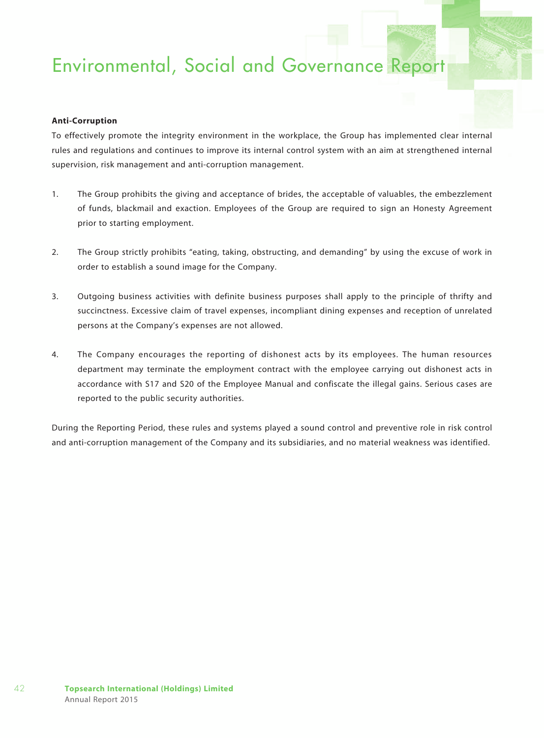### **Anti-Corruption**

To effectively promote the integrity environment in the workplace, the Group has implemented clear internal rules and regulations and continues to improve its internal control system with an aim at strengthened internal supervision, risk management and anti-corruption management.

- 1. The Group prohibits the giving and acceptance of brides, the acceptable of valuables, the embezzlement of funds, blackmail and exaction. Employees of the Group are required to sign an Honesty Agreement prior to starting employment.
- 2. The Group strictly prohibits "eating, taking, obstructing, and demanding" by using the excuse of work in order to establish a sound image for the Company.
- 3. Outgoing business activities with definite business purposes shall apply to the principle of thrifty and succinctness. Excessive claim of travel expenses, incompliant dining expenses and reception of unrelated persons at the Company's expenses are not allowed.
- 4. The Company encourages the reporting of dishonest acts by its employees. The human resources department may terminate the employment contract with the employee carrying out dishonest acts in accordance with S17 and S20 of the Employee Manual and confiscate the illegal gains. Serious cases are reported to the public security authorities.

During the Reporting Period, these rules and systems played a sound control and preventive role in risk control and anti-corruption management of the Company and its subsidiaries, and no material weakness was identified.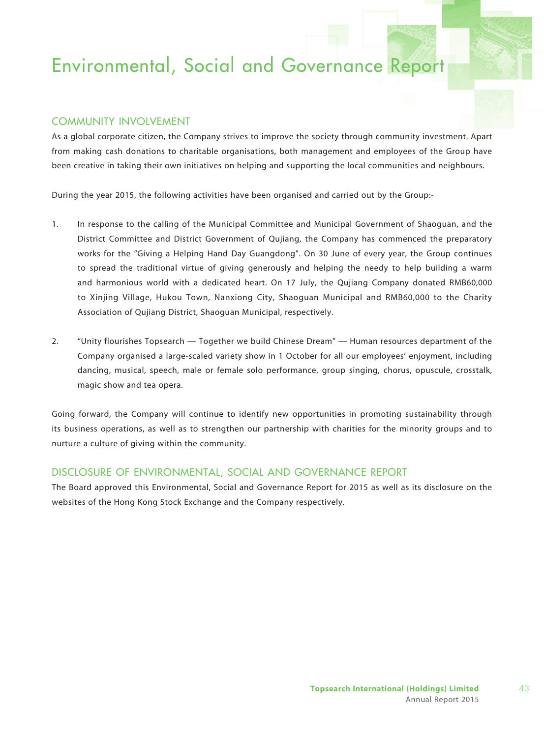### COMMUNITY INVOLVEMENT

As a global corporate citizen, the Company strives to improve the society through community investment. Apart from making cash donations to charitable organisations, both management and employees of the Group have been creative in taking their own initiatives on helping and supporting the local communities and neighbours.

During the year 2015, the following activities have been organised and carried out by the Group:-

- 1. In response to the calling of the Municipal Committee and Municipal Government of Shaoguan, and the District Committee and District Government of Qujiang, the Company has commenced the preparatory works for the "Giving a Helping Hand Day Guangdong". On 30 June of every year, the Group continues to spread the traditional virtue of giving generously and helping the needy to help building a warm and harmonious world with a dedicated heart. On 17 July, the Qujiang Company donated RMB60,000 to Xinjing Village, Hukou Town, Nanxiong City, Shaoguan Municipal and RMB60,000 to the Charity Association of Qujiang District, Shaoguan Municipal, respectively.
- 2. "Unity flourishes Topsearch Together we build Chinese Dream" Human resources department of the Company organised a large-scaled variety show in 1 October for all our employees' enjoyment, including dancing, musical, speech, male or female solo performance, group singing, chorus, opuscule, crosstalk, magic show and tea opera.

Going forward, the Company will continue to identify new opportunities in promoting sustainability through its business operations, as well as to strengthen our partnership with charities for the minority groups and to nurture a culture of giving within the community.

### DISCLOSURE OF ENVIRONMENTAL, SOCIAL AND GOVERNANCE REPORT

The Board approved this Environmental, Social and Governance Report for 2015 as well as its disclosure on the websites of the Hong Kong Stock Exchange and the Company respectively.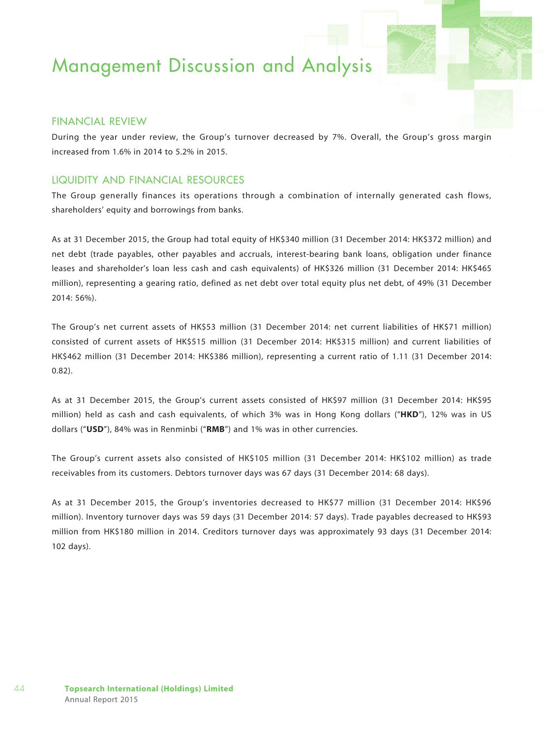### Financial Review

During the year under review, the Group's turnover decreased by 7%. Overall, the Group's gross margin increased from 1.6% in 2014 to 5.2% in 2015.

### Liquidity and Financial Resources

The Group generally finances its operations through a combination of internally generated cash flows, shareholders' equity and borrowings from banks.

As at 31 December 2015, the Group had total equity of HK\$340 million (31 December 2014: HK\$372 million) and net debt (trade payables, other payables and accruals, interest-bearing bank loans, obligation under finance leases and shareholder's loan less cash and cash equivalents) of HK\$326 million (31 December 2014: HK\$465 million), representing a gearing ratio, defined as net debt over total equity plus net debt, of 49% (31 December 2014: 56%).

The Group's net current assets of HK\$53 million (31 December 2014: net current liabilities of HK\$71 million) consisted of current assets of HK\$515 million (31 December 2014: HK\$315 million) and current liabilities of HK\$462 million (31 December 2014: HK\$386 million), representing a current ratio of 1.11 (31 December 2014: 0.82).

As at 31 December 2015, the Group's current assets consisted of HK\$97 million (31 December 2014: HK\$95 million) held as cash and cash equivalents, of which 3% was in Hong Kong dollars ("**HKD**"), 12% was in US dollars ("**USD**"), 84% was in Renminbi ("**RMB**") and 1% was in other currencies.

The Group's current assets also consisted of HK\$105 million (31 December 2014: HK\$102 million) as trade receivables from its customers. Debtors turnover days was 67 days (31 December 2014: 68 days).

As at 31 December 2015, the Group's inventories decreased to HK\$77 million (31 December 2014: HK\$96 million). Inventory turnover days was 59 days (31 December 2014: 57 days). Trade payables decreased to HK\$93 million from HK\$180 million in 2014. Creditors turnover days was approximately 93 days (31 December 2014: 102 days).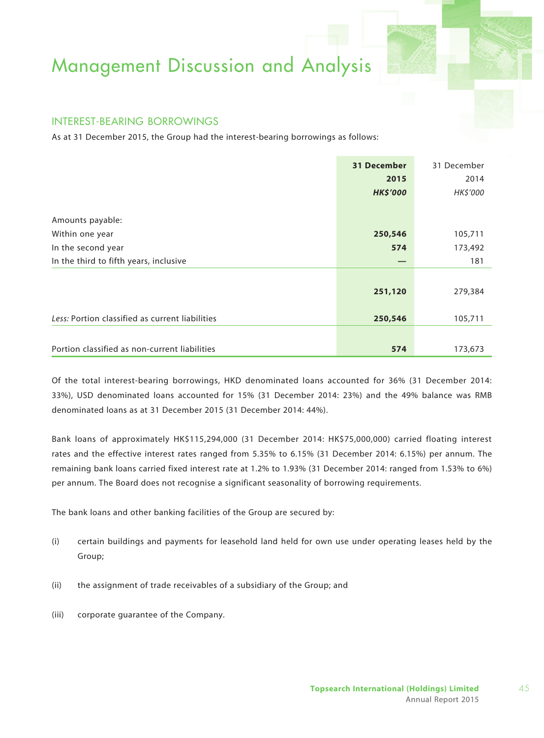### Interest-bearing Borrowings

As at 31 December 2015, the Group had the interest-bearing borrowings as follows:

|                                                 | 31 December     | 31 December |
|-------------------------------------------------|-----------------|-------------|
|                                                 | 2015            | 2014        |
|                                                 | <b>HK\$'000</b> | HK\$'000    |
|                                                 |                 |             |
| Amounts payable:                                |                 |             |
| Within one year                                 | 250,546         | 105,711     |
| In the second year                              | 574             | 173,492     |
| In the third to fifth years, inclusive          |                 | 181         |
|                                                 |                 |             |
|                                                 | 251,120         | 279,384     |
|                                                 |                 |             |
| Less: Portion classified as current liabilities | 250,546         | 105,711     |
|                                                 |                 |             |
| Portion classified as non-current liabilities   | 574             | 173,673     |

Of the total interest-bearing borrowings, HKD denominated loans accounted for 36% (31 December 2014: 33%), USD denominated loans accounted for 15% (31 December 2014: 23%) and the 49% balance was RMB denominated loans as at 31 December 2015 (31 December 2014: 44%).

Bank loans of approximately HK\$115,294,000 (31 December 2014: HK\$75,000,000) carried floating interest rates and the effective interest rates ranged from 5.35% to 6.15% (31 December 2014: 6.15%) per annum. The remaining bank loans carried fixed interest rate at 1.2% to 1.93% (31 December 2014: ranged from 1.53% to 6%) per annum. The Board does not recognise a significant seasonality of borrowing requirements.

The bank loans and other banking facilities of the Group are secured by:

- (i) certain buildings and payments for leasehold land held for own use under operating leases held by the Group;
- (ii) the assignment of trade receivables of a subsidiary of the Group; and
- (iii) corporate guarantee of the Company.

45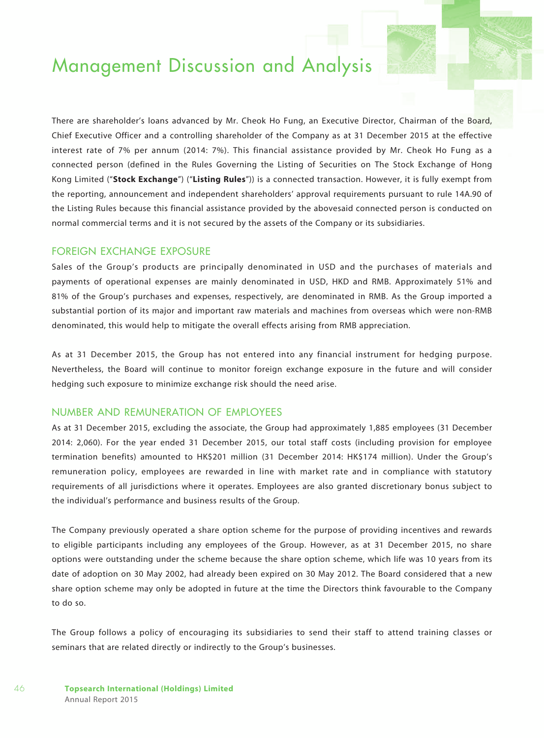There are shareholder's loans advanced by Mr. Cheok Ho Fung, an Executive Director, Chairman of the Board, Chief Executive Officer and a controlling shareholder of the Company as at 31 December 2015 at the effective interest rate of 7% per annum (2014: 7%). This financial assistance provided by Mr. Cheok Ho Fung as a connected person (defined in the Rules Governing the Listing of Securities on The Stock Exchange of Hong Kong Limited ("**Stock Exchange**") ("**Listing Rules**")) is a connected transaction. However, it is fully exempt from the reporting, announcement and independent shareholders' approval requirements pursuant to rule 14A.90 of the Listing Rules because this financial assistance provided by the abovesaid connected person is conducted on normal commercial terms and it is not secured by the assets of the Company or its subsidiaries.

### Foreign Exchange Exposure

Sales of the Group's products are principally denominated in USD and the purchases of materials and payments of operational expenses are mainly denominated in USD, HKD and RMB. Approximately 51% and 81% of the Group's purchases and expenses, respectively, are denominated in RMB. As the Group imported a substantial portion of its major and important raw materials and machines from overseas which were non-RMB denominated, this would help to mitigate the overall effects arising from RMB appreciation.

As at 31 December 2015, the Group has not entered into any financial instrument for hedging purpose. Nevertheless, the Board will continue to monitor foreign exchange exposure in the future and will consider hedging such exposure to minimize exchange risk should the need arise.

### Number and Remuneration of Employees

As at 31 December 2015, excluding the associate, the Group had approximately 1,885 employees (31 December 2014: 2,060). For the year ended 31 December 2015, our total staff costs (including provision for employee termination benefits) amounted to HK\$201 million (31 December 2014: HK\$174 million). Under the Group's remuneration policy, employees are rewarded in line with market rate and in compliance with statutory requirements of all jurisdictions where it operates. Employees are also granted discretionary bonus subject to the individual's performance and business results of the Group.

The Company previously operated a share option scheme for the purpose of providing incentives and rewards to eligible participants including any employees of the Group. However, as at 31 December 2015, no share options were outstanding under the scheme because the share option scheme, which life was 10 years from its date of adoption on 30 May 2002, had already been expired on 30 May 2012. The Board considered that a new share option scheme may only be adopted in future at the time the Directors think favourable to the Company to do so.

The Group follows a policy of encouraging its subsidiaries to send their staff to attend training classes or seminars that are related directly or indirectly to the Group's businesses.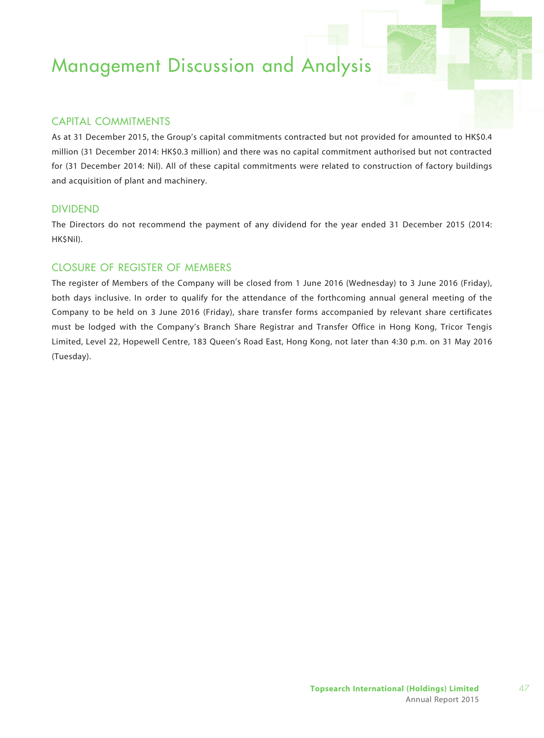## Capital Commitments

As at 31 December 2015, the Group's capital commitments contracted but not provided for amounted to HK\$0.4 million (31 December 2014: HK\$0.3 million) and there was no capital commitment authorised but not contracted for (31 December 2014: Nil). All of these capital commitments were related to construction of factory buildings and acquisition of plant and machinery.

### **DIVIDEND**

The Directors do not recommend the payment of any dividend for the year ended 31 December 2015 (2014: HK\$Nil).

## Closure of Register of Members

The register of Members of the Company will be closed from 1 June 2016 (Wednesday) to 3 June 2016 (Friday), both days inclusive. In order to qualify for the attendance of the forthcoming annual general meeting of the Company to be held on 3 June 2016 (Friday), share transfer forms accompanied by relevant share certificates must be lodged with the Company's Branch Share Registrar and Transfer Office in Hong Kong, Tricor Tengis Limited, Level 22, Hopewell Centre, 183 Queen's Road East, Hong Kong, not later than 4:30 p.m. on 31 May 2016 (Tuesday).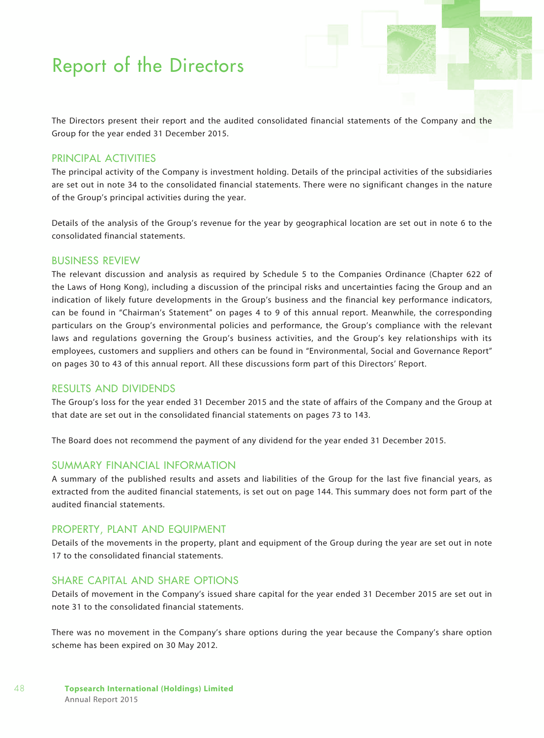The Directors present their report and the audited consolidated financial statements of the Company and the Group for the year ended 31 December 2015.

### Principal Activities

The principal activity of the Company is investment holding. Details of the principal activities of the subsidiaries are set out in note 34 to the consolidated financial statements. There were no significant changes in the nature of the Group's principal activities during the year.

Details of the analysis of the Group's revenue for the year by geographical location are set out in note 6 to the consolidated financial statements.

### BUSINESS REVIEW

The relevant discussion and analysis as required by Schedule 5 to the Companies Ordinance (Chapter 622 of the Laws of Hong Kong), including a discussion of the principal risks and uncertainties facing the Group and an indication of likely future developments in the Group's business and the financial key performance indicators, can be found in "Chairman's Statement" on pages 4 to 9 of this annual report. Meanwhile, the corresponding particulars on the Group's environmental policies and performance, the Group's compliance with the relevant laws and regulations governing the Group's business activities, and the Group's key relationships with its employees, customers and suppliers and others can be found in "Environmental, Social and Governance Report" on pages 30 to 43 of this annual report. All these discussions form part of this Directors' Report.

### Results and Dividends

The Group's loss for the year ended 31 December 2015 and the state of affairs of the Company and the Group at that date are set out in the consolidated financial statements on pages 73 to 143.

The Board does not recommend the payment of any dividend for the year ended 31 December 2015.

### Summary Financial Information

A summary of the published results and assets and liabilities of the Group for the last five financial years, as extracted from the audited financial statements, is set out on page 144. This summary does not form part of the audited financial statements.

### Property, Plant and Equipment

Details of the movements in the property, plant and equipment of the Group during the year are set out in note 17 to the consolidated financial statements.

## SHARE CAPITAL AND SHARE OPTIONS

Details of movement in the Company's issued share capital for the year ended 31 December 2015 are set out in note 31 to the consolidated financial statements.

There was no movement in the Company's share options during the year because the Company's share option scheme has been expired on 30 May 2012.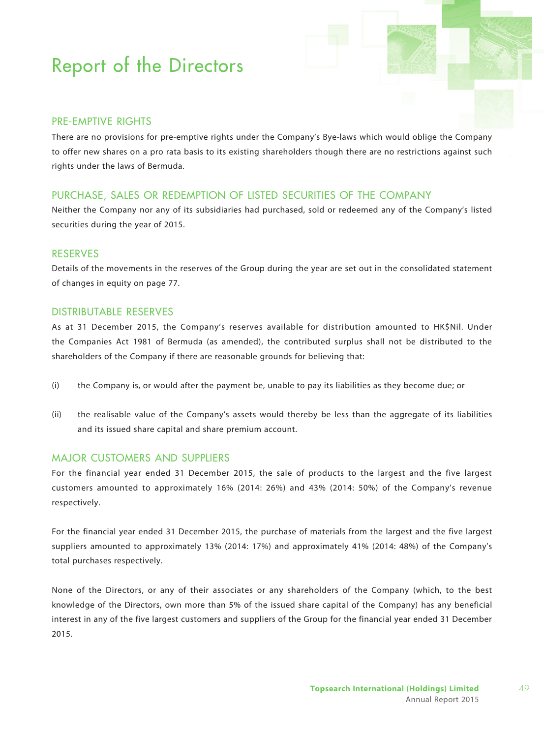## Pre-emptive Rights

There are no provisions for pre-emptive rights under the Company's Bye-laws which would oblige the Company to offer new shares on a pro rata basis to its existing shareholders though there are no restrictions against such rights under the laws of Bermuda.

## Purchase, Sales or Redemption of Listed Securities of the Company

Neither the Company nor any of its subsidiaries had purchased, sold or redeemed any of the Company's listed securities during the year of 2015.

### Reserves

Details of the movements in the reserves of the Group during the year are set out in the consolidated statement of changes in equity on page 77.

### Distributable Reserves

As at 31 December 2015, the Company's reserves available for distribution amounted to HK\$Nil. Under the Companies Act 1981 of Bermuda (as amended), the contributed surplus shall not be distributed to the shareholders of the Company if there are reasonable grounds for believing that:

- (i) the Company is, or would after the payment be, unable to pay its liabilities as they become due; or
- (ii) the realisable value of the Company's assets would thereby be less than the aggregate of its liabilities and its issued share capital and share premium account.

### Major Customers and Suppliers

For the financial year ended 31 December 2015, the sale of products to the largest and the five largest customers amounted to approximately 16% (2014: 26%) and 43% (2014: 50%) of the Company's revenue respectively.

For the financial year ended 31 December 2015, the purchase of materials from the largest and the five largest suppliers amounted to approximately 13% (2014: 17%) and approximately 41% (2014: 48%) of the Company's total purchases respectively.

None of the Directors, or any of their associates or any shareholders of the Company (which, to the best knowledge of the Directors, own more than 5% of the issued share capital of the Company) has any beneficial interest in any of the five largest customers and suppliers of the Group for the financial year ended 31 December 2015.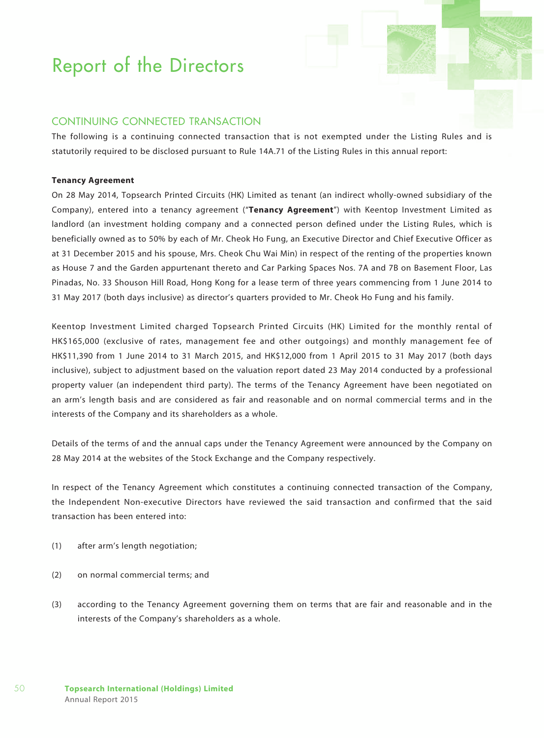## Continuing Connected Transaction

The following is a continuing connected transaction that is not exempted under the Listing Rules and is statutorily required to be disclosed pursuant to Rule 14A.71 of the Listing Rules in this annual report:

#### **Tenancy Agreement**

On 28 May 2014, Topsearch Printed Circuits (HK) Limited as tenant (an indirect wholly-owned subsidiary of the Company), entered into a tenancy agreement ("**Tenancy Agreement**") with Keentop Investment Limited as landlord (an investment holding company and a connected person defined under the Listing Rules, which is beneficially owned as to 50% by each of Mr. Cheok Ho Fung, an Executive Director and Chief Executive Officer as at 31 December 2015 and his spouse, Mrs. Cheok Chu Wai Min) in respect of the renting of the properties known as House 7 and the Garden appurtenant thereto and Car Parking Spaces Nos. 7A and 7B on Basement Floor, Las Pinadas, No. 33 Shouson Hill Road, Hong Kong for a lease term of three years commencing from 1 June 2014 to 31 May 2017 (both days inclusive) as director's quarters provided to Mr. Cheok Ho Fung and his family.

Keentop Investment Limited charged Topsearch Printed Circuits (HK) Limited for the monthly rental of HK\$165,000 (exclusive of rates, management fee and other outgoings) and monthly management fee of HK\$11,390 from 1 June 2014 to 31 March 2015, and HK\$12,000 from 1 April 2015 to 31 May 2017 (both days inclusive), subject to adjustment based on the valuation report dated 23 May 2014 conducted by a professional property valuer (an independent third party). The terms of the Tenancy Agreement have been negotiated on an arm's length basis and are considered as fair and reasonable and on normal commercial terms and in the interests of the Company and its shareholders as a whole.

Details of the terms of and the annual caps under the Tenancy Agreement were announced by the Company on 28 May 2014 at the websites of the Stock Exchange and the Company respectively.

In respect of the Tenancy Agreement which constitutes a continuing connected transaction of the Company, the Independent Non-executive Directors have reviewed the said transaction and confirmed that the said transaction has been entered into:

- (1) after arm's length negotiation;
- (2) on normal commercial terms; and
- (3) according to the Tenancy Agreement governing them on terms that are fair and reasonable and in the interests of the Company's shareholders as a whole.

50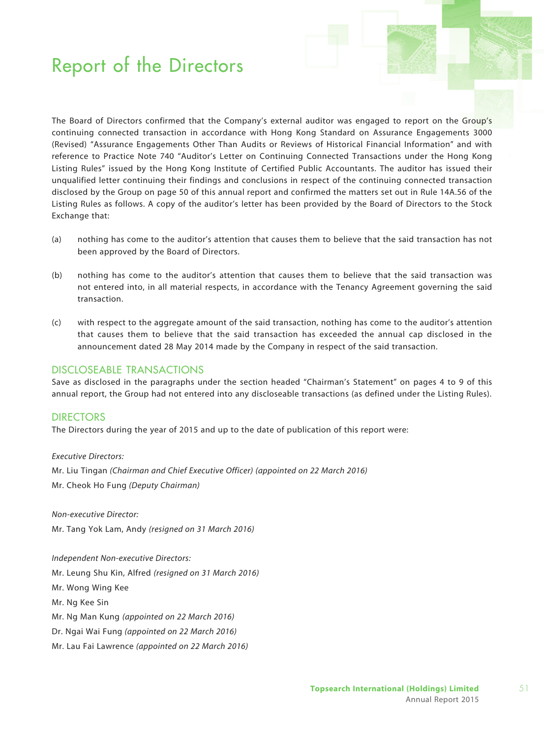The Board of Directors confirmed that the Company's external auditor was engaged to report on the Group's continuing connected transaction in accordance with Hong Kong Standard on Assurance Engagements 3000 (Revised) "Assurance Engagements Other Than Audits or Reviews of Historical Financial Information" and with reference to Practice Note 740 "Auditor's Letter on Continuing Connected Transactions under the Hong Kong Listing Rules" issued by the Hong Kong Institute of Certified Public Accountants. The auditor has issued their unqualified letter continuing their findings and conclusions in respect of the continuing connected transaction disclosed by the Group on page 50 of this annual report and confirmed the matters set out in Rule 14A.56 of the Listing Rules as follows. A copy of the auditor's letter has been provided by the Board of Directors to the Stock Exchange that:

- (a) nothing has come to the auditor's attention that causes them to believe that the said transaction has not been approved by the Board of Directors.
- (b) nothing has come to the auditor's attention that causes them to believe that the said transaction was not entered into, in all material respects, in accordance with the Tenancy Agreement governing the said transaction.
- (c) with respect to the aggregate amount of the said transaction, nothing has come to the auditor's attention that causes them to believe that the said transaction has exceeded the annual cap disclosed in the announcement dated 28 May 2014 made by the Company in respect of the said transaction.

### discloseable transactions

Save as disclosed in the paragraphs under the section headed "Chairman's Statement" on pages 4 to 9 of this annual report, the Group had not entered into any discloseable transactions (as defined under the Listing Rules).

### **DIRECTORS**

The Directors during the year of 2015 and up to the date of publication of this report were:

*Executive Directors:* Mr. Liu Tingan *(Chairman and Chief Executive Officer) (appointed on 22 March 2016)* Mr. Cheok Ho Fung *(Deputy Chairman)*

*Non-executive Director:* Mr. Tang Yok Lam, Andy *(resigned on 31 March 2016)*

*Independent Non-executive Directors:* Mr. Leung Shu Kin, Alfred *(resigned on 31 March 2016)* Mr. Wong Wing Kee Mr. Ng Kee Sin Mr. Ng Man Kung *(appointed on 22 March 2016)* Dr. Ngai Wai Fung *(appointed on 22 March 2016)* Mr. Lau Fai Lawrence *(appointed on 22 March 2016)*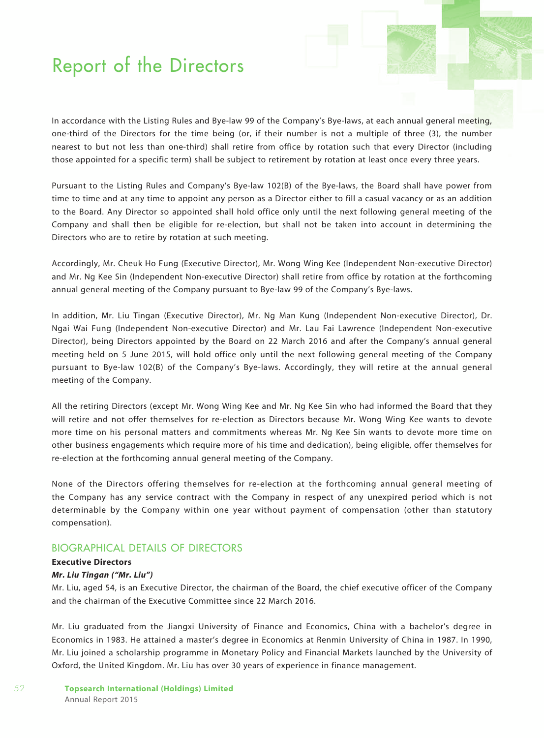In accordance with the Listing Rules and Bye-law 99 of the Company's Bye-laws, at each annual general meeting, one-third of the Directors for the time being (or, if their number is not a multiple of three (3), the number nearest to but not less than one-third) shall retire from office by rotation such that every Director (including those appointed for a specific term) shall be subject to retirement by rotation at least once every three years.

Pursuant to the Listing Rules and Company's Bye-law 102(B) of the Bye-laws, the Board shall have power from time to time and at any time to appoint any person as a Director either to fill a casual vacancy or as an addition to the Board. Any Director so appointed shall hold office only until the next following general meeting of the Company and shall then be eligible for re-election, but shall not be taken into account in determining the Directors who are to retire by rotation at such meeting.

Accordingly, Mr. Cheuk Ho Fung (Executive Director), Mr. Wong Wing Kee (Independent Non-executive Director) and Mr. Ng Kee Sin (Independent Non-executive Director) shall retire from office by rotation at the forthcoming annual general meeting of the Company pursuant to Bye-law 99 of the Company's Bye-laws.

In addition, Mr. Liu Tingan (Executive Director), Mr. Ng Man Kung (Independent Non-executive Director), Dr. Ngai Wai Fung (Independent Non-executive Director) and Mr. Lau Fai Lawrence (Independent Non-executive Director), being Directors appointed by the Board on 22 March 2016 and after the Company's annual general meeting held on 5 June 2015, will hold office only until the next following general meeting of the Company pursuant to Bye-law 102(B) of the Company's Bye-laws. Accordingly, they will retire at the annual general meeting of the Company.

All the retiring Directors (except Mr. Wong Wing Kee and Mr. Ng Kee Sin who had informed the Board that they will retire and not offer themselves for re-election as Directors because Mr. Wong Wing Kee wants to devote more time on his personal matters and commitments whereas Mr. Ng Kee Sin wants to devote more time on other business engagements which require more of his time and dedication), being eligible, offer themselves for re-election at the forthcoming annual general meeting of the Company.

None of the Directors offering themselves for re-election at the forthcoming annual general meeting of the Company has any service contract with the Company in respect of any unexpired period which is not determinable by the Company within one year without payment of compensation (other than statutory compensation).

### BIOGRAPHICAL DETAILS OF DIRECTORS

### **Executive Directors**

#### *Mr. Liu Tingan ("Mr. Liu")*

Mr. Liu, aged 54, is an Executive Director, the chairman of the Board, the chief executive officer of the Company and the chairman of the Executive Committee since 22 March 2016.

Mr. Liu graduated from the Jiangxi University of Finance and Economics, China with a bachelor's degree in Economics in 1983. He attained a master's degree in Economics at Renmin University of China in 1987. In 1990, Mr. Liu joined a scholarship programme in Monetary Policy and Financial Markets launched by the University of Oxford, the United Kingdom. Mr. Liu has over 30 years of experience in finance management.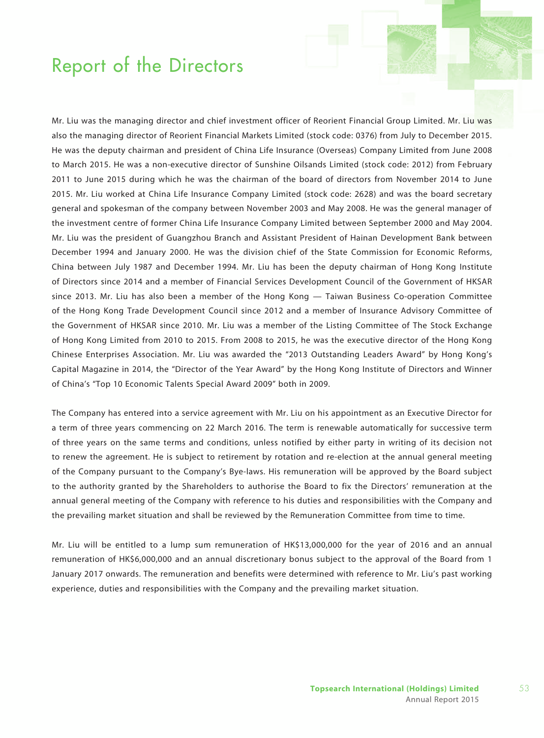Mr. Liu was the managing director and chief investment officer of Reorient Financial Group Limited. Mr. Liu was also the managing director of Reorient Financial Markets Limited (stock code: 0376) from July to December 2015. He was the deputy chairman and president of China Life Insurance (Overseas) Company Limited from June 2008 to March 2015. He was a non-executive director of Sunshine Oilsands Limited (stock code: 2012) from February 2011 to June 2015 during which he was the chairman of the board of directors from November 2014 to June 2015. Mr. Liu worked at China Life Insurance Company Limited (stock code: 2628) and was the board secretary general and spokesman of the company between November 2003 and May 2008. He was the general manager of the investment centre of former China Life Insurance Company Limited between September 2000 and May 2004. Mr. Liu was the president of Guangzhou Branch and Assistant President of Hainan Development Bank between December 1994 and January 2000. He was the division chief of the State Commission for Economic Reforms, China between July 1987 and December 1994. Mr. Liu has been the deputy chairman of Hong Kong Institute of Directors since 2014 and a member of Financial Services Development Council of the Government of HKSAR since 2013. Mr. Liu has also been a member of the Hong Kong — Taiwan Business Co-operation Committee of the Hong Kong Trade Development Council since 2012 and a member of Insurance Advisory Committee of the Government of HKSAR since 2010. Mr. Liu was a member of the Listing Committee of The Stock Exchange of Hong Kong Limited from 2010 to 2015. From 2008 to 2015, he was the executive director of the Hong Kong Chinese Enterprises Association. Mr. Liu was awarded the "2013 Outstanding Leaders Award" by Hong Kong's Capital Magazine in 2014, the "Director of the Year Award" by the Hong Kong Institute of Directors and Winner of China's "Top 10 Economic Talents Special Award 2009" both in 2009.

The Company has entered into a service agreement with Mr. Liu on his appointment as an Executive Director for a term of three years commencing on 22 March 2016. The term is renewable automatically for successive term of three years on the same terms and conditions, unless notified by either party in writing of its decision not to renew the agreement. He is subject to retirement by rotation and re-election at the annual general meeting of the Company pursuant to the Company's Bye-laws. His remuneration will be approved by the Board subject to the authority granted by the Shareholders to authorise the Board to fix the Directors' remuneration at the annual general meeting of the Company with reference to his duties and responsibilities with the Company and the prevailing market situation and shall be reviewed by the Remuneration Committee from time to time.

Mr. Liu will be entitled to a lump sum remuneration of HK\$13,000,000 for the year of 2016 and an annual remuneration of HK\$6,000,000 and an annual discretionary bonus subject to the approval of the Board from 1 January 2017 onwards. The remuneration and benefits were determined with reference to Mr. Liu's past working experience, duties and responsibilities with the Company and the prevailing market situation.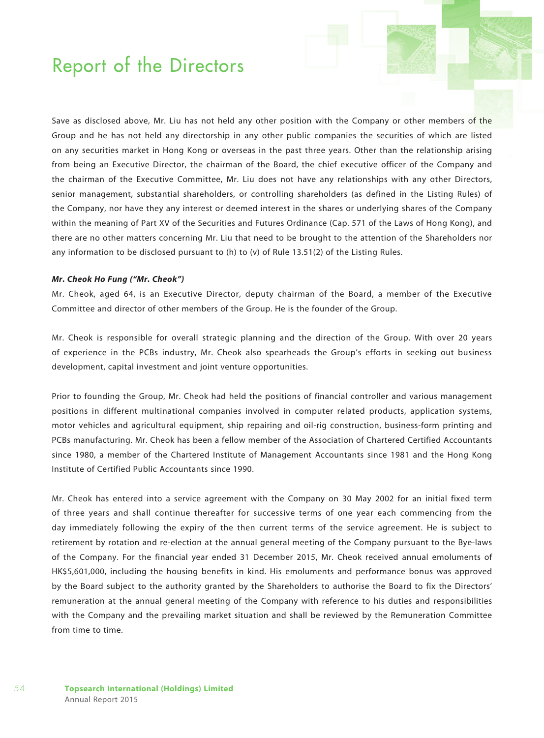Save as disclosed above, Mr. Liu has not held any other position with the Company or other members of the Group and he has not held any directorship in any other public companies the securities of which are listed on any securities market in Hong Kong or overseas in the past three years. Other than the relationship arising from being an Executive Director, the chairman of the Board, the chief executive officer of the Company and the chairman of the Executive Committee, Mr. Liu does not have any relationships with any other Directors, senior management, substantial shareholders, or controlling shareholders (as defined in the Listing Rules) of the Company, nor have they any interest or deemed interest in the shares or underlying shares of the Company within the meaning of Part XV of the Securities and Futures Ordinance (Cap. 571 of the Laws of Hong Kong), and there are no other matters concerning Mr. Liu that need to be brought to the attention of the Shareholders nor any information to be disclosed pursuant to (h) to (v) of Rule 13.51(2) of the Listing Rules.

#### *Mr. Cheok Ho Fung ("Mr. Cheok")*

Mr. Cheok, aged 64, is an Executive Director, deputy chairman of the Board, a member of the Executive Committee and director of other members of the Group. He is the founder of the Group.

Mr. Cheok is responsible for overall strategic planning and the direction of the Group. With over 20 years of experience in the PCBs industry, Mr. Cheok also spearheads the Group's efforts in seeking out business development, capital investment and joint venture opportunities.

Prior to founding the Group, Mr. Cheok had held the positions of financial controller and various management positions in different multinational companies involved in computer related products, application systems, motor vehicles and agricultural equipment, ship repairing and oil-rig construction, business-form printing and PCBs manufacturing. Mr. Cheok has been a fellow member of the Association of Chartered Certified Accountants since 1980, a member of the Chartered Institute of Management Accountants since 1981 and the Hong Kong Institute of Certified Public Accountants since 1990.

Mr. Cheok has entered into a service agreement with the Company on 30 May 2002 for an initial fixed term of three years and shall continue thereafter for successive terms of one year each commencing from the day immediately following the expiry of the then current terms of the service agreement. He is subject to retirement by rotation and re-election at the annual general meeting of the Company pursuant to the Bye-laws of the Company. For the financial year ended 31 December 2015, Mr. Cheok received annual emoluments of HK\$5,601,000, including the housing benefits in kind. His emoluments and performance bonus was approved by the Board subject to the authority granted by the Shareholders to authorise the Board to fix the Directors' remuneration at the annual general meeting of the Company with reference to his duties and responsibilities with the Company and the prevailing market situation and shall be reviewed by the Remuneration Committee from time to time.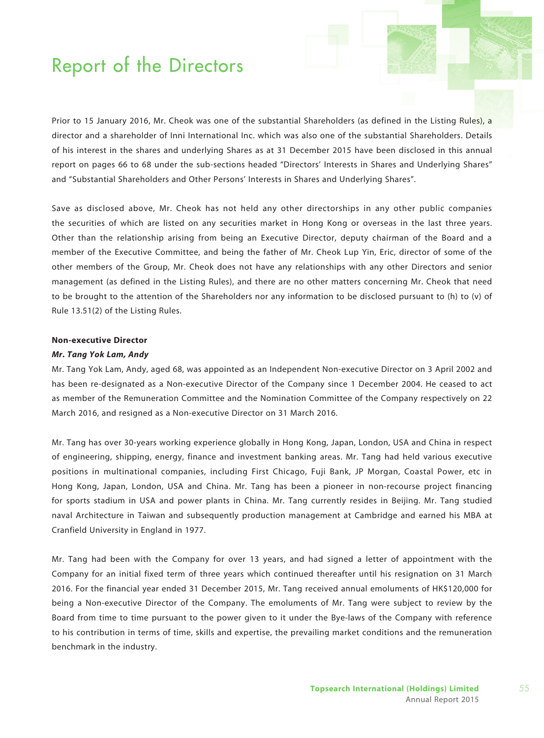Prior to 15 January 2016, Mr. Cheok was one of the substantial Shareholders (as defined in the Listing Rules), a director and a shareholder of Inni International Inc. which was also one of the substantial Shareholders. Details of his interest in the shares and underlying Shares as at 31 December 2015 have been disclosed in this annual report on pages 66 to 68 under the sub-sections headed "Directors' Interests in Shares and Underlying Shares" and "Substantial Shareholders and Other Persons' Interests in Shares and Underlying Shares".

Save as disclosed above, Mr. Cheok has not held any other directorships in any other public companies the securities of which are listed on any securities market in Hong Kong or overseas in the last three years. Other than the relationship arising from being an Executive Director, deputy chairman of the Board and a member of the Executive Committee, and being the father of Mr. Cheok Lup Yin, Eric, director of some of the other members of the Group, Mr. Cheok does not have any relationships with any other Directors and senior management (as defined in the Listing Rules), and there are no other matters concerning Mr. Cheok that need to be brought to the attention of the Shareholders nor any information to be disclosed pursuant to (h) to (v) of Rule 13.51(2) of the Listing Rules.

### **Non-executive Director**

#### *Mr. Tang Yok Lam, Andy*

Mr. Tang Yok Lam, Andy, aged 68, was appointed as an Independent Non-executive Director on 3 April 2002 and has been re-designated as a Non-executive Director of the Company since 1 December 2004. He ceased to act as member of the Remuneration Committee and the Nomination Committee of the Company respectively on 22 March 2016, and resigned as a Non-executive Director on 31 March 2016.

Mr. Tang has over 30-years working experience globally in Hong Kong, Japan, London, USA and China in respect of engineering, shipping, energy, finance and investment banking areas. Mr. Tang had held various executive positions in multinational companies, including First Chicago, Fuji Bank, JP Morgan, Coastal Power, etc in Hong Kong, Japan, London, USA and China. Mr. Tang has been a pioneer in non-recourse project financing for sports stadium in USA and power plants in China. Mr. Tang currently resides in Beijing. Mr. Tang studied naval Architecture in Taiwan and subsequently production management at Cambridge and earned his MBA at Cranfield University in England in 1977.

Mr. Tang had been with the Company for over 13 years, and had signed a letter of appointment with the Company for an initial fixed term of three years which continued thereafter until his resignation on 31 March 2016. For the financial year ended 31 December 2015, Mr. Tang received annual emoluments of HK\$120,000 for being a Non-executive Director of the Company. The emoluments of Mr. Tang were subject to review by the Board from time to time pursuant to the power given to it under the Bye-laws of the Company with reference to his contribution in terms of time, skills and expertise, the prevailing market conditions and the remuneration benchmark in the industry.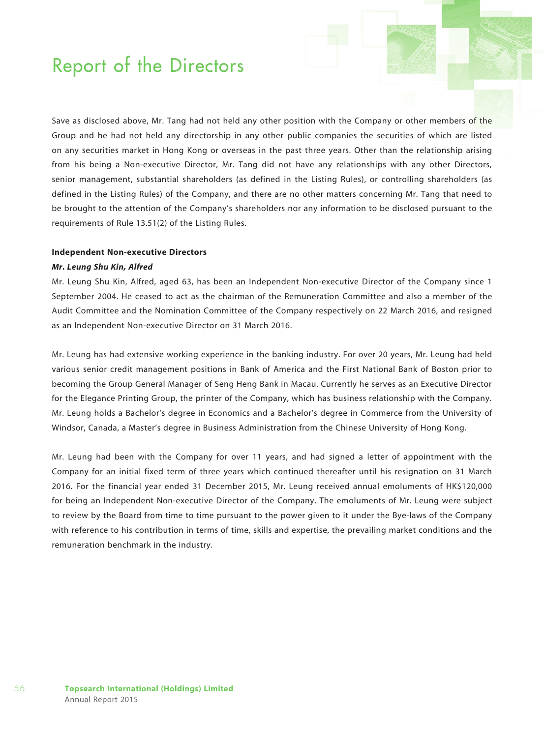Save as disclosed above, Mr. Tang had not held any other position with the Company or other members of the Group and he had not held any directorship in any other public companies the securities of which are listed on any securities market in Hong Kong or overseas in the past three years. Other than the relationship arising from his being a Non-executive Director, Mr. Tang did not have any relationships with any other Directors, senior management, substantial shareholders (as defined in the Listing Rules), or controlling shareholders (as defined in the Listing Rules) of the Company, and there are no other matters concerning Mr. Tang that need to be brought to the attention of the Company's shareholders nor any information to be disclosed pursuant to the requirements of Rule 13.51(2) of the Listing Rules.

#### **Independent Non-executive Directors**

#### *Mr. Leung Shu Kin, Alfred*

Mr. Leung Shu Kin, Alfred, aged 63, has been an Independent Non-executive Director of the Company since 1 September 2004. He ceased to act as the chairman of the Remuneration Committee and also a member of the Audit Committee and the Nomination Committee of the Company respectively on 22 March 2016, and resigned as an Independent Non-executive Director on 31 March 2016.

Mr. Leung has had extensive working experience in the banking industry. For over 20 years, Mr. Leung had held various senior credit management positions in Bank of America and the First National Bank of Boston prior to becoming the Group General Manager of Seng Heng Bank in Macau. Currently he serves as an Executive Director for the Elegance Printing Group, the printer of the Company, which has business relationship with the Company. Mr. Leung holds a Bachelor's degree in Economics and a Bachelor's degree in Commerce from the University of Windsor, Canada, a Master's degree in Business Administration from the Chinese University of Hong Kong.

Mr. Leung had been with the Company for over 11 years, and had signed a letter of appointment with the Company for an initial fixed term of three years which continued thereafter until his resignation on 31 March 2016. For the financial year ended 31 December 2015, Mr. Leung received annual emoluments of HK\$120,000 for being an Independent Non-executive Director of the Company. The emoluments of Mr. Leung were subject to review by the Board from time to time pursuant to the power given to it under the Bye-laws of the Company with reference to his contribution in terms of time, skills and expertise, the prevailing market conditions and the remuneration benchmark in the industry.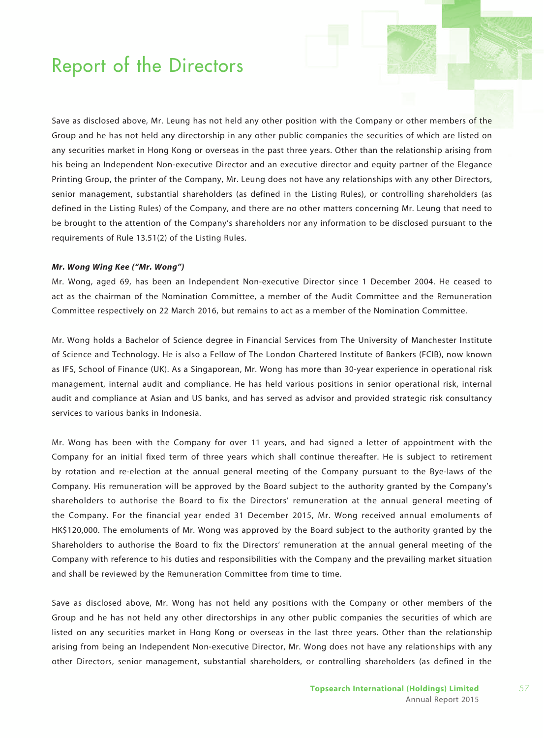Save as disclosed above, Mr. Leung has not held any other position with the Company or other members of the Group and he has not held any directorship in any other public companies the securities of which are listed on any securities market in Hong Kong or overseas in the past three years. Other than the relationship arising from his being an Independent Non-executive Director and an executive director and equity partner of the Elegance Printing Group, the printer of the Company, Mr. Leung does not have any relationships with any other Directors, senior management, substantial shareholders (as defined in the Listing Rules), or controlling shareholders (as defined in the Listing Rules) of the Company, and there are no other matters concerning Mr. Leung that need to be brought to the attention of the Company's shareholders nor any information to be disclosed pursuant to the requirements of Rule 13.51(2) of the Listing Rules.

#### *Mr. Wong Wing Kee ("Mr. Wong")*

Mr. Wong, aged 69, has been an Independent Non-executive Director since 1 December 2004. He ceased to act as the chairman of the Nomination Committee, a member of the Audit Committee and the Remuneration Committee respectively on 22 March 2016, but remains to act as a member of the Nomination Committee.

Mr. Wong holds a Bachelor of Science degree in Financial Services from The University of Manchester Institute of Science and Technology. He is also a Fellow of The London Chartered Institute of Bankers (FCIB), now known as IFS, School of Finance (UK). As a Singaporean, Mr. Wong has more than 30-year experience in operational risk management, internal audit and compliance. He has held various positions in senior operational risk, internal audit and compliance at Asian and US banks, and has served as advisor and provided strategic risk consultancy services to various banks in Indonesia.

Mr. Wong has been with the Company for over 11 years, and had signed a letter of appointment with the Company for an initial fixed term of three years which shall continue thereafter. He is subject to retirement by rotation and re-election at the annual general meeting of the Company pursuant to the Bye-laws of the Company. His remuneration will be approved by the Board subject to the authority granted by the Company's shareholders to authorise the Board to fix the Directors' remuneration at the annual general meeting of the Company. For the financial year ended 31 December 2015, Mr. Wong received annual emoluments of HK\$120,000. The emoluments of Mr. Wong was approved by the Board subject to the authority granted by the Shareholders to authorise the Board to fix the Directors' remuneration at the annual general meeting of the Company with reference to his duties and responsibilities with the Company and the prevailing market situation and shall be reviewed by the Remuneration Committee from time to time.

Save as disclosed above, Mr. Wong has not held any positions with the Company or other members of the Group and he has not held any other directorships in any other public companies the securities of which are listed on any securities market in Hong Kong or overseas in the last three years. Other than the relationship arising from being an Independent Non-executive Director, Mr. Wong does not have any relationships with any other Directors, senior management, substantial shareholders, or controlling shareholders (as defined in the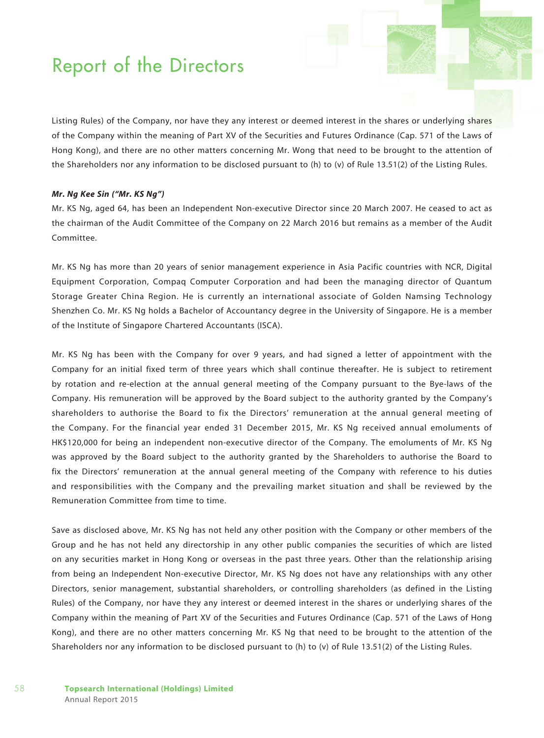Listing Rules) of the Company, nor have they any interest or deemed interest in the shares or underlying shares of the Company within the meaning of Part XV of the Securities and Futures Ordinance (Cap. 571 of the Laws of Hong Kong), and there are no other matters concerning Mr. Wong that need to be brought to the attention of the Shareholders nor any information to be disclosed pursuant to (h) to (v) of Rule 13.51(2) of the Listing Rules.

#### *Mr. Ng Kee Sin ("Mr. KS Ng")*

Mr. KS Ng, aged 64, has been an Independent Non-executive Director since 20 March 2007. He ceased to act as the chairman of the Audit Committee of the Company on 22 March 2016 but remains as a member of the Audit Committee.

Mr. KS Ng has more than 20 years of senior management experience in Asia Pacific countries with NCR, Digital Equipment Corporation, Compaq Computer Corporation and had been the managing director of Quantum Storage Greater China Region. He is currently an international associate of Golden Namsing Technology Shenzhen Co. Mr. KS Ng holds a Bachelor of Accountancy degree in the University of Singapore. He is a member of the Institute of Singapore Chartered Accountants (ISCA).

Mr. KS Ng has been with the Company for over 9 years, and had signed a letter of appointment with the Company for an initial fixed term of three years which shall continue thereafter. He is subject to retirement by rotation and re-election at the annual general meeting of the Company pursuant to the Bye-laws of the Company. His remuneration will be approved by the Board subject to the authority granted by the Company's shareholders to authorise the Board to fix the Directors' remuneration at the annual general meeting of the Company. For the financial year ended 31 December 2015, Mr. KS Ng received annual emoluments of HK\$120,000 for being an independent non-executive director of the Company. The emoluments of Mr. KS Ng was approved by the Board subject to the authority granted by the Shareholders to authorise the Board to fix the Directors' remuneration at the annual general meeting of the Company with reference to his duties and responsibilities with the Company and the prevailing market situation and shall be reviewed by the Remuneration Committee from time to time.

Save as disclosed above, Mr. KS Ng has not held any other position with the Company or other members of the Group and he has not held any directorship in any other public companies the securities of which are listed on any securities market in Hong Kong or overseas in the past three years. Other than the relationship arising from being an Independent Non-executive Director, Mr. KS Ng does not have any relationships with any other Directors, senior management, substantial shareholders, or controlling shareholders (as defined in the Listing Rules) of the Company, nor have they any interest or deemed interest in the shares or underlying shares of the Company within the meaning of Part XV of the Securities and Futures Ordinance (Cap. 571 of the Laws of Hong Kong), and there are no other matters concerning Mr. KS Ng that need to be brought to the attention of the Shareholders nor any information to be disclosed pursuant to (h) to (v) of Rule 13.51(2) of the Listing Rules.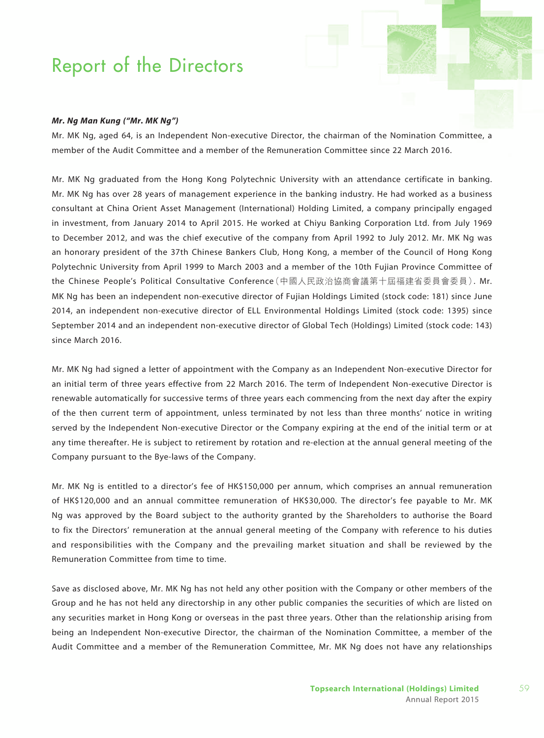#### *Mr. Ng Man Kung ("Mr. MK Ng")*

Mr. MK Ng, aged 64, is an Independent Non-executive Director, the chairman of the Nomination Committee, a member of the Audit Committee and a member of the Remuneration Committee since 22 March 2016.

Mr. MK Ng graduated from the Hong Kong Polytechnic University with an attendance certificate in banking. Mr. MK Ng has over 28 years of management experience in the banking industry. He had worked as a business consultant at China Orient Asset Management (International) Holding Limited, a company principally engaged in investment, from January 2014 to April 2015. He worked at Chiyu Banking Corporation Ltd. from July 1969 to December 2012, and was the chief executive of the company from April 1992 to July 2012. Mr. MK Ng was an honorary president of the 37th Chinese Bankers Club, Hong Kong, a member of the Council of Hong Kong Polytechnic University from April 1999 to March 2003 and a member of the 10th Fujian Province Committee of the Chinese People's Political Consultative Conference(中國人民政治協商會議第十屆福建省委員會委員). Mr. MK Ng has been an independent non-executive director of Fujian Holdings Limited (stock code: 181) since June 2014, an independent non-executive director of ELL Environmental Holdings Limited (stock code: 1395) since September 2014 and an independent non-executive director of Global Tech (Holdings) Limited (stock code: 143) since March 2016.

Mr. MK Ng had signed a letter of appointment with the Company as an Independent Non-executive Director for an initial term of three years effective from 22 March 2016. The term of Independent Non-executive Director is renewable automatically for successive terms of three years each commencing from the next day after the expiry of the then current term of appointment, unless terminated by not less than three months' notice in writing served by the Independent Non-executive Director or the Company expiring at the end of the initial term or at any time thereafter. He is subject to retirement by rotation and re-election at the annual general meeting of the Company pursuant to the Bye-laws of the Company.

Mr. MK Ng is entitled to a director's fee of HK\$150,000 per annum, which comprises an annual remuneration of HK\$120,000 and an annual committee remuneration of HK\$30,000. The director's fee payable to Mr. MK Ng was approved by the Board subject to the authority granted by the Shareholders to authorise the Board to fix the Directors' remuneration at the annual general meeting of the Company with reference to his duties and responsibilities with the Company and the prevailing market situation and shall be reviewed by the Remuneration Committee from time to time.

Save as disclosed above, Mr. MK Ng has not held any other position with the Company or other members of the Group and he has not held any directorship in any other public companies the securities of which are listed on any securities market in Hong Kong or overseas in the past three years. Other than the relationship arising from being an Independent Non-executive Director, the chairman of the Nomination Committee, a member of the Audit Committee and a member of the Remuneration Committee, Mr. MK Ng does not have any relationships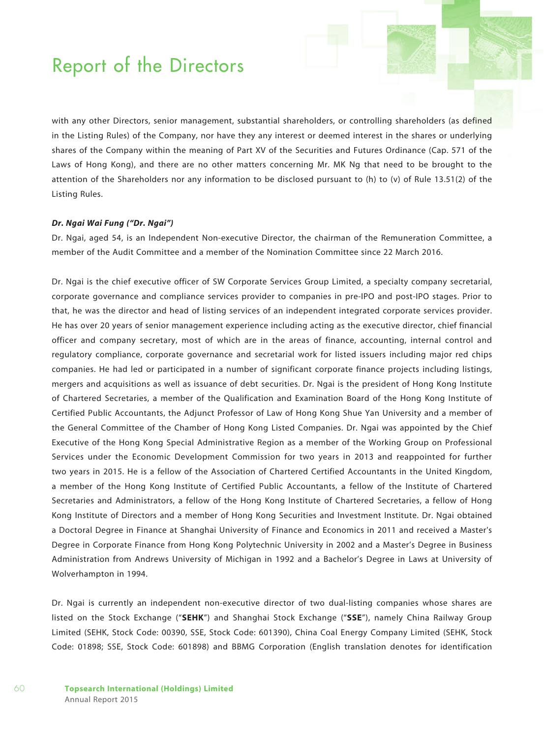with any other Directors, senior management, substantial shareholders, or controlling shareholders (as defined in the Listing Rules) of the Company, nor have they any interest or deemed interest in the shares or underlying shares of the Company within the meaning of Part XV of the Securities and Futures Ordinance (Cap. 571 of the Laws of Hong Kong), and there are no other matters concerning Mr. MK Ng that need to be brought to the attention of the Shareholders nor any information to be disclosed pursuant to (h) to (v) of Rule 13.51(2) of the Listing Rules.

#### *Dr. Ngai Wai Fung ("Dr. Ngai")*

Dr. Ngai, aged 54, is an Independent Non-executive Director, the chairman of the Remuneration Committee, a member of the Audit Committee and a member of the Nomination Committee since 22 March 2016.

Dr. Ngai is the chief executive officer of SW Corporate Services Group Limited, a specialty company secretarial, corporate governance and compliance services provider to companies in pre-IPO and post-IPO stages. Prior to that, he was the director and head of listing services of an independent integrated corporate services provider. He has over 20 years of senior management experience including acting as the executive director, chief financial officer and company secretary, most of which are in the areas of finance, accounting, internal control and regulatory compliance, corporate governance and secretarial work for listed issuers including major red chips companies. He had led or participated in a number of significant corporate finance projects including listings, mergers and acquisitions as well as issuance of debt securities. Dr. Ngai is the president of Hong Kong Institute of Chartered Secretaries, a member of the Qualification and Examination Board of the Hong Kong Institute of Certified Public Accountants, the Adjunct Professor of Law of Hong Kong Shue Yan University and a member of the General Committee of the Chamber of Hong Kong Listed Companies. Dr. Ngai was appointed by the Chief Executive of the Hong Kong Special Administrative Region as a member of the Working Group on Professional Services under the Economic Development Commission for two years in 2013 and reappointed for further two years in 2015. He is a fellow of the Association of Chartered Certified Accountants in the United Kingdom, a member of the Hong Kong Institute of Certified Public Accountants, a fellow of the Institute of Chartered Secretaries and Administrators, a fellow of the Hong Kong Institute of Chartered Secretaries, a fellow of Hong Kong Institute of Directors and a member of Hong Kong Securities and Investment Institute. Dr. Ngai obtained a Doctoral Degree in Finance at Shanghai University of Finance and Economics in 2011 and received a Master's Degree in Corporate Finance from Hong Kong Polytechnic University in 2002 and a Master's Degree in Business Administration from Andrews University of Michigan in 1992 and a Bachelor's Degree in Laws at University of Wolverhampton in 1994.

Dr. Ngai is currently an independent non-executive director of two dual-listing companies whose shares are listed on the Stock Exchange ("**SEHK**") and Shanghai Stock Exchange ("**SSE**"), namely China Railway Group Limited (SEHK, Stock Code: 00390, SSE, Stock Code: 601390), China Coal Energy Company Limited (SEHK, Stock Code: 01898; SSE, Stock Code: 601898) and BBMG Corporation (English translation denotes for identification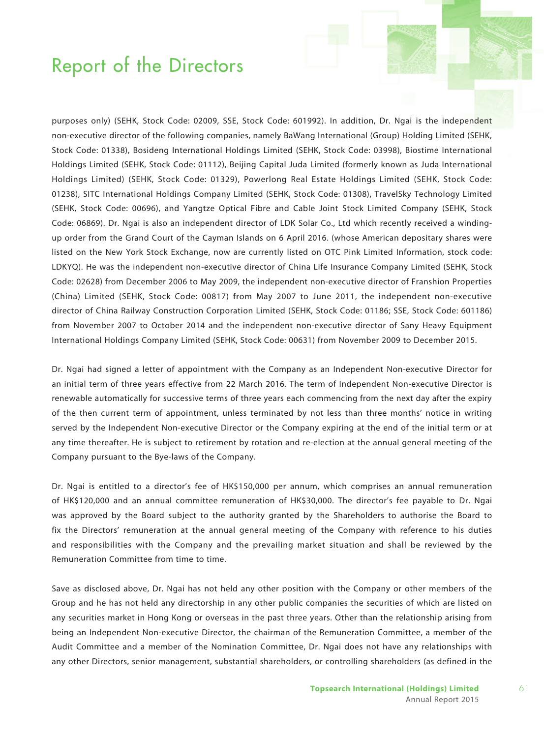purposes only) (SEHK, Stock Code: 02009, SSE, Stock Code: 601992). In addition, Dr. Ngai is the independent non-executive director of the following companies, namely BaWang International (Group) Holding Limited (SEHK, Stock Code: 01338), Bosideng International Holdings Limited (SEHK, Stock Code: 03998), Biostime International Holdings Limited (SEHK, Stock Code: 01112), Beijing Capital Juda Limited (formerly known as Juda International Holdings Limited) (SEHK, Stock Code: 01329), Powerlong Real Estate Holdings Limited (SEHK, Stock Code: 01238), SITC International Holdings Company Limited (SEHK, Stock Code: 01308), TravelSky Technology Limited (SEHK, Stock Code: 00696), and Yangtze Optical Fibre and Cable Joint Stock Limited Company (SEHK, Stock Code: 06869). Dr. Ngai is also an independent director of LDK Solar Co., Ltd which recently received a windingup order from the Grand Court of the Cayman Islands on 6 April 2016. (whose American depositary shares were listed on the New York Stock Exchange, now are currently listed on OTC Pink Limited Information, stock code: LDKYQ). He was the independent non-executive director of China Life Insurance Company Limited (SEHK, Stock Code: 02628) from December 2006 to May 2009, the independent non-executive director of Franshion Properties (China) Limited (SEHK, Stock Code: 00817) from May 2007 to June 2011, the independent non-executive director of China Railway Construction Corporation Limited (SEHK, Stock Code: 01186; SSE, Stock Code: 601186) from November 2007 to October 2014 and the independent non-executive director of Sany Heavy Equipment International Holdings Company Limited (SEHK, Stock Code: 00631) from November 2009 to December 2015.

Dr. Ngai had signed a letter of appointment with the Company as an Independent Non-executive Director for an initial term of three years effective from 22 March 2016. The term of Independent Non-executive Director is renewable automatically for successive terms of three years each commencing from the next day after the expiry of the then current term of appointment, unless terminated by not less than three months' notice in writing served by the Independent Non-executive Director or the Company expiring at the end of the initial term or at any time thereafter. He is subject to retirement by rotation and re-election at the annual general meeting of the Company pursuant to the Bye-laws of the Company.

Dr. Ngai is entitled to a director's fee of HK\$150,000 per annum, which comprises an annual remuneration of HK\$120,000 and an annual committee remuneration of HK\$30,000. The director's fee payable to Dr. Ngai was approved by the Board subject to the authority granted by the Shareholders to authorise the Board to fix the Directors' remuneration at the annual general meeting of the Company with reference to his duties and responsibilities with the Company and the prevailing market situation and shall be reviewed by the Remuneration Committee from time to time.

Save as disclosed above, Dr. Ngai has not held any other position with the Company or other members of the Group and he has not held any directorship in any other public companies the securities of which are listed on any securities market in Hong Kong or overseas in the past three years. Other than the relationship arising from being an Independent Non-executive Director, the chairman of the Remuneration Committee, a member of the Audit Committee and a member of the Nomination Committee, Dr. Ngai does not have any relationships with any other Directors, senior management, substantial shareholders, or controlling shareholders (as defined in the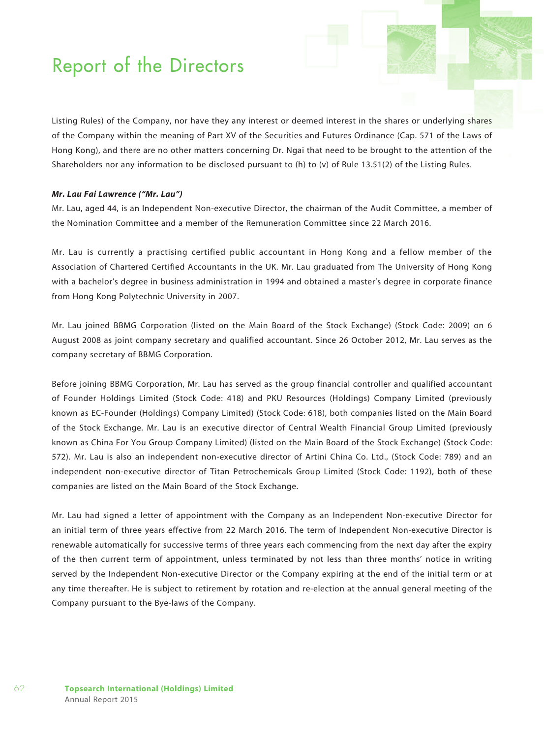Listing Rules) of the Company, nor have they any interest or deemed interest in the shares or underlying shares of the Company within the meaning of Part XV of the Securities and Futures Ordinance (Cap. 571 of the Laws of Hong Kong), and there are no other matters concerning Dr. Ngai that need to be brought to the attention of the Shareholders nor any information to be disclosed pursuant to (h) to (v) of Rule 13.51(2) of the Listing Rules.

#### *Mr. Lau Fai Lawrence ("Mr. Lau")*

Mr. Lau, aged 44, is an Independent Non-executive Director, the chairman of the Audit Committee, a member of the Nomination Committee and a member of the Remuneration Committee since 22 March 2016.

Mr. Lau is currently a practising certified public accountant in Hong Kong and a fellow member of the Association of Chartered Certified Accountants in the UK. Mr. Lau graduated from The University of Hong Kong with a bachelor's degree in business administration in 1994 and obtained a master's degree in corporate finance from Hong Kong Polytechnic University in 2007.

Mr. Lau joined BBMG Corporation (listed on the Main Board of the Stock Exchange) (Stock Code: 2009) on 6 August 2008 as joint company secretary and qualified accountant. Since 26 October 2012, Mr. Lau serves as the company secretary of BBMG Corporation.

Before joining BBMG Corporation, Mr. Lau has served as the group financial controller and qualified accountant of Founder Holdings Limited (Stock Code: 418) and PKU Resources (Holdings) Company Limited (previously known as EC-Founder (Holdings) Company Limited) (Stock Code: 618), both companies listed on the Main Board of the Stock Exchange. Mr. Lau is an executive director of Central Wealth Financial Group Limited (previously known as China For You Group Company Limited) (listed on the Main Board of the Stock Exchange) (Stock Code: 572). Mr. Lau is also an independent non-executive director of Artini China Co. Ltd., (Stock Code: 789) and an independent non-executive director of Titan Petrochemicals Group Limited (Stock Code: 1192), both of these companies are listed on the Main Board of the Stock Exchange.

Mr. Lau had signed a letter of appointment with the Company as an Independent Non-executive Director for an initial term of three years effective from 22 March 2016. The term of Independent Non-executive Director is renewable automatically for successive terms of three years each commencing from the next day after the expiry of the then current term of appointment, unless terminated by not less than three months' notice in writing served by the Independent Non-executive Director or the Company expiring at the end of the initial term or at any time thereafter. He is subject to retirement by rotation and re-election at the annual general meeting of the Company pursuant to the Bye-laws of the Company.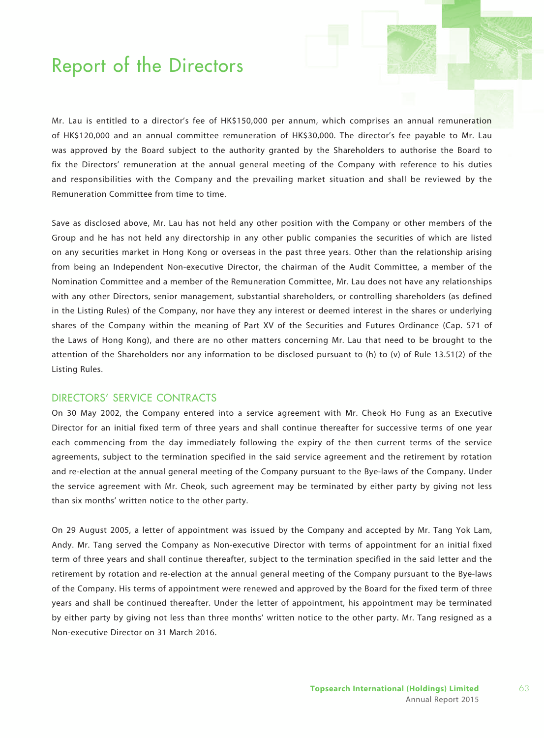Mr. Lau is entitled to a director's fee of HK\$150,000 per annum, which comprises an annual remuneration of HK\$120,000 and an annual committee remuneration of HK\$30,000. The director's fee payable to Mr. Lau was approved by the Board subject to the authority granted by the Shareholders to authorise the Board to fix the Directors' remuneration at the annual general meeting of the Company with reference to his duties and responsibilities with the Company and the prevailing market situation and shall be reviewed by the Remuneration Committee from time to time.

Save as disclosed above, Mr. Lau has not held any other position with the Company or other members of the Group and he has not held any directorship in any other public companies the securities of which are listed on any securities market in Hong Kong or overseas in the past three years. Other than the relationship arising from being an Independent Non-executive Director, the chairman of the Audit Committee, a member of the Nomination Committee and a member of the Remuneration Committee, Mr. Lau does not have any relationships with any other Directors, senior management, substantial shareholders, or controlling shareholders (as defined in the Listing Rules) of the Company, nor have they any interest or deemed interest in the shares or underlying shares of the Company within the meaning of Part XV of the Securities and Futures Ordinance (Cap. 571 of the Laws of Hong Kong), and there are no other matters concerning Mr. Lau that need to be brought to the attention of the Shareholders nor any information to be disclosed pursuant to (h) to (v) of Rule 13.51(2) of the Listing Rules.

### DIRECTORS' SERVICE CONTRACTS

On 30 May 2002, the Company entered into a service agreement with Mr. Cheok Ho Fung as an Executive Director for an initial fixed term of three years and shall continue thereafter for successive terms of one year each commencing from the day immediately following the expiry of the then current terms of the service agreements, subject to the termination specified in the said service agreement and the retirement by rotation and re-election at the annual general meeting of the Company pursuant to the Bye-laws of the Company. Under the service agreement with Mr. Cheok, such agreement may be terminated by either party by giving not less than six months' written notice to the other party.

On 29 August 2005, a letter of appointment was issued by the Company and accepted by Mr. Tang Yok Lam, Andy. Mr. Tang served the Company as Non-executive Director with terms of appointment for an initial fixed term of three years and shall continue thereafter, subject to the termination specified in the said letter and the retirement by rotation and re-election at the annual general meeting of the Company pursuant to the Bye-laws of the Company. His terms of appointment were renewed and approved by the Board for the fixed term of three years and shall be continued thereafter. Under the letter of appointment, his appointment may be terminated by either party by giving not less than three months' written notice to the other party. Mr. Tang resigned as a Non-executive Director on 31 March 2016.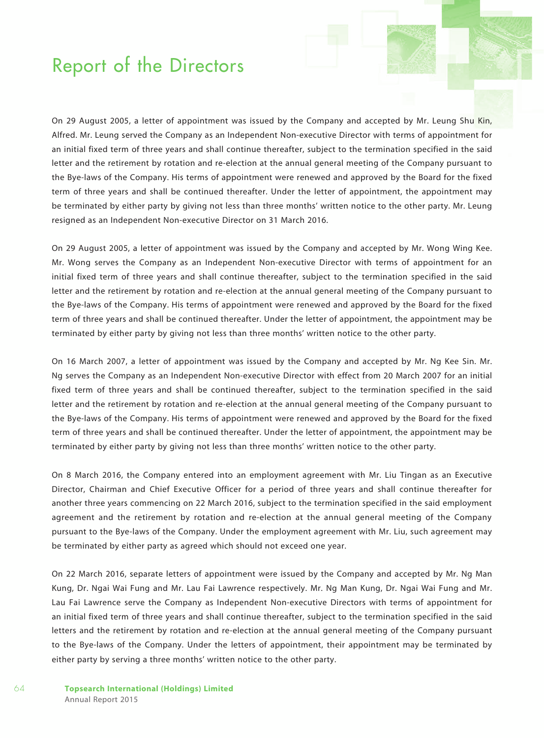On 29 August 2005, a letter of appointment was issued by the Company and accepted by Mr. Leung Shu Kin, Alfred. Mr. Leung served the Company as an Independent Non-executive Director with terms of appointment for an initial fixed term of three years and shall continue thereafter, subject to the termination specified in the said letter and the retirement by rotation and re-election at the annual general meeting of the Company pursuant to the Bye-laws of the Company. His terms of appointment were renewed and approved by the Board for the fixed term of three years and shall be continued thereafter. Under the letter of appointment, the appointment may be terminated by either party by giving not less than three months' written notice to the other party. Mr. Leung resigned as an Independent Non-executive Director on 31 March 2016.

On 29 August 2005, a letter of appointment was issued by the Company and accepted by Mr. Wong Wing Kee. Mr. Wong serves the Company as an Independent Non-executive Director with terms of appointment for an initial fixed term of three years and shall continue thereafter, subject to the termination specified in the said letter and the retirement by rotation and re-election at the annual general meeting of the Company pursuant to the Bye-laws of the Company. His terms of appointment were renewed and approved by the Board for the fixed term of three years and shall be continued thereafter. Under the letter of appointment, the appointment may be terminated by either party by giving not less than three months' written notice to the other party.

On 16 March 2007, a letter of appointment was issued by the Company and accepted by Mr. Ng Kee Sin. Mr. Ng serves the Company as an Independent Non-executive Director with effect from 20 March 2007 for an initial fixed term of three years and shall be continued thereafter, subject to the termination specified in the said letter and the retirement by rotation and re-election at the annual general meeting of the Company pursuant to the Bye-laws of the Company. His terms of appointment were renewed and approved by the Board for the fixed term of three years and shall be continued thereafter. Under the letter of appointment, the appointment may be terminated by either party by giving not less than three months' written notice to the other party.

On 8 March 2016, the Company entered into an employment agreement with Mr. Liu Tingan as an Executive Director, Chairman and Chief Executive Officer for a period of three years and shall continue thereafter for another three years commencing on 22 March 2016, subject to the termination specified in the said employment agreement and the retirement by rotation and re-election at the annual general meeting of the Company pursuant to the Bye-laws of the Company. Under the employment agreement with Mr. Liu, such agreement may be terminated by either party as agreed which should not exceed one year.

On 22 March 2016, separate letters of appointment were issued by the Company and accepted by Mr. Ng Man Kung, Dr. Ngai Wai Fung and Mr. Lau Fai Lawrence respectively. Mr. Ng Man Kung, Dr. Ngai Wai Fung and Mr. Lau Fai Lawrence serve the Company as Independent Non-executive Directors with terms of appointment for an initial fixed term of three years and shall continue thereafter, subject to the termination specified in the said letters and the retirement by rotation and re-election at the annual general meeting of the Company pursuant to the Bye-laws of the Company. Under the letters of appointment, their appointment may be terminated by either party by serving a three months' written notice to the other party.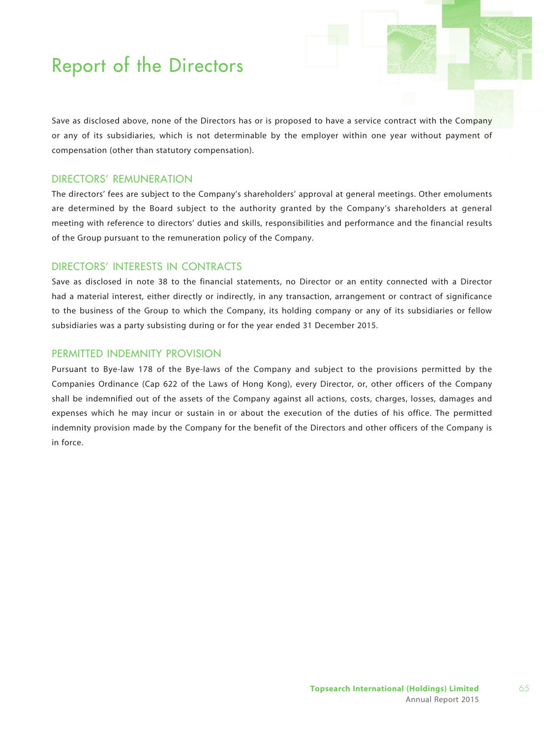Save as disclosed above, none of the Directors has or is proposed to have a service contract with the Company or any of its subsidiaries, which is not determinable by the employer within one year without payment of compensation (other than statutory compensation).

### Directors' Remuneration

The directors' fees are subject to the Company's shareholders' approval at general meetings. Other emoluments are determined by the Board subject to the authority granted by the Company's shareholders at general meeting with reference to directors' duties and skills, responsibilities and performance and the financial results of the Group pursuant to the remuneration policy of the Company.

## Directors' Interests in Contracts

Save as disclosed in note 38 to the financial statements, no Director or an entity connected with a Director had a material interest, either directly or indirectly, in any transaction, arrangement or contract of significance to the business of the Group to which the Company, its holding company or any of its subsidiaries or fellow subsidiaries was a party subsisting during or for the year ended 31 December 2015.

## PERMITTED INDEMNITY PROVISION

Pursuant to Bye-law 178 of the Bye-laws of the Company and subject to the provisions permitted by the Companies Ordinance (Cap 622 of the Laws of Hong Kong), every Director, or, other officers of the Company shall be indemnified out of the assets of the Company against all actions, costs, charges, losses, damages and expenses which he may incur or sustain in or about the execution of the duties of his office. The permitted indemnity provision made by the Company for the benefit of the Directors and other officers of the Company is in force.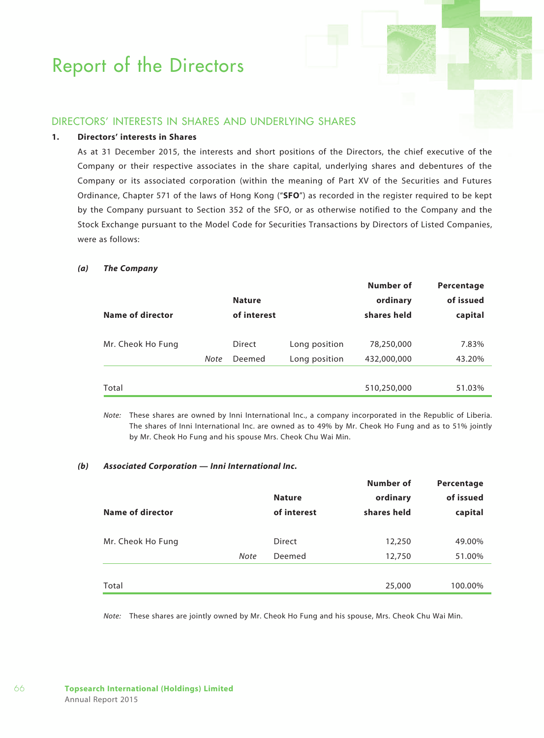## Directors' Interests in Shares and Underlying Shares

### **1. Directors' interests in Shares**

As at 31 December 2015, the interests and short positions of the Directors, the chief executive of the Company or their respective associates in the share capital, underlying shares and debentures of the Company or its associated corporation (within the meaning of Part XV of the Securities and Futures Ordinance, Chapter 571 of the laws of Hong Kong ("**SFO**") as recorded in the register required to be kept by the Company pursuant to Section 352 of the SFO, or as otherwise notified to the Company and the Stock Exchange pursuant to the Model Code for Securities Transactions by Directors of Listed Companies, were as follows:

#### *(a) The Company*

| Name of director  |      | <b>Nature</b><br>of interest |               | Number of<br>ordinary<br>shares held | Percentage<br>of issued<br>capital |
|-------------------|------|------------------------------|---------------|--------------------------------------|------------------------------------|
| Mr. Cheok Ho Fung |      | <b>Direct</b>                | Long position | 78,250,000                           | 7.83%                              |
|                   | Note | Deemed                       | Long position | 432,000,000                          | 43.20%                             |
| Total             |      |                              |               | 510,250,000                          | 51.03%                             |

*Note:* These shares are owned by Inni International Inc., a company incorporated in the Republic of Liberia. The shares of Inni International Inc. are owned as to 49% by Mr. Cheok Ho Fung and as to 51% jointly by Mr. Cheok Ho Fung and his spouse Mrs. Cheok Chu Wai Min.

### *(b) Associated Corporation — Inni International Inc.*

| Name of director  |             | <b>Nature</b><br>of interest | Number of<br>ordinary<br>shares held | Percentage<br>of issued<br>capital |
|-------------------|-------------|------------------------------|--------------------------------------|------------------------------------|
| Mr. Cheok Ho Fung |             | Direct                       | 12,250                               | 49.00%                             |
|                   | <b>Note</b> | Deemed                       | 12,750                               | 51.00%                             |
|                   |             |                              |                                      |                                    |
| Total             |             |                              | 25,000                               | 100.00%                            |

*Note:* These shares are jointly owned by Mr. Cheok Ho Fung and his spouse, Mrs. Cheok Chu Wai Min.

66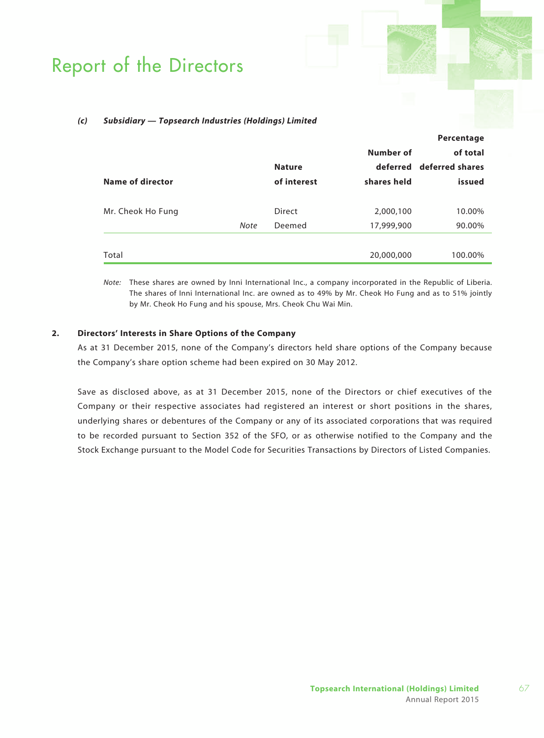#### *(c) Subsidiary — Topsearch Industries (Holdings) Limited*

|                   |      |               |             | Percentage               |
|-------------------|------|---------------|-------------|--------------------------|
|                   |      |               | Number of   | of total                 |
|                   |      | <b>Nature</b> |             | deferred deferred shares |
| Name of director  |      | of interest   | shares held | issued                   |
|                   |      |               |             |                          |
| Mr. Cheok Ho Fung |      | <b>Direct</b> | 2,000,100   | 10.00%                   |
|                   | Note | Deemed        | 17,999,900  | 90.00%                   |
|                   |      |               |             |                          |
| Total             |      |               | 20,000,000  | 100.00%                  |

*Note:* These shares are owned by Inni International Inc., a company incorporated in the Republic of Liberia. The shares of Inni International Inc. are owned as to 49% by Mr. Cheok Ho Fung and as to 51% jointly by Mr. Cheok Ho Fung and his spouse, Mrs. Cheok Chu Wai Min.

### **2. Directors' Interests in Share Options of the Company**

As at 31 December 2015, none of the Company's directors held share options of the Company because the Company's share option scheme had been expired on 30 May 2012.

Save as disclosed above, as at 31 December 2015, none of the Directors or chief executives of the Company or their respective associates had registered an interest or short positions in the shares, underlying shares or debentures of the Company or any of its associated corporations that was required to be recorded pursuant to Section 352 of the SFO, or as otherwise notified to the Company and the Stock Exchange pursuant to the Model Code for Securities Transactions by Directors of Listed Companies.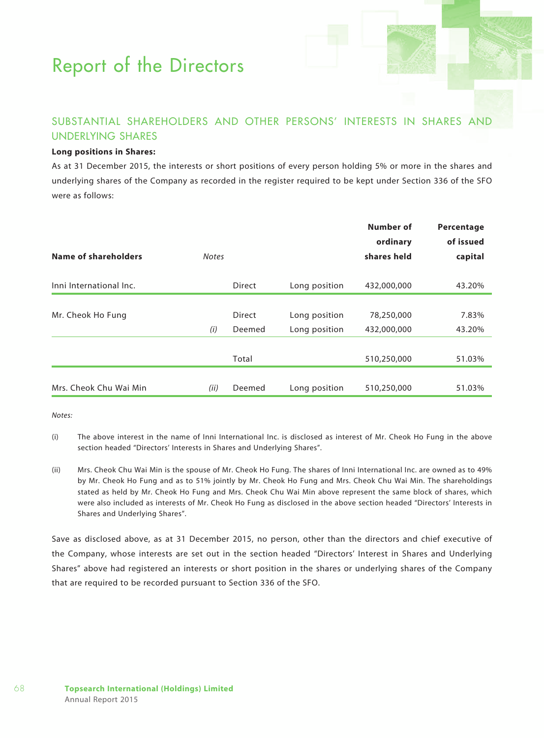## Substantial Shareholders and Other Persons' Interests in Shares and Underlying Shares

### **Long positions in Shares:**

As at 31 December 2015, the interests or short positions of every person holding 5% or more in the shares and underlying shares of the Company as recorded in the register required to be kept under Section 336 of the SFO were as follows:

| Name of shareholders    | <b>Notes</b> |               |               | Number of<br>ordinary<br>shares held | Percentage<br>of issued<br>capital |
|-------------------------|--------------|---------------|---------------|--------------------------------------|------------------------------------|
| Inni International Inc. |              | <b>Direct</b> | Long position | 432,000,000                          | 43.20%                             |
|                         |              |               |               |                                      |                                    |
| Mr. Cheok Ho Fung       |              | <b>Direct</b> | Long position | 78,250,000                           | 7.83%                              |
|                         | (i)          | Deemed        | Long position | 432,000,000                          | 43.20%                             |
|                         |              |               |               |                                      |                                    |
|                         |              | Total         |               | 510,250,000                          | 51.03%                             |
|                         |              |               |               |                                      |                                    |
| Mrs. Cheok Chu Wai Min  | (ii)         | Deemed        | Long position | 510,250,000                          | 51.03%                             |

*Notes:*

68

- (i) The above interest in the name of Inni International Inc. is disclosed as interest of Mr. Cheok Ho Fung in the above section headed "Directors' Interests in Shares and Underlying Shares".
- (ii) Mrs. Cheok Chu Wai Min is the spouse of Mr. Cheok Ho Fung. The shares of Inni International Inc. are owned as to 49% by Mr. Cheok Ho Fung and as to 51% jointly by Mr. Cheok Ho Fung and Mrs. Cheok Chu Wai Min. The shareholdings stated as held by Mr. Cheok Ho Fung and Mrs. Cheok Chu Wai Min above represent the same block of shares, which were also included as interests of Mr. Cheok Ho Fung as disclosed in the above section headed "Directors' Interests in Shares and Underlying Shares".

Save as disclosed above, as at 31 December 2015, no person, other than the directors and chief executive of the Company, whose interests are set out in the section headed "Directors' Interest in Shares and Underlying Shares" above had registered an interests or short position in the shares or underlying shares of the Company that are required to be recorded pursuant to Section 336 of the SFO.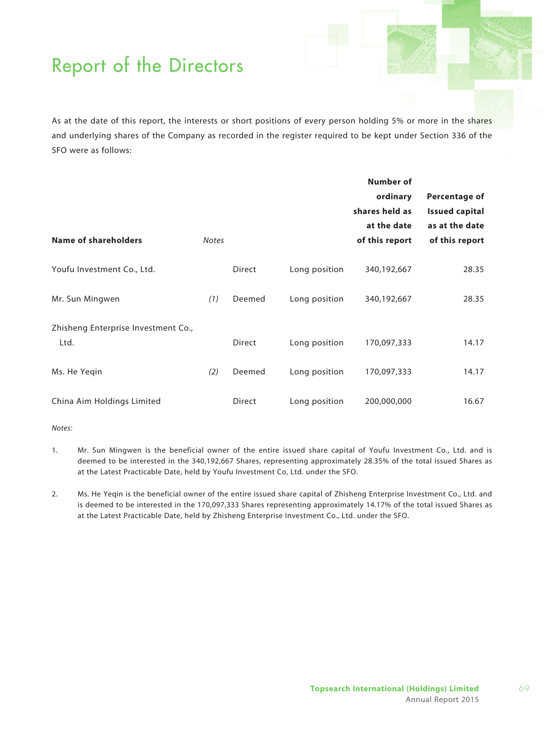As at the date of this report, the interests or short positions of every person holding 5% or more in the shares and underlying shares of the Company as recorded in the register required to be kept under Section 336 of the SFO were as follows:

| <b>Name of shareholders</b>                 | <b>Notes</b> |        |               | Number of<br>ordinary<br>shares held as<br>at the date<br>of this report | Percentage of<br><b>Issued capital</b><br>as at the date<br>of this report |
|---------------------------------------------|--------------|--------|---------------|--------------------------------------------------------------------------|----------------------------------------------------------------------------|
| Youfu Investment Co., Ltd.                  |              | Direct | Long position | 340,192,667                                                              | 28.35                                                                      |
| Mr. Sun Mingwen                             | (1)          | Deemed | Long position | 340,192,667                                                              | 28.35                                                                      |
| Zhisheng Enterprise Investment Co.,<br>Ltd. |              | Direct | Long position | 170,097,333                                                              | 14.17                                                                      |
| Ms. He Yegin                                | (2)          | Deemed | Long position | 170,097,333                                                              | 14.17                                                                      |
| China Aim Holdings Limited                  |              | Direct | Long position | 200,000,000                                                              | 16.67                                                                      |

*Notes:*

- 1. Mr. Sun Mingwen is the beneficial owner of the entire issued share capital of Youfu Investment Co., Ltd. and is deemed to be interested in the 340,192,667 Shares, representing approximately 28.35% of the total issued Shares as at the Latest Practicable Date, held by Youfu Investment Co, Ltd. under the SFO.
- 2. Ms. He Yeqin is the beneficial owner of the entire issued share capital of Zhisheng Enterprise Investment Co., Ltd. and is deemed to be interested in the 170,097,333 Shares representing approximately 14.17% of the total issued Shares as at the Latest Practicable Date, held by Zhisheng Enterprise Investment Co., Ltd. under the SFO.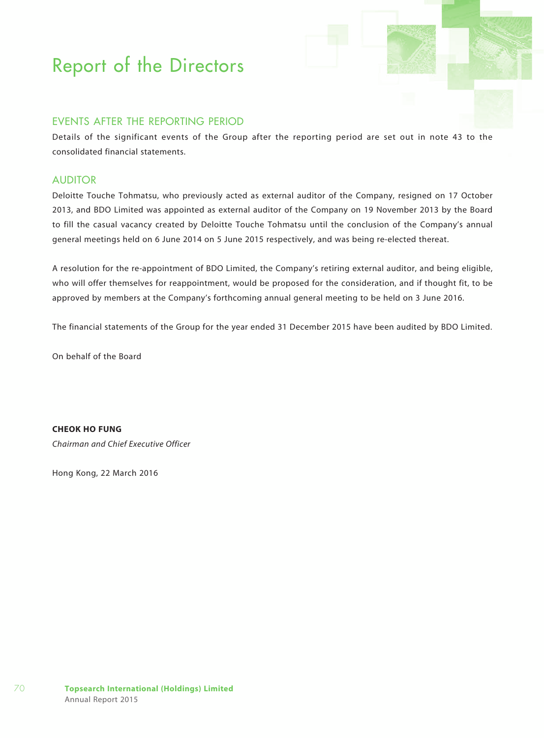## EVENTS AFTER THE REPORTING PERIOD

Details of the significant events of the Group after the reporting period are set out in note 43 to the consolidated financial statements.

### **AUDITOR**

Deloitte Touche Tohmatsu, who previously acted as external auditor of the Company, resigned on 17 October 2013, and BDO Limited was appointed as external auditor of the Company on 19 November 2013 by the Board to fill the casual vacancy created by Deloitte Touche Tohmatsu until the conclusion of the Company's annual general meetings held on 6 June 2014 on 5 June 2015 respectively, and was being re-elected thereat.

A resolution for the re-appointment of BDO Limited, the Company's retiring external auditor, and being eligible, who will offer themselves for reappointment, would be proposed for the consideration, and if thought fit, to be approved by members at the Company's forthcoming annual general meeting to be held on 3 June 2016.

The financial statements of the Group for the year ended 31 December 2015 have been audited by BDO Limited.

On behalf of the Board

**CHEOK HO FUNG**

*Chairman and Chief Executive Officer*

Hong Kong, 22 March 2016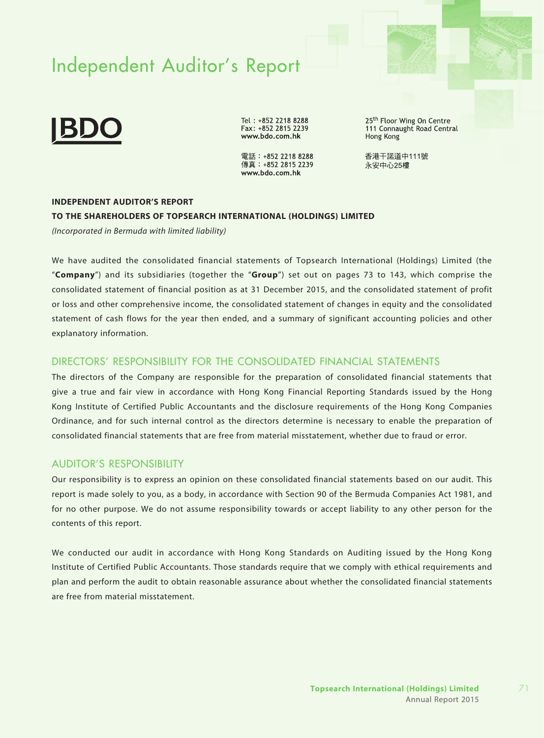# Independent Auditor's Report



Tel: +852 2218 8288 Fax: +852 2815 2239 www.bdo.com.hk

電話: +852 2218 8288 傳真: +852 2815 2239 www.bdo.com.hk

25<sup>th</sup> Floor Wing On Centre 111 Connaught Road Central Hong Kong

香港干諾道中111號 永安中心25樓

### **INDEPENDENT AUDITOR'S REPORT**

#### **TO THE SHAREHOLDERS OF TOPSEARCH INTERNATIONAL (HOLDINGS) LIMITED**

*(Incorporated in Bermuda with limited liability)*

We have audited the consolidated financial statements of Topsearch International (Holdings) Limited (the "**Company**") and its subsidiaries (together the "**Group**") set out on pages 73 to 143, which comprise the consolidated statement of financial position as at 31 December 2015, and the consolidated statement of profit or loss and other comprehensive income, the consolidated statement of changes in equity and the consolidated statement of cash flows for the year then ended, and a summary of significant accounting policies and other explanatory information.

### DIRECTORS' RESPONSIBILITY FOR THE CONSOLIDATED FINANCIAL STATEMENTS

The directors of the Company are responsible for the preparation of consolidated financial statements that give a true and fair view in accordance with Hong Kong Financial Reporting Standards issued by the Hong Kong Institute of Certified Public Accountants and the disclosure requirements of the Hong Kong Companies Ordinance, and for such internal control as the directors determine is necessary to enable the preparation of consolidated financial statements that are free from material misstatement, whether due to fraud or error.

### AUDITOR'S RESPONSIBILITY

Our responsibility is to express an opinion on these consolidated financial statements based on our audit. This report is made solely to you, as a body, in accordance with Section 90 of the Bermuda Companies Act 1981, and for no other purpose. We do not assume responsibility towards or accept liability to any other person for the contents of this report.

We conducted our audit in accordance with Hong Kong Standards on Auditing issued by the Hong Kong Institute of Certified Public Accountants. Those standards require that we comply with ethical requirements and plan and perform the audit to obtain reasonable assurance about whether the consolidated financial statements are free from material misstatement.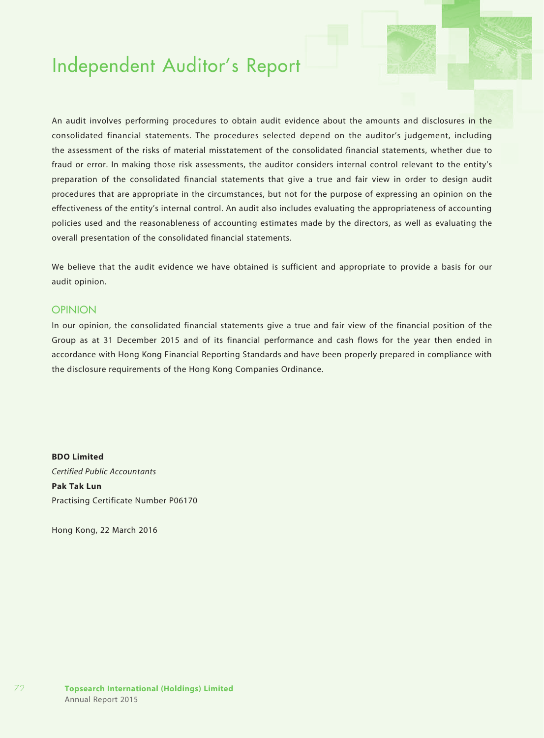## Independent Auditor's Report

An audit involves performing procedures to obtain audit evidence about the amounts and disclosures in the consolidated financial statements. The procedures selected depend on the auditor's judgement, including the assessment of the risks of material misstatement of the consolidated financial statements, whether due to fraud or error. In making those risk assessments, the auditor considers internal control relevant to the entity's preparation of the consolidated financial statements that give a true and fair view in order to design audit procedures that are appropriate in the circumstances, but not for the purpose of expressing an opinion on the effectiveness of the entity's internal control. An audit also includes evaluating the appropriateness of accounting policies used and the reasonableness of accounting estimates made by the directors, as well as evaluating the overall presentation of the consolidated financial statements.

We believe that the audit evidence we have obtained is sufficient and appropriate to provide a basis for our audit opinion.

#### **OPINION**

In our opinion, the consolidated financial statements give a true and fair view of the financial position of the Group as at 31 December 2015 and of its financial performance and cash flows for the year then ended in accordance with Hong Kong Financial Reporting Standards and have been properly prepared in compliance with the disclosure requirements of the Hong Kong Companies Ordinance.

**BDO Limited**  *Certified Public Accountants*  **Pak Tak Lun** Practising Certificate Number P06170

Hong Kong, 22 March 2016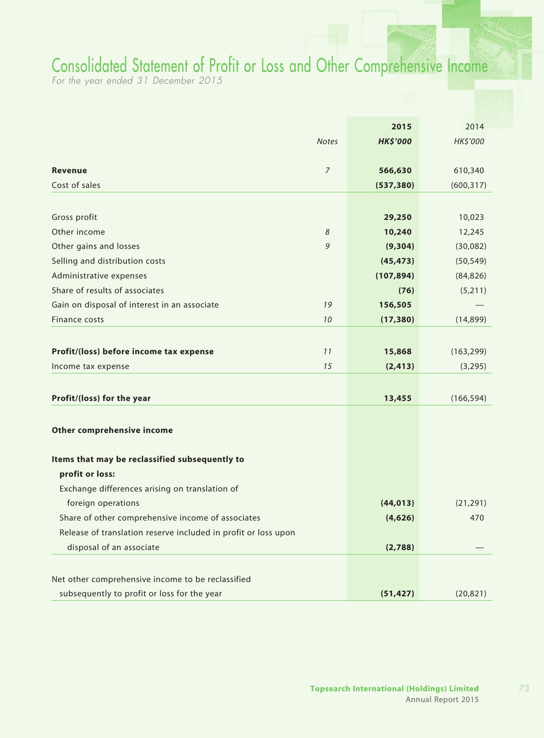## Consolidated Statement of Profit or Loss and Other Comprehensive Income

*For the year ended 31 December 2015*

|                                                                |                | 2015            | 2014       |
|----------------------------------------------------------------|----------------|-----------------|------------|
|                                                                | <b>Notes</b>   | <b>HK\$'000</b> | HK\$'000   |
|                                                                |                |                 |            |
| <b>Revenue</b>                                                 | $\overline{7}$ | 566,630         | 610,340    |
| Cost of sales                                                  |                | (537, 380)      | (600, 317) |
|                                                                |                |                 |            |
| Gross profit                                                   |                | 29,250          | 10,023     |
| Other income                                                   | 8              | 10,240          | 12,245     |
| Other gains and losses                                         | 9              | (9,304)         | (30,082)   |
| Selling and distribution costs                                 |                | (45, 473)       | (50, 549)  |
| Administrative expenses                                        |                | (107, 894)      | (84, 826)  |
| Share of results of associates                                 |                | (76)            | (5,211)    |
| Gain on disposal of interest in an associate                   | 19             | 156,505         |            |
| Finance costs                                                  | 10             | (17, 380)       | (14, 899)  |
|                                                                |                |                 |            |
| Profit/(loss) before income tax expense                        | 11             | 15,868          | (163, 299) |
| Income tax expense                                             | 15             | (2, 413)        | (3, 295)   |
|                                                                |                |                 |            |
| Profit/(loss) for the year                                     |                | 13,455          | (166, 594) |
|                                                                |                |                 |            |
| Other comprehensive income                                     |                |                 |            |
| Items that may be reclassified subsequently to                 |                |                 |            |
| profit or loss:                                                |                |                 |            |
| Exchange differences arising on translation of                 |                |                 |            |
| foreign operations                                             |                | (44, 013)       | (21, 291)  |
| Share of other comprehensive income of associates              |                | (4,626)         | 470        |
| Release of translation reserve included in profit or loss upon |                |                 |            |
| disposal of an associate                                       |                | (2,788)         |            |
|                                                                |                |                 |            |
| Net other comprehensive income to be reclassified              |                |                 |            |
| subsequently to profit or loss for the year                    |                | (51, 427)       | (20, 821)  |
|                                                                |                |                 |            |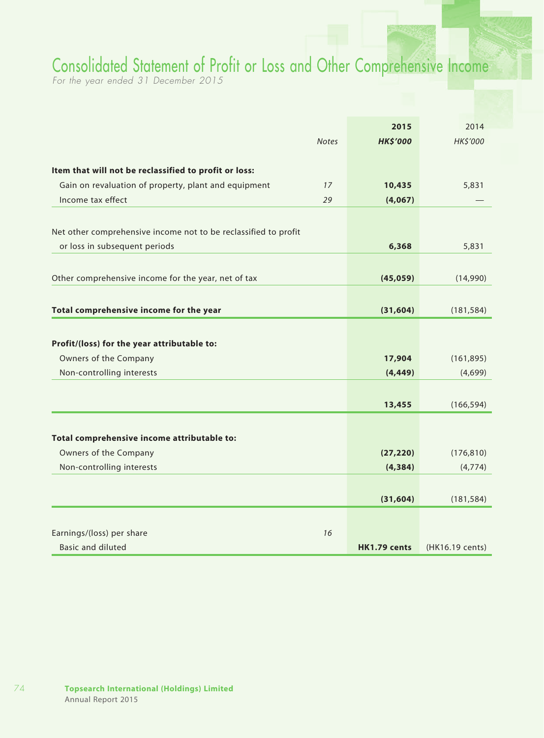## Consolidated Statement of Profit or Loss and Other Comprehensive Income

*For the year ended 31 December 2015*

|                                                                 |              | 2015            | 2014            |
|-----------------------------------------------------------------|--------------|-----------------|-----------------|
|                                                                 | <b>Notes</b> | <b>HK\$'000</b> | HK\$'000        |
|                                                                 |              |                 |                 |
| Item that will not be reclassified to profit or loss:           |              |                 |                 |
| Gain on revaluation of property, plant and equipment            | 17           | 10,435          | 5,831           |
| Income tax effect                                               | 29           | (4,067)         |                 |
|                                                                 |              |                 |                 |
| Net other comprehensive income not to be reclassified to profit |              |                 |                 |
| or loss in subsequent periods                                   |              | 6,368           | 5,831           |
|                                                                 |              |                 |                 |
| Other comprehensive income for the year, net of tax             |              | (45,059)        | (14,990)        |
|                                                                 |              |                 |                 |
| Total comprehensive income for the year                         |              | (31, 604)       | (181, 584)      |
|                                                                 |              |                 |                 |
| Profit/(loss) for the year attributable to:                     |              |                 |                 |
| Owners of the Company                                           |              | 17,904          | (161, 895)      |
| Non-controlling interests                                       |              | (4, 449)        | (4,699)         |
|                                                                 |              |                 |                 |
|                                                                 |              | 13,455          | (166, 594)      |
| Total comprehensive income attributable to:                     |              |                 |                 |
| Owners of the Company                                           |              | (27, 220)       | (176, 810)      |
| Non-controlling interests                                       |              | (4, 384)        | (4,774)         |
|                                                                 |              |                 |                 |
|                                                                 |              | (31, 604)       | (181, 584)      |
|                                                                 |              |                 |                 |
| Earnings/(loss) per share                                       | 16           |                 |                 |
| <b>Basic and diluted</b>                                        |              | HK1.79 cents    | (HK16.19 cents) |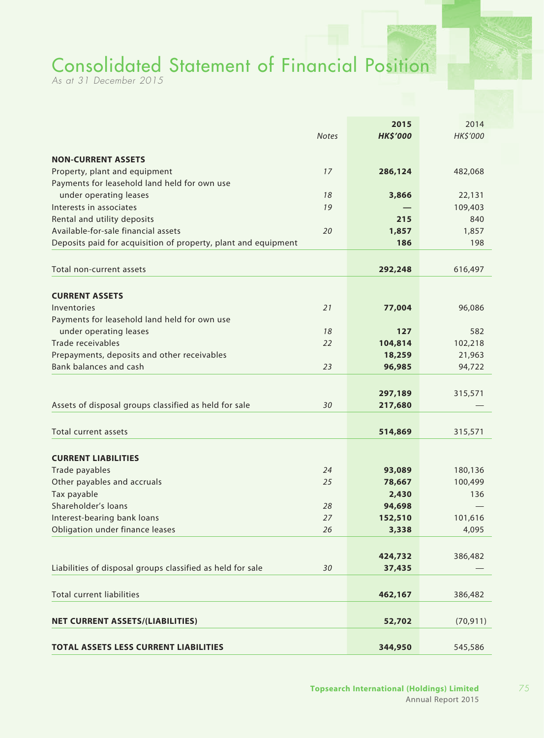# Consolidated Statement of Financial Position

*As at 31 December 2015*

|                                                                |              | 2015               | 2014      |
|----------------------------------------------------------------|--------------|--------------------|-----------|
|                                                                | <b>Notes</b> | <b>HK\$'000</b>    | HK\$'000  |
| <b>NON-CURRENT ASSETS</b>                                      |              |                    |           |
| Property, plant and equipment                                  | 17           | 286,124            | 482,068   |
| Payments for leasehold land held for own use                   |              |                    |           |
| under operating leases                                         | 18           | 3,866              | 22,131    |
| Interests in associates                                        | 19           |                    | 109,403   |
| Rental and utility deposits                                    |              | 215                | 840       |
| Available-for-sale financial assets                            | 20           | 1,857              | 1,857     |
| Deposits paid for acquisition of property, plant and equipment |              | 186                | 198       |
| Total non-current assets                                       |              | 292,248            | 616,497   |
|                                                                |              |                    |           |
| <b>CURRENT ASSETS</b>                                          |              |                    |           |
| Inventories                                                    | 21           | 77,004             | 96,086    |
| Payments for leasehold land held for own use                   |              |                    |           |
| under operating leases                                         | 18           | 127                | 582       |
| Trade receivables                                              | 22           | 104,814            | 102,218   |
| Prepayments, deposits and other receivables                    |              | 18,259             | 21,963    |
| Bank balances and cash                                         | 23           | 96,985             | 94,722    |
|                                                                |              |                    |           |
| Assets of disposal groups classified as held for sale          | 30           | 297,189<br>217,680 | 315,571   |
|                                                                |              |                    |           |
| Total current assets                                           |              | 514,869            | 315,571   |
| <b>CURRENT LIABILITIES</b>                                     |              |                    |           |
| Trade payables                                                 | 24           | 93,089             | 180,136   |
| Other payables and accruals                                    | 25           | 78,667             | 100,499   |
| Tax payable                                                    |              | 2,430              | 136       |
| Shareholder's loans                                            | 28           | 94,698             |           |
| Interest-bearing bank loans                                    | 27           | 152,510            | 101,616   |
| Obligation under finance leases                                | 26           | 3,338              | 4,095     |
|                                                                |              |                    |           |
|                                                                |              | 424,732            | 386,482   |
| Liabilities of disposal groups classified as held for sale     | 30           | 37,435             |           |
| <b>Total current liabilities</b>                               |              | 462,167            | 386,482   |
|                                                                |              |                    |           |
| <b>NET CURRENT ASSETS/(LIABILITIES)</b>                        |              | 52,702             | (70, 911) |
| <b>TOTAL ASSETS LESS CURRENT LIABILITIES</b>                   |              | 344,950            | 545,586   |
|                                                                |              |                    |           |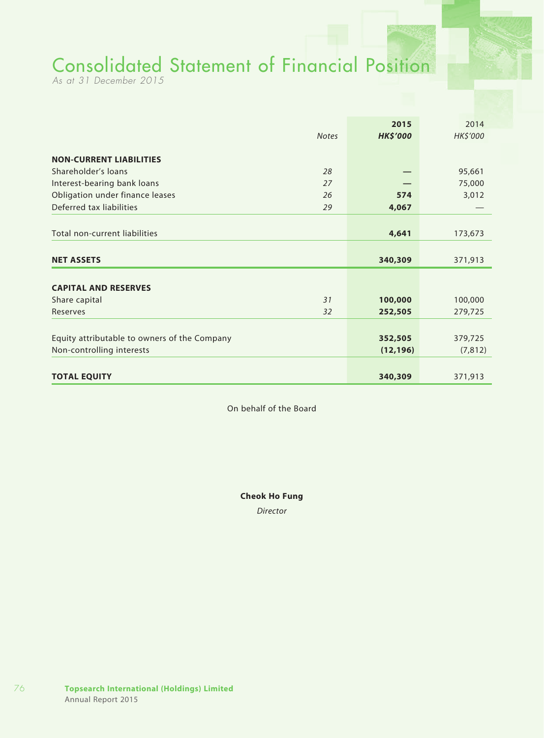# Consolidated Statement of Financial Position

*As at 31 December 2015*

|              | 2015            | 2014                          |
|--------------|-----------------|-------------------------------|
| <b>Notes</b> | <b>HK\$'000</b> | HK\$'000                      |
|              |                 |                               |
|              |                 |                               |
| 28           |                 | 95,661                        |
| 27           |                 | 75,000                        |
| 26           | 574             | 3,012                         |
| 29           | 4,067           |                               |
|              |                 |                               |
|              | 4,641           | 173,673                       |
|              |                 |                               |
|              | 340,309         | 371,913                       |
|              |                 |                               |
|              |                 |                               |
|              |                 | 100,000                       |
|              |                 | 279,725                       |
|              |                 |                               |
|              |                 | 379,725                       |
|              | (12, 196)       | (7, 812)                      |
|              |                 |                               |
|              | 340,309         | 371,913                       |
|              | 31<br>32        | 100,000<br>252,505<br>352,505 |

On behalf of the Board

**Cheok Ho Fung**

*Director*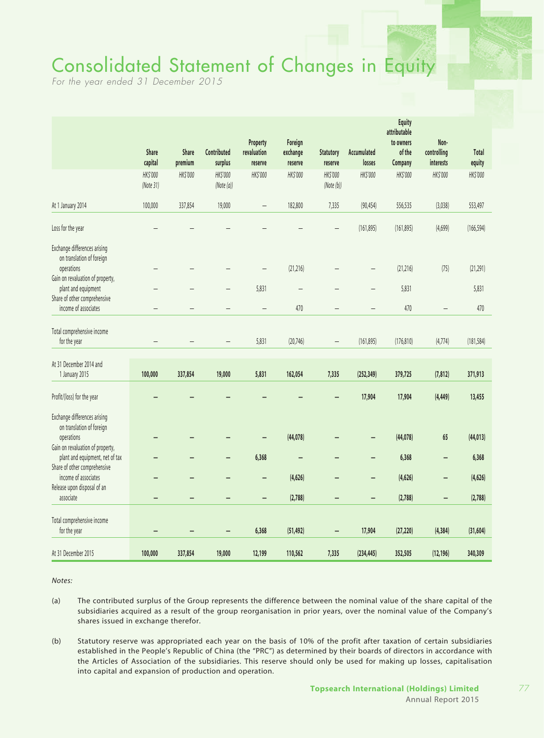# Consolidated Statement of Changes in Equity

*For the year ended 31 December 2015*

|                                                                 | <b>Share</b><br>capital | <b>Share</b><br>premium | Contributed<br>surplus | Property<br>revaluation<br>reserve | Foreign<br>exchange<br>reserve | <b>Statutory</b><br>reserve | Accumulated<br>losses    | <b>Equity</b><br>attributable<br>to owners<br>of the<br>Company | Non-<br>controlling<br>interests | Total<br>equity |
|-----------------------------------------------------------------|-------------------------|-------------------------|------------------------|------------------------------------|--------------------------------|-----------------------------|--------------------------|-----------------------------------------------------------------|----------------------------------|-----------------|
|                                                                 | HK\$'000<br>(Note 31)   | HK\$'000                | HK\$'000<br>(Note(a)]  | HK\$'000                           | HK\$'000                       | HK\$'000<br>(Note(b))       | HK\$'000                 | HK\$'000                                                        | HK\$'000                         | HK\$'000        |
| At 1 January 2014                                               | 100,000                 | 337,854                 | 19,000                 |                                    | 182,800                        | 7,335                       | (90, 454)                | 556,535                                                         | (3,038)                          | 553,497         |
| Loss for the year                                               |                         |                         |                        |                                    |                                |                             | (161, 895)               | (161, 895)                                                      | (4,699)                          | (166, 594)      |
| Exchange differences arising<br>on translation of foreign       |                         |                         |                        |                                    |                                |                             |                          |                                                                 |                                  |                 |
| operations<br>Gain on revaluation of property,                  |                         |                         |                        | $\overline{\phantom{0}}$           | (21, 216)                      |                             | $\overline{\phantom{0}}$ | (21, 216)                                                       | (75)                             | (21, 291)       |
| plant and equipment                                             |                         |                         |                        | 5,831                              | $\overline{\phantom{0}}$       |                             | $\overline{\phantom{0}}$ | 5,831                                                           |                                  | 5,831           |
| Share of other comprehensive<br>income of associates            |                         |                         |                        |                                    | 470                            |                             |                          | 470                                                             | $\overline{\phantom{0}}$         | 470             |
| Total comprehensive income<br>for the year                      |                         |                         |                        | 5,831                              | (20, 746)                      | $\overline{\phantom{0}}$    | (161, 895)               | (176, 810)                                                      | (4,774)                          | (181, 584)      |
| At 31 December 2014 and<br>1 January 2015                       | 100,000                 | 337,854                 | 19,000                 | 5,831                              | 162,054                        | 7,335                       | (252, 349)               | 379,725                                                         | (7, 812)                         | 371,913         |
| Profit/(loss) for the year                                      |                         |                         |                        |                                    |                                |                             | 17,904                   | 17,904                                                          | (4, 449)                         | 13,455          |
| Exchange differences arising<br>on translation of foreign       |                         |                         |                        |                                    |                                |                             |                          |                                                                 |                                  |                 |
| operations<br>Gain on revaluation of property,                  |                         |                         |                        |                                    | (44, 078)                      |                             |                          | (44, 078)                                                       | 65                               | (44, 013)       |
| plant and equipment, net of tax<br>Share of other comprehensive |                         |                         | -                      | 6,368                              | $\overline{\phantom{0}}$       |                             | -                        | 6,368                                                           | $\overline{\phantom{0}}$         | 6,368           |
| income of associates                                            |                         |                         | -                      | -                                  | (4,626)                        |                             | -                        | (4,626)                                                         | -                                | (4,626)         |
| Release upon disposal of an<br>associate                        |                         |                         | -                      | -                                  | (2,788)                        | -                           | -                        | (2,788)                                                         | -                                | (2,788)         |
| Total comprehensive income<br>for the year                      |                         |                         |                        | 6,368                              | (51, 492)                      |                             | 17,904                   | (27, 220)                                                       | (4, 384)                         | (31, 604)       |
| At 31 December 2015                                             | 100,000                 | 337,854                 | 19,000                 | 12,199                             | 110,562                        | 7,335                       | (234, 445)               | 352,505                                                         | (12, 196)                        | 340,309         |

*Notes:*

- (a) The contributed surplus of the Group represents the difference between the nominal value of the share capital of the subsidiaries acquired as a result of the group reorganisation in prior years, over the nominal value of the Company's shares issued in exchange therefor.
- (b) Statutory reserve was appropriated each year on the basis of 10% of the profit after taxation of certain subsidiaries established in the People's Republic of China (the "PRC") as determined by their boards of directors in accordance with the Articles of Association of the subsidiaries. This reserve should only be used for making up losses, capitalisation into capital and expansion of production and operation.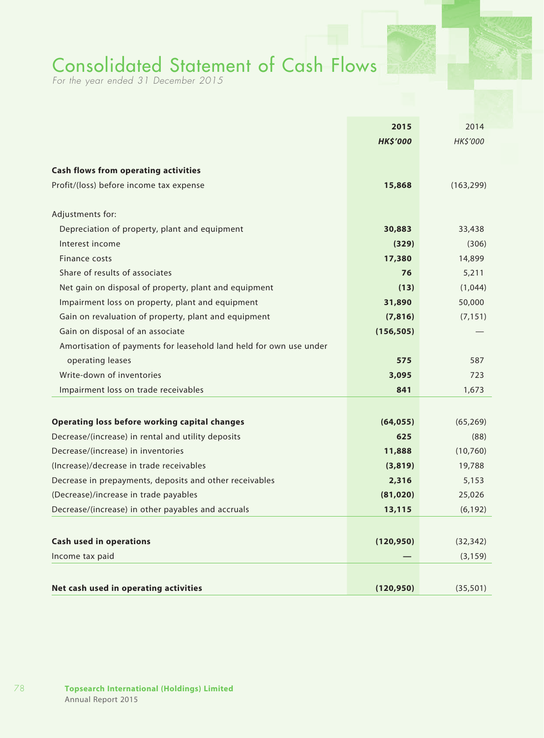## Consolidated Statement of Cash Flows

*For the year ended 31 December 2015*

|                                                                                          | 2015             | 2014              |
|------------------------------------------------------------------------------------------|------------------|-------------------|
|                                                                                          | <b>HK\$'000</b>  | HK\$'000          |
|                                                                                          |                  |                   |
| <b>Cash flows from operating activities</b>                                              |                  |                   |
| Profit/(loss) before income tax expense                                                  | 15,868           | (163, 299)        |
| Adjustments for:                                                                         |                  |                   |
| Depreciation of property, plant and equipment                                            | 30,883           | 33,438            |
| Interest income                                                                          | (329)            | (306)             |
| Finance costs                                                                            | 17,380           | 14,899            |
| Share of results of associates                                                           | 76               | 5,211             |
| Net gain on disposal of property, plant and equipment                                    | (13)             | (1,044)           |
| Impairment loss on property, plant and equipment                                         | 31,890           | 50,000            |
| Gain on revaluation of property, plant and equipment                                     | (7, 816)         | (7, 151)          |
| Gain on disposal of an associate                                                         | (156, 505)       |                   |
| Amortisation of payments for leasehold land held for own use under                       |                  |                   |
| operating leases                                                                         | 575              | 587               |
| Write-down of inventories                                                                | 3,095            | 723               |
| Impairment loss on trade receivables                                                     | 841              | 1,673             |
|                                                                                          |                  |                   |
| <b>Operating loss before working capital changes</b>                                     | (64, 055)<br>625 | (65, 269)<br>(88) |
| Decrease/(increase) in rental and utility deposits<br>Decrease/(increase) in inventories |                  | (10, 760)         |
| (Increase)/decrease in trade receivables                                                 | 11,888           |                   |
| Decrease in prepayments, deposits and other receivables                                  | (3,819)          | 19,788            |
|                                                                                          | 2,316            | 5,153             |
| (Decrease)/increase in trade payables                                                    | (81, 020)        | 25,026            |
| Decrease/(increase) in other payables and accruals                                       | 13,115           | (6, 192)          |
| <b>Cash used in operations</b>                                                           | (120, 950)       | (32, 342)         |
| Income tax paid                                                                          |                  | (3, 159)          |
|                                                                                          |                  |                   |
| Net cash used in operating activities                                                    | (120, 950)       | (35, 501)         |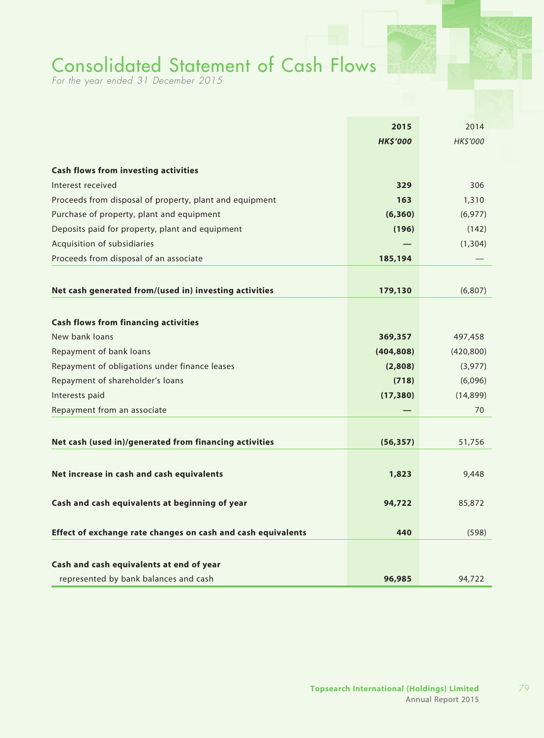## Consolidated Statement of Cash Flows

*For the year ended 31 December 2015*

|                                                              | 2015            | 2014            |
|--------------------------------------------------------------|-----------------|-----------------|
|                                                              | <b>HK\$'000</b> | <b>HK\$'000</b> |
|                                                              |                 |                 |
| <b>Cash flows from investing activities</b>                  |                 |                 |
| Interest received                                            | 329             | 306             |
| Proceeds from disposal of property, plant and equipment      | 163             | 1,310           |
| Purchase of property, plant and equipment                    | (6,360)         | (6, 977)        |
| Deposits paid for property, plant and equipment              | (196)           | (142)           |
| Acquisition of subsidiaries                                  |                 | (1,304)         |
| Proceeds from disposal of an associate                       | 185,194         |                 |
|                                                              |                 |                 |
| Net cash generated from/(used in) investing activities       | 179,130         | (6, 807)        |
|                                                              |                 |                 |
|                                                              |                 |                 |
| <b>Cash flows from financing activities</b>                  |                 |                 |
| New bank loans                                               | 369,357         | 497,458         |
| Repayment of bank loans                                      | (404, 808)      | (420, 800)      |
| Repayment of obligations under finance leases                | (2,808)         | (3,977)         |
| Repayment of shareholder's loans                             | (718)           | (6,096)         |
| Interests paid                                               | (17, 380)       | (14, 899)       |
| Repayment from an associate                                  |                 | 70              |
|                                                              |                 |                 |
| Net cash (used in)/generated from financing activities       | (56, 357)       | 51,756          |
|                                                              |                 |                 |
| Net increase in cash and cash equivalents                    | 1,823           | 9,448           |
|                                                              |                 |                 |
| Cash and cash equivalents at beginning of year               | 94,722          | 85,872          |
|                                                              |                 |                 |
| Effect of exchange rate changes on cash and cash equivalents | 440             | (598)           |
|                                                              |                 |                 |
| Cash and cash equivalents at end of year                     |                 |                 |
| represented by bank balances and cash                        | 96,985          | 94,722          |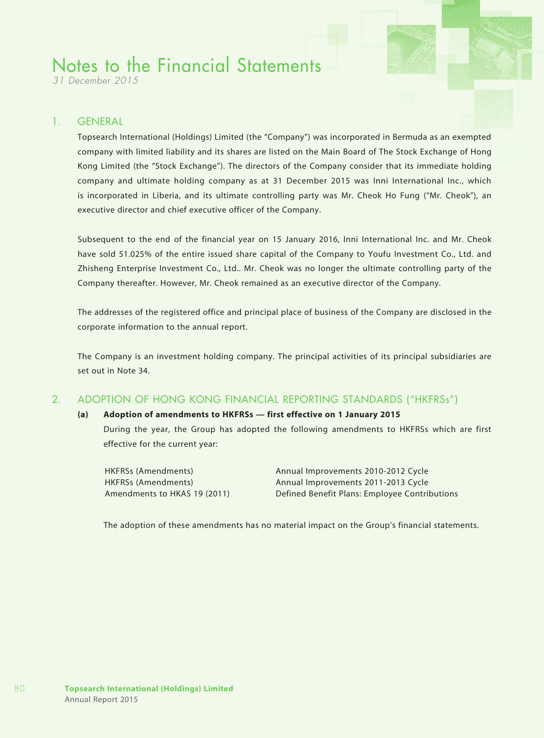*31 December 2015*

### 1. GENERAL

Topsearch International (Holdings) Limited (the "Company") was incorporated in Bermuda as an exempted company with limited liability and its shares are listed on the Main Board of The Stock Exchange of Hong Kong Limited (the "Stock Exchange"). The directors of the Company consider that its immediate holding company and ultimate holding company as at 31 December 2015 was Inni International Inc., which is incorporated in Liberia, and its ultimate controlling party was Mr. Cheok Ho Fung ("Mr. Cheok"), an executive director and chief executive officer of the Company.

Subsequent to the end of the financial year on 15 January 2016, Inni International Inc. and Mr. Cheok have sold 51.025% of the entire issued share capital of the Company to Youfu Investment Co., Ltd. and Zhisheng Enterprise Investment Co., Ltd.. Mr. Cheok was no longer the ultimate controlling party of the Company thereafter. However, Mr. Cheok remained as an executive director of the Company.

The addresses of the registered office and principal place of business of the Company are disclosed in the corporate information to the annual report.

The Company is an investment holding company. The principal activities of its principal subsidiaries are set out in Note 34.

### 2. ADOPTION OF HONG KONG FINANCIAL REPORTING STANDARDS ("HKFRSs")

#### **(a) Adoption of amendments to HKFRSs — first effective on 1 January 2015**

During the year, the Group has adopted the following amendments to HKFRSs which are first effective for the current year:

HKFRSs (Amendments) Annual Improvements 2010-2012 Cycle HKFRSs (Amendments) Annual Improvements 2011-2013 Cycle Amendments to HKAS 19 (2011) Defined Benefit Plans: Employee Contributions

The adoption of these amendments has no material impact on the Group's financial statements.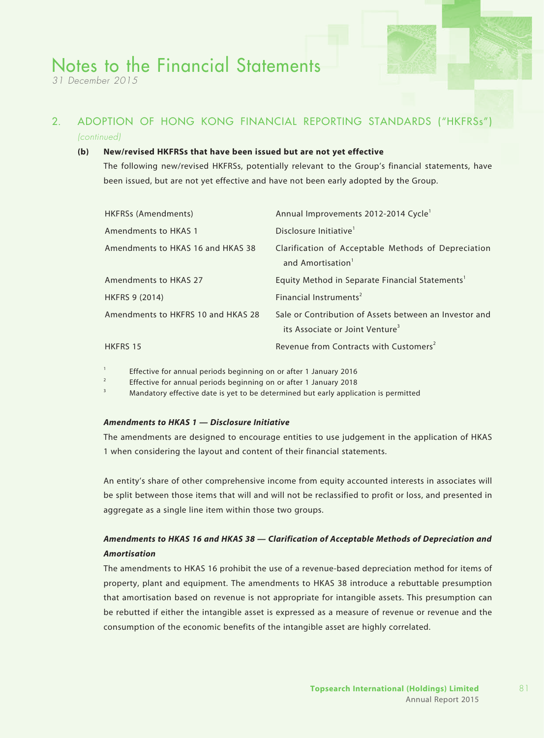*31 December 2015*

### 2. ADOPTION OF HONG KONG FINANCIAL REPORTING STANDARDS ("HKFRSs") *(continued)*

#### **(b) New/revised HKFRSs that have been issued but are not yet effective**

The following new/revised HKFRSs, potentially relevant to the Group's financial statements, have been issued, but are not yet effective and have not been early adopted by the Group.

| HKFRSs (Amendments)                | Annual Improvements 2012-2014 Cycle <sup>1</sup>                                                      |
|------------------------------------|-------------------------------------------------------------------------------------------------------|
| Amendments to HKAS 1               | Disclosure Initiative <sup>1</sup>                                                                    |
| Amendments to HKAS 16 and HKAS 38  | Clarification of Acceptable Methods of Depreciation<br>and Amortisation <sup>1</sup>                  |
| Amendments to HKAS 27              | Equity Method in Separate Financial Statements <sup>1</sup>                                           |
| <b>HKFRS 9 (2014)</b>              | Financial Instruments <sup>2</sup>                                                                    |
| Amendments to HKFRS 10 and HKAS 28 | Sale or Contribution of Assets between an Investor and<br>its Associate or Joint Venture <sup>3</sup> |
| <b>HKFRS 15</b>                    | Revenue from Contracts with Customers <sup>2</sup>                                                    |

<sup>1</sup> Effective for annual periods beginning on or after 1 January 2016

<sup>2</sup> Effective for annual periods beginning on or after 1 January 2018

Mandatory effective date is yet to be determined but early application is permitted

#### *Amendments to HKAS 1 — Disclosure Initiative*

The amendments are designed to encourage entities to use judgement in the application of HKAS 1 when considering the layout and content of their financial statements.

An entity's share of other comprehensive income from equity accounted interests in associates will be split between those items that will and will not be reclassified to profit or loss, and presented in aggregate as a single line item within those two groups.

### *Amendments to HKAS 16 and HKAS 38 — Clarification of Acceptable Methods of Depreciation and Amortisation*

The amendments to HKAS 16 prohibit the use of a revenue-based depreciation method for items of property, plant and equipment. The amendments to HKAS 38 introduce a rebuttable presumption that amortisation based on revenue is not appropriate for intangible assets. This presumption can be rebutted if either the intangible asset is expressed as a measure of revenue or revenue and the consumption of the economic benefits of the intangible asset are highly correlated.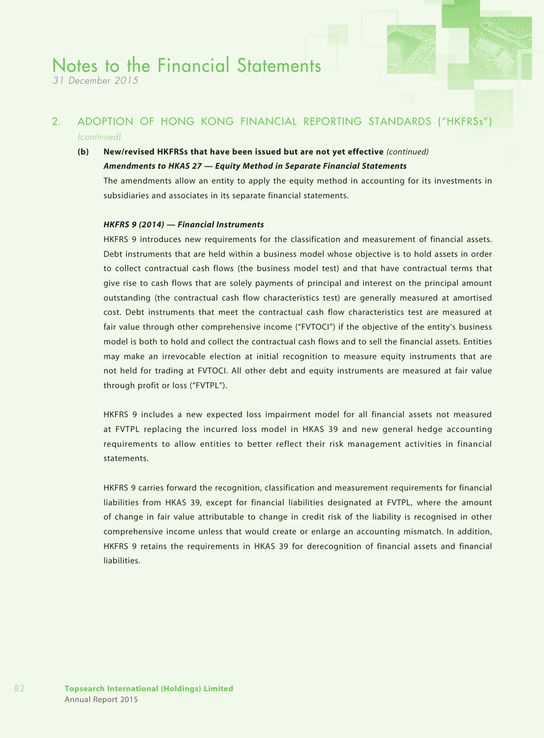*31 December 2015*

### 2. ADOPTION OF HONG KONG FINANCIAL REPORTING STANDARDS ("HKFRSs") *(continued)*

## **(b) New/revised HKFRSs that have been issued but are not yet effective** *(continued)*

#### *Amendments to HKAS 27 — Equity Method in Separate Financial Statements*

The amendments allow an entity to apply the equity method in accounting for its investments in subsidiaries and associates in its separate financial statements.

#### *HKFRS 9 (2014) — Financial Instruments*

HKFRS 9 introduces new requirements for the classification and measurement of financial assets. Debt instruments that are held within a business model whose objective is to hold assets in order to collect contractual cash flows (the business model test) and that have contractual terms that give rise to cash flows that are solely payments of principal and interest on the principal amount outstanding (the contractual cash flow characteristics test) are generally measured at amortised cost. Debt instruments that meet the contractual cash flow characteristics test are measured at fair value through other comprehensive income ("FVTOCI") if the objective of the entity's business model is both to hold and collect the contractual cash flows and to sell the financial assets. Entities may make an irrevocable election at initial recognition to measure equity instruments that are not held for trading at FVTOCI. All other debt and equity instruments are measured at fair value through profit or loss ("FVTPL").

HKFRS 9 includes a new expected loss impairment model for all financial assets not measured at FVTPL replacing the incurred loss model in HKAS 39 and new general hedge accounting requirements to allow entities to better reflect their risk management activities in financial statements.

HKFRS 9 carries forward the recognition, classification and measurement requirements for financial liabilities from HKAS 39, except for financial liabilities designated at FVTPL, where the amount of change in fair value attributable to change in credit risk of the liability is recognised in other comprehensive income unless that would create or enlarge an accounting mismatch. In addition, HKFRS 9 retains the requirements in HKAS 39 for derecognition of financial assets and financial liabilities.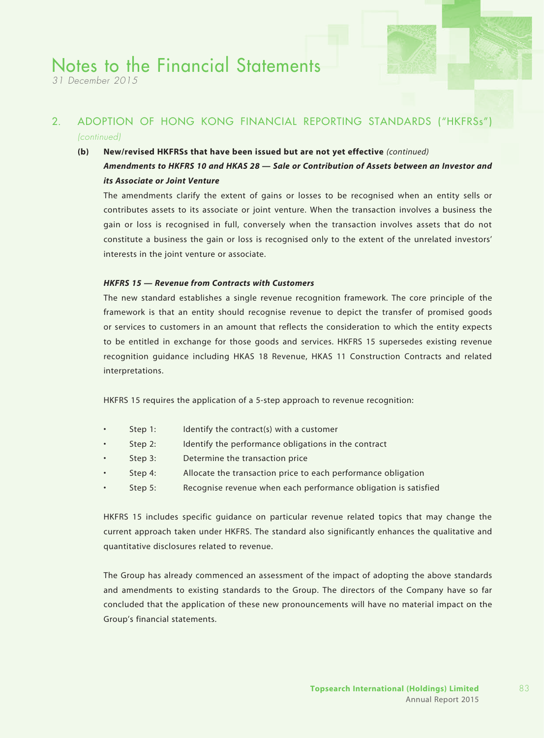*31 December 2015*

## 2. ADOPTION OF HONG KONG FINANCIAL REPORTING STANDARDS ("HKFRSs") *(continued)*

#### **(b) New/revised HKFRSs that have been issued but are not yet effective** *(continued)*

### *Amendments to HKFRS 10 and HKAS 28 — Sale or Contribution of Assets between an Investor and its Associate or Joint Venture*

The amendments clarify the extent of gains or losses to be recognised when an entity sells or contributes assets to its associate or joint venture. When the transaction involves a business the gain or loss is recognised in full, conversely when the transaction involves assets that do not constitute a business the gain or loss is recognised only to the extent of the unrelated investors' interests in the joint venture or associate.

#### *HKFRS 15 — Revenue from Contracts with Customers*

The new standard establishes a single revenue recognition framework. The core principle of the framework is that an entity should recognise revenue to depict the transfer of promised goods or services to customers in an amount that reflects the consideration to which the entity expects to be entitled in exchange for those goods and services. HKFRS 15 supersedes existing revenue recognition guidance including HKAS 18 Revenue, HKAS 11 Construction Contracts and related interpretations.

HKFRS 15 requires the application of a 5-step approach to revenue recognition:

- Step 1: Identify the contract(s) with a customer
- Step 2: Identify the performance obligations in the contract
- Step 3: Determine the transaction price
- Step 4: Allocate the transaction price to each performance obligation
- Step 5: Recognise revenue when each performance obligation is satisfied

HKFRS 15 includes specific guidance on particular revenue related topics that may change the current approach taken under HKFRS. The standard also significantly enhances the qualitative and quantitative disclosures related to revenue.

The Group has already commenced an assessment of the impact of adopting the above standards and amendments to existing standards to the Group. The directors of the Company have so far concluded that the application of these new pronouncements will have no material impact on the Group's financial statements.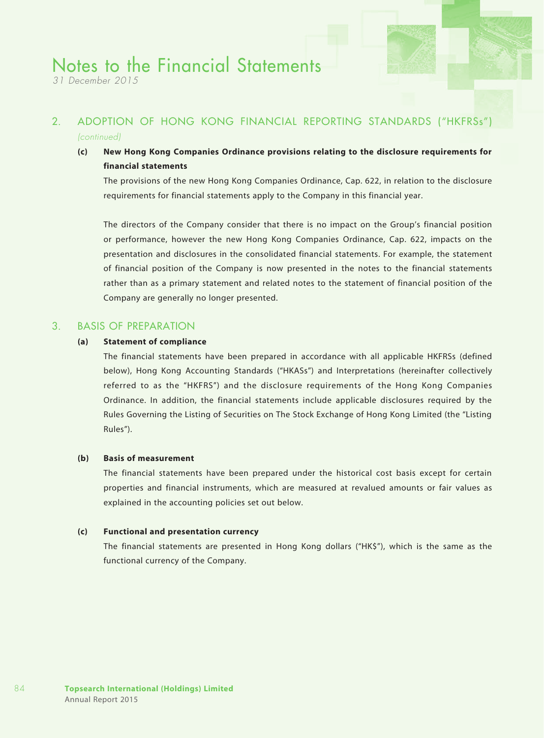*31 December 2015*

## 2. ADOPTION OF HONG KONG FINANCIAL REPORTING STANDARDS ("HKFRSs") *(continued)*

**(c) New Hong Kong Companies Ordinance provisions relating to the disclosure requirements for financial statements**

The provisions of the new Hong Kong Companies Ordinance, Cap. 622, in relation to the disclosure requirements for financial statements apply to the Company in this financial year.

The directors of the Company consider that there is no impact on the Group's financial position or performance, however the new Hong Kong Companies Ordinance, Cap. 622, impacts on the presentation and disclosures in the consolidated financial statements. For example, the statement of financial position of the Company is now presented in the notes to the financial statements rather than as a primary statement and related notes to the statement of financial position of the Company are generally no longer presented.

#### 3. BASIS OF PREPARATION

#### **(a) Statement of compliance**

The financial statements have been prepared in accordance with all applicable HKFRSs (defined below), Hong Kong Accounting Standards ("HKASs") and Interpretations (hereinafter collectively referred to as the "HKFRS") and the disclosure requirements of the Hong Kong Companies Ordinance. In addition, the financial statements include applicable disclosures required by the Rules Governing the Listing of Securities on The Stock Exchange of Hong Kong Limited (the "Listing Rules").

#### **(b) Basis of measurement**

The financial statements have been prepared under the historical cost basis except for certain properties and financial instruments, which are measured at revalued amounts or fair values as explained in the accounting policies set out below.

#### **(c) Functional and presentation currency**

The financial statements are presented in Hong Kong dollars ("HK\$"), which is the same as the functional currency of the Company.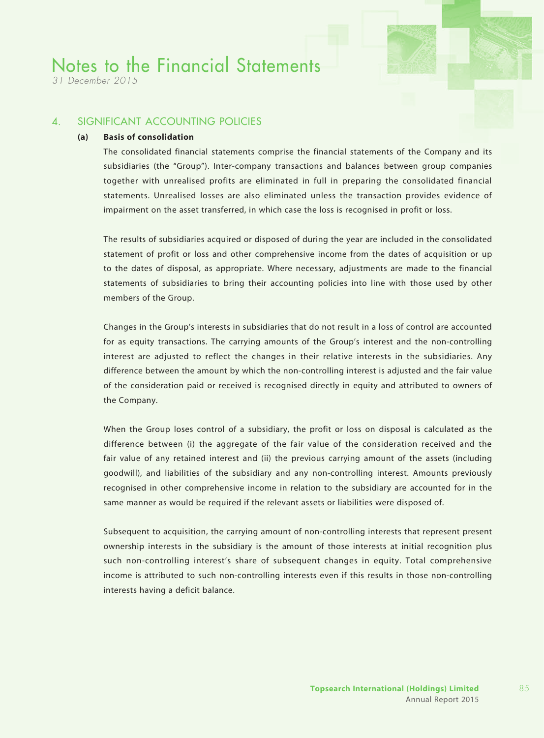*31 December 2015*

### 4. SIGNIFICANT ACCOUNTING POLICIES

#### **(a) Basis of consolidation**

The consolidated financial statements comprise the financial statements of the Company and its subsidiaries (the "Group"). Inter-company transactions and balances between group companies together with unrealised profits are eliminated in full in preparing the consolidated financial statements. Unrealised losses are also eliminated unless the transaction provides evidence of impairment on the asset transferred, in which case the loss is recognised in profit or loss.

The results of subsidiaries acquired or disposed of during the year are included in the consolidated statement of profit or loss and other comprehensive income from the dates of acquisition or up to the dates of disposal, as appropriate. Where necessary, adjustments are made to the financial statements of subsidiaries to bring their accounting policies into line with those used by other members of the Group.

Changes in the Group's interests in subsidiaries that do not result in a loss of control are accounted for as equity transactions. The carrying amounts of the Group's interest and the non-controlling interest are adjusted to reflect the changes in their relative interests in the subsidiaries. Any difference between the amount by which the non-controlling interest is adjusted and the fair value of the consideration paid or received is recognised directly in equity and attributed to owners of the Company.

When the Group loses control of a subsidiary, the profit or loss on disposal is calculated as the difference between (i) the aggregate of the fair value of the consideration received and the fair value of any retained interest and (ii) the previous carrying amount of the assets (including goodwill), and liabilities of the subsidiary and any non-controlling interest. Amounts previously recognised in other comprehensive income in relation to the subsidiary are accounted for in the same manner as would be required if the relevant assets or liabilities were disposed of.

Subsequent to acquisition, the carrying amount of non-controlling interests that represent present ownership interests in the subsidiary is the amount of those interests at initial recognition plus such non-controlling interest's share of subsequent changes in equity. Total comprehensive income is attributed to such non-controlling interests even if this results in those non-controlling interests having a deficit balance.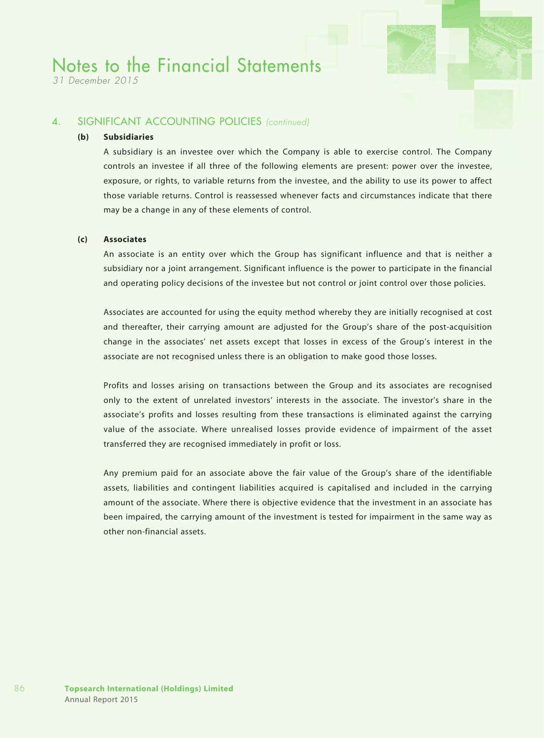*31 December 2015*

### 4. SIGNIFICANT ACCOUNTING POLICIES *(continued)*

#### **(b) Subsidiaries**

A subsidiary is an investee over which the Company is able to exercise control. The Company controls an investee if all three of the following elements are present: power over the investee, exposure, or rights, to variable returns from the investee, and the ability to use its power to affect those variable returns. Control is reassessed whenever facts and circumstances indicate that there may be a change in any of these elements of control.

#### **(c) Associates**

An associate is an entity over which the Group has significant influence and that is neither a subsidiary nor a joint arrangement. Significant influence is the power to participate in the financial and operating policy decisions of the investee but not control or joint control over those policies.

Associates are accounted for using the equity method whereby they are initially recognised at cost and thereafter, their carrying amount are adjusted for the Group's share of the post-acquisition change in the associates' net assets except that losses in excess of the Group's interest in the associate are not recognised unless there is an obligation to make good those losses.

Profits and losses arising on transactions between the Group and its associates are recognised only to the extent of unrelated investors' interests in the associate. The investor's share in the associate's profits and losses resulting from these transactions is eliminated against the carrying value of the associate. Where unrealised losses provide evidence of impairment of the asset transferred they are recognised immediately in profit or loss.

Any premium paid for an associate above the fair value of the Group's share of the identifiable assets, liabilities and contingent liabilities acquired is capitalised and included in the carrying amount of the associate. Where there is objective evidence that the investment in an associate has been impaired, the carrying amount of the investment is tested for impairment in the same way as other non-financial assets.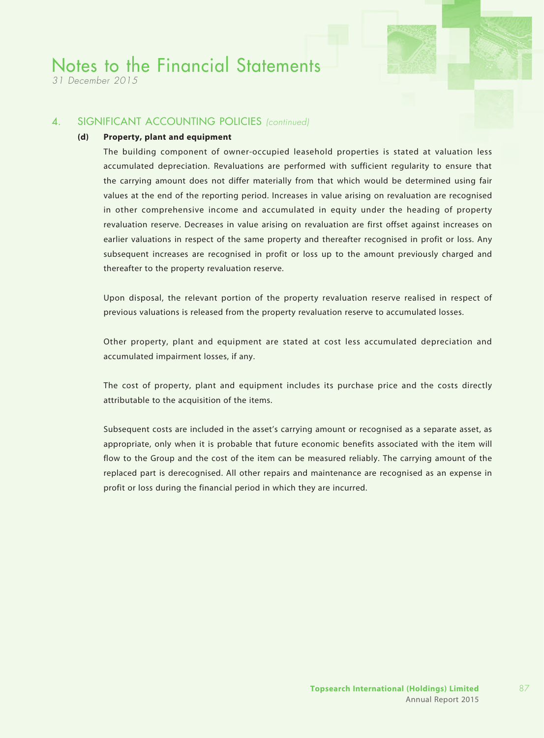*31 December 2015*

### 4. SIGNIFICANT ACCOUNTING POLICIES *(continued)*

#### **(d) Property, plant and equipment**

The building component of owner-occupied leasehold properties is stated at valuation less accumulated depreciation. Revaluations are performed with sufficient regularity to ensure that the carrying amount does not differ materially from that which would be determined using fair values at the end of the reporting period. Increases in value arising on revaluation are recognised in other comprehensive income and accumulated in equity under the heading of property revaluation reserve. Decreases in value arising on revaluation are first offset against increases on earlier valuations in respect of the same property and thereafter recognised in profit or loss. Any subsequent increases are recognised in profit or loss up to the amount previously charged and thereafter to the property revaluation reserve.

Upon disposal, the relevant portion of the property revaluation reserve realised in respect of previous valuations is released from the property revaluation reserve to accumulated losses.

Other property, plant and equipment are stated at cost less accumulated depreciation and accumulated impairment losses, if any.

The cost of property, plant and equipment includes its purchase price and the costs directly attributable to the acquisition of the items.

Subsequent costs are included in the asset's carrying amount or recognised as a separate asset, as appropriate, only when it is probable that future economic benefits associated with the item will flow to the Group and the cost of the item can be measured reliably. The carrying amount of the replaced part is derecognised. All other repairs and maintenance are recognised as an expense in profit or loss during the financial period in which they are incurred.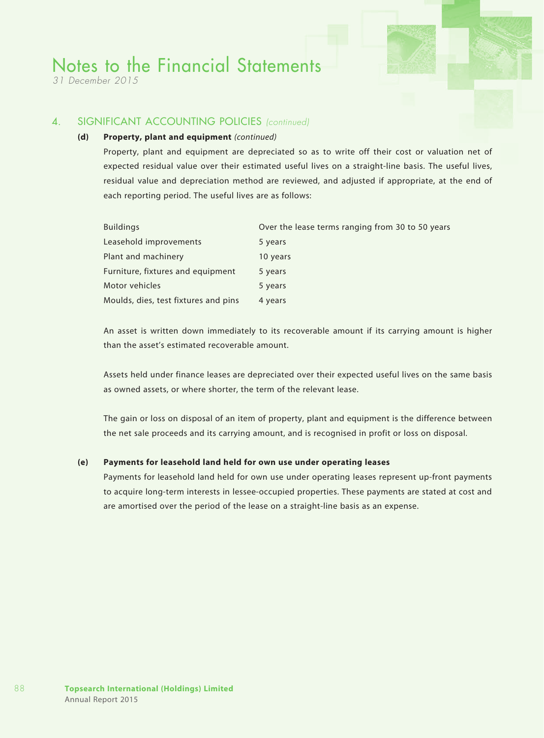*31 December 2015*

### 4. SIGNIFICANT ACCOUNTING POLICIES *(continued)*

#### **(d) Property, plant and equipment** *(continued)*

Property, plant and equipment are depreciated so as to write off their cost or valuation net of expected residual value over their estimated useful lives on a straight-line basis. The useful lives, residual value and depreciation method are reviewed, and adjusted if appropriate, at the end of each reporting period. The useful lives are as follows:

| <b>Buildings</b>                     | Over the lease terms ranging from 30 to 50 years |
|--------------------------------------|--------------------------------------------------|
| Leasehold improvements               | 5 years                                          |
| Plant and machinery                  | 10 years                                         |
| Furniture, fixtures and equipment    | 5 years                                          |
| Motor vehicles                       | 5 years                                          |
| Moulds, dies, test fixtures and pins | 4 years                                          |

An asset is written down immediately to its recoverable amount if its carrying amount is higher than the asset's estimated recoverable amount.

Assets held under finance leases are depreciated over their expected useful lives on the same basis as owned assets, or where shorter, the term of the relevant lease.

The gain or loss on disposal of an item of property, plant and equipment is the difference between the net sale proceeds and its carrying amount, and is recognised in profit or loss on disposal.

#### **(e) Payments for leasehold land held for own use under operating leases**

Payments for leasehold land held for own use under operating leases represent up-front payments to acquire long-term interests in lessee-occupied properties. These payments are stated at cost and are amortised over the period of the lease on a straight-line basis as an expense.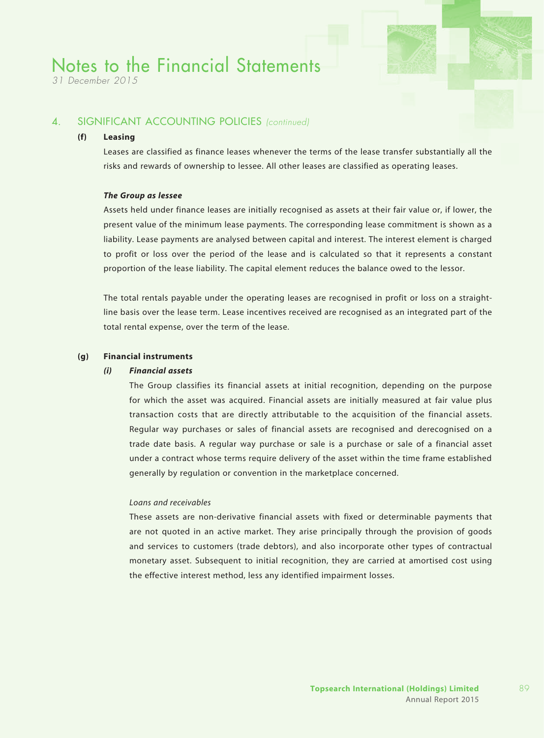*31 December 2015*

### 4. SIGNIFICANT ACCOUNTING POLICIES *(continued)*

### **(f) Leasing**

Leases are classified as finance leases whenever the terms of the lease transfer substantially all the risks and rewards of ownership to lessee. All other leases are classified as operating leases.

#### *The Group as lessee*

Assets held under finance leases are initially recognised as assets at their fair value or, if lower, the present value of the minimum lease payments. The corresponding lease commitment is shown as a liability. Lease payments are analysed between capital and interest. The interest element is charged to profit or loss over the period of the lease and is calculated so that it represents a constant proportion of the lease liability. The capital element reduces the balance owed to the lessor.

The total rentals payable under the operating leases are recognised in profit or loss on a straightline basis over the lease term. Lease incentives received are recognised as an integrated part of the total rental expense, over the term of the lease.

#### **(g) Financial instruments**

#### *(i) Financial assets*

The Group classifies its financial assets at initial recognition, depending on the purpose for which the asset was acquired. Financial assets are initially measured at fair value plus transaction costs that are directly attributable to the acquisition of the financial assets. Regular way purchases or sales of financial assets are recognised and derecognised on a trade date basis. A regular way purchase or sale is a purchase or sale of a financial asset under a contract whose terms require delivery of the asset within the time frame established generally by regulation or convention in the marketplace concerned.

#### *Loans and receivables*

These assets are non-derivative financial assets with fixed or determinable payments that are not quoted in an active market. They arise principally through the provision of goods and services to customers (trade debtors), and also incorporate other types of contractual monetary asset. Subsequent to initial recognition, they are carried at amortised cost using the effective interest method, less any identified impairment losses.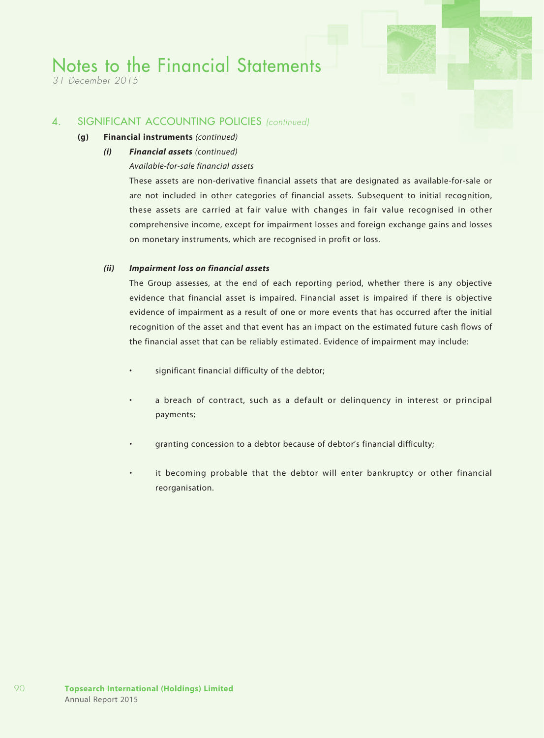*31 December 2015*

### 4. SIGNIFICANT ACCOUNTING POLICIES *(continued)*

#### **(g) Financial instruments** *(continued)*

*(i) Financial assets (continued)*

#### *Available-for-sale financial assets*

These assets are non-derivative financial assets that are designated as available-for-sale or are not included in other categories of financial assets. Subsequent to initial recognition, these assets are carried at fair value with changes in fair value recognised in other comprehensive income, except for impairment losses and foreign exchange gains and losses on monetary instruments, which are recognised in profit or loss.

#### *(ii) Impairment loss on financial assets*

The Group assesses, at the end of each reporting period, whether there is any objective evidence that financial asset is impaired. Financial asset is impaired if there is objective evidence of impairment as a result of one or more events that has occurred after the initial recognition of the asset and that event has an impact on the estimated future cash flows of the financial asset that can be reliably estimated. Evidence of impairment may include:

- • significant financial difficulty of the debtor;
- • a breach of contract, such as a default or delinquency in interest or principal payments;
- granting concession to a debtor because of debtor's financial difficulty;
- it becoming probable that the debtor will enter bankruptcy or other financial reorganisation.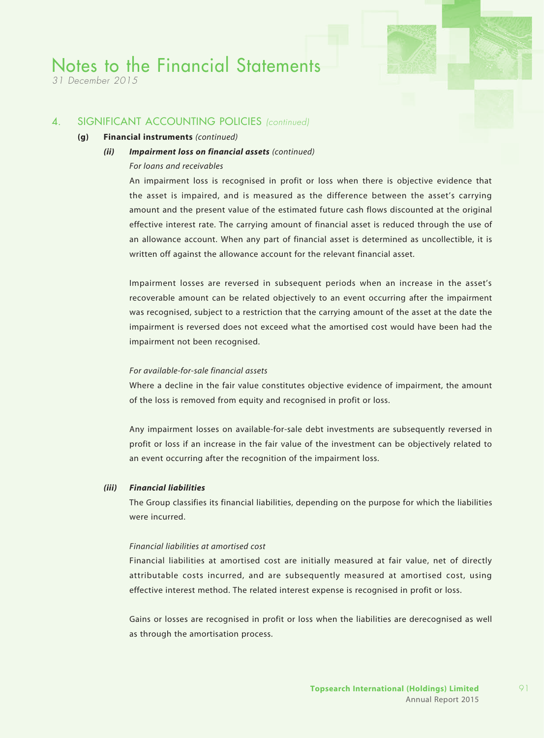*31 December 2015*

#### 4. SIGNIFICANT ACCOUNTING POLICIES *(continued)*

#### **(g) Financial instruments** *(continued)*

#### *(ii) Impairment loss on financial assets (continued)*

#### *For loans and receivables*

An impairment loss is recognised in profit or loss when there is objective evidence that the asset is impaired, and is measured as the difference between the asset's carrying amount and the present value of the estimated future cash flows discounted at the original effective interest rate. The carrying amount of financial asset is reduced through the use of an allowance account. When any part of financial asset is determined as uncollectible, it is written off against the allowance account for the relevant financial asset.

Impairment losses are reversed in subsequent periods when an increase in the asset's recoverable amount can be related objectively to an event occurring after the impairment was recognised, subject to a restriction that the carrying amount of the asset at the date the impairment is reversed does not exceed what the amortised cost would have been had the impairment not been recognised.

#### *For available-for-sale financial assets*

Where a decline in the fair value constitutes objective evidence of impairment, the amount of the loss is removed from equity and recognised in profit or loss.

Any impairment losses on available-for-sale debt investments are subsequently reversed in profit or loss if an increase in the fair value of the investment can be objectively related to an event occurring after the recognition of the impairment loss.

#### *(iii) Financial liabilities*

The Group classifies its financial liabilities, depending on the purpose for which the liabilities were incurred.

#### *Financial liabilities at amortised cost*

Financial liabilities at amortised cost are initially measured at fair value, net of directly attributable costs incurred, and are subsequently measured at amortised cost, using effective interest method. The related interest expense is recognised in profit or loss.

Gains or losses are recognised in profit or loss when the liabilities are derecognised as well as through the amortisation process.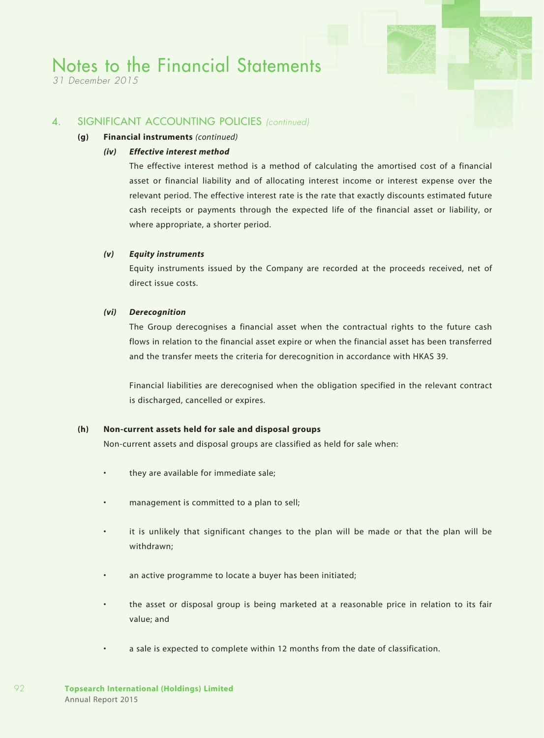*31 December 2015*

### 4. SIGNIFICANT ACCOUNTING POLICIES *(continued)*

#### **(g) Financial instruments** *(continued)*

#### *(iv) Effective interest method*

The effective interest method is a method of calculating the amortised cost of a financial asset or financial liability and of allocating interest income or interest expense over the relevant period. The effective interest rate is the rate that exactly discounts estimated future cash receipts or payments through the expected life of the financial asset or liability, or where appropriate, a shorter period.

#### *(v) Equity instruments*

Equity instruments issued by the Company are recorded at the proceeds received, net of direct issue costs.

#### *(vi) Derecognition*

The Group derecognises a financial asset when the contractual rights to the future cash flows in relation to the financial asset expire or when the financial asset has been transferred and the transfer meets the criteria for derecognition in accordance with HKAS 39.

Financial liabilities are derecognised when the obligation specified in the relevant contract is discharged, cancelled or expires.

#### **(h) Non-current assets held for sale and disposal groups**

Non-current assets and disposal groups are classified as held for sale when:

- they are available for immediate sale;
- management is committed to a plan to sell;
- it is unlikely that significant changes to the plan will be made or that the plan will be withdrawn;
- an active programme to locate a buyer has been initiated;
- the asset or disposal group is being marketed at a reasonable price in relation to its fair value; and
- a sale is expected to complete within 12 months from the date of classification.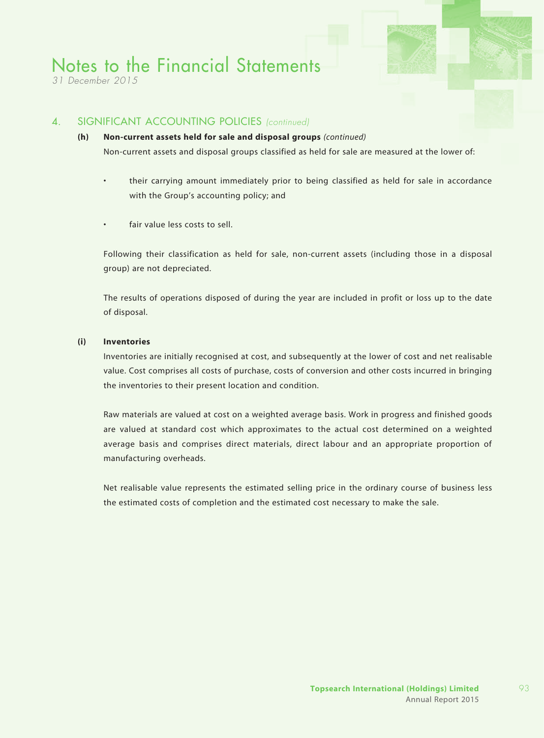*31 December 2015*

### 4. SIGNIFICANT ACCOUNTING POLICIES *(continued)*

### **(h) Non-current assets held for sale and disposal groups** *(continued)* Non-current assets and disposal groups classified as held for sale are measured at the lower of:

their carrying amount immediately prior to being classified as held for sale in accordance with the Group's accounting policy; and

fair value less costs to sell.

Following their classification as held for sale, non-current assets (including those in a disposal group) are not depreciated.

The results of operations disposed of during the year are included in profit or loss up to the date of disposal.

#### **(i) Inventories**

Inventories are initially recognised at cost, and subsequently at the lower of cost and net realisable value. Cost comprises all costs of purchase, costs of conversion and other costs incurred in bringing the inventories to their present location and condition.

Raw materials are valued at cost on a weighted average basis. Work in progress and finished goods are valued at standard cost which approximates to the actual cost determined on a weighted average basis and comprises direct materials, direct labour and an appropriate proportion of manufacturing overheads.

Net realisable value represents the estimated selling price in the ordinary course of business less the estimated costs of completion and the estimated cost necessary to make the sale.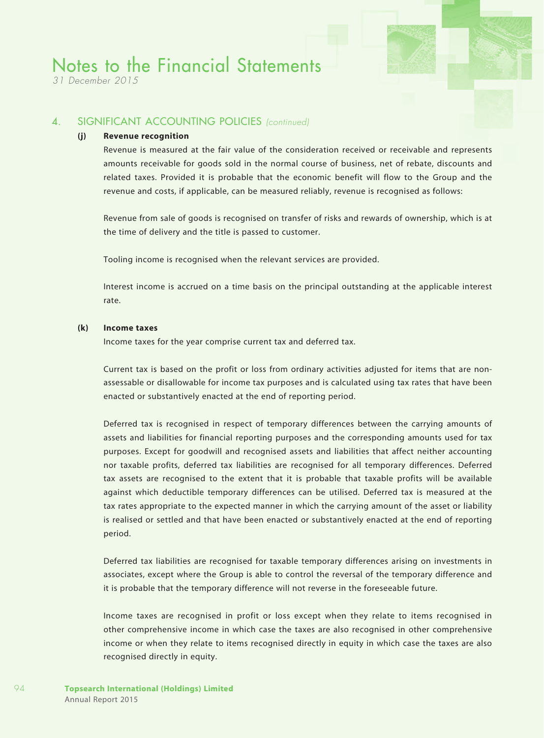*31 December 2015*

### 4. SIGNIFICANT ACCOUNTING POLICIES *(continued)*

#### **(j) Revenue recognition**

Revenue is measured at the fair value of the consideration received or receivable and represents amounts receivable for goods sold in the normal course of business, net of rebate, discounts and related taxes. Provided it is probable that the economic benefit will flow to the Group and the revenue and costs, if applicable, can be measured reliably, revenue is recognised as follows:

Revenue from sale of goods is recognised on transfer of risks and rewards of ownership, which is at the time of delivery and the title is passed to customer.

Tooling income is recognised when the relevant services are provided.

Interest income is accrued on a time basis on the principal outstanding at the applicable interest rate.

#### **(k) Income taxes**

Income taxes for the year comprise current tax and deferred tax.

Current tax is based on the profit or loss from ordinary activities adjusted for items that are nonassessable or disallowable for income tax purposes and is calculated using tax rates that have been enacted or substantively enacted at the end of reporting period.

Deferred tax is recognised in respect of temporary differences between the carrying amounts of assets and liabilities for financial reporting purposes and the corresponding amounts used for tax purposes. Except for goodwill and recognised assets and liabilities that affect neither accounting nor taxable profits, deferred tax liabilities are recognised for all temporary differences. Deferred tax assets are recognised to the extent that it is probable that taxable profits will be available against which deductible temporary differences can be utilised. Deferred tax is measured at the tax rates appropriate to the expected manner in which the carrying amount of the asset or liability is realised or settled and that have been enacted or substantively enacted at the end of reporting period.

Deferred tax liabilities are recognised for taxable temporary differences arising on investments in associates, except where the Group is able to control the reversal of the temporary difference and it is probable that the temporary difference will not reverse in the foreseeable future.

Income taxes are recognised in profit or loss except when they relate to items recognised in other comprehensive income in which case the taxes are also recognised in other comprehensive income or when they relate to items recognised directly in equity in which case the taxes are also recognised directly in equity.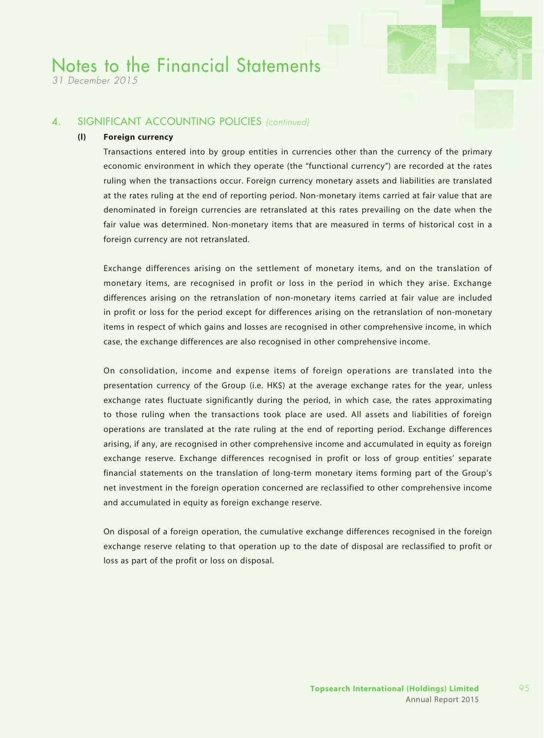*31 December 2015*

### 4. SIGNIFICANT ACCOUNTING POLICIES *(continued)*

#### **(l) Foreign currency**

Transactions entered into by group entities in currencies other than the currency of the primary economic environment in which they operate (the "functional currency") are recorded at the rates ruling when the transactions occur. Foreign currency monetary assets and liabilities are translated at the rates ruling at the end of reporting period. Non-monetary items carried at fair value that are denominated in foreign currencies are retranslated at this rates prevailing on the date when the fair value was determined. Non-monetary items that are measured in terms of historical cost in a foreign currency are not retranslated.

Exchange differences arising on the settlement of monetary items, and on the translation of monetary items, are recognised in profit or loss in the period in which they arise. Exchange differences arising on the retranslation of non-monetary items carried at fair value are included in profit or loss for the period except for differences arising on the retranslation of non-monetary items in respect of which gains and losses are recognised in other comprehensive income, in which case, the exchange differences are also recognised in other comprehensive income.

On consolidation, income and expense items of foreign operations are translated into the presentation currency of the Group (i.e. HK\$) at the average exchange rates for the year, unless exchange rates fluctuate significantly during the period, in which case, the rates approximating to those ruling when the transactions took place are used. All assets and liabilities of foreign operations are translated at the rate ruling at the end of reporting period. Exchange differences arising, if any, are recognised in other comprehensive income and accumulated in equity as foreign exchange reserve. Exchange differences recognised in profit or loss of group entities' separate financial statements on the translation of long-term monetary items forming part of the Group's net investment in the foreign operation concerned are reclassified to other comprehensive income and accumulated in equity as foreign exchange reserve.

On disposal of a foreign operation, the cumulative exchange differences recognised in the foreign exchange reserve relating to that operation up to the date of disposal are reclassified to profit or loss as part of the profit or loss on disposal.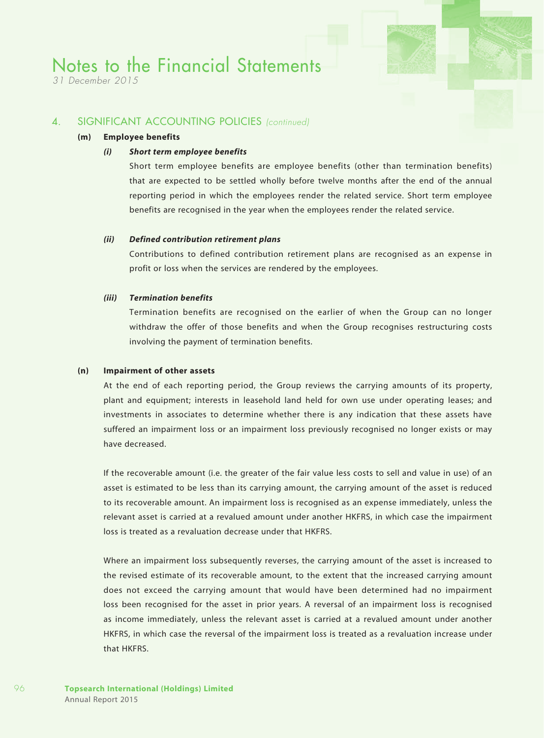*31 December 2015*

### 4. SIGNIFICANT ACCOUNTING POLICIES *(continued)*

#### **(m) Employee benefits**

#### *(i) Short term employee benefits*

Short term employee benefits are employee benefits (other than termination benefits) that are expected to be settled wholly before twelve months after the end of the annual reporting period in which the employees render the related service. Short term employee benefits are recognised in the year when the employees render the related service.

#### *(ii) Defined contribution retirement plans*

Contributions to defined contribution retirement plans are recognised as an expense in profit or loss when the services are rendered by the employees.

#### *(iii) Termination benefits*

Termination benefits are recognised on the earlier of when the Group can no longer withdraw the offer of those benefits and when the Group recognises restructuring costs involving the payment of termination benefits.

#### **(n) Impairment of other assets**

At the end of each reporting period, the Group reviews the carrying amounts of its property, plant and equipment; interests in leasehold land held for own use under operating leases; and investments in associates to determine whether there is any indication that these assets have suffered an impairment loss or an impairment loss previously recognised no longer exists or may have decreased.

If the recoverable amount (i.e. the greater of the fair value less costs to sell and value in use) of an asset is estimated to be less than its carrying amount, the carrying amount of the asset is reduced to its recoverable amount. An impairment loss is recognised as an expense immediately, unless the relevant asset is carried at a revalued amount under another HKFRS, in which case the impairment loss is treated as a revaluation decrease under that HKFRS.

Where an impairment loss subsequently reverses, the carrying amount of the asset is increased to the revised estimate of its recoverable amount, to the extent that the increased carrying amount does not exceed the carrying amount that would have been determined had no impairment loss been recognised for the asset in prior years. A reversal of an impairment loss is recognised as income immediately, unless the relevant asset is carried at a revalued amount under another HKFRS, in which case the reversal of the impairment loss is treated as a revaluation increase under that HKFRS.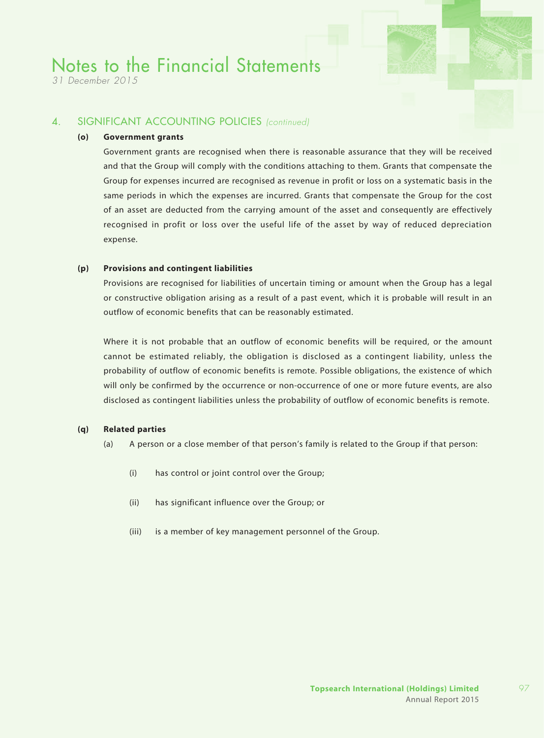*31 December 2015*

### 4. SIGNIFICANT ACCOUNTING POLICIES *(continued)*

#### **(o) Government grants**

Government grants are recognised when there is reasonable assurance that they will be received and that the Group will comply with the conditions attaching to them. Grants that compensate the Group for expenses incurred are recognised as revenue in profit or loss on a systematic basis in the same periods in which the expenses are incurred. Grants that compensate the Group for the cost of an asset are deducted from the carrying amount of the asset and consequently are effectively recognised in profit or loss over the useful life of the asset by way of reduced depreciation expense.

#### **(p) Provisions and contingent liabilities**

Provisions are recognised for liabilities of uncertain timing or amount when the Group has a legal or constructive obligation arising as a result of a past event, which it is probable will result in an outflow of economic benefits that can be reasonably estimated.

Where it is not probable that an outflow of economic benefits will be required, or the amount cannot be estimated reliably, the obligation is disclosed as a contingent liability, unless the probability of outflow of economic benefits is remote. Possible obligations, the existence of which will only be confirmed by the occurrence or non-occurrence of one or more future events, are also disclosed as contingent liabilities unless the probability of outflow of economic benefits is remote.

#### **(q) Related parties**

- (a) A person or a close member of that person's family is related to the Group if that person:
	- (i) has control or joint control over the Group;
	- (ii) has significant influence over the Group; or
	- (iii) is a member of key management personnel of the Group.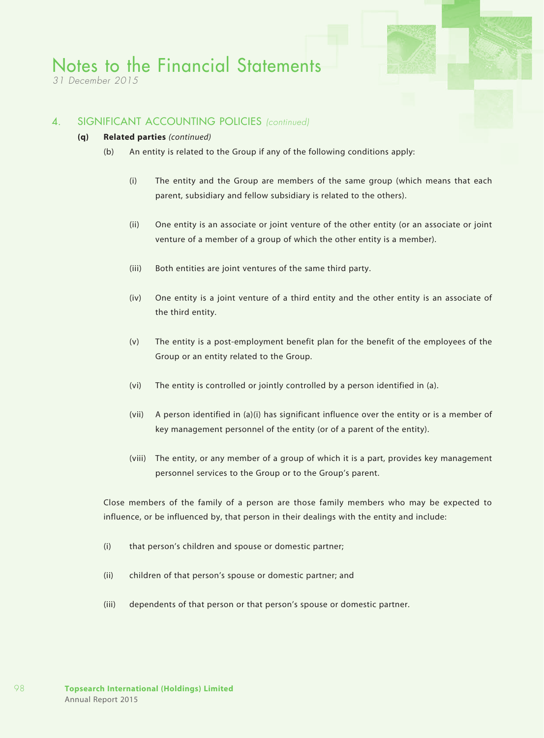*31 December 2015*

### 4. SIGNIFICANT ACCOUNTING POLICIES *(continued)*

#### **(q) Related parties** *(continued)*

- (b) An entity is related to the Group if any of the following conditions apply:
	- (i) The entity and the Group are members of the same group (which means that each parent, subsidiary and fellow subsidiary is related to the others).
	- (ii) One entity is an associate or joint venture of the other entity (or an associate or joint venture of a member of a group of which the other entity is a member).
	- (iii) Both entities are joint ventures of the same third party.
	- (iv) One entity is a joint venture of a third entity and the other entity is an associate of the third entity.
	- (v) The entity is a post-employment benefit plan for the benefit of the employees of the Group or an entity related to the Group.
	- (vi) The entity is controlled or jointly controlled by a person identified in (a).
	- (vii) A person identified in (a)(i) has significant influence over the entity or is a member of key management personnel of the entity (or of a parent of the entity).
	- (viii) The entity, or any member of a group of which it is a part, provides key management personnel services to the Group or to the Group's parent.

Close members of the family of a person are those family members who may be expected to influence, or be influenced by, that person in their dealings with the entity and include:

- (i) that person's children and spouse or domestic partner;
- (ii) children of that person's spouse or domestic partner; and
- (iii) dependents of that person or that person's spouse or domestic partner.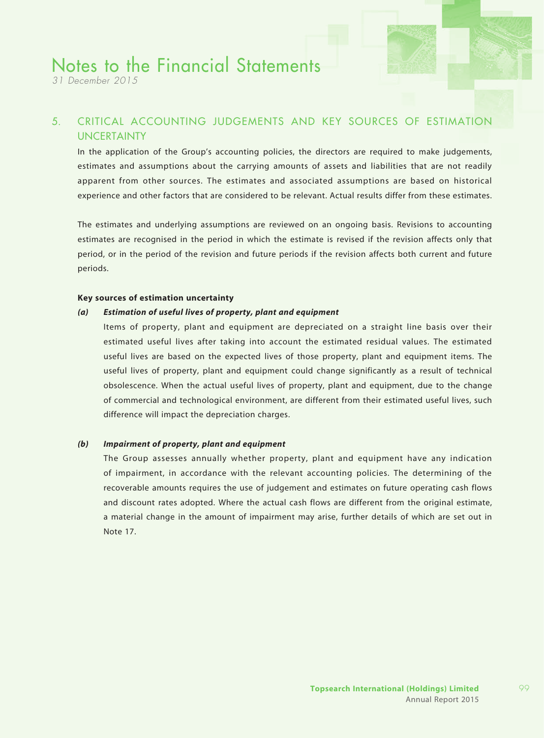*31 December 2015*

## 5. CRITICAL ACCOUNTING JUDGEMENTS AND KEY SOURCES OF ESTIMATION UNCERTAINTY

In the application of the Group's accounting policies, the directors are required to make judgements, estimates and assumptions about the carrying amounts of assets and liabilities that are not readily apparent from other sources. The estimates and associated assumptions are based on historical experience and other factors that are considered to be relevant. Actual results differ from these estimates.

The estimates and underlying assumptions are reviewed on an ongoing basis. Revisions to accounting estimates are recognised in the period in which the estimate is revised if the revision affects only that period, or in the period of the revision and future periods if the revision affects both current and future periods.

#### **Key sources of estimation uncertainty**

#### *(a) Estimation of useful lives of property, plant and equipment*

Items of property, plant and equipment are depreciated on a straight line basis over their estimated useful lives after taking into account the estimated residual values. The estimated useful lives are based on the expected lives of those property, plant and equipment items. The useful lives of property, plant and equipment could change significantly as a result of technical obsolescence. When the actual useful lives of property, plant and equipment, due to the change of commercial and technological environment, are different from their estimated useful lives, such difference will impact the depreciation charges.

#### *(b) Impairment of property, plant and equipment*

The Group assesses annually whether property, plant and equipment have any indication of impairment, in accordance with the relevant accounting policies. The determining of the recoverable amounts requires the use of judgement and estimates on future operating cash flows and discount rates adopted. Where the actual cash flows are different from the original estimate, a material change in the amount of impairment may arise, further details of which are set out in Note 17.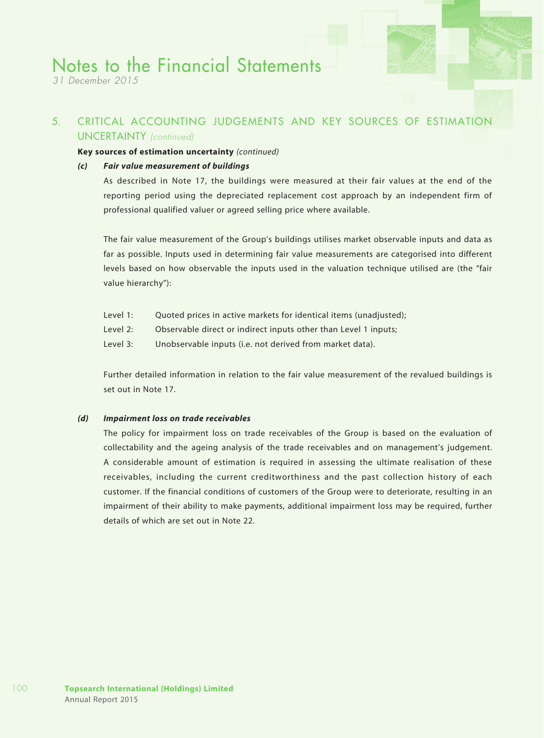*31 December 2015*

### 5. CRITICAL ACCOUNTING JUDGEMENTS AND KEY SOURCES OF ESTIMATION UNCERTAINTY *(continued)*

#### **Key sources of estimation uncertainty** *(continued)*

#### *(c) Fair value measurement of buildings*

As described in Note 17, the buildings were measured at their fair values at the end of the reporting period using the depreciated replacement cost approach by an independent firm of professional qualified valuer or agreed selling price where available.

The fair value measurement of the Group's buildings utilises market observable inputs and data as far as possible. Inputs used in determining fair value measurements are categorised into different levels based on how observable the inputs used in the valuation technique utilised are (the "fair value hierarchy"):

- Level 1: Quoted prices in active markets for identical items (unadjusted);
- Level 2: Observable direct or indirect inputs other than Level 1 inputs;
- Level 3: Unobservable inputs (i.e. not derived from market data).

Further detailed information in relation to the fair value measurement of the revalued buildings is set out in Note 17.

#### *(d) Impairment loss on trade receivables*

The policy for impairment loss on trade receivables of the Group is based on the evaluation of collectability and the ageing analysis of the trade receivables and on management's judgement. A considerable amount of estimation is required in assessing the ultimate realisation of these receivables, including the current creditworthiness and the past collection history of each customer. If the financial conditions of customers of the Group were to deteriorate, resulting in an impairment of their ability to make payments, additional impairment loss may be required, further details of which are set out in Note 22.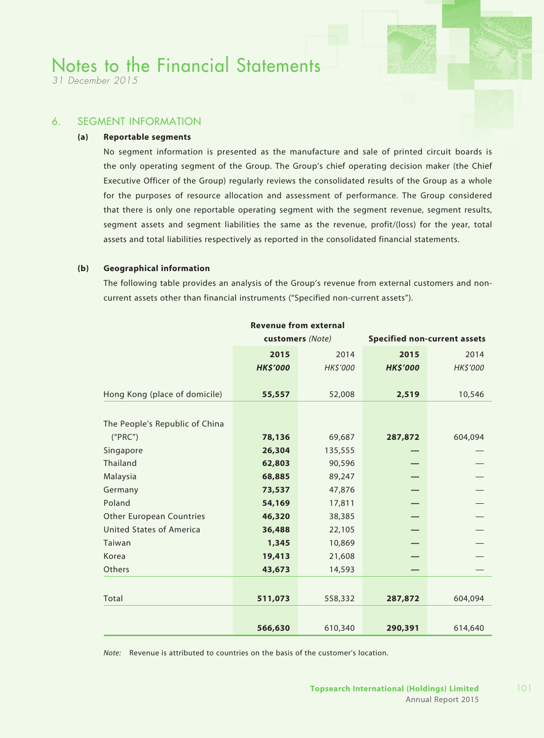*31 December 2015*

### 6. SEGMENT INFORMATION

#### **(a) Reportable segments**

No segment information is presented as the manufacture and sale of printed circuit boards is the only operating segment of the Group. The Group's chief operating decision maker (the Chief Executive Officer of the Group) regularly reviews the consolidated results of the Group as a whole for the purposes of resource allocation and assessment of performance. The Group considered that there is only one reportable operating segment with the segment revenue, segment results, segment assets and segment liabilities the same as the revenue, profit/(loss) for the year, total assets and total liabilities respectively as reported in the consolidated financial statements.

#### **(b) Geographical information**

The following table provides an analysis of the Group's revenue from external customers and noncurrent assets other than financial instruments ("Specified non-current assets").

| <b>Revenue from external</b>    |                  |                |                 |                                     |
|---------------------------------|------------------|----------------|-----------------|-------------------------------------|
|                                 | customers (Note) |                |                 | <b>Specified non-current assets</b> |
|                                 | 2015             | 2014           | 2015            | 2014                                |
|                                 | <b>HK\$'000</b>  | <b>HKS'000</b> | <b>HK\$'000</b> | HK\$'000                            |
|                                 |                  |                |                 |                                     |
| Hong Kong (place of domicile)   | 55,557           | 52,008         | 2,519           | 10,546                              |
|                                 |                  |                |                 |                                     |
| The People's Republic of China  |                  |                |                 |                                     |
| ("PRC")                         | 78,136           | 69,687         | 287,872         | 604,094                             |
| Singapore                       | 26,304           | 135,555        |                 |                                     |
| Thailand                        | 62,803           | 90,596         |                 |                                     |
| Malaysia                        | 68,885           | 89,247         |                 |                                     |
| Germany                         | 73,537           | 47,876         |                 |                                     |
| Poland                          | 54,169           | 17,811         |                 |                                     |
| <b>Other European Countries</b> | 46,320           | 38,385         |                 |                                     |
| <b>United States of America</b> | 36,488           | 22,105         |                 |                                     |
| Taiwan                          | 1,345            | 10,869         |                 |                                     |
| Korea                           | 19,413           | 21,608         |                 |                                     |
| Others                          | 43,673           | 14,593         |                 |                                     |
|                                 |                  |                |                 |                                     |
| Total                           | 511,073          | 558,332        | 287,872         | 604,094                             |
|                                 |                  |                |                 |                                     |
|                                 | 566,630          | 610,340        | 290,391         | 614,640                             |

*Note:* Revenue is attributed to countries on the basis of the customer's location.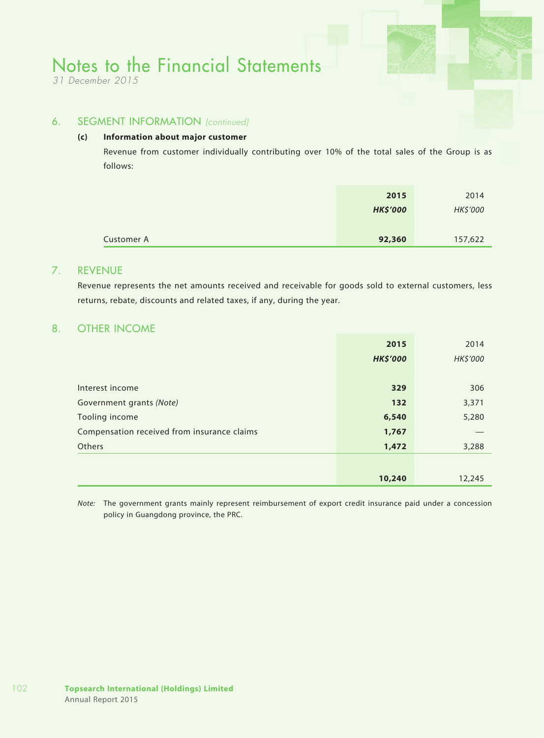*31 December 2015*

### 6. SEGMENT INFORMATION *(continued)*

#### **(c) Information about major customer**

Revenue from customer individually contributing over 10% of the total sales of the Group is as follows:

|            | 2015            | 2014     |
|------------|-----------------|----------|
|            | <b>HK\$'000</b> | HK\$'000 |
|            |                 |          |
| Customer A | 92,360          | 157,622  |

### 7. REVENUE

Revenue represents the net amounts received and receivable for goods sold to external customers, less returns, rebate, discounts and related taxes, if any, during the year.

### 8. OTHER INCOME

|                                             | 2015            | 2014     |
|---------------------------------------------|-----------------|----------|
|                                             | <b>HK\$'000</b> | HK\$'000 |
|                                             |                 |          |
| Interest income                             | 329             | 306      |
| Government grants (Note)                    | 132             | 3,371    |
| Tooling income                              | 6,540           | 5,280    |
| Compensation received from insurance claims | 1,767           |          |
| <b>Others</b>                               | 1,472           | 3,288    |
|                                             |                 |          |
|                                             | 10,240          | 12,245   |

*Note:* The government grants mainly represent reimbursement of export credit insurance paid under a concession policy in Guangdong province, the PRC.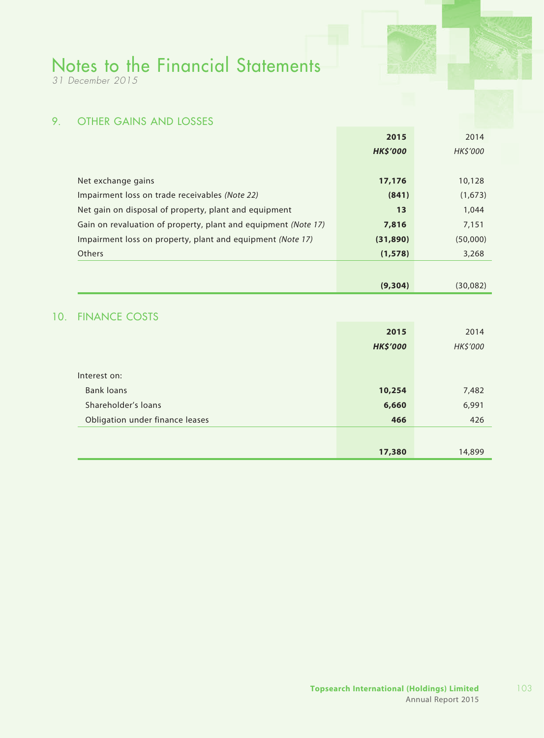*31 December 2015*

## 9. OTHER GAINS AND LOSSES

|                                                                | 2015            | 2014     |
|----------------------------------------------------------------|-----------------|----------|
|                                                                | <b>HK\$'000</b> | HK\$'000 |
|                                                                |                 |          |
| Net exchange gains                                             | 17,176          | 10,128   |
| Impairment loss on trade receivables (Note 22)                 | (841)           | (1,673)  |
| Net gain on disposal of property, plant and equipment          | 13              | 1,044    |
| Gain on revaluation of property, plant and equipment (Note 17) | 7,816           | 7,151    |
| Impairment loss on property, plant and equipment (Note 17)     | (31,890)        | (50,000) |
| <b>Others</b>                                                  | (1, 578)        | 3,268    |
|                                                                |                 |          |
|                                                                | (9,304)         | (30,082) |

### 10. FINANCE COSTS

|                                 | 2015            | 2014     |
|---------------------------------|-----------------|----------|
|                                 | <b>HK\$'000</b> | HK\$'000 |
|                                 |                 |          |
| Interest on:                    |                 |          |
| <b>Bank loans</b>               | 10,254          | 7,482    |
| Shareholder's loans             | 6,660           | 6,991    |
| Obligation under finance leases | 466             | 426      |
|                                 |                 |          |
|                                 | 17,380          | 14,899   |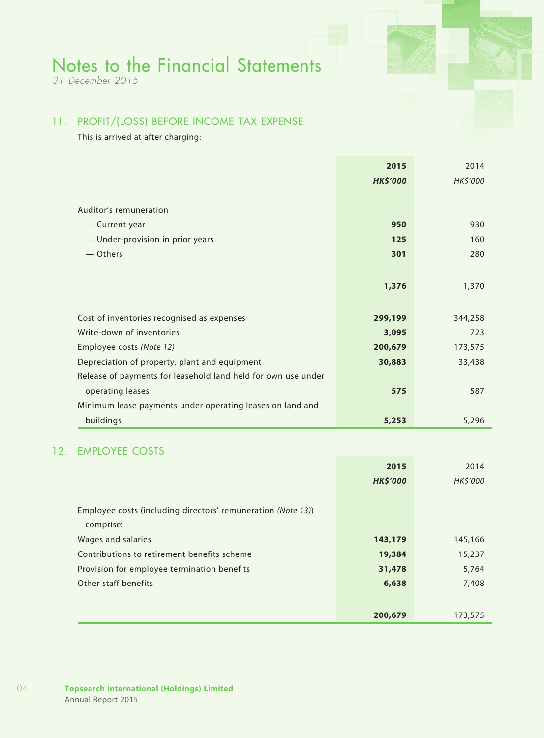*31 December 2015*

## 11. PROFIT/(LOSS) BEFORE INCOME TAX EXPENSE

This is arrived at after charging:

|                                                               | 2015            | 2014            |
|---------------------------------------------------------------|-----------------|-----------------|
|                                                               | <b>HK\$'000</b> | <b>HK\$'000</b> |
|                                                               |                 |                 |
| Auditor's remuneration                                        |                 |                 |
| — Current year                                                | 950             | 930             |
| - Under-provision in prior years                              | 125             | 160             |
| — Others                                                      | 301             | 280             |
|                                                               |                 |                 |
|                                                               | 1,376           | 1,370           |
|                                                               |                 |                 |
| Cost of inventories recognised as expenses                    | 299,199         | 344,258         |
| Write-down of inventories                                     | 3,095           | 723             |
| Employee costs (Note 12)                                      | 200,679         | 173,575         |
| Depreciation of property, plant and equipment                 | 30,883          | 33,438          |
| Release of payments for leasehold land held for own use under |                 |                 |
| operating leases                                              | 575             | 587             |
| Minimum lease payments under operating leases on land and     |                 |                 |
| buildings                                                     | 5,253           | 5,296           |

## 12. EMPLOYEE COSTS

|                                                              | 2015            | 2014     |
|--------------------------------------------------------------|-----------------|----------|
|                                                              | <b>HK\$'000</b> | HK\$'000 |
|                                                              |                 |          |
| Employee costs (including directors' remuneration (Note 13)) |                 |          |
| comprise:                                                    |                 |          |
| Wages and salaries                                           | 143,179         | 145,166  |
| Contributions to retirement benefits scheme                  | 19,384          | 15,237   |
| Provision for employee termination benefits                  | 31,478          | 5,764    |
| Other staff benefits                                         | 6,638           | 7,408    |
|                                                              |                 |          |
|                                                              | 200,679         | 173,575  |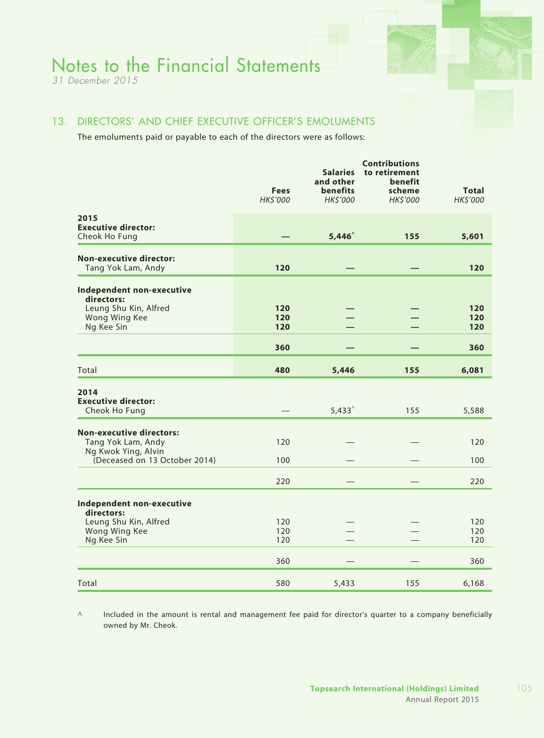*31 December 2015*

### 13. DIRECTORS' AND CHIEF EXECUTIVE OFFICER'S EMOLUMENTS

The emoluments paid or payable to each of the directors were as follows:

|                                                                                                               | <b>Fees</b><br>HK\$'000 | <b>Salaries</b><br>and other<br><b>benefits</b><br>HK\$'000 | <b>Contributions</b><br>to retirement<br>benefit<br>scheme<br>HK\$'000 | <b>Total</b><br>HK\$'000 |
|---------------------------------------------------------------------------------------------------------------|-------------------------|-------------------------------------------------------------|------------------------------------------------------------------------|--------------------------|
| 2015<br><b>Executive director:</b><br>Cheok Ho Fung                                                           |                         | $5,446^\circ$                                               | 155                                                                    | 5,601                    |
| <b>Non-executive director:</b><br>Tang Yok Lam, Andy                                                          | 120                     |                                                             |                                                                        | 120                      |
| Independent non-executive<br>directors:<br>Leung Shu Kin, Alfred<br>Wong Wing Kee<br>Ng Kee Sin               | 120<br>120<br>120       |                                                             |                                                                        | 120<br>120<br>120        |
|                                                                                                               | 360                     |                                                             |                                                                        | 360                      |
| Total                                                                                                         | 480                     | 5,446                                                       | 155                                                                    | 6,081                    |
| 2014<br><b>Executive director:</b><br>Cheok Ho Fung                                                           |                         | $5,433^{\circ}$                                             | 155                                                                    | 5,588                    |
| <b>Non-executive directors:</b><br>Tang Yok Lam, Andy<br>Ng Kwok Ying, Alvin<br>(Deceased on 13 October 2014) | 120<br>100              |                                                             |                                                                        | 120<br>100               |
|                                                                                                               | 220                     |                                                             |                                                                        | 220                      |
| Independent non-executive<br>directors:<br>Leung Shu Kin, Alfred<br>Wong Wing Kee<br>Ng Kee Sin               | 120<br>120<br>120       |                                                             |                                                                        | 120<br>120<br>120        |
|                                                                                                               | 360                     |                                                             |                                                                        | 360                      |
| Total                                                                                                         | 580                     | 5,433                                                       | 155                                                                    | 6,168                    |

^ Included in the amount is rental and management fee paid for director's quarter to a company beneficially owned by Mr. Cheok.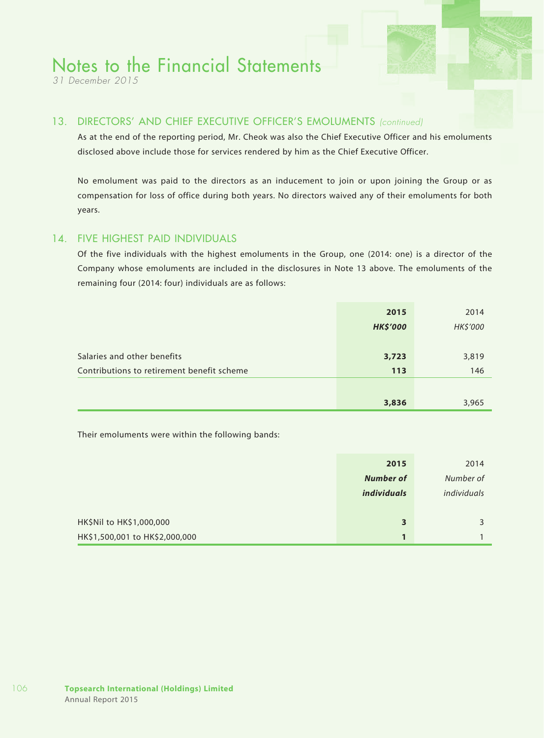*31 December 2015*

### 13. DIRECTORS' AND CHIEF EXECUTIVE OFFICER'S EMOLUMENTS *(continued)*

As at the end of the reporting period, Mr. Cheok was also the Chief Executive Officer and his emoluments disclosed above include those for services rendered by him as the Chief Executive Officer.

No emolument was paid to the directors as an inducement to join or upon joining the Group or as compensation for loss of office during both years. No directors waived any of their emoluments for both years.

### 14. FIVE HIGHEST PAID INDIVIDUALS

Of the five individuals with the highest emoluments in the Group, one (2014: one) is a director of the Company whose emoluments are included in the disclosures in Note 13 above. The emoluments of the remaining four (2014: four) individuals are as follows:

|                                            | 3,836           | 3,965    |
|--------------------------------------------|-----------------|----------|
|                                            |                 |          |
| Contributions to retirement benefit scheme | 113             | 146      |
| Salaries and other benefits                | 3,723           | 3,819    |
|                                            | <b>HK\$'000</b> | HK\$'000 |
|                                            | 2015            | 2014     |

Their emoluments were within the following bands:

|                                | 2015             | 2014        |
|--------------------------------|------------------|-------------|
|                                | <b>Number of</b> | Number of   |
|                                | individuals      | individuals |
|                                |                  |             |
| HK\$Nil to HK\$1,000,000       | 3                |             |
| HK\$1,500,001 to HK\$2,000,000 |                  |             |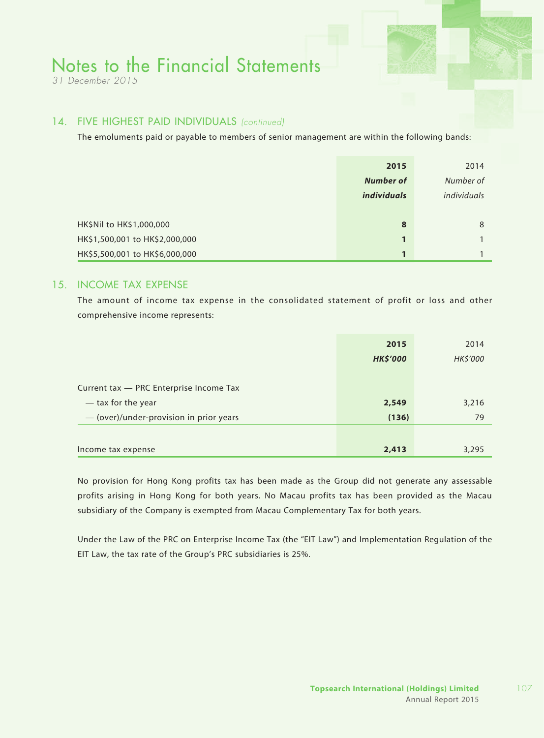*31 December 2015*

### 14. FIVE HIGHEST PAID INDIVIDUALS *(continued)*

The emoluments paid or payable to members of senior management are within the following bands:

|                                | 2015               | 2014        |
|--------------------------------|--------------------|-------------|
|                                | <b>Number of</b>   | Number of   |
|                                | <i>individuals</i> | individuals |
|                                |                    |             |
| HK\$Nil to HK\$1,000,000       | 8                  | 8           |
| HK\$1,500,001 to HK\$2,000,000 |                    |             |
| HK\$5,500,001 to HK\$6,000,000 | $\mathbf{1}$       |             |

### 15. INCOME TAX EXPENSE

The amount of income tax expense in the consolidated statement of profit or loss and other comprehensive income represents:

|                                         | 2015            | 2014     |
|-----------------------------------------|-----------------|----------|
|                                         | <b>HK\$'000</b> | HK\$'000 |
|                                         |                 |          |
| Current tax - PRC Enterprise Income Tax |                 |          |
| — tax for the year                      | 2,549           | 3,216    |
| - (over)/under-provision in prior years | (136)           | 79       |
|                                         |                 |          |
| Income tax expense                      | 2,413           | 3,295    |

No provision for Hong Kong profits tax has been made as the Group did not generate any assessable profits arising in Hong Kong for both years. No Macau profits tax has been provided as the Macau subsidiary of the Company is exempted from Macau Complementary Tax for both years.

Under the Law of the PRC on Enterprise Income Tax (the "EIT Law") and Implementation Regulation of the EIT Law, the tax rate of the Group's PRC subsidiaries is 25%.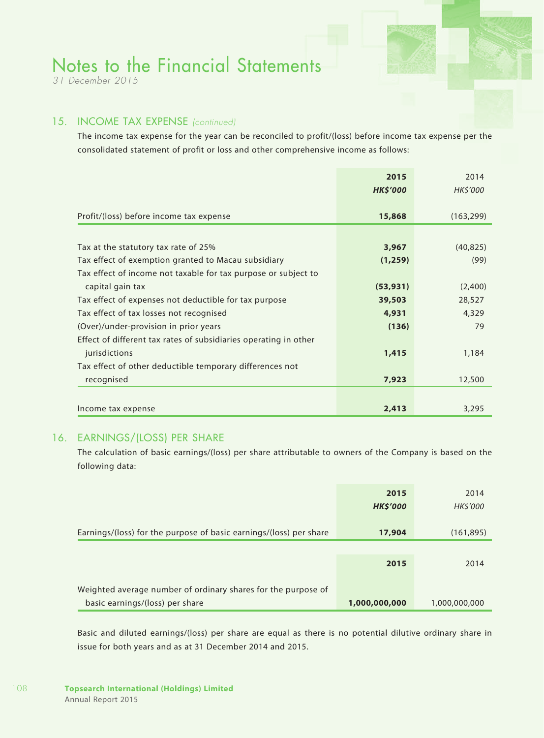*31 December 2015*

### 15. INCOME TAX EXPENSE *(continued)*

The income tax expense for the year can be reconciled to profit/(loss) before income tax expense per the consolidated statement of profit or loss and other comprehensive income as follows:

|                                                                  | 2015<br><b>HK\$'000</b> | 2014<br><b>HK\$'000</b> |
|------------------------------------------------------------------|-------------------------|-------------------------|
|                                                                  |                         |                         |
| Profit/(loss) before income tax expense                          | 15,868                  | (163, 299)              |
|                                                                  |                         |                         |
| Tax at the statutory tax rate of 25%                             | 3,967                   | (40, 825)               |
| Tax effect of exemption granted to Macau subsidiary              | (1, 259)                | (99)                    |
| Tax effect of income not taxable for tax purpose or subject to   |                         |                         |
| capital gain tax                                                 | (53, 931)               | (2,400)                 |
| Tax effect of expenses not deductible for tax purpose            | 39,503                  | 28,527                  |
| Tax effect of tax losses not recognised                          | 4,931                   | 4,329                   |
| (Over)/under-provision in prior years                            | (136)                   | 79                      |
| Effect of different tax rates of subsidiaries operating in other |                         |                         |
| jurisdictions                                                    | 1,415                   | 1,184                   |
| Tax effect of other deductible temporary differences not         |                         |                         |
| recognised                                                       | 7,923                   | 12,500                  |
|                                                                  |                         |                         |
| Income tax expense                                               | 2,413                   | 3,295                   |

### 16. EARNINGS/(LOSS) PER SHARE

The calculation of basic earnings/(loss) per share attributable to owners of the Company is based on the following data:

|                                                                                                  | 2015<br><b>HK\$'000</b> | 2014<br>HK\$'000 |
|--------------------------------------------------------------------------------------------------|-------------------------|------------------|
| Earnings/(loss) for the purpose of basic earnings/(loss) per share                               | 17,904                  | (161, 895)       |
|                                                                                                  |                         |                  |
|                                                                                                  | 2015                    | 2014             |
|                                                                                                  |                         |                  |
| Weighted average number of ordinary shares for the purpose of<br>basic earnings/(loss) per share | 1,000,000,000           | 1,000,000,000    |

Basic and diluted earnings/(loss) per share are equal as there is no potential dilutive ordinary share in issue for both years and as at 31 December 2014 and 2015.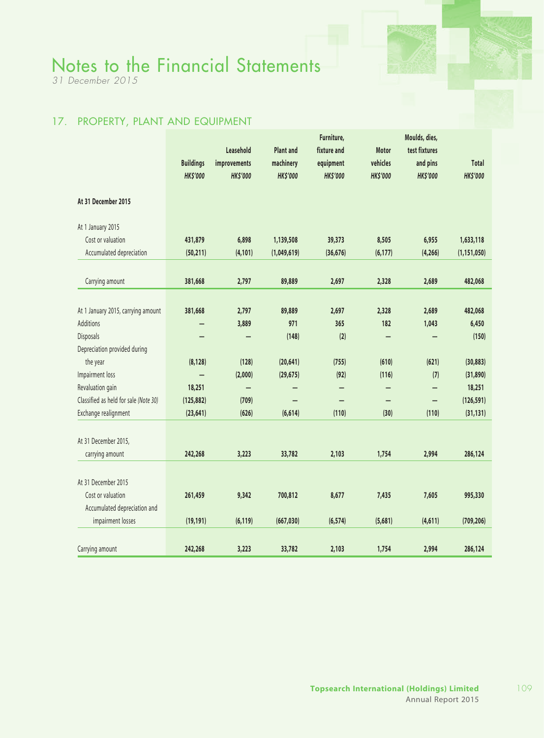*31 December 2015*

### 17. PROPERTY, PLANT AND EQUIPMENT

|                                       |                  |                 |                  | Furniture,      |                 | Moulds, dies,   |                 |
|---------------------------------------|------------------|-----------------|------------------|-----------------|-----------------|-----------------|-----------------|
|                                       |                  | Leasehold       | <b>Plant and</b> | fixture and     | Motor           | test fixtures   |                 |
|                                       | <b>Buildings</b> | improvements    | machinery        | equipment       | vehicles        | and pins        | <b>Total</b>    |
|                                       | <b>HK\$'000</b>  | <b>HK\$'000</b> | <b>HK\$'000</b>  | <b>HK\$'000</b> | <b>HK\$'000</b> | <b>HK\$'000</b> | <b>HK\$'000</b> |
| At 31 December 2015                   |                  |                 |                  |                 |                 |                 |                 |
| At 1 January 2015                     |                  |                 |                  |                 |                 |                 |                 |
| Cost or valuation                     | 431,879          | 6,898           | 1,139,508        | 39,373          | 8,505           | 6,955           | 1,633,118       |
| Accumulated depreciation              | (50, 211)        | (4, 101)        | (1,049,619)      | (36, 676)       | (6, 177)        | (4, 266)        | (1, 151, 050)   |
|                                       |                  |                 |                  |                 |                 |                 |                 |
| Carrying amount                       | 381,668          | 2,797           | 89,889           | 2,697           | 2,328           | 2,689           | 482,068         |
|                                       |                  |                 |                  |                 |                 |                 |                 |
| At 1 January 2015, carrying amount    | 381,668          | 2,797           | 89,889           | 2,697           | 2,328           | 2,689           | 482,068         |
| <b>Additions</b>                      |                  | 3,889           | 971              | 365             | 182             | 1,043           | 6,450           |
| Disposals                             |                  |                 | (148)            | (2)             |                 |                 | (150)           |
| Depreciation provided during          |                  |                 |                  |                 |                 |                 |                 |
| the year                              | (8, 128)         | (128)           | (20, 641)        | (755)           | (610)           | (621)           | (30, 883)       |
| Impairment loss                       |                  | (2,000)         | (29, 675)        | (92)            | (116)           | (7)             | (31, 890)       |
| Revaluation gain                      | 18,251           |                 |                  |                 |                 |                 | 18,251          |
| Classified as held for sale (Note 30) | (125, 882)       | (709)           |                  |                 |                 |                 | (126, 591)      |
| Exchange realignment                  | (23, 641)        | (626)           | (6, 614)         | (110)           | (30)            | (110)           | (31, 131)       |
|                                       |                  |                 |                  |                 |                 |                 |                 |
| At 31 December 2015,                  |                  |                 |                  |                 |                 |                 |                 |
| carrying amount                       | 242,268          | 3,223           | 33,782           | 2,103           | 1,754           | 2,994           | 286,124         |
|                                       |                  |                 |                  |                 |                 |                 |                 |
| At 31 December 2015                   |                  |                 |                  |                 |                 |                 |                 |
| Cost or valuation                     | 261,459          | 9,342           | 700,812          | 8,677           | 7,435           | 7,605           | 995,330         |
| Accumulated depreciation and          |                  |                 |                  |                 |                 |                 |                 |
| impairment losses                     | (19, 191)        | (6, 119)        | (667, 030)       | (6, 574)        | (5,681)         | (4,611)         | (709, 206)      |
|                                       |                  |                 |                  |                 |                 |                 |                 |
| Carrying amount                       | 242,268          | 3,223           | 33,782           | 2,103           | 1,754           | 2,994           | 286,124         |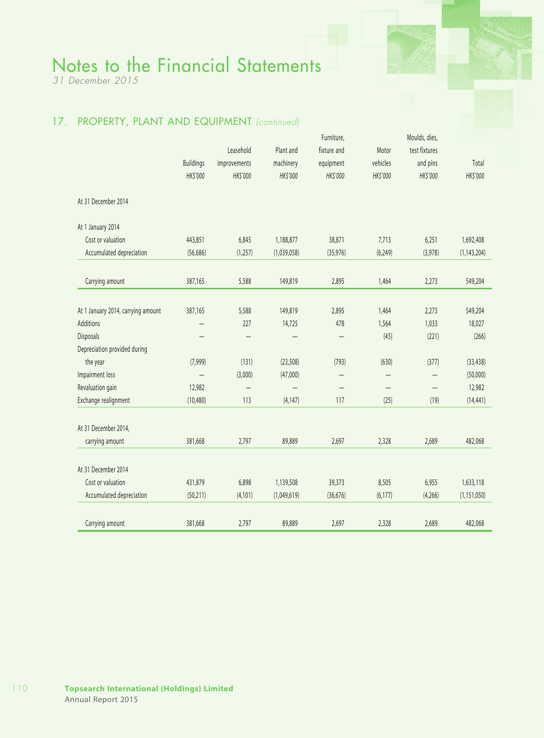*31 December 2015*

### 17. PROPERTY, PLANT AND EQUIPMENT *(continued)*

|                                    |                  |                          |             | Furniture,               |                          | Moulds, dies,     |               |
|------------------------------------|------------------|--------------------------|-------------|--------------------------|--------------------------|-------------------|---------------|
|                                    |                  | Leasehold                | Plant and   | fixture and              | Motor                    | test fixtures     |               |
|                                    | <b>Buildings</b> | improvements             | machinery   | equipment                | vehicles                 | and pins          | Total         |
|                                    | HK\$'000         | HK\$'000                 | HK\$'000    | HK\$'000                 | HK\$'000                 | HK\$'000          | HK\$'000      |
| At 31 December 2014                |                  |                          |             |                          |                          |                   |               |
| At 1 January 2014                  |                  |                          |             |                          |                          |                   |               |
| Cost or valuation                  | 443,851          | 6,845                    | 1,188,877   | 38,871                   | 7,713                    | 6,251             | 1,692,408     |
| Accumulated depreciation           | (56, 686)        | (1, 257)                 | (1,039,058) | (35, 976)                | (6, 249)                 | (3,978)           | (1, 143, 204) |
| Carrying amount                    | 387,165          | 5,588                    | 149,819     | 2,895                    | 1,464                    | 2,273             | 549,204       |
|                                    |                  |                          |             |                          |                          |                   |               |
| At 1 January 2014, carrying amount | 387,165          | 5,588                    | 149,819     | 2,895                    | 1,464                    | 2,273             | 549,204       |
| <b>Additions</b>                   |                  | 227                      | 14,725      | 478                      | 1,564                    | 1,033             | 18,027        |
| Disposals                          |                  | $\overline{\phantom{0}}$ |             | $\overline{\phantom{m}}$ | (45)                     | (221)             | (266)         |
| Depreciation provided during       |                  |                          |             |                          |                          |                   |               |
| the year                           | (7,999)          | (131)                    | (23, 508)   | (793)                    | (630)                    | (377)             | (33, 438)     |
| Impairment loss                    |                  | (3,000)                  | (47,000)    | $\qquad \qquad -$        | $\overline{\phantom{0}}$ | —                 | (50,000)      |
| Revaluation gain                   | 12,982           | $\overline{\phantom{0}}$ |             |                          |                          | $\qquad \qquad -$ | 12,982        |
| Exchange realignment               | (10, 480)        | 113                      | (4, 147)    | 117                      | (25)                     | (19)              | (14, 441)     |
| At 31 December 2014,               |                  |                          |             |                          |                          |                   |               |
| carrying amount                    | 381,668          | 2,797                    | 89,889      | 2,697                    | 2,328                    | 2,689             | 482,068       |
| At 31 December 2014                |                  |                          |             |                          |                          |                   |               |
| Cost or valuation                  | 431,879          | 6,898                    | 1,139,508   | 39,373                   | 8,505                    | 6,955             | 1,633,118     |
| Accumulated depreciation           | (50, 211)        | (4, 101)                 | (1,049,619) | (36, 676)                | (6, 177)                 | (4,266)           | (1, 151, 050) |
| Carrying amount                    | 381,668          | 2,797                    | 89,889      | 2,697                    | 2,328                    | 2,689             | 482,068       |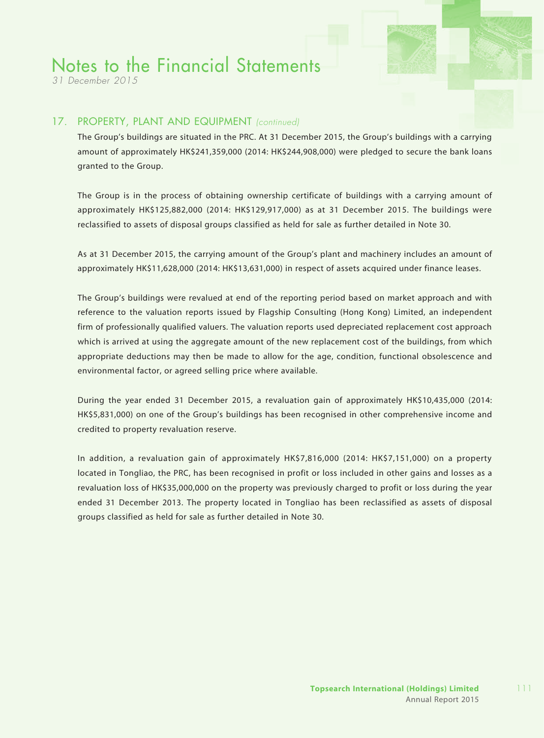*31 December 2015*

#### 17. PROPERTY, PLANT AND EQUIPMENT *(continued)*

The Group's buildings are situated in the PRC. At 31 December 2015, the Group's buildings with a carrying amount of approximately HK\$241,359,000 (2014: HK\$244,908,000) were pledged to secure the bank loans granted to the Group.

The Group is in the process of obtaining ownership certificate of buildings with a carrying amount of approximately HK\$125,882,000 (2014: HK\$129,917,000) as at 31 December 2015. The buildings were reclassified to assets of disposal groups classified as held for sale as further detailed in Note 30.

As at 31 December 2015, the carrying amount of the Group's plant and machinery includes an amount of approximately HK\$11,628,000 (2014: HK\$13,631,000) in respect of assets acquired under finance leases.

The Group's buildings were revalued at end of the reporting period based on market approach and with reference to the valuation reports issued by Flagship Consulting (Hong Kong) Limited, an independent firm of professionally qualified valuers. The valuation reports used depreciated replacement cost approach which is arrived at using the aggregate amount of the new replacement cost of the buildings, from which appropriate deductions may then be made to allow for the age, condition, functional obsolescence and environmental factor, or agreed selling price where available.

During the year ended 31 December 2015, a revaluation gain of approximately HK\$10,435,000 (2014: HK\$5,831,000) on one of the Group's buildings has been recognised in other comprehensive income and credited to property revaluation reserve.

In addition, a revaluation gain of approximately HK\$7,816,000 (2014: HK\$7,151,000) on a property located in Tongliao, the PRC, has been recognised in profit or loss included in other gains and losses as a revaluation loss of HK\$35,000,000 on the property was previously charged to profit or loss during the year ended 31 December 2013. The property located in Tongliao has been reclassified as assets of disposal groups classified as held for sale as further detailed in Note 30.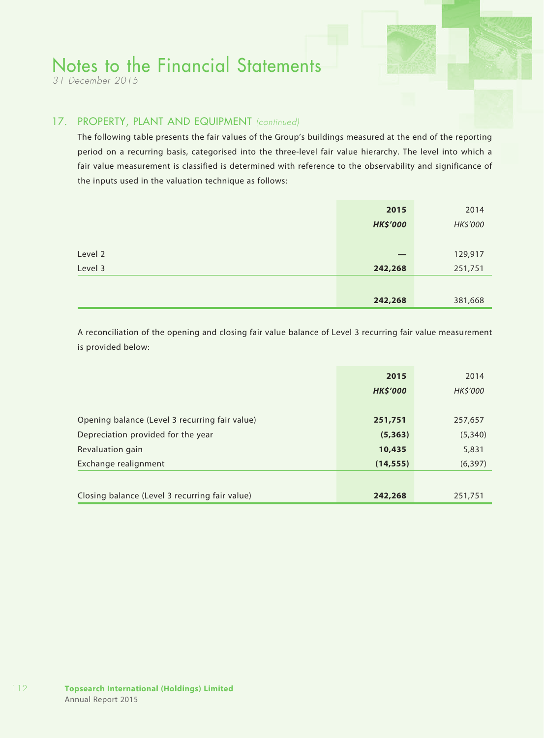*31 December 2015*

### 17. PROPERTY, PLANT AND EQUIPMENT *(continued)*

The following table presents the fair values of the Group's buildings measured at the end of the reporting period on a recurring basis, categorised into the three-level fair value hierarchy. The level into which a fair value measurement is classified is determined with reference to the observability and significance of the inputs used in the valuation technique as follows:

|         | 2015            | 2014     |
|---------|-----------------|----------|
|         | <b>HK\$'000</b> | HK\$'000 |
|         |                 |          |
| Level 2 |                 | 129,917  |
| Level 3 | 242,268         | 251,751  |
|         |                 |          |
|         | 242,268         | 381,668  |

A reconciliation of the opening and closing fair value balance of Level 3 recurring fair value measurement is provided below:

|                                                | 2015            | 2014     |
|------------------------------------------------|-----------------|----------|
|                                                | <b>HK\$'000</b> | HK\$'000 |
|                                                |                 |          |
| Opening balance (Level 3 recurring fair value) | 251,751         | 257,657  |
| Depreciation provided for the year             | (5, 363)        | (5,340)  |
| Revaluation gain                               | 10,435          | 5,831    |
| Exchange realignment                           | (14, 555)       | (6, 397) |
|                                                |                 |          |
| Closing balance (Level 3 recurring fair value) | 242,268         | 251,751  |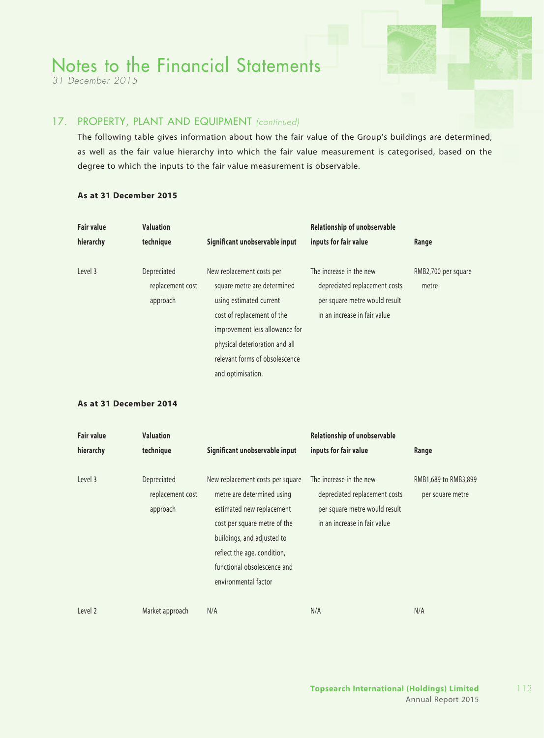*31 December 2015*

### 17. PROPERTY, PLANT AND EQUIPMENT *(continued)*

The following table gives information about how the fair value of the Group's buildings are determined, as well as the fair value hierarchy into which the fair value measurement is categorised, based on the degree to which the inputs to the fair value measurement is observable.

| <b>Fair value</b><br>hierarchy | <b>Valuation</b><br>technique               | Significant unobservable input                                                                                                                                                                                                               | Relationship of unobservable<br>inputs for fair value                                                                     | Range                        |
|--------------------------------|---------------------------------------------|----------------------------------------------------------------------------------------------------------------------------------------------------------------------------------------------------------------------------------------------|---------------------------------------------------------------------------------------------------------------------------|------------------------------|
| Level 3                        | Depreciated<br>replacement cost<br>approach | New replacement costs per<br>square metre are determined<br>using estimated current<br>cost of replacement of the<br>improvement less allowance for<br>physical deterioration and all<br>relevant forms of obsolescence<br>and optimisation. | The increase in the new<br>depreciated replacement costs<br>per square metre would result<br>in an increase in fair value | RMB2,700 per square<br>metre |

#### **As at 31 December 2015**

#### **As at 31 December 2014**

| <b>Fair value</b> | <b>Valuation</b>                            |                                                                                                                                                                                                                                                 | Relationship of unobservable                                                                                              |                                          |
|-------------------|---------------------------------------------|-------------------------------------------------------------------------------------------------------------------------------------------------------------------------------------------------------------------------------------------------|---------------------------------------------------------------------------------------------------------------------------|------------------------------------------|
| hierarchy         | technique                                   | Significant unobservable input                                                                                                                                                                                                                  | inputs for fair value                                                                                                     | Range                                    |
| Level 3           | Depreciated<br>replacement cost<br>approach | New replacement costs per square<br>metre are determined using<br>estimated new replacement<br>cost per square metre of the<br>buildings, and adjusted to<br>reflect the age, condition,<br>functional obsolescence and<br>environmental factor | The increase in the new<br>depreciated replacement costs<br>per square metre would result<br>in an increase in fair value | RMB1,689 to RMB3,899<br>per square metre |
| Level 2           | Market approach                             | N/A                                                                                                                                                                                                                                             | N/A                                                                                                                       | N/A                                      |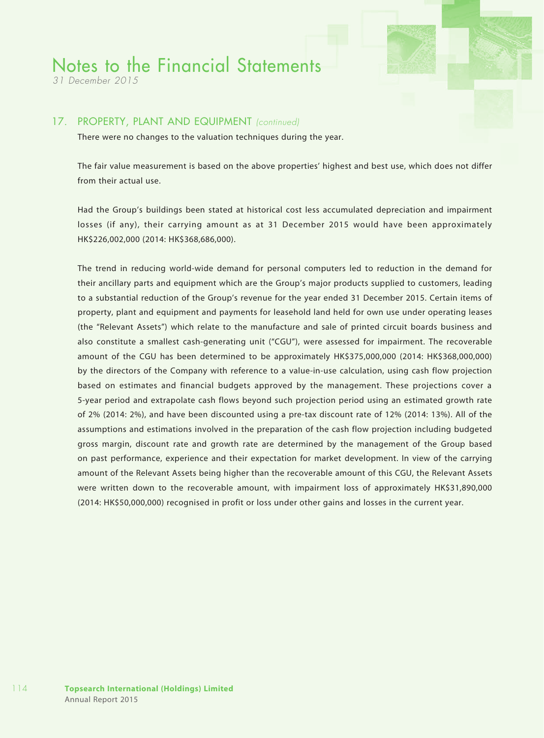*31 December 2015*

#### 17. PROPERTY, PLANT AND EQUIPMENT *(continued)*

There were no changes to the valuation techniques during the year.

The fair value measurement is based on the above properties' highest and best use, which does not differ from their actual use.

Had the Group's buildings been stated at historical cost less accumulated depreciation and impairment losses (if any), their carrying amount as at 31 December 2015 would have been approximately HK\$226,002,000 (2014: HK\$368,686,000).

The trend in reducing world-wide demand for personal computers led to reduction in the demand for their ancillary parts and equipment which are the Group's major products supplied to customers, leading to a substantial reduction of the Group's revenue for the year ended 31 December 2015. Certain items of property, plant and equipment and payments for leasehold land held for own use under operating leases (the "Relevant Assets") which relate to the manufacture and sale of printed circuit boards business and also constitute a smallest cash-generating unit ("CGU"), were assessed for impairment. The recoverable amount of the CGU has been determined to be approximately HK\$375,000,000 (2014: HK\$368,000,000) by the directors of the Company with reference to a value-in-use calculation, using cash flow projection based on estimates and financial budgets approved by the management. These projections cover a 5-year period and extrapolate cash flows beyond such projection period using an estimated growth rate of 2% (2014: 2%), and have been discounted using a pre-tax discount rate of 12% (2014: 13%). All of the assumptions and estimations involved in the preparation of the cash flow projection including budgeted gross margin, discount rate and growth rate are determined by the management of the Group based on past performance, experience and their expectation for market development. In view of the carrying amount of the Relevant Assets being higher than the recoverable amount of this CGU, the Relevant Assets were written down to the recoverable amount, with impairment loss of approximately HK\$31,890,000 (2014: HK\$50,000,000) recognised in profit or loss under other gains and losses in the current year.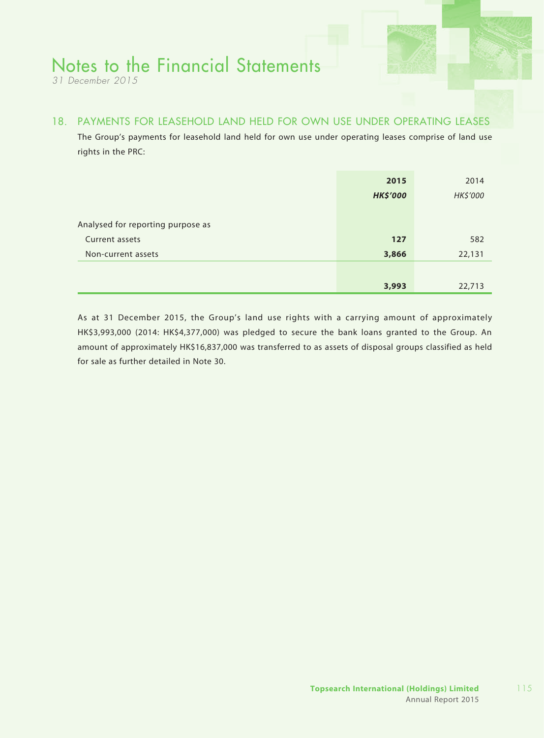*31 December 2015*

### 18. PAYMENTS FOR LEASEHOLD LAND HELD FOR OWN USE UNDER OPERATING LEASES

The Group's payments for leasehold land held for own use under operating leases comprise of land use rights in the PRC:

|                                   | 2015<br><b>HK\$'000</b> | 2014<br>HK\$'000 |
|-----------------------------------|-------------------------|------------------|
| Analysed for reporting purpose as |                         |                  |
| Current assets                    | 127                     | 582              |
| Non-current assets                | 3,866                   | 22,131           |
|                                   |                         |                  |
|                                   | 3,993                   | 22,713           |

As at 31 December 2015, the Group's land use rights with a carrying amount of approximately HK\$3,993,000 (2014: HK\$4,377,000) was pledged to secure the bank loans granted to the Group. An amount of approximately HK\$16,837,000 was transferred to as assets of disposal groups classified as held for sale as further detailed in Note 30.

115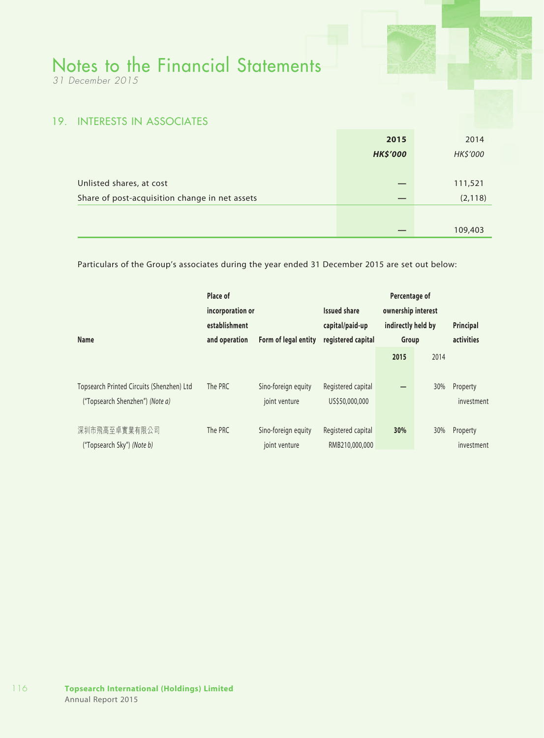*31 December 2015*

### 19. INTERESTS IN ASSOCIATES

|                                                | 2015            | 2014     |
|------------------------------------------------|-----------------|----------|
|                                                | <b>HK\$'000</b> | HK\$'000 |
|                                                |                 |          |
| Unlisted shares, at cost                       |                 | 111,521  |
| Share of post-acquisition change in net assets | _               | (2, 118) |
|                                                |                 |          |
|                                                |                 | 109,403  |

Particulars of the Group's associates during the year ended 31 December 2015 are set out below:

| Place of<br>incorporation or<br>establishment<br><b>Name</b><br>and operation |         | Form of legal entity                 | <b>Issued share</b><br>capital/paid-up<br>registered capital | Percentage of<br>ownership interest<br>indirectly held by<br>Group |      | Principal<br>activities |
|-------------------------------------------------------------------------------|---------|--------------------------------------|--------------------------------------------------------------|--------------------------------------------------------------------|------|-------------------------|
|                                                                               |         |                                      |                                                              | 2015                                                               | 2014 |                         |
| Topsearch Printed Circuits (Shenzhen) Ltd<br>("Topsearch Shenzhen") (Note a)  | The PRC | Sino-foreign equity<br>joint venture | Registered capital<br>US\$50,000,000                         |                                                                    | 30%  | Property<br>investment  |
| 深圳市飛高至卓實業有限公司<br>("Topsearch Sky") (Note b)                                   | The PRC | Sino-foreign equity<br>joint venture | Registered capital<br>RMB210,000,000                         | 30%                                                                | 30%  | Property<br>investment  |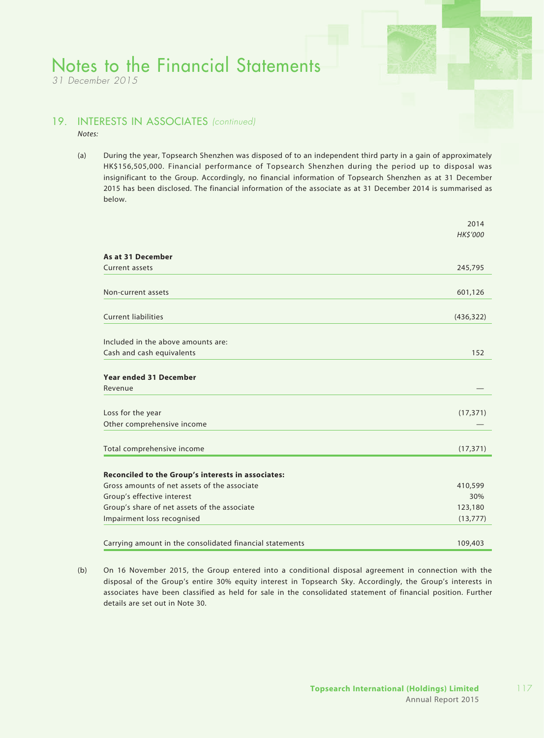*31 December 2015*

### 19. INTERESTS IN ASSOCIATES *(continued)*

*Notes:*

(a) During the year, Topsearch Shenzhen was disposed of to an independent third party in a gain of approximately HK\$156,505,000. Financial performance of Topsearch Shenzhen during the period up to disposal was insignificant to the Group. Accordingly, no financial information of Topsearch Shenzhen as at 31 December 2015 has been disclosed. The financial information of the associate as at 31 December 2014 is summarised as below.

|                                                          | 2014           |
|----------------------------------------------------------|----------------|
|                                                          | <b>HKS'000</b> |
| As at 31 December                                        |                |
| Current assets                                           | 245,795        |
|                                                          |                |
| Non-current assets                                       | 601,126        |
| <b>Current liabilities</b>                               | (436, 322)     |
| Included in the above amounts are:                       |                |
| Cash and cash equivalents                                | 152            |
| <b>Year ended 31 December</b><br>Revenue                 |                |
| Loss for the year                                        | (17, 371)      |
| Other comprehensive income                               |                |
| Total comprehensive income                               | (17, 371)      |
| Reconciled to the Group's interests in associates:       |                |
| Gross amounts of net assets of the associate             | 410,599        |
| Group's effective interest                               | 30%            |
| Group's share of net assets of the associate             | 123,180        |
| Impairment loss recognised                               | (13, 777)      |
| Carrying amount in the consolidated financial statements | 109,403        |

(b) On 16 November 2015, the Group entered into a conditional disposal agreement in connection with the disposal of the Group's entire 30% equity interest in Topsearch Sky. Accordingly, the Group's interests in associates have been classified as held for sale in the consolidated statement of financial position. Further details are set out in Note 30.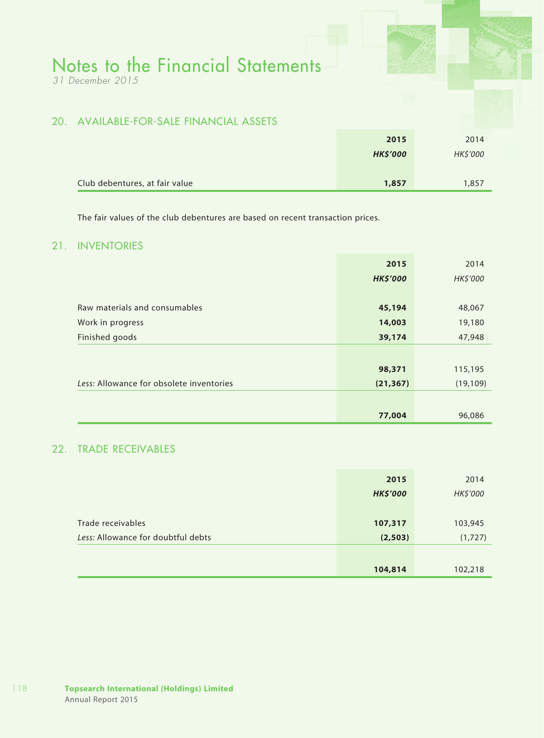*31 December 2015*

### 20. AVAILABLE-FOR-SALE FINANCIAL ASSETS

|                                | 2015            | 2014     |
|--------------------------------|-----------------|----------|
|                                | <b>HK\$'000</b> | HK\$'000 |
|                                |                 |          |
| Club debentures, at fair value | 1,857           | 1,857    |

The fair values of the club debentures are based on recent transaction prices.

### 21. INVENTORIES

|                                          | 2015            | 2014      |
|------------------------------------------|-----------------|-----------|
|                                          | <b>HK\$'000</b> | HK\$'000  |
|                                          |                 |           |
| Raw materials and consumables            | 45,194          | 48,067    |
| Work in progress                         | 14,003          | 19,180    |
| Finished goods                           | 39,174          | 47,948    |
|                                          |                 |           |
|                                          | 98,371          | 115,195   |
| Less: Allowance for obsolete inventories | (21, 367)       | (19, 109) |
|                                          |                 |           |
|                                          | 77,004          | 96,086    |

### 22. TRADE RECEIVABLES

|                                    | 2015            | 2014     |
|------------------------------------|-----------------|----------|
|                                    | <b>HK\$'000</b> | HK\$'000 |
|                                    |                 |          |
| Trade receivables                  | 107,317         | 103,945  |
| Less: Allowance for doubtful debts | (2, 503)        | (1,727)  |
|                                    |                 |          |
|                                    | 104,814         | 102,218  |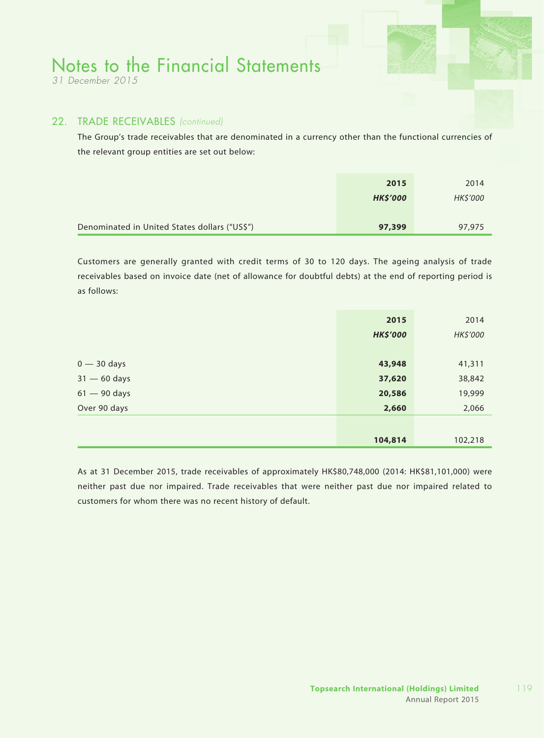*31 December 2015*

#### 22. TRADE RECEIVABLES *(continued)*

The Group's trade receivables that are denominated in a currency other than the functional currencies of the relevant group entities are set out below:

|                                               | 2015            | 2014            |
|-----------------------------------------------|-----------------|-----------------|
|                                               | <b>HK\$'000</b> | <b>HK\$'000</b> |
|                                               |                 |                 |
| Denominated in United States dollars ("US\$") | 97,399          | 97,975          |

Customers are generally granted with credit terms of 30 to 120 days. The ageing analysis of trade receivables based on invoice date (net of allowance for doubtful debts) at the end of reporting period is as follows:

|                | 2015            | 2014     |
|----------------|-----------------|----------|
|                | <b>HK\$'000</b> | HK\$'000 |
|                |                 |          |
| $0 - 30$ days  | 43,948          | 41,311   |
| $31 - 60$ days | 37,620          | 38,842   |
| $61 - 90$ days | 20,586          | 19,999   |
| Over 90 days   | 2,660           | 2,066    |
|                |                 |          |
|                | 104,814         | 102,218  |

As at 31 December 2015, trade receivables of approximately HK\$80,748,000 (2014: HK\$81,101,000) were neither past due nor impaired. Trade receivables that were neither past due nor impaired related to customers for whom there was no recent history of default.

119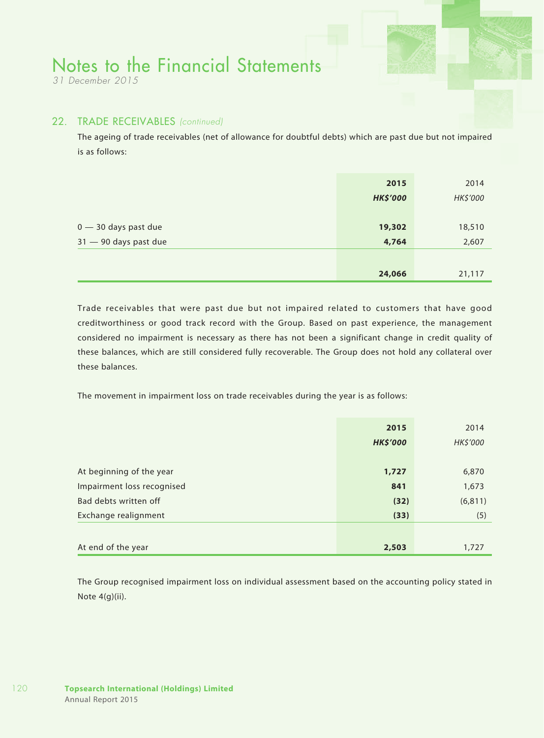*31 December 2015*

#### 22. TRADE RECEIVABLES *(continued)*

The ageing of trade receivables (net of allowance for doubtful debts) which are past due but not impaired is as follows:

|                                                 | 2015<br><b>HK\$'000</b> | 2014<br>HK\$'000 |
|-------------------------------------------------|-------------------------|------------------|
| $0 - 30$ days past due<br>31 - 90 days past due | 19,302<br>4,764         | 18,510<br>2,607  |
|                                                 | 24,066                  | 21,117           |

Trade receivables that were past due but not impaired related to customers that have good creditworthiness or good track record with the Group. Based on past experience, the management considered no impairment is necessary as there has not been a significant change in credit quality of these balances, which are still considered fully recoverable. The Group does not hold any collateral over these balances.

The movement in impairment loss on trade receivables during the year is as follows:

|                            | 2015            | 2014     |
|----------------------------|-----------------|----------|
|                            | <b>HK\$'000</b> | HK\$'000 |
|                            |                 |          |
| At beginning of the year   | 1,727           | 6,870    |
| Impairment loss recognised | 841             | 1,673    |
| Bad debts written off      | (32)            | (6, 811) |
| Exchange realignment       | (33)            | (5)      |
|                            |                 |          |
| At end of the year         | 2,503           | 1,727    |

The Group recognised impairment loss on individual assessment based on the accounting policy stated in Note 4(g)(ii).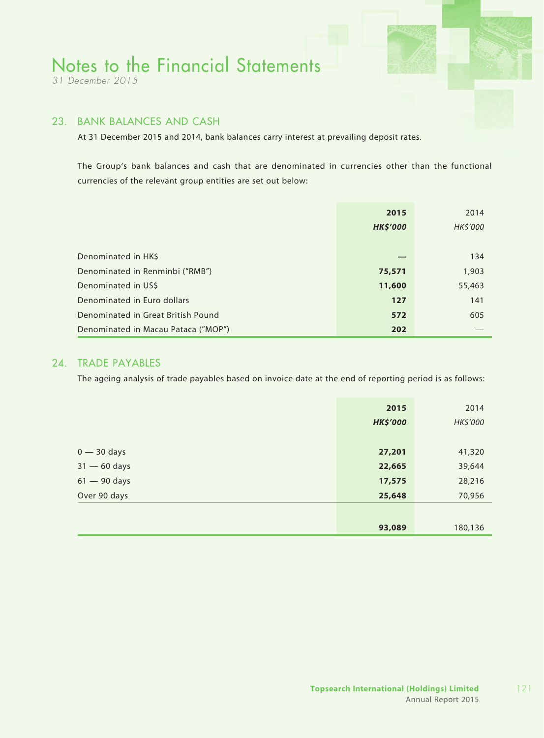*31 December 2015*

### 23. BANK BALANCES AND CASH

At 31 December 2015 and 2014, bank balances carry interest at prevailing deposit rates.

The Group's bank balances and cash that are denominated in currencies other than the functional currencies of the relevant group entities are set out below:

|                                     | 2015<br><b>HK\$'000</b> | 2014<br>HK\$'000 |
|-------------------------------------|-------------------------|------------------|
| Denominated in HK\$                 |                         | 134              |
| Denominated in Renminbi ("RMB")     | 75,571                  | 1,903            |
| Denominated in US\$                 | 11,600                  | 55,463           |
| Denominated in Euro dollars         | 127                     | 141              |
| Denominated in Great British Pound  | 572                     | 605              |
| Denominated in Macau Pataca ("MOP") | 202                     |                  |

### 24. TRADE PAYABLES

The ageing analysis of trade payables based on invoice date at the end of reporting period is as follows:

|                | 2015<br><b>HK\$'000</b> | 2014<br>HK\$'000 |
|----------------|-------------------------|------------------|
| $0 - 30$ days  | 27,201                  | 41,320           |
| $31 - 60$ days | 22,665                  | 39,644           |
| $61 - 90$ days | 17,575                  | 28,216           |
| Over 90 days   | 25,648                  | 70,956           |
|                |                         |                  |
|                | 93,089                  | 180,136          |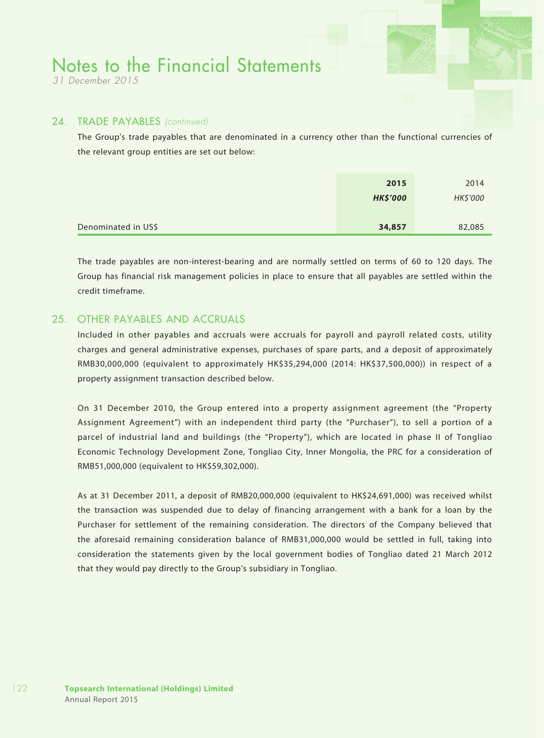*31 December 2015*

#### 24. TRADE PAYABLES *(continued)*

The Group's trade payables that are denominated in a currency other than the functional currencies of the relevant group entities are set out below:

|                     | 2015            | 2014     |
|---------------------|-----------------|----------|
|                     | <b>HK\$'000</b> | HK\$'000 |
|                     |                 |          |
| Denominated in US\$ | 34,857          | 82,085   |

The trade payables are non-interest-bearing and are normally settled on terms of 60 to 120 days. The Group has financial risk management policies in place to ensure that all payables are settled within the credit timeframe.

### 25. OTHER PAYABLES AND ACCRUALS

Included in other payables and accruals were accruals for payroll and payroll related costs, utility charges and general administrative expenses, purchases of spare parts, and a deposit of approximately RMB30,000,000 (equivalent to approximately HK\$35,294,000 (2014: HK\$37,500,000)) in respect of a property assignment transaction described below.

On 31 December 2010, the Group entered into a property assignment agreement (the "Property Assignment Agreement") with an independent third party (the "Purchaser"), to sell a portion of a parcel of industrial land and buildings (the "Property"), which are located in phase II of Tongliao Economic Technology Development Zone, Tongliao City, Inner Mongolia, the PRC for a consideration of RMB51,000,000 (equivalent to HK\$59,302,000).

As at 31 December 2011, a deposit of RMB20,000,000 (equivalent to HK\$24,691,000) was received whilst the transaction was suspended due to delay of financing arrangement with a bank for a loan by the Purchaser for settlement of the remaining consideration. The directors of the Company believed that the aforesaid remaining consideration balance of RMB31,000,000 would be settled in full, taking into consideration the statements given by the local government bodies of Tongliao dated 21 March 2012 that they would pay directly to the Group's subsidiary in Tongliao.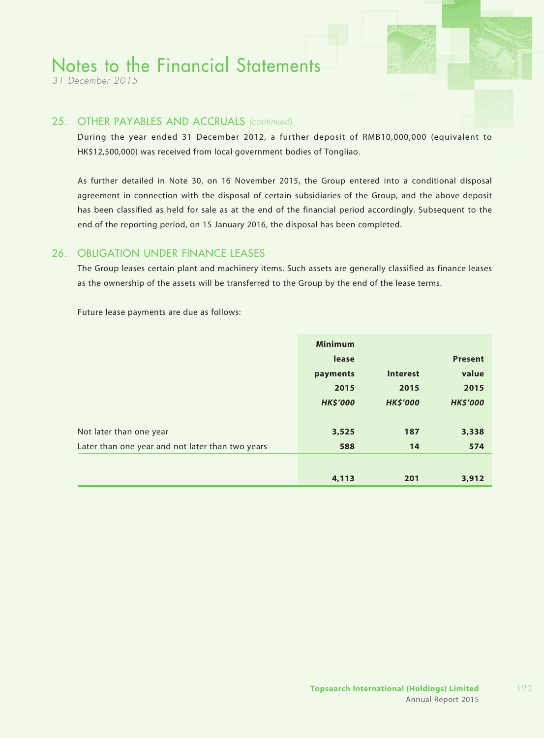*31 December 2015*

#### 25. OTHER PAYABLES AND ACCRUALS *(continued)*

During the year ended 31 December 2012, a further deposit of RMB10,000,000 (equivalent to HK\$12,500,000) was received from local government bodies of Tongliao.

As further detailed in Note 30, on 16 November 2015, the Group entered into a conditional disposal agreement in connection with the disposal of certain subsidiaries of the Group, and the above deposit has been classified as held for sale as at the end of the financial period accordingly. Subsequent to the end of the reporting period, on 15 January 2016, the disposal has been completed.

### 26. OBLIGATION UNDER FINANCE LEASES

The Group leases certain plant and machinery items. Such assets are generally classified as finance leases as the ownership of the assets will be transferred to the Group by the end of the lease terms.

Future lease payments are due as follows:

|                                                  | <b>Minimum</b>  |                 |                 |
|--------------------------------------------------|-----------------|-----------------|-----------------|
|                                                  | lease           |                 | <b>Present</b>  |
|                                                  | payments        | <b>Interest</b> | value           |
|                                                  | 2015            | 2015            | 2015            |
|                                                  | <b>HK\$'000</b> | <b>HK\$'000</b> | <b>HK\$'000</b> |
|                                                  |                 |                 |                 |
| Not later than one year                          | 3,525           | 187             | 3,338           |
| Later than one year and not later than two years | 588             | 14              | 574             |
|                                                  |                 |                 |                 |
|                                                  | 4,113           | 201             | 3,912           |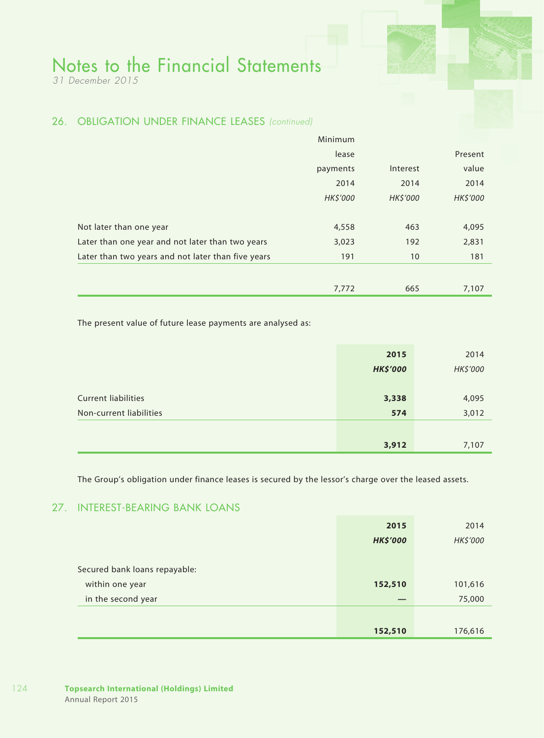*31 December 2015*

### 26. OBLIGATION UNDER FINANCE LEASES *(continued)*

|                                                    | 7,772    | 665      | 7,107    |
|----------------------------------------------------|----------|----------|----------|
| Later than two years and not later than five years | 191      | 10       | 181      |
| Later than one year and not later than two years   | 3,023    | 192      | 2,831    |
| Not later than one year                            | 4,558    | 463      | 4,095    |
|                                                    | HK\$'000 | HK\$'000 | HK\$'000 |
|                                                    | 2014     | 2014     | 2014     |
|                                                    | payments | Interest | value    |
|                                                    | lease    |          | Present  |
|                                                    | Minimum  |          |          |

The present value of future lease payments are analysed as:

|                            | 2015            | 2014     |
|----------------------------|-----------------|----------|
|                            | <b>HK\$'000</b> | HK\$'000 |
|                            |                 |          |
| <b>Current liabilities</b> | 3,338           | 4,095    |
| Non-current liabilities    | 574             | 3,012    |
|                            |                 |          |
|                            | 3,912           | 7,107    |

The Group's obligation under finance leases is secured by the lessor's charge over the leased assets.

### 27. INTEREST-BEARING BANK LOANS

|                               | 2015            | 2014     |
|-------------------------------|-----------------|----------|
|                               | <b>HK\$'000</b> | HK\$'000 |
|                               |                 |          |
| Secured bank loans repayable: |                 |          |
| within one year               | 152,510         | 101,616  |
| in the second year            |                 | 75,000   |
|                               |                 |          |
|                               | 152,510         | 176,616  |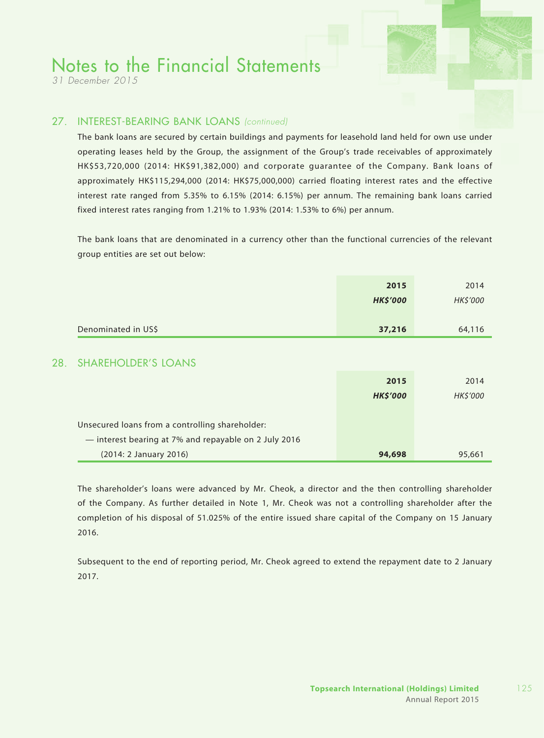*31 December 2015*

### 27. INTEREST-BEARING BANK LOANS *(continued)*

The bank loans are secured by certain buildings and payments for leasehold land held for own use under operating leases held by the Group, the assignment of the Group's trade receivables of approximately HK\$53,720,000 (2014: HK\$91,382,000) and corporate guarantee of the Company. Bank loans of approximately HK\$115,294,000 (2014: HK\$75,000,000) carried floating interest rates and the effective interest rate ranged from 5.35% to 6.15% (2014: 6.15%) per annum. The remaining bank loans carried fixed interest rates ranging from 1.21% to 1.93% (2014: 1.53% to 6%) per annum.

The bank loans that are denominated in a currency other than the functional currencies of the relevant group entities are set out below:

|     |                                                       | 2015<br><b>HK\$'000</b> | 2014<br>HK\$'000 |
|-----|-------------------------------------------------------|-------------------------|------------------|
|     | Denominated in US\$                                   | 37,216                  | 64,116           |
| 28. | <b>SHAREHOLDER'S LOANS</b>                            |                         |                  |
|     |                                                       | 2015<br><b>HK\$'000</b> | 2014<br>HK\$'000 |
|     | Unsecured loans from a controlling shareholder:       |                         |                  |
|     | - interest bearing at 7% and repayable on 2 July 2016 |                         |                  |
|     | (2014: 2 January 2016)                                | 94,698                  | 95,661           |

The shareholder's loans were advanced by Mr. Cheok, a director and the then controlling shareholder of the Company. As further detailed in Note 1, Mr. Cheok was not a controlling shareholder after the completion of his disposal of 51.025% of the entire issued share capital of the Company on 15 January 2016.

Subsequent to the end of reporting period, Mr. Cheok agreed to extend the repayment date to 2 January 2017.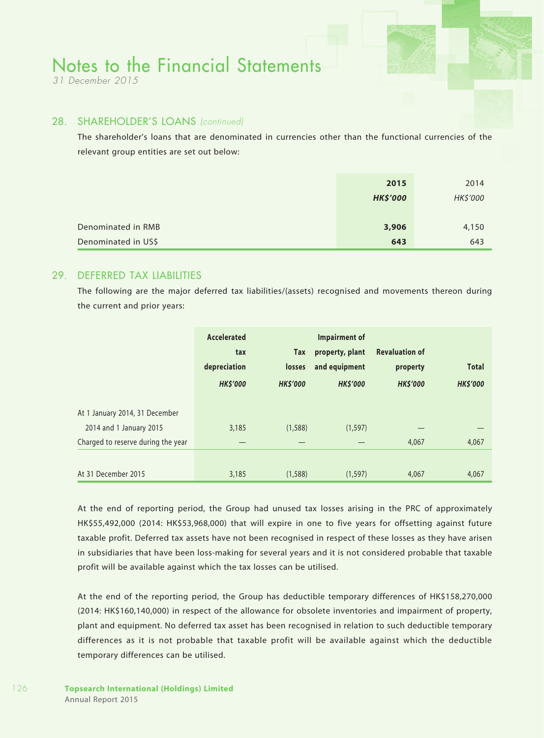*31 December 2015*

#### 28. SHAREHOLDER'S LOANS *(continued)*

The shareholder's loans that are denominated in currencies other than the functional currencies of the relevant group entities are set out below:

|                     | 2015            | 2014     |
|---------------------|-----------------|----------|
|                     | <b>HK\$'000</b> | HK\$'000 |
|                     |                 |          |
| Denominated in RMB  | 3,906           | 4,150    |
| Denominated in US\$ | 643             | 643      |

#### 29. DEFERRED TAX LIABILITIES

The following are the major deferred tax liabilities/(assets) recognised and movements thereon during the current and prior years:

|                                                           | Accelerated<br>tax<br>depreciation<br><b>HKS'000</b> | Tax<br>losses<br><b>HKS'000</b> | Impairment of<br>property, plant<br>and equipment<br><b>HKS'000</b> | <b>Revaluation of</b><br>property<br><b>HK\$'000</b> | <b>Total</b><br><b>HKS'000</b> |
|-----------------------------------------------------------|------------------------------------------------------|---------------------------------|---------------------------------------------------------------------|------------------------------------------------------|--------------------------------|
| At 1 January 2014, 31 December<br>2014 and 1 January 2015 | 3,185                                                | (1,588)                         | (1, 597)                                                            |                                                      |                                |
| Charged to reserve during the year                        |                                                      |                                 |                                                                     | 4,067                                                | 4,067                          |
| At 31 December 2015                                       | 3,185                                                | (1,588)                         | (1, 597)                                                            | 4,067                                                | 4,067                          |

At the end of reporting period, the Group had unused tax losses arising in the PRC of approximately HK\$55,492,000 (2014: HK\$53,968,000) that will expire in one to five years for offsetting against future taxable profit. Deferred tax assets have not been recognised in respect of these losses as they have arisen in subsidiaries that have been loss-making for several years and it is not considered probable that taxable profit will be available against which the tax losses can be utilised.

At the end of the reporting period, the Group has deductible temporary differences of HK\$158,270,000 (2014: HK\$160,140,000) in respect of the allowance for obsolete inventories and impairment of property, plant and equipment. No deferred tax asset has been recognised in relation to such deductible temporary differences as it is not probable that taxable profit will be available against which the deductible temporary differences can be utilised.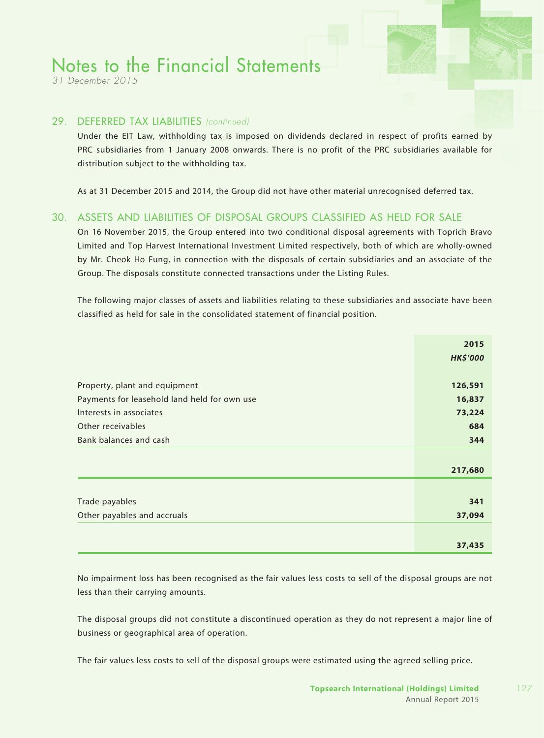*31 December 2015*

#### 29. DEFERRED TAX LIABILITIES *(continued)*

Under the EIT Law, withholding tax is imposed on dividends declared in respect of profits earned by PRC subsidiaries from 1 January 2008 onwards. There is no profit of the PRC subsidiaries available for distribution subject to the withholding tax.

As at 31 December 2015 and 2014, the Group did not have other material unrecognised deferred tax.

### 30. ASSETS AND LIABILITIES OF DISPOSAL GROUPS CLASSIFIED AS HELD FOR SALE

On 16 November 2015, the Group entered into two conditional disposal agreements with Toprich Bravo Limited and Top Harvest International Investment Limited respectively, both of which are wholly-owned by Mr. Cheok Ho Fung, in connection with the disposals of certain subsidiaries and an associate of the Group. The disposals constitute connected transactions under the Listing Rules.

The following major classes of assets and liabilities relating to these subsidiaries and associate have been classified as held for sale in the consolidated statement of financial position.

|                                              | 2015            |
|----------------------------------------------|-----------------|
|                                              | <b>HK\$'000</b> |
|                                              |                 |
| Property, plant and equipment                | 126,591         |
| Payments for leasehold land held for own use | 16,837          |
| Interests in associates                      | 73,224          |
| Other receivables                            | 684             |
| Bank balances and cash                       | 344             |
|                                              |                 |
|                                              | 217,680         |
|                                              |                 |
| Trade payables                               | 341             |
| Other payables and accruals                  | 37,094          |
|                                              |                 |
|                                              | 37,435          |

No impairment loss has been recognised as the fair values less costs to sell of the disposal groups are not less than their carrying amounts.

The disposal groups did not constitute a discontinued operation as they do not represent a major line of business or geographical area of operation.

The fair values less costs to sell of the disposal groups were estimated using the agreed selling price.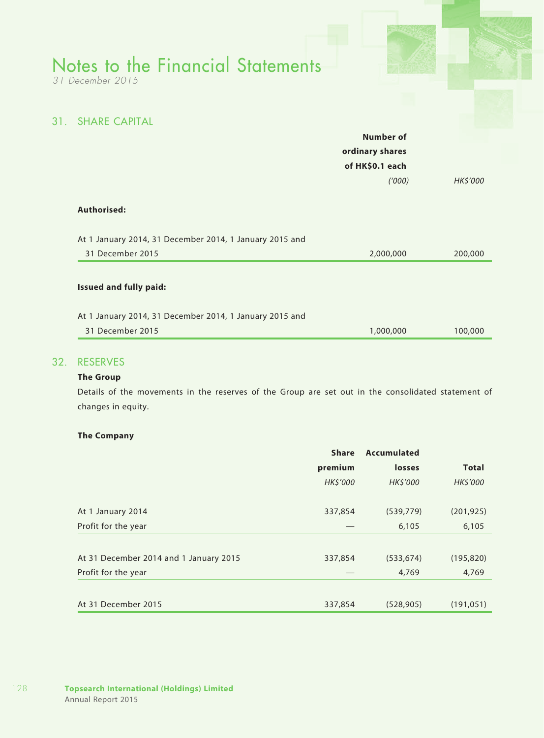*31 December 2015*

### 31. SHARE CAPITAL

| ordinary shares<br>of HK\$0.1 each<br>(1000) | <b>HK\$'000</b> |
|----------------------------------------------|-----------------|
|                                              |                 |
|                                              |                 |
|                                              |                 |
|                                              |                 |
|                                              |                 |
| 2,000,000                                    | 200,000         |
|                                              |                 |

#### 32. RESERVES

#### **The Group**

Details of the movements in the reserves of the Group are set out in the consolidated statement of changes in equity.

#### **The Company**

|                                        | <b>Share</b> | <b>Accumulated</b> |              |
|----------------------------------------|--------------|--------------------|--------------|
|                                        | premium      | losses             | <b>Total</b> |
|                                        | HK\$'000     | HK\$'000           | HK\$'000     |
| At 1 January 2014                      | 337,854      | (539,779)          | (201, 925)   |
| Profit for the year                    |              | 6,105              | 6,105        |
|                                        |              |                    |              |
| At 31 December 2014 and 1 January 2015 | 337,854      | (533, 674)         | (195, 820)   |
| Profit for the year                    |              | 4,769              | 4,769        |
|                                        |              |                    |              |
| At 31 December 2015                    | 337,854      | (528, 905)         | (191, 051)   |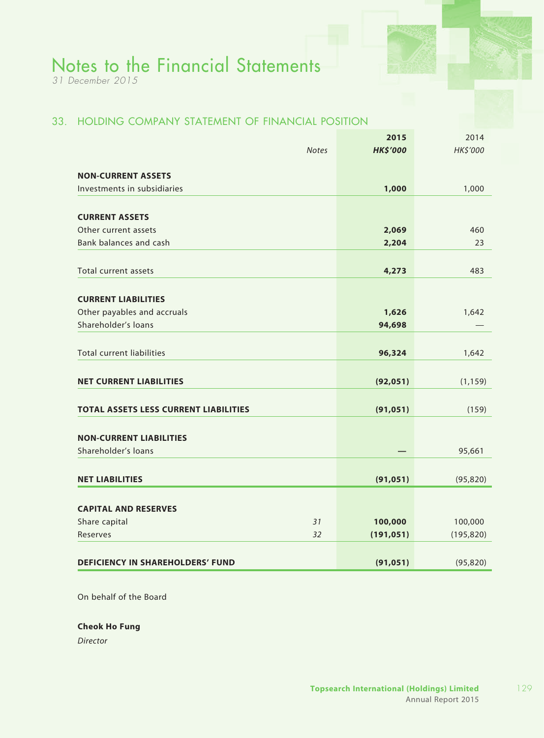*31 December 2015*

### 33. HOLDING COMPANY STATEMENT OF FINANCIAL POSITION

| <b>HK\$'000</b><br><b>Notes</b><br><b>NON-CURRENT ASSETS</b><br>Investments in subsidiaries<br>1,000 | HK\$'000<br>1,000 |
|------------------------------------------------------------------------------------------------------|-------------------|
|                                                                                                      |                   |
|                                                                                                      |                   |
|                                                                                                      |                   |
|                                                                                                      |                   |
| <b>CURRENT ASSETS</b>                                                                                |                   |
| Other current assets<br>2,069                                                                        | 460               |
| Bank balances and cash<br>2,204                                                                      | 23                |
|                                                                                                      |                   |
| 4,273<br>Total current assets                                                                        | 483               |
|                                                                                                      |                   |
| <b>CURRENT LIABILITIES</b>                                                                           |                   |
| Other payables and accruals<br>1,626                                                                 | 1,642             |
| Shareholder's loans<br>94,698                                                                        |                   |
|                                                                                                      |                   |
| <b>Total current liabilities</b><br>96,324                                                           | 1,642             |
|                                                                                                      |                   |
| <b>NET CURRENT LIABILITIES</b><br>(92, 051)                                                          | (1, 159)          |
|                                                                                                      |                   |
| <b>TOTAL ASSETS LESS CURRENT LIABILITIES</b><br>(91, 051)                                            | (159)             |
|                                                                                                      |                   |
| <b>NON-CURRENT LIABILITIES</b><br>Shareholder's loans                                                |                   |
|                                                                                                      | 95,661            |
| <b>NET LIABILITIES</b><br>(91, 051)                                                                  | (95, 820)         |
|                                                                                                      |                   |
| <b>CAPITAL AND RESERVES</b>                                                                          |                   |
| 31<br>Share capital<br>100,000                                                                       | 100,000           |
| 32<br>Reserves<br>(191, 051)                                                                         | (195, 820)        |
|                                                                                                      |                   |
| <b>DEFICIENCY IN SHAREHOLDERS' FUND</b><br>(91, 051)                                                 | (95, 820)         |

On behalf of the Board

#### **Cheok Ho Fung**

*Director*

129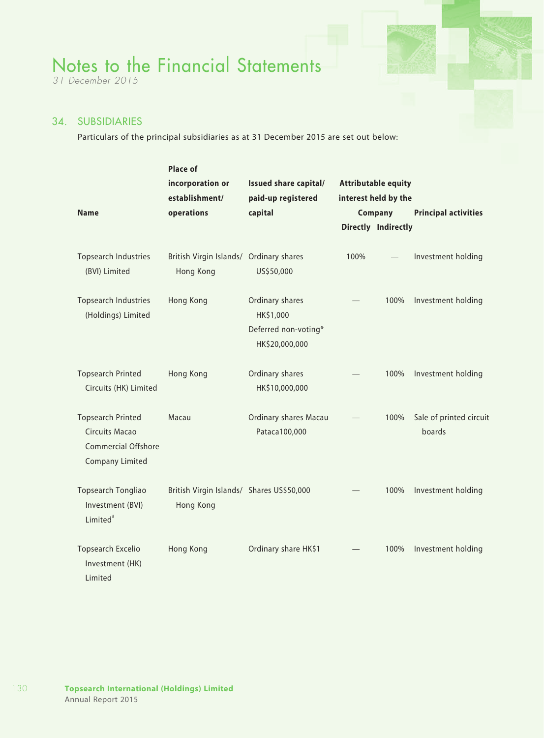*31 December 2015*

### 34. SUBSIDIARIES

Particulars of the principal subsidiaries as at 31 December 2015 are set out below:

|                                                                                             | Place of                                               |                                                                        |      |                            |                                   |
|---------------------------------------------------------------------------------------------|--------------------------------------------------------|------------------------------------------------------------------------|------|----------------------------|-----------------------------------|
|                                                                                             | incorporation or                                       | Issued share capital/                                                  |      | <b>Attributable equity</b> |                                   |
|                                                                                             | establishment/                                         | paid-up registered                                                     |      | interest held by the       |                                   |
| <b>Name</b>                                                                                 | operations                                             | capital                                                                |      | Company                    | <b>Principal activities</b>       |
|                                                                                             |                                                        |                                                                        |      | Directly Indirectly        |                                   |
| <b>Topsearch Industries</b><br>(BVI) Limited                                                | British Virgin Islands/ Ordinary shares<br>Hong Kong   | US\$50,000                                                             | 100% |                            | Investment holding                |
| <b>Topsearch Industries</b><br>(Holdings) Limited                                           | Hong Kong                                              | Ordinary shares<br>HK\$1,000<br>Deferred non-voting*<br>HK\$20,000,000 |      | 100%                       | Investment holding                |
| <b>Topsearch Printed</b><br>Circuits (HK) Limited                                           | Hong Kong                                              | Ordinary shares<br>HK\$10,000,000                                      |      | 100%                       | Investment holding                |
| <b>Topsearch Printed</b><br>Circuits Macao<br>Commercial Offshore<br><b>Company Limited</b> | Macau                                                  | Ordinary shares Macau<br>Pataca100,000                                 |      | 100%                       | Sale of printed circuit<br>boards |
| Topsearch Tongliao<br>Investment (BVI)<br>Limited <sup>#</sup>                              | British Virgin Islands/ Shares US\$50,000<br>Hong Kong |                                                                        |      | 100%                       | Investment holding                |
| Topsearch Excelio<br>Investment (HK)<br>Limited                                             | Hong Kong                                              | Ordinary share HK\$1                                                   |      | 100%                       | Investment holding                |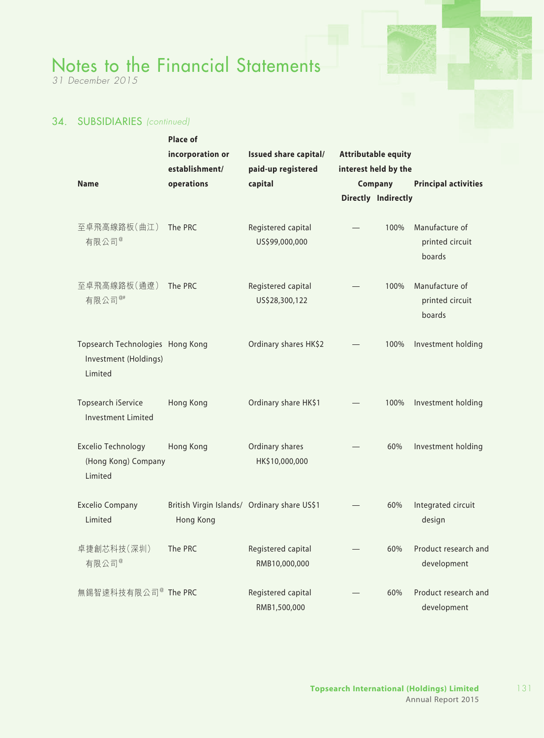*31 December 2015*

### 34. SUBSIDIARIES *(continued)*

|                                                                      | <b>Place of</b>                                           |                                      |                            |                     |                                             |
|----------------------------------------------------------------------|-----------------------------------------------------------|--------------------------------------|----------------------------|---------------------|---------------------------------------------|
|                                                                      | incorporation or                                          | Issued share capital/                | <b>Attributable equity</b> |                     |                                             |
|                                                                      | establishment/                                            | paid-up registered                   | interest held by the       |                     |                                             |
| <b>Name</b>                                                          | operations                                                | capital                              |                            | Company             | <b>Principal activities</b>                 |
|                                                                      |                                                           |                                      |                            | Directly Indirectly |                                             |
|                                                                      |                                                           |                                      |                            |                     |                                             |
| 至卓飛高線路板(曲江)<br>有限公司 <sup>@</sup>                                     | The PRC                                                   | Registered capital<br>US\$99,000,000 |                            | 100%                | Manufacture of<br>printed circuit<br>boards |
| 至卓飛高線路板(通遼)<br>有限公司 <sup>@#</sup>                                    | The PRC                                                   | Registered capital<br>US\$28,300,122 |                            | 100%                | Manufacture of<br>printed circuit<br>boards |
| Topsearch Technologies Hong Kong<br>Investment (Holdings)<br>Limited |                                                           | Ordinary shares HK\$2                |                            | 100%                | Investment holding                          |
| Topsearch iService<br><b>Investment Limited</b>                      | Hong Kong                                                 | Ordinary share HK\$1                 |                            | 100%                | Investment holding                          |
| Excelio Technology<br>(Hong Kong) Company<br>Limited                 | Hong Kong                                                 | Ordinary shares<br>HK\$10,000,000    |                            | 60%                 | Investment holding                          |
| <b>Excelio Company</b><br>Limited                                    | British Virgin Islands/ Ordinary share US\$1<br>Hong Kong |                                      |                            | 60%                 | Integrated circuit<br>design                |
| 卓捷創芯科技(深圳)<br>有限公司 <sup>@</sup>                                      | The PRC                                                   | Registered capital<br>RMB10,000,000  |                            | 60%                 | Product research and<br>development         |
| 無錫智速科技有限公司 <sup>@</sup> The PRC                                      |                                                           | Registered capital<br>RMB1,500,000   |                            | 60%                 | Product research and<br>development         |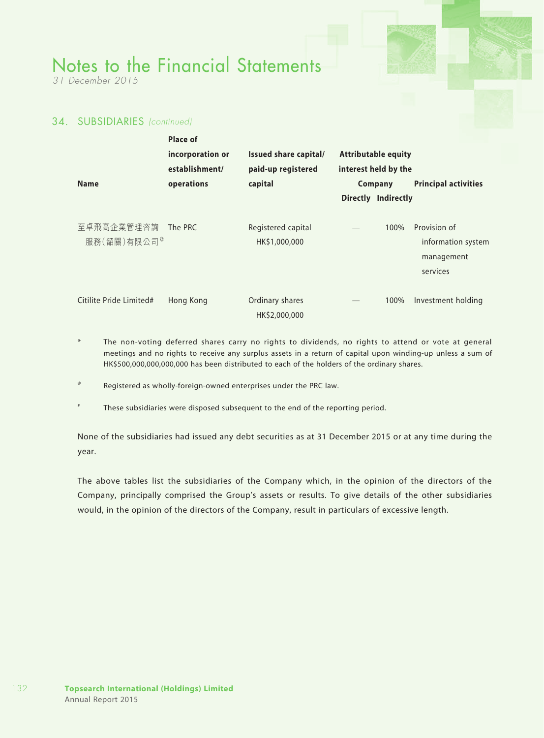*31 December 2015*

### 34. SUBSIDIARIES *(continued)*

|                                       | Place of         |                                     |                            |                                                              |
|---------------------------------------|------------------|-------------------------------------|----------------------------|--------------------------------------------------------------|
|                                       | incorporation or | Issued share capital/               | <b>Attributable equity</b> |                                                              |
|                                       | establishment/   | paid-up registered                  | interest held by the       |                                                              |
| <b>Name</b>                           | operations       | capital                             | Company                    | <b>Principal activities</b>                                  |
|                                       |                  |                                     | <b>Directly Indirectly</b> |                                                              |
| 至卓飛高企業管理咨詢<br>服務(韶關)有限公司 <sup>@</sup> | The PRC          | Registered capital<br>HK\$1,000,000 | 100%                       | Provision of<br>information system<br>management<br>services |
| Citilite Pride Limited#               | Hong Kong        | Ordinary shares<br>HK\$2,000,000    | 100%                       | Investment holding                                           |

The non-voting deferred shares carry no rights to dividends, no rights to attend or vote at general meetings and no rights to receive any surplus assets in a return of capital upon winding-up unless a sum of HK\$500,000,000,000,000 has been distributed to each of the holders of the ordinary shares.

Registered as wholly-foreign-owned enterprises under the PRC law.

These subsidiaries were disposed subsequent to the end of the reporting period.

None of the subsidiaries had issued any debt securities as at 31 December 2015 or at any time during the year.

The above tables list the subsidiaries of the Company which, in the opinion of the directors of the Company, principally comprised the Group's assets or results. To give details of the other subsidiaries would, in the opinion of the directors of the Company, result in particulars of excessive length.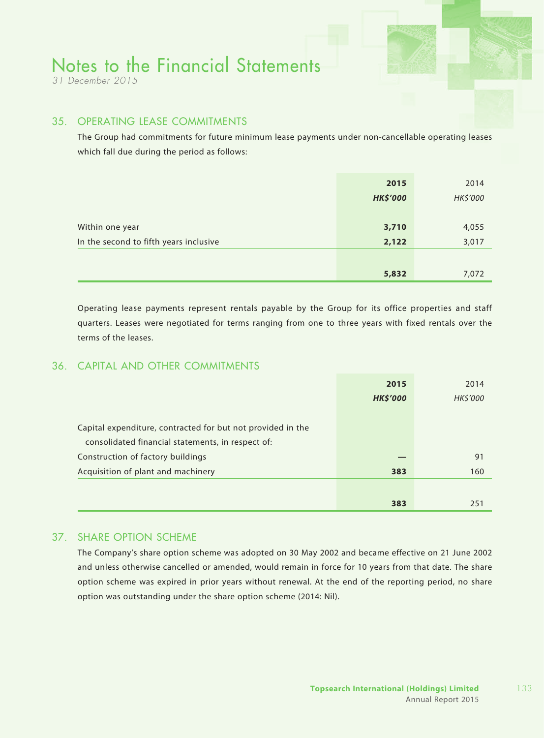*31 December 2015*

### 35. OPERATING LEASE COMMITMENTS

The Group had commitments for future minimum lease payments under non-cancellable operating leases which fall due during the period as follows:

|                                        | 2015            | 2014     |
|----------------------------------------|-----------------|----------|
|                                        | <b>HK\$'000</b> | HK\$'000 |
|                                        |                 |          |
| Within one year                        | 3,710           | 4,055    |
| In the second to fifth years inclusive | 2,122           | 3,017    |
|                                        |                 |          |
|                                        | 5,832           | 7,072    |

Operating lease payments represent rentals payable by the Group for its office properties and staff quarters. Leases were negotiated for terms ranging from one to three years with fixed rentals over the terms of the leases.

### 36. CAPITAL AND OTHER COMMITMENTS

|                                                             | 2015            | 2014     |
|-------------------------------------------------------------|-----------------|----------|
|                                                             | <b>HK\$'000</b> | HK\$'000 |
|                                                             |                 |          |
| Capital expenditure, contracted for but not provided in the |                 |          |
| consolidated financial statements, in respect of:           |                 |          |
| Construction of factory buildings                           |                 | 91       |
| Acquisition of plant and machinery                          | 383             | 160      |
|                                                             |                 |          |
|                                                             | 383             | 251      |

### 37. SHARE OPTION SCHEME

The Company's share option scheme was adopted on 30 May 2002 and became effective on 21 June 2002 and unless otherwise cancelled or amended, would remain in force for 10 years from that date. The share option scheme was expired in prior years without renewal. At the end of the reporting period, no share option was outstanding under the share option scheme (2014: Nil).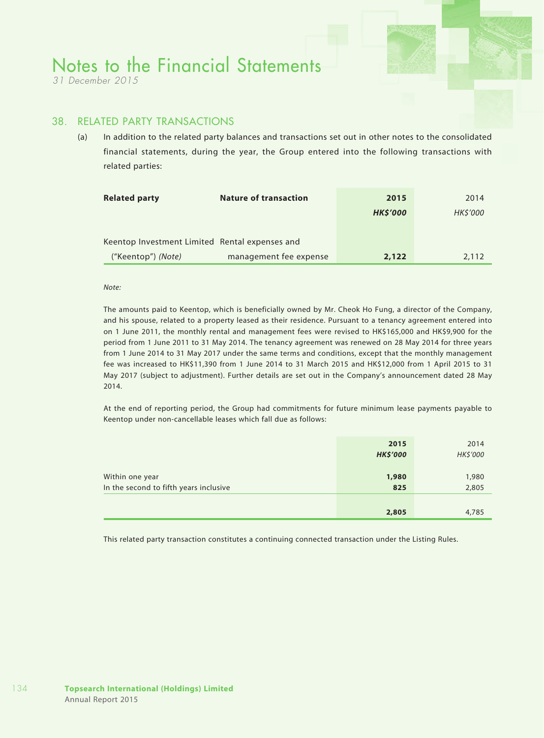*31 December 2015*

#### 38. RELATED PARTY TRANSACTIONS

(a) In addition to the related party balances and transactions set out in other notes to the consolidated financial statements, during the year, the Group entered into the following transactions with related parties:

| <b>Related party</b>                           | <b>Nature of transaction</b> | 2015           | 2014            |
|------------------------------------------------|------------------------------|----------------|-----------------|
|                                                |                              | <b>HKS'000</b> | <b>HK\$'000</b> |
|                                                |                              |                |                 |
| Keentop Investment Limited Rental expenses and |                              |                |                 |
| ("Keentop") (Note)                             | management fee expense       | 2,122          | 2.112           |

#### *Note:*

The amounts paid to Keentop, which is beneficially owned by Mr. Cheok Ho Fung, a director of the Company, and his spouse, related to a property leased as their residence. Pursuant to a tenancy agreement entered into on 1 June 2011, the monthly rental and management fees were revised to HK\$165,000 and HK\$9,900 for the period from 1 June 2011 to 31 May 2014. The tenancy agreement was renewed on 28 May 2014 for three years from 1 June 2014 to 31 May 2017 under the same terms and conditions, except that the monthly management fee was increased to HK\$11,390 from 1 June 2014 to 31 March 2015 and HK\$12,000 from 1 April 2015 to 31 May 2017 (subject to adjustment). Further details are set out in the Company's announcement dated 28 May 2014.

At the end of reporting period, the Group had commitments for future minimum lease payments payable to Keentop under non-cancellable leases which fall due as follows:

|                                                           | 2015<br><b>HK\$'000</b> | 2014<br>HK\$'000 |
|-----------------------------------------------------------|-------------------------|------------------|
| Within one year<br>In the second to fifth years inclusive | 1,980<br>825            | 1,980<br>2,805   |
|                                                           | 2,805                   | 4,785            |

This related party transaction constitutes a continuing connected transaction under the Listing Rules.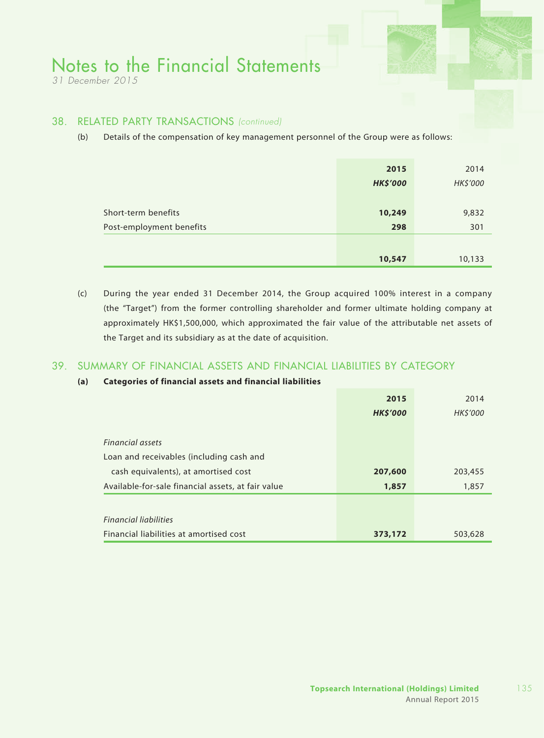*31 December 2015*

#### 38. RELATED PARTY TRANSACTIONS *(continued)*

(b) Details of the compensation of key management personnel of the Group were as follows:

|                                                 | 2015<br><b>HK\$'000</b> | 2014<br>HK\$'000 |
|-------------------------------------------------|-------------------------|------------------|
| Short-term benefits<br>Post-employment benefits | 10,249<br>298           | 9,832<br>301     |
|                                                 | 10,547                  | 10,133           |

(c) During the year ended 31 December 2014, the Group acquired 100% interest in a company (the "Target") from the former controlling shareholder and former ultimate holding company at approximately HK\$1,500,000, which approximated the fair value of the attributable net assets of the Target and its subsidiary as at the date of acquisition.

### 39. SUMMARY OF FINANCIAL ASSETS AND FINANCIAL LIABILITIES BY CATEGORY

#### **(a) Categories of financial assets and financial liabilities**

|                                                    | 2015            | 2014           |
|----------------------------------------------------|-----------------|----------------|
|                                                    | <b>HK\$'000</b> | <b>HKS'000</b> |
| <b>Financial assets</b>                            |                 |                |
| Loan and receivables (including cash and           |                 |                |
| cash equivalents), at amortised cost               | 207,600         | 203,455        |
| Available-for-sale financial assets, at fair value | 1,857           | 1,857          |
|                                                    |                 |                |
| <b>Financial liabilities</b>                       |                 |                |
| Financial liabilities at amortised cost            | 373,172         | 503,628        |

135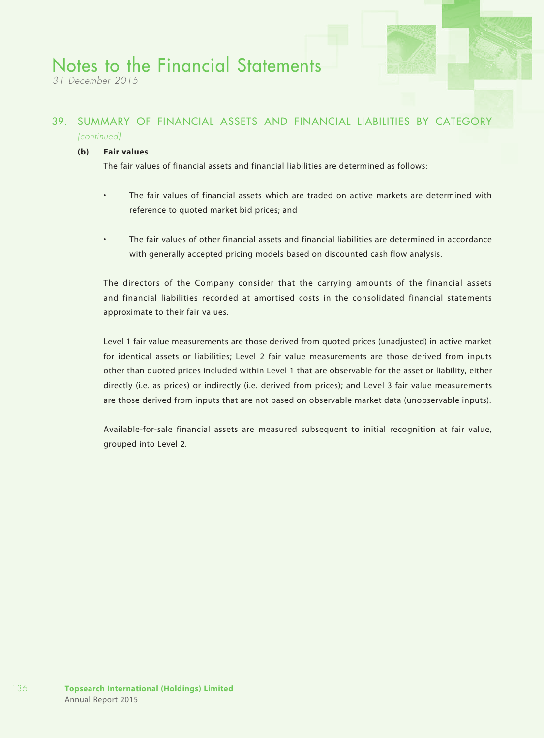*31 December 2015*

### 39. SUMMARY OF FINANCIAL ASSETS AND FINANCIAL LIABILITIES BY CATEGORY *(continued)*

#### **(b) Fair values**

The fair values of financial assets and financial liabilities are determined as follows:

- The fair values of financial assets which are traded on active markets are determined with reference to quoted market bid prices; and
- The fair values of other financial assets and financial liabilities are determined in accordance with generally accepted pricing models based on discounted cash flow analysis.

The directors of the Company consider that the carrying amounts of the financial assets and financial liabilities recorded at amortised costs in the consolidated financial statements approximate to their fair values.

Level 1 fair value measurements are those derived from quoted prices (unadjusted) in active market for identical assets or liabilities; Level 2 fair value measurements are those derived from inputs other than quoted prices included within Level 1 that are observable for the asset or liability, either directly (i.e. as prices) or indirectly (i.e. derived from prices); and Level 3 fair value measurements are those derived from inputs that are not based on observable market data (unobservable inputs).

Available-for-sale financial assets are measured subsequent to initial recognition at fair value, grouped into Level 2.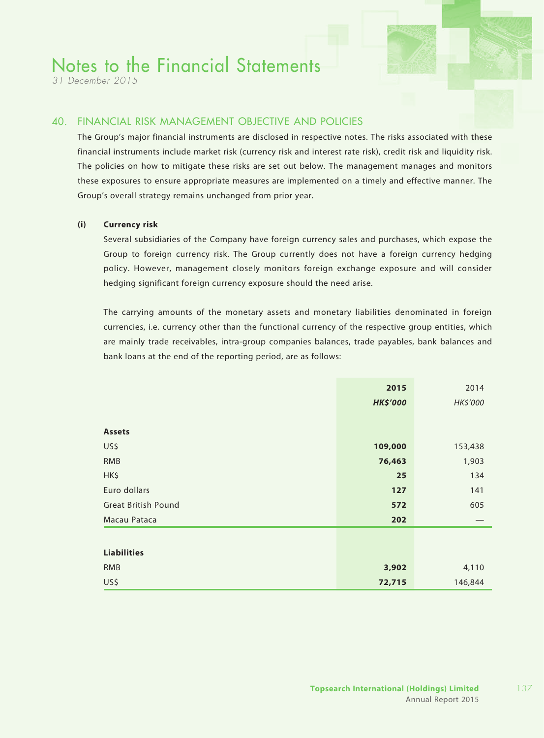*31 December 2015*

### 40. FINANCIAL RISK MANAGEMENT OBJECTIVE AND POLICIES

The Group's major financial instruments are disclosed in respective notes. The risks associated with these financial instruments include market risk (currency risk and interest rate risk), credit risk and liquidity risk. The policies on how to mitigate these risks are set out below. The management manages and monitors these exposures to ensure appropriate measures are implemented on a timely and effective manner. The Group's overall strategy remains unchanged from prior year.

#### **(i) Currency risk**

Several subsidiaries of the Company have foreign currency sales and purchases, which expose the Group to foreign currency risk. The Group currently does not have a foreign currency hedging policy. However, management closely monitors foreign exchange exposure and will consider hedging significant foreign currency exposure should the need arise.

The carrying amounts of the monetary assets and monetary liabilities denominated in foreign currencies, i.e. currency other than the functional currency of the respective group entities, which are mainly trade receivables, intra-group companies balances, trade payables, bank balances and bank loans at the end of the reporting period, are as follows:

|                            | 2015            | 2014     |
|----------------------------|-----------------|----------|
|                            | <b>HK\$'000</b> | HK\$'000 |
|                            |                 |          |
| <b>Assets</b>              |                 |          |
| US\$                       | 109,000         | 153,438  |
| <b>RMB</b>                 | 76,463          | 1,903    |
| HK\$                       | 25              | 134      |
| Euro dollars               | 127             | 141      |
| <b>Great British Pound</b> | 572             | 605      |
| Macau Pataca               | 202             |          |
|                            |                 |          |
| <b>Liabilities</b>         |                 |          |
| <b>RMB</b>                 | 3,902           | 4,110    |
| US\$                       | 72,715          | 146,844  |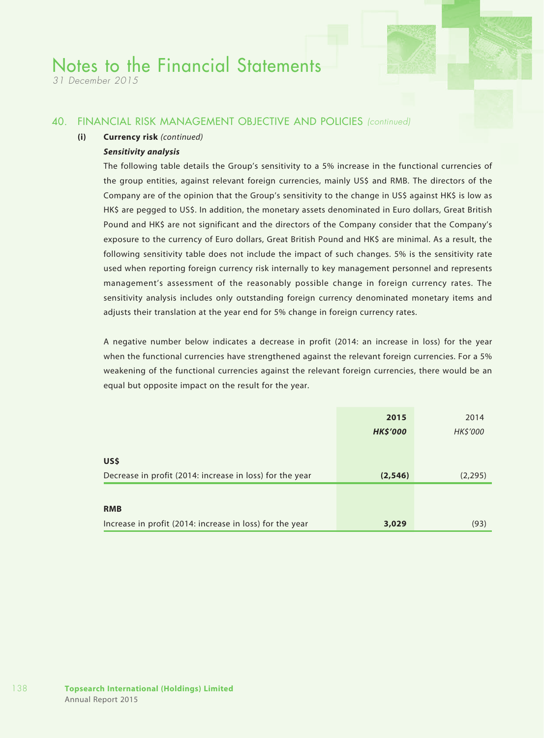*31 December 2015*

#### 40. FINANCIAL RISK MANAGEMENT OBJECTIVE AND POLICIES *(continued)*

#### **(i) Currency risk** *(continued)*

#### *Sensitivity analysis*

The following table details the Group's sensitivity to a 5% increase in the functional currencies of the group entities, against relevant foreign currencies, mainly US\$ and RMB. The directors of the Company are of the opinion that the Group's sensitivity to the change in US\$ against HK\$ is low as HK\$ are pegged to US\$. In addition, the monetary assets denominated in Euro dollars, Great British Pound and HK\$ are not significant and the directors of the Company consider that the Company's exposure to the currency of Euro dollars, Great British Pound and HK\$ are minimal. As a result, the following sensitivity table does not include the impact of such changes. 5% is the sensitivity rate used when reporting foreign currency risk internally to key management personnel and represents management's assessment of the reasonably possible change in foreign currency rates. The sensitivity analysis includes only outstanding foreign currency denominated monetary items and adjusts their translation at the year end for 5% change in foreign currency rates.

A negative number below indicates a decrease in profit (2014: an increase in loss) for the year when the functional currencies have strengthened against the relevant foreign currencies. For a 5% weakening of the functional currencies against the relevant foreign currencies, there would be an equal but opposite impact on the result for the year.

|                                                          | 2015            | 2014     |
|----------------------------------------------------------|-----------------|----------|
|                                                          | <b>HK\$'000</b> | HK\$'000 |
|                                                          |                 |          |
| US\$                                                     |                 |          |
| Decrease in profit (2014: increase in loss) for the year | (2, 546)        | (2, 295) |
|                                                          |                 |          |
| <b>RMB</b>                                               |                 |          |
| Increase in profit (2014: increase in loss) for the year | 3,029           | (93)     |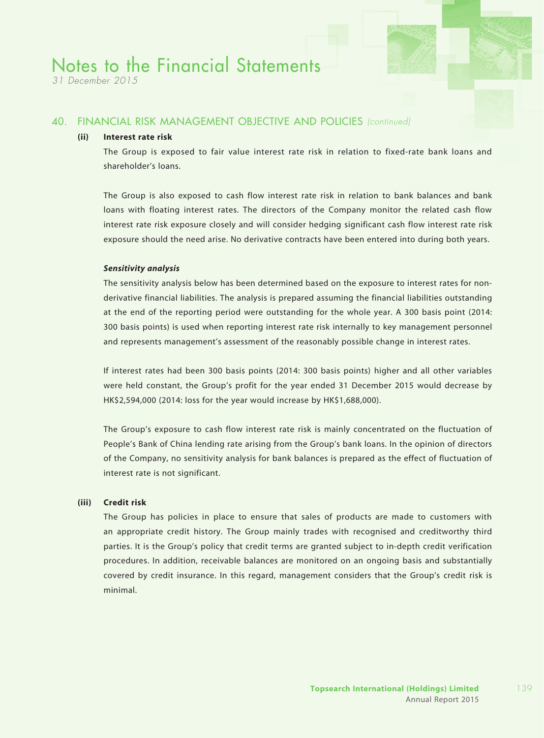*31 December 2015*

#### 40. FINANCIAL RISK MANAGEMENT OBJECTIVE AND POLICIES *(continued)*

#### **(ii) Interest rate risk**

The Group is exposed to fair value interest rate risk in relation to fixed-rate bank loans and shareholder's loans.

The Group is also exposed to cash flow interest rate risk in relation to bank balances and bank loans with floating interest rates. The directors of the Company monitor the related cash flow interest rate risk exposure closely and will consider hedging significant cash flow interest rate risk exposure should the need arise. No derivative contracts have been entered into during both years.

#### *Sensitivity analysis*

The sensitivity analysis below has been determined based on the exposure to interest rates for nonderivative financial liabilities. The analysis is prepared assuming the financial liabilities outstanding at the end of the reporting period were outstanding for the whole year. A 300 basis point (2014: 300 basis points) is used when reporting interest rate risk internally to key management personnel and represents management's assessment of the reasonably possible change in interest rates.

If interest rates had been 300 basis points (2014: 300 basis points) higher and all other variables were held constant, the Group's profit for the year ended 31 December 2015 would decrease by HK\$2,594,000 (2014: loss for the year would increase by HK\$1,688,000).

The Group's exposure to cash flow interest rate risk is mainly concentrated on the fluctuation of People's Bank of China lending rate arising from the Group's bank loans. In the opinion of directors of the Company, no sensitivity analysis for bank balances is prepared as the effect of fluctuation of interest rate is not significant.

#### **(iii) Credit risk**

The Group has policies in place to ensure that sales of products are made to customers with an appropriate credit history. The Group mainly trades with recognised and creditworthy third parties. It is the Group's policy that credit terms are granted subject to in-depth credit verification procedures. In addition, receivable balances are monitored on an ongoing basis and substantially covered by credit insurance. In this regard, management considers that the Group's credit risk is minimal.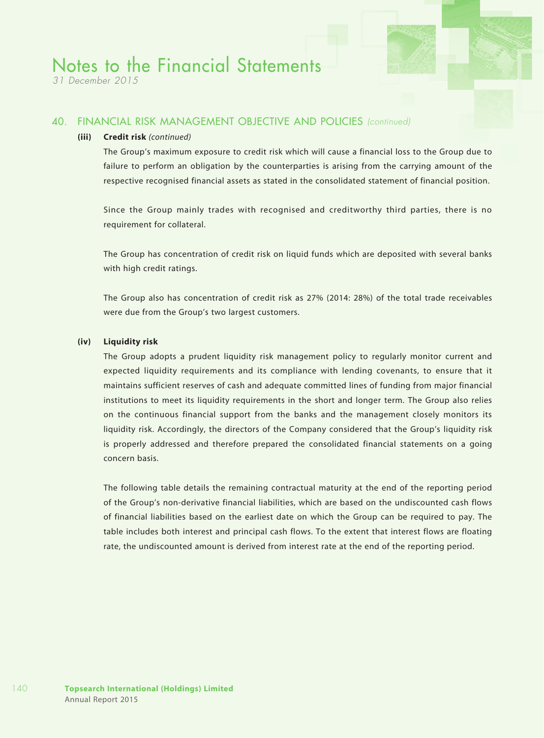*31 December 2015*

#### 40. FINANCIAL RISK MANAGEMENT OBJECTIVE AND POLICIES *(continued)*

#### **(iii) Credit risk** *(continued)*

The Group's maximum exposure to credit risk which will cause a financial loss to the Group due to failure to perform an obligation by the counterparties is arising from the carrying amount of the respective recognised financial assets as stated in the consolidated statement of financial position.

Since the Group mainly trades with recognised and creditworthy third parties, there is no requirement for collateral.

The Group has concentration of credit risk on liquid funds which are deposited with several banks with high credit ratings.

The Group also has concentration of credit risk as 27% (2014: 28%) of the total trade receivables were due from the Group's two largest customers.

#### **(iv) Liquidity risk**

The Group adopts a prudent liquidity risk management policy to regularly monitor current and expected liquidity requirements and its compliance with lending covenants, to ensure that it maintains sufficient reserves of cash and adequate committed lines of funding from major financial institutions to meet its liquidity requirements in the short and longer term. The Group also relies on the continuous financial support from the banks and the management closely monitors its liquidity risk. Accordingly, the directors of the Company considered that the Group's liquidity risk is properly addressed and therefore prepared the consolidated financial statements on a going concern basis.

The following table details the remaining contractual maturity at the end of the reporting period of the Group's non-derivative financial liabilities, which are based on the undiscounted cash flows of financial liabilities based on the earliest date on which the Group can be required to pay. The table includes both interest and principal cash flows. To the extent that interest flows are floating rate, the undiscounted amount is derived from interest rate at the end of the reporting period.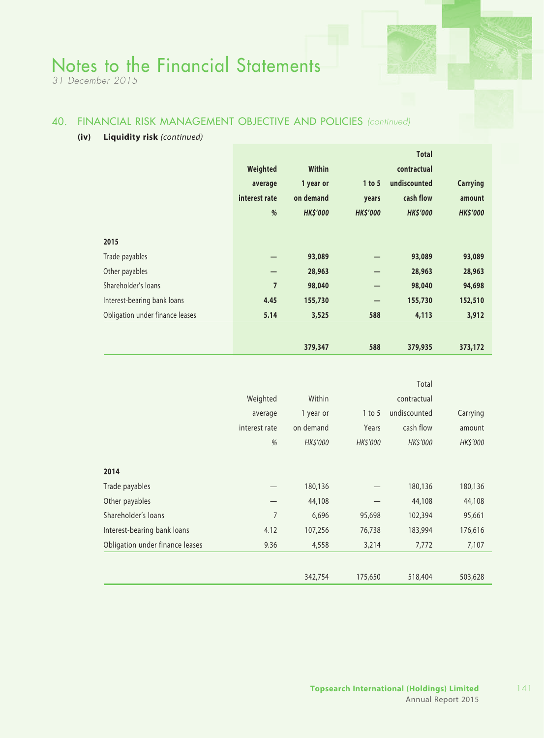*31 December 2015*

### 40. FINANCIAL RISK MANAGEMENT OBJECTIVE AND POLICIES *(continued)*

#### **(iv) Liquidity risk** *(continued)*

|                                 |                |                 |                 | <b>Total</b>    |                 |
|---------------------------------|----------------|-----------------|-----------------|-----------------|-----------------|
|                                 | Weighted       | Within          |                 | contractual     |                 |
|                                 | average        | 1 year or       | 1 to 5          | undiscounted    | <b>Carrying</b> |
|                                 | interest rate  | on demand       | years           | cash flow       | amount          |
|                                 | %              | <b>HK\$'000</b> | <b>HK\$'000</b> | <b>HK\$'000</b> | <b>HK\$'000</b> |
|                                 |                |                 |                 |                 |                 |
| 2015                            |                |                 |                 |                 |                 |
| Trade payables                  |                | 93,089          |                 | 93,089          | 93,089          |
| Other payables                  |                | 28,963          |                 | 28,963          | 28,963          |
| Shareholder's loans             | $\overline{7}$ | 98,040          |                 | 98,040          | 94,698          |
| Interest-bearing bank loans     | 4.45           | 155,730         |                 | 155,730         | 152,510         |
| Obligation under finance leases | 5.14           | 3,525           | 588             | 4,113           | 3,912           |
|                                 |                |                 |                 |                 |                 |
|                                 |                | 379,347         | 588             | 379,935         | 373,172         |

|                                 |                |           |             | Total        |          |  |  |  |
|---------------------------------|----------------|-----------|-------------|--------------|----------|--|--|--|
|                                 | Weighted       | Within    | contractual |              |          |  |  |  |
|                                 | average        | 1 year or | $1$ to 5    | undiscounted |          |  |  |  |
|                                 | interest rate  | on demand | Years       | cash flow    | amount   |  |  |  |
|                                 | %              | HK\$'000  | HK\$'000    | HK\$'000     | HK\$'000 |  |  |  |
|                                 |                |           |             |              |          |  |  |  |
| 2014                            |                |           |             |              |          |  |  |  |
| Trade payables                  |                | 180,136   |             | 180,136      | 180,136  |  |  |  |
| Other payables                  |                | 44,108    |             | 44,108       | 44,108   |  |  |  |
| Shareholder's loans             | $\overline{7}$ | 6,696     | 95,698      | 102,394      | 95,661   |  |  |  |
| Interest-bearing bank loans     | 4.12           | 107,256   | 76,738      | 183,994      | 176,616  |  |  |  |
| Obligation under finance leases | 9.36           | 4,558     | 3,214       | 7,772        | 7,107    |  |  |  |
|                                 |                |           |             |              |          |  |  |  |
|                                 |                | 342,754   | 175,650     | 518,404      | 503,628  |  |  |  |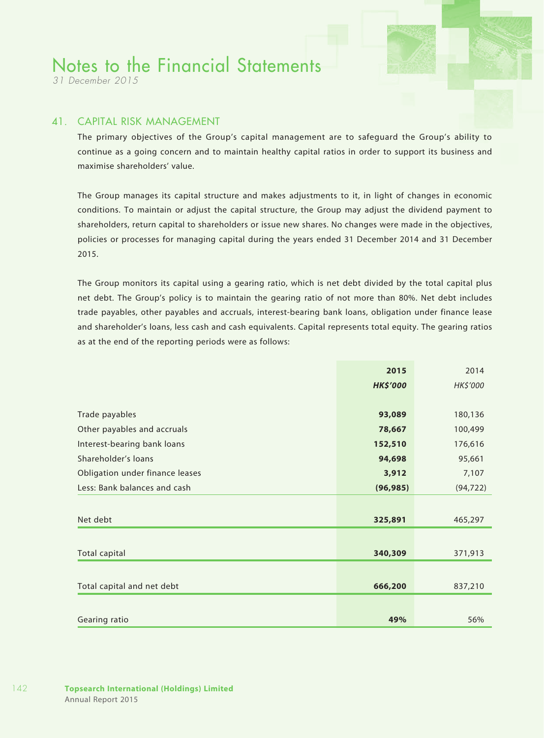*31 December 2015*

#### 41. CAPITAL RISK MANAGEMENT

The primary objectives of the Group's capital management are to safeguard the Group's ability to continue as a going concern and to maintain healthy capital ratios in order to support its business and maximise shareholders' value.

The Group manages its capital structure and makes adjustments to it, in light of changes in economic conditions. To maintain or adjust the capital structure, the Group may adjust the dividend payment to shareholders, return capital to shareholders or issue new shares. No changes were made in the objectives, policies or processes for managing capital during the years ended 31 December 2014 and 31 December 2015.

The Group monitors its capital using a gearing ratio, which is net debt divided by the total capital plus net debt. The Group's policy is to maintain the gearing ratio of not more than 80%. Net debt includes trade payables, other payables and accruals, interest-bearing bank loans, obligation under finance lease and shareholder's loans, less cash and cash equivalents. Capital represents total equity. The gearing ratios as at the end of the reporting periods were as follows:

|                                 | 2015            | 2014      |
|---------------------------------|-----------------|-----------|
|                                 | <b>HK\$'000</b> | HK\$'000  |
|                                 |                 |           |
| Trade payables                  | 93,089          | 180,136   |
| Other payables and accruals     | 78,667          | 100,499   |
| Interest-bearing bank loans     | 152,510         | 176,616   |
| Shareholder's loans             | 94,698          | 95,661    |
| Obligation under finance leases | 3,912           | 7,107     |
| Less: Bank balances and cash    | (96, 985)       | (94, 722) |
|                                 |                 |           |
| Net debt                        | 325,891         | 465,297   |
|                                 |                 |           |
| <b>Total capital</b>            | 340,309         | 371,913   |
|                                 |                 |           |
| Total capital and net debt      | 666,200         | 837,210   |
|                                 |                 |           |
| Gearing ratio                   | 49%             | 56%       |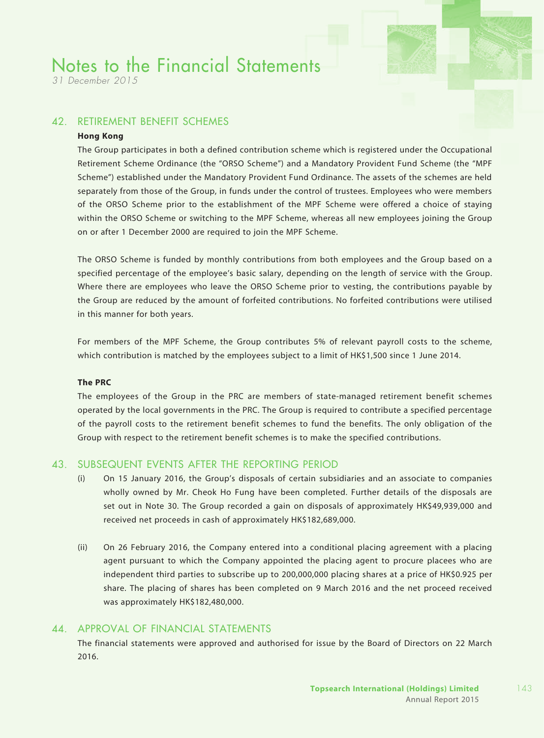*31 December 2015*

### 42. RETIREMENT BENEFIT SCHEMES

#### **Hong Kong**

The Group participates in both a defined contribution scheme which is registered under the Occupational Retirement Scheme Ordinance (the "ORSO Scheme") and a Mandatory Provident Fund Scheme (the "MPF Scheme") established under the Mandatory Provident Fund Ordinance. The assets of the schemes are held separately from those of the Group, in funds under the control of trustees. Employees who were members of the ORSO Scheme prior to the establishment of the MPF Scheme were offered a choice of staying within the ORSO Scheme or switching to the MPF Scheme, whereas all new employees joining the Group on or after 1 December 2000 are required to join the MPF Scheme.

The ORSO Scheme is funded by monthly contributions from both employees and the Group based on a specified percentage of the employee's basic salary, depending on the length of service with the Group. Where there are employees who leave the ORSO Scheme prior to vesting, the contributions payable by the Group are reduced by the amount of forfeited contributions. No forfeited contributions were utilised in this manner for both years.

For members of the MPF Scheme, the Group contributes 5% of relevant payroll costs to the scheme, which contribution is matched by the employees subject to a limit of HK\$1,500 since 1 June 2014.

#### **The PRC**

The employees of the Group in the PRC are members of state-managed retirement benefit schemes operated by the local governments in the PRC. The Group is required to contribute a specified percentage of the payroll costs to the retirement benefit schemes to fund the benefits. The only obligation of the Group with respect to the retirement benefit schemes is to make the specified contributions.

#### 43. SUBSEQUENT EVENTs AFTER THE REPORTING PERIOD

- (i) On 15 January 2016, the Group's disposals of certain subsidiaries and an associate to companies wholly owned by Mr. Cheok Ho Fung have been completed. Further details of the disposals are set out in Note 30. The Group recorded a gain on disposals of approximately HK\$49,939,000 and received net proceeds in cash of approximately HK\$182,689,000.
- (ii) On 26 February 2016, the Company entered into a conditional placing agreement with a placing agent pursuant to which the Company appointed the placing agent to procure placees who are independent third parties to subscribe up to 200,000,000 placing shares at a price of HK\$0.925 per share. The placing of shares has been completed on 9 March 2016 and the net proceed received was approximately HK\$182,480,000.

### 44. APPROVAL OF FINANCIAL STATEMENTS

The financial statements were approved and authorised for issue by the Board of Directors on 22 March 2016.

143